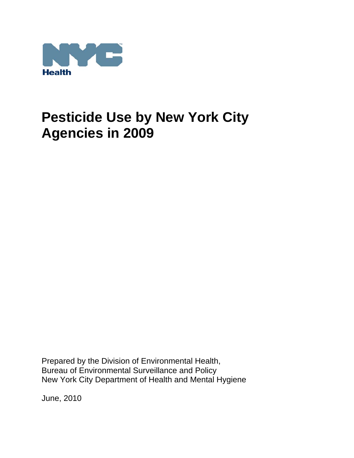

Prepared by the Division of Environmental Health, Bureau of Environmental Surveillance and Policy New York City Department of Health and Mental Hygiene

June, 2010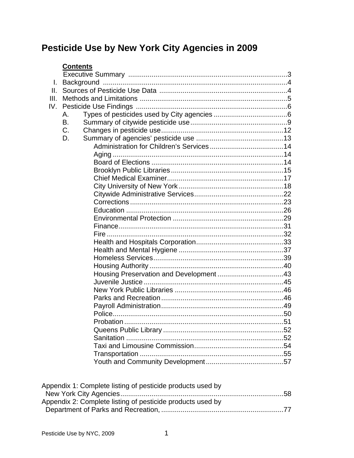## **Contents**

| L.   |    |  |
|------|----|--|
| II.  |    |  |
| III. |    |  |
| IV.  |    |  |
|      | Α. |  |
|      | B. |  |
|      | C. |  |
|      | D. |  |
|      |    |  |
|      |    |  |
|      |    |  |
|      |    |  |
|      |    |  |
|      |    |  |
|      |    |  |
|      |    |  |
|      |    |  |
|      |    |  |
|      |    |  |
|      |    |  |
|      |    |  |
|      |    |  |
|      |    |  |
|      |    |  |
|      |    |  |
|      |    |  |
|      |    |  |
|      |    |  |
|      |    |  |
|      |    |  |
|      |    |  |
|      |    |  |
|      |    |  |
|      |    |  |
|      |    |  |
|      |    |  |

| Appendix 1: Complete listing of pesticide products used by |  |
|------------------------------------------------------------|--|
|                                                            |  |
| Appendix 2: Complete listing of pesticide products used by |  |
|                                                            |  |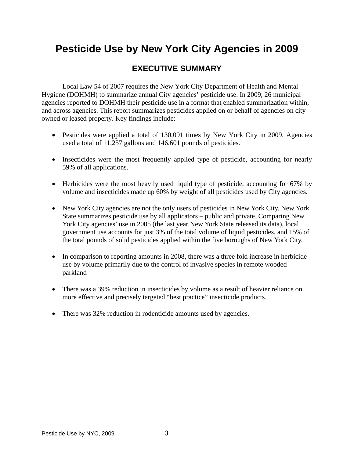## **EXECUTIVE SUMMARY**

Local Law 54 of 2007 requires the New York City Department of Health and Mental Hygiene (DOHMH) to summarize annual City agencies' pesticide use. In 2009, 26 municipal agencies reported to DOHMH their pesticide use in a format that enabled summarization within, and across agencies. This report summarizes pesticides applied on or behalf of agencies on city owned or leased property. Key findings include:

- Pesticides were applied a total of 130,091 times by New York City in 2009. Agencies used a total of 11,257 gallons and 146,601 pounds of pesticides.
- Insecticides were the most frequently applied type of pesticide, accounting for nearly 59% of all applications.
- Herbicides were the most heavily used liquid type of pesticide, accounting for 67% by volume and insecticides made up 60% by weight of all pesticides used by City agencies.
- New York City agencies are not the only users of pesticides in New York City. New York State summarizes pesticide use by all applicators – public and private. Comparing New York City agencies' use in 2005 (the last year New York State released its data), local government use accounts for just 3% of the total volume of liquid pesticides, and 15% of the total pounds of solid pesticides applied within the five boroughs of New York City.
- In comparison to reporting amounts in 2008, there was a three fold increase in herbicide use by volume primarily due to the control of invasive species in remote wooded parkland
- There was a 39% reduction in insecticides by volume as a result of heavier reliance on more effective and precisely targeted "best practice" insecticide products.
- There was 32% reduction in rodenticide amounts used by agencies.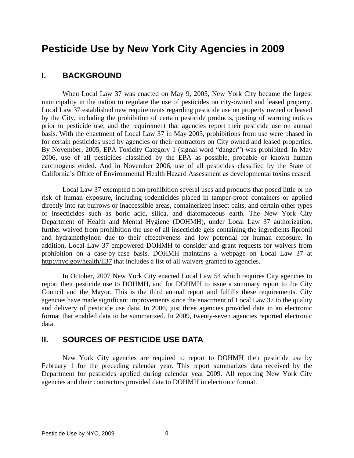## **I. BACKGROUND**

 When Local Law 37 was enacted on May 9, 2005, New York City became the largest municipality in the nation to regulate the use of pesticides on city-owned and leased property. Local Law 37 established new requirements regarding pesticide use on property owned or leased by the City, including the prohibition of certain pesticide products, posting of warning notices prior to pesticide use, and the requirement that agencies report their pesticide use on annual basis. With the enactment of Local Law 37 in May 2005, prohibitions from use were phased in for certain pesticides used by agencies or their contractors on City owned and leased properties. By November, 2005, EPA Toxicity Category 1 (signal word "danger") was prohibited. In May 2006, use of all pesticides classified by the EPA as possible, probable or known human carcinogens ended. And in November 2006, use of all pesticides classified by the State of California's Office of Environmental Health Hazard Assessment as developmental toxins ceased.

 Local Law 37 exempted from prohibition several uses and products that posed little or no risk of human exposure, including rodenticides placed in tamper-proof containers or applied directly into rat burrows or inaccessible areas, containerized insect baits, and certain other types of insecticides such as boric acid, silica, and diatomaceous earth. The New York City Department of Health and Mental Hygiene (DOHMH), under Local Law 37 authorization, further waived from prohibition the use of all insecticide gels containing the ingredients fipronil and hydramethylnon due to their effectiveness and low potential for human exposure. In addition, Local Law 37 empowered DOHMH to consider and grant requests for waivers from prohibition on a case-by-case basis. DOHMH maintains a webpage on Local Law 37 at http://nyc.gov/health/ll37 that includes a list of all waivers granted to agencies.

 In October, 2007 New York City enacted Local Law 54 which requires City agencies to report their pesticide use to DOHMH, and for DOHMH to issue a summary report to the City Council and the Mayor. This is the third annual report and fulfills these requirements. City agencies have made significant improvements since the enactment of Local Law 37 to the quality and delivery of pesticide use data. In 2006, just three agencies provided data in an electronic format that enabled data to be summarized. In 2009, twenty-seven agencies reported electronic data.

## **II. SOURCES OF PESTICIDE USE DATA**

 New York City agencies are required to report to DOHMH their pesticide use by February 1 for the preceding calendar year. This report summarizes data received by the Department for pesticides applied during calendar year 2009. All reporting New York City agencies and their contractors provided data to DOHMH in electronic format.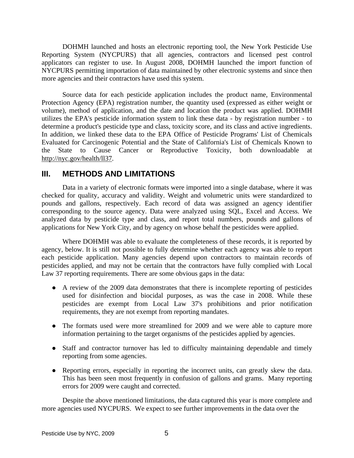DOHMH launched and hosts an electronic reporting tool, the New York Pesticide Use Reporting System (NYCPURS) that all agencies, contractors and licensed pest control applicators can register to use. In August 2008, DOHMH launched the import function of NYCPURS permitting importation of data maintained by other electronic systems and since then more agencies and their contractors have used this system.

 Source data for each pesticide application includes the product name, Environmental Protection Agency (EPA) registration number, the quantity used (expressed as either weight or volume), method of application, and the date and location the product was applied. DOHMH utilizes the EPA's pesticide information system to link these data - by registration number - to determine a product's pesticide type and class, toxicity score, and its class and active ingredients. In addition, we linked these data to the EPA Office of Pesticide Programs' List of Chemicals Evaluated for Carcinogenic Potential and the State of California's List of Chemicals Known to the State to Cause Cancer or Reproductive Toxicity, both downloadable at http://nyc.gov/health/ll37.

## **III. METHODS AND LIMITATIONS**

 Data in a variety of electronic formats were imported into a single database, where it was checked for quality, accuracy and validity. Weight and volumetric units were standardized to pounds and gallons, respectively. Each record of data was assigned an agency identifier corresponding to the source agency. Data were analyzed using SQL, Excel and Access. We analyzed data by pesticide type and class, and report total numbers, pounds and gallons of applications for New York City, and by agency on whose behalf the pesticides were applied.

 Where DOHMH was able to evaluate the completeness of these records, it is reported by agency, below. It is still not possible to fully determine whether each agency was able to report each pesticide application. Many agencies depend upon contractors to maintain records of pesticides applied, and may not be certain that the contractors have fully complied with Local Law 37 reporting requirements. There are some obvious gaps in the data:

- A review of the 2009 data demonstrates that there is incomplete reporting of pesticides used for disinfection and biocidal purposes, as was the case in 2008. While these pesticides are exempt from Local Law 37's prohibitions and prior notification requirements, they are not exempt from reporting mandates.
- The formats used were more streamlined for 2009 and we were able to capture more information pertaining to the target organisms of the pesticides applied by agencies.
- Staff and contractor turnover has led to difficulty maintaining dependable and timely reporting from some agencies.
- Reporting errors, especially in reporting the incorrect units, can greatly skew the data. This has been seen most frequently in confusion of gallons and grams. Many reporting errors for 2009 were caught and corrected.

 Despite the above mentioned limitations, the data captured this year is more complete and more agencies used NYCPURS. We expect to see further improvements in the data over the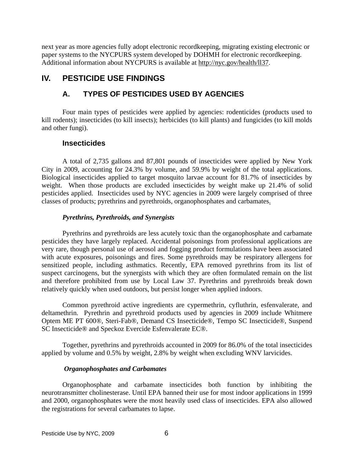next year as more agencies fully adopt electronic recordkeeping, migrating existing electronic or paper systems to the NYCPURS system developed by DOHMH for electronic recordkeeping. Additional information about NYCPURS is available at http://nyc.gov/health/ll37.

## **IV. PESTICIDE USE FINDINGS**

## **A. TYPES OF PESTICIDES USED BY AGENCIES**

 Four main types of pesticides were applied by agencies: rodenticides (products used to kill rodents); insecticides (to kill insects); herbicides (to kill plants) and fungicides (to kill molds and other fungi).

## **Insecticides**

 A total of 2,735 gallons and 87,801 pounds of insecticides were applied by New York City in 2009, accounting for 24.3% by volume, and 59.9% by weight of the total applications. Biological insecticides applied to target mosquito larvae account for 81.7% of insecticides by weight. When those products are excluded insecticides by weight make up 21.4% of solid pesticides applied. Insecticides used by NYC agencies in 2009 were largely comprised of three classes of products; pyrethrins and pyrethroids, organophosphates and carbamates.

## *Pyrethrins, Pyrethroids, and Synergists*

 Pyrethrins and pyrethroids are less acutely toxic than the organophosphate and carbamate pesticides they have largely replaced. Accidental poisonings from professional applications are very rare, though personal use of aerosol and fogging product formulations have been associated with acute exposures, poisonings and fires. Some pyrethroids may be respiratory allergens for sensitized people, including asthmatics. Recently, EPA removed pyrethrins from its list of suspect carcinogens, but the synergists with which they are often formulated remain on the list and therefore prohibited from use by Local Law 37. Pyrethrins and pyrethroids break down relatively quickly when used outdoors, but persist longer when applied indoors.

 Common pyrethroid active ingredients are cypermethrin, cyfluthrin, esfenvalerate, and deltamethrin. Pyrethrin and pyrethroid products used by agencies in 2009 include Whitmere Optem ME PT 600®, Steri-Fab®, Demand CS Insecticide®, Tempo SC Insecticide®, Suspend SC Insecticide® and Speckoz Evercide Esfenvalerate EC®.

 Together, pyrethrins and pyrethroids accounted in 2009 for 86.0% of the total insecticides applied by volume and 0.5% by weight, 2.8% by weight when excluding WNV larvicides.

## *Organophosphates and Carbamates*

 Organophosphate and carbamate insecticides both function by inhibiting the neurotransmitter cholinesterase. Until EPA banned their use for most indoor applications in 1999 and 2000, organophosphates were the most heavily used class of insecticides. EPA also allowed the registrations for several carbamates to lapse.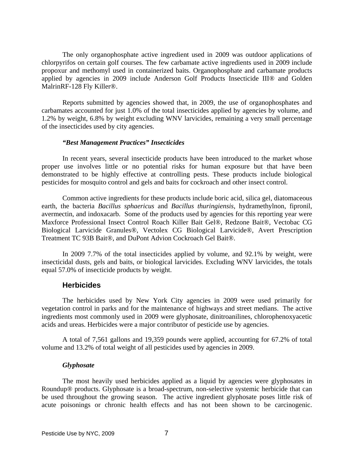The only organophosphate active ingredient used in 2009 was outdoor applications of chlorpyrifos on certain golf courses. The few carbamate active ingredients used in 2009 include propoxur and methomyl used in containerized baits. Organophosphate and carbamate products applied by agencies in 2009 include Anderson Golf Products Insecticide III® and Golden MalrinRF-128 Fly Killer®.

 Reports submitted by agencies showed that, in 2009, the use of organophosphates and carbamates accounted for just 1.0% of the total insecticides applied by agencies by volume, and 1.2% by weight, 6.8% by weight excluding WNV larvicides, remaining a very small percentage of the insecticides used by city agencies.

#### *"Best Management Practices" Insecticides*

 In recent years, several insecticide products have been introduced to the market whose proper use involves little or no potential risks for human exposure but that have been demonstrated to be highly effective at controlling pests. These products include biological pesticides for mosquito control and gels and baits for cockroach and other insect control.

 Common active ingredients for these products include boric acid, silica gel, diatomaceous earth, the bacteria *Bacillus sphaericus* and *Bacillus thuringiensis*, hydramethylnon, fipronil, avermectin, and indoxacarb. Some of the products used by agencies for this reporting year were Maxforce Professional Insect Control Roach Killer Bait Gel®, Redzone Bait®, Vectobac CG Biological Larvicide Granules®, Vectolex CG Biological Larvicide®, Avert Prescription Treatment TC 93B Bait®, and DuPont Advion Cockroach Gel Bait®.

 In 2009 7.7% of the total insecticides applied by volume, and 92.1% by weight, were insecticidal dusts, gels and baits, or biological larvicides. Excluding WNV larvicides, the totals equal 57.0% of insecticide products by weight.

#### **Herbicides**

 The herbicides used by New York City agencies in 2009 were used primarily for vegetation control in parks and for the maintenance of highways and street medians. The active ingredients most commonly used in 2009 were glyphosate, dinitroanilines, chlorophenoxyacetic acids and ureas. Herbicides were a major contributor of pesticide use by agencies.

 A total of 7,561 gallons and 19,359 pounds were applied, accounting for 67.2% of total volume and 13.2% of total weight of all pesticides used by agencies in 2009.

#### *Glyphosate*

 The most heavily used herbicides applied as a liquid by agencies were glyphosates in Roundup® products. Glyphosate is a broad-spectrum, non-selective systemic herbicide that can be used throughout the growing season. The active ingredient glyphosate poses little risk of acute poisonings or chronic health effects and has not been shown to be carcinogenic.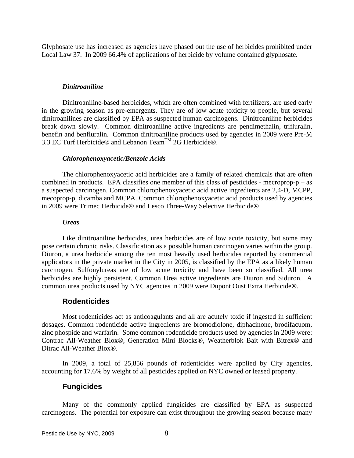Glyphosate use has increased as agencies have phased out the use of herbicides prohibited under Local Law 37. In 2009 66.4% of applications of herbicide by volume contained glyphosate.

#### *Dinitroaniline*

 Dinitroaniline-based herbicides, which are often combined with fertilizers, are used early in the growing season as pre-emergents. They are of low acute toxicity to people, but several dinitroanilines are classified by EPA as suspected human carcinogens. Dinitroaniline herbicides break down slowly. Common dinitroaniline active ingredients are pendimethalin, trifluralin, benefin and benfluralin. Common dinitroaniline products used by agencies in 2009 were Pre-M 3.3 EC Turf Herbicide® and Lebanon Team<sup>TM</sup> 2G Herbicide®.

#### *Chlorophenoxyacetic/Benzoic Acids*

 The chlorophenoxyacetic acid herbicides are a family of related chemicals that are often combined in products. EPA classifies one member of this class of pesticides - mecroprop- $p - as$ a suspected carcinogen. Common chlorophenoxyacetic acid active ingredients are 2,4-D, MCPP, mecoprop-p, dicamba and MCPA. Common chlorophenoxyacetic acid products used by agencies in 2009 were Trimec Herbicide® and Lesco Three-Way Selective Herbicide®

#### *Ureas*

 Like dinitroaniline herbicides, urea herbicides are of low acute toxicity, but some may pose certain chronic risks. Classification as a possible human carcinogen varies within the group. Diuron, a urea herbicide among the ten most heavily used herbicides reported by commercial applicators in the private market in the City in 2005, is classified by the EPA as a likely human carcinogen. Sulfonylureas are of low acute toxicity and have been so classified. All urea herbicides are highly persistent. Common Urea active ingredients are Diuron and Siduron. A common urea products used by NYC agencies in 2009 were Dupont Oust Extra Herbicide®.

#### **Rodenticides**

 Most rodenticides act as anticoagulants and all are acutely toxic if ingested in sufficient dosages. Common rodenticide active ingredients are bromodiolone, diphacinone, brodifacuom, zinc phospide and warfarin. Some common rodenticide products used by agencies in 2009 were: Contrac All-Weather Blox®, Generation Mini Blocks®, Weatherblok Bait with Bitrex® and Ditrac All-Weather Blox®.

 In 2009, a total of 25,856 pounds of rodenticides were applied by City agencies, accounting for 17.6% by weight of all pesticides applied on NYC owned or leased property.

#### **Fungicides**

 Many of the commonly applied fungicides are classified by EPA as suspected carcinogens. The potential for exposure can exist throughout the growing season because many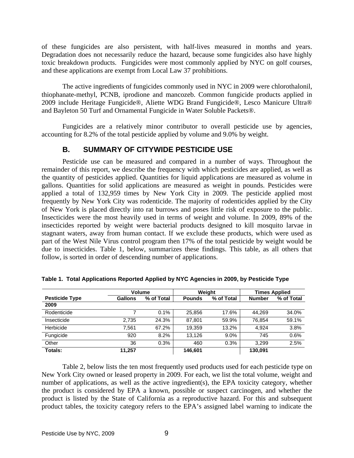of these fungicides are also persistent, with half-lives measured in months and years. Degradation does not necessarily reduce the hazard, because some fungicides also have highly toxic breakdown products. Fungicides were most commonly applied by NYC on golf courses, and these applications are exempt from Local Law 37 prohibitions.

 The active ingredients of fungicides commonly used in NYC in 2009 were chlorothalonil, thiophanate-methyl, PCNB, iprodione and mancozeb. Common fungicide products applied in 2009 include Heritage Fungicide®, Aliette WDG Brand Fungicide®, Lesco Manicure Ultra® and Bayleton 50 Turf and Ornamental Fungicide in Water Soluble Packets®.

 Fungicides are a relatively minor contributor to overall pesticide use by agencies, accounting for 8.2% of the total pesticide applied by volume and 9.0% by weight.

#### **B. SUMMARY OF CITYWIDE PESTICIDE USE**

 Pesticide use can be measured and compared in a number of ways. Throughout the remainder of this report, we describe the frequency with which pesticides are applied, as well as the quantity of pesticides applied. Quantities for liquid applications are measured as volume in gallons. Quantities for solid applications are measured as weight in pounds. Pesticides were applied a total of 132,959 times by New York City in 2009. The pesticide applied most frequently by New York City was rodenticide. The majority of rodenticides applied by the City of New York is placed directly into rat burrows and poses little risk of exposure to the public. Insecticides were the most heavily used in terms of weight and volume. In 2009, 89% of the insecticides reported by weight were bacterial products designed to kill mosquito larvae in stagnant waters, away from human contact. If we exclude these products, which were used as part of the West Nile Virus control program then 17% of the total pesticide by weight would be due to insecticides. Table 1, below, summarizes these findings. This table, as all others that follow, is sorted in order of descending number of applications.

|                       |                | Volume     |               | Weight     | <b>Times Applied</b> |            |  |
|-----------------------|----------------|------------|---------------|------------|----------------------|------------|--|
| <b>Pesticide Type</b> | <b>Gallons</b> | % of Total | <b>Pounds</b> | % of Total | <b>Number</b>        | % of Total |  |
| 2009                  |                |            |               |            |                      |            |  |
| Rodenticide           |                | 0.1%       | 25.856        | 17.6%      | 44.269               | 34.0%      |  |
| Insecticide           | 2.735          | 24.3%      | 87.801        | 59.9%      | 76.854               | 59.1%      |  |
| Herbicide             | 7,561          | 67.2%      | 19.359        | 13.2%      | 4.924                | 3.8%       |  |
| Fungicide             | 920            | 8.2%       | 13.126        | $9.0\%$    | 745                  | 0.6%       |  |
| Other                 | 36             | 0.3%       | 460           | 0.3%       | 3.299                | 2.5%       |  |
| Totals:               | 11.257         |            | 146.601       |            | 130,091              |            |  |

**Table 1. Total Applications Reported Applied by NYC Agencies in 2009, by Pesticide Type** 

 Table 2, below lists the ten most frequently used products used for each pesticide type on New York City owned or leased property in 2009. For each, we list the total volume, weight and number of applications, as well as the active ingredient(s), the EPA toxicity category, whether the product is considered by EPA a known, possible or suspect carcinogen, and whether the product is listed by the State of California as a reproductive hazard. For this and subsequent product tables, the toxicity category refers to the EPA's assigned label warning to indicate the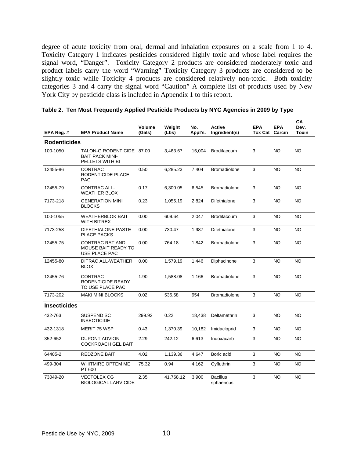degree of acute toxicity from oral, dermal and inhalation exposures on a scale from 1 to 4. Toxicity Category 1 indicates pesticides considered highly toxic and whose label requires the signal word, "Danger". Toxicity Category 2 products are considered moderately toxic and product labels carry the word "Warning" Toxicity Category 3 products are considered to be slightly toxic while Toxicity 4 products are considered relatively non-toxic. Both toxicity categories 3 and 4 carry the signal word "Caution" A complete list of products used by New York City by pesticide class is included in Appendix 1 to this report.

| EPA Reg.#           | <b>EPA Product Name</b>                                                | Volume<br>(Gals) | Weight<br>(Lbs) | No.<br>Appl's. | <b>Active</b><br>Ingredient(s) | <b>EPA</b><br><b>Tox Cat Carcin</b> | <b>EPA</b> | CA<br>Dev.<br>Toxin |
|---------------------|------------------------------------------------------------------------|------------------|-----------------|----------------|--------------------------------|-------------------------------------|------------|---------------------|
| <b>Rodenticides</b> |                                                                        |                  |                 |                |                                |                                     |            |                     |
| 100-1050            | TALON-G RODENTICIDE 87.00<br><b>BAIT PACK MINI-</b><br>PELLETS WITH BI |                  | 3.463.67        | 15,004         | <b>Brodifacoum</b>             | 3                                   | <b>NO</b>  | <b>NO</b>           |
| 12455-86            | <b>CONTRAC</b><br>RODENTICIDE PLACE<br><b>PAC</b>                      | 0.50             | 6,285.23        | 7.404          | <b>Bromadiolone</b>            | 3                                   | NO.        | <b>NO</b>           |
| 12455-79            | <b>CONTRAC ALL-</b><br><b>WEATHER BLOX</b>                             | 0.17             | 6,300.05        | 6,545          | <b>Bromadiolone</b>            | 3                                   | NO.        | NO                  |
| 7173-218            | <b>GENERATION MINI</b><br><b>BLOCKS</b>                                | 0.23             | 1,055.19        | 2,824          | Difethialone                   | 3                                   | NO         | NO                  |
| 100-1055            | <b>WEATHERBLOK BAIT</b><br><b>WITH BITREX</b>                          | 0.00             | 609.64          | 2,047          | <b>Brodifacoum</b>             | 3                                   | NO.        | <b>NO</b>           |
| 7173-258            | DIFETHIALONE PASTE<br><b>PLACE PACKS</b>                               | 0.00             | 730.47          | 1,987          | Difethialone                   | 3                                   | NO         | NO                  |
| 12455-75            | <b>CONTRAC RAT AND</b><br><b>MOUSE BAIT READY TO</b><br>USE PLACE PAC  | 0.00             | 764.18          | 1,842          | <b>Bromadiolone</b>            | 3                                   | NO         | <b>NO</b>           |
| 12455-80            | DITRAC ALL-WEATHER<br><b>BLOX</b>                                      | 0.00             | 1,579.19        | 1,446          | Diphacinone                    | 3                                   | NO         | <b>NO</b>           |
| 12455-76            | <b>CONTRAC</b><br>RODENTICIDE READY<br>TO USE PLACE PAC                | 1.90             | 1,588.08        | 1,166          | <b>Bromadiolone</b>            | 3                                   | NO         | NO                  |
| 7173-202            | <b>MAKI MINI BLOCKS</b>                                                | 0.02             | 536.58          | 954            | <b>Bromadiolone</b>            | 3                                   | NO.        | NO.                 |
| <b>Insecticides</b> |                                                                        |                  |                 |                |                                |                                     |            |                     |
| 432-763             | SUSPEND SC<br><b>INSECTICIDE</b>                                       | 299.92           | 0.22            | 18,438         | Deltamethrin                   | 3                                   | <b>NO</b>  | <b>NO</b>           |
| 432-1318            | <b>MERIT 75 WSP</b>                                                    | 0.43             | 1,370.39        | 10,182         | Imidacloprid                   | 3                                   | <b>NO</b>  | <b>NO</b>           |
| 352-652             | <b>DUPONT ADVION</b><br><b>COCKROACH GEL BAIT</b>                      | 2.29             | 242.12          | 6.613          | Indoxacarb                     | 3                                   | NO         | <b>NO</b>           |
| 64405-2             | <b>REDZONE BAIT</b>                                                    | 4.02             | 1,139.36        | 4,647          | Boric acid                     | 3                                   | <b>NO</b>  | <b>NO</b>           |
| 499-304             | <b>WHITMIRE OPTEM ME</b><br>PT 600                                     | 75.32            | 0.94            | 4,162          | Cyfluthrin                     | 3                                   | NO.        | <b>NO</b>           |
| 73049-20            | <b>VECTOLEX CG</b><br><b>BIOLOGICAL LARVICIDE</b>                      | 2.35             | 41,768.12       | 3,900          | <b>Bacillus</b><br>sphaericus  | 3                                   | <b>NO</b>  | <b>NO</b>           |

#### **Table 2. Ten Most Frequently Applied Pesticide Products by NYC Agencies in 2009 by Type**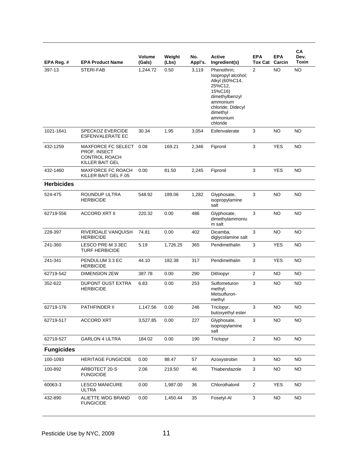| EPA Reg. #        | <b>EPA Product Name</b>                                                              | Volume<br>(Gals) | Weight<br>(Lbs) | No.<br>Appl's. | Active<br>Ingredient(s)                                                                                                                                          | <b>EPA</b><br>Tox Cat | <b>EPA</b><br>Carcin | CA<br>Dev.<br>Toxin |
|-------------------|--------------------------------------------------------------------------------------|------------------|-----------------|----------------|------------------------------------------------------------------------------------------------------------------------------------------------------------------|-----------------------|----------------------|---------------------|
| 397-13            | <b>STERI-FAB</b>                                                                     | 1,244.72         | 0.50            | 3,119          | Phenothrin;<br>Isopropyl alcohol;<br>Alkyl (60%C14,<br>25%C12,<br>15%C16)<br>dimethylbenzyl<br>ammonium<br>chloride; Didecyl<br>dimethyl<br>ammonium<br>chloride | 2                     | <b>NO</b>            | <b>NO</b>           |
| 1021-1641         | <b>SPECKOZ EVERCIDE</b><br>ESFENVALERATE EC                                          | 30.34            | 1.95            | 3,054          | Esfenvalerate                                                                                                                                                    | 3                     | <b>NO</b>            | <b>NO</b>           |
| 432-1259          | <b>MAXFORCE FC SELECT</b><br>PROF. INSECT<br><b>CONTROL ROACH</b><br>KILLER BAIT GEL | 0.08             | 169.21          | 2,346          | Fipronil                                                                                                                                                         | 3                     | <b>YES</b>           | <b>NO</b>           |
| 432-1460          | <b>MAXFORCE FC ROACH</b><br>KILLER BAIT GEL F.05                                     | 0.00             | 81.50           | 2,245          | Fipronil                                                                                                                                                         | 3                     | <b>YES</b>           | NO.                 |
| <b>Herbicides</b> |                                                                                      |                  |                 |                |                                                                                                                                                                  |                       |                      |                     |
| 524-475           | ROUNDUP ULTRA<br><b>HERBICIDE</b>                                                    | 548.92           | 189.06          | 1,282          | Glyphosate,<br>isopropylamine<br>salt                                                                                                                            | 3                     | NO                   | NO.                 |
| 62719-556         | <b>ACCORD XRT II</b>                                                                 | 220.32           | 0.00            | 486            | Glyphosate,<br>dimethylammoniu<br>m salt                                                                                                                         | 3                     | <b>NO</b>            | <b>NO</b>           |
| 228-397           | RIVERDALE VANQUISH<br><b>HERBICIDE</b>                                               | 74.81            | 0.00            | 402            | Dicamba,<br>diglycolamine salt                                                                                                                                   | 3                     | NO                   | NO.                 |
| 241-360           | LESCO PRE-M 3.3EC<br><b>TURF HERBICIDE</b>                                           | 5.19             | 1,726.25        | 365            | Pendimethalin                                                                                                                                                    | 3                     | <b>YES</b>           | <b>NO</b>           |
| 241-341           | PENDULUM 3.3 EC<br><b>HERBICIDE</b>                                                  | 44.10            | 182.38          | 317            | Pendimethalin                                                                                                                                                    | 3                     | <b>YES</b>           | NO.                 |
| 62719-542         | <b>DIMENSION 2EW</b>                                                                 | 387.78           | 0.00            | 290            | Dithiopyr                                                                                                                                                        | 2                     | NO                   | NO.                 |
| 352-622           | DUPONT OUST EXTRA<br><b>HERBICIDE</b>                                                | 6.83             | 0.00            | 253            | Sulfometuron<br>methyl;<br>Metsulfuron-<br>methyl                                                                                                                | 3                     | NO                   | NO.                 |
| 62719-176         | PATHFINDER II                                                                        | 1,147.56         | 0.00            | 246            | Triclopyr,<br>butoxyethyl ester                                                                                                                                  | 3                     | <b>NO</b>            | <b>NO</b>           |
| 62719-517         | <b>ACCORD XRT</b>                                                                    | 3,527.85         | 0.00            | 227            | Glyphosate,<br>isopropylamine<br>salt                                                                                                                            | $\mathbf{3}$          | <b>NO</b>            | <b>NO</b>           |
| 62719-527         | <b>GARLON 4 ULTRA</b>                                                                | 184.02           | 0.00            | 190            | Triclopyr                                                                                                                                                        | $\overline{2}$        | <b>NO</b>            | <b>NO</b>           |
| <b>Fungicides</b> |                                                                                      |                  |                 |                |                                                                                                                                                                  |                       |                      |                     |
| 100-1093          | <b>HERITAGE FUNGICIDE</b>                                                            | 0.00             | 88.47           | 57             | Azoxystrobin                                                                                                                                                     | 3                     | <b>NO</b>            | <b>NO</b>           |
| 100-892           | ARBOTECT 20-S<br><b>FUNGICIDE</b>                                                    | 2.06             | 219.50          | 46             | Thiabendazole                                                                                                                                                    | 3                     | <b>NO</b>            | NO.                 |
| 60063-3           | <b>LESCO MANICURE</b><br><b>ULTRA</b>                                                | 0.00             | 1,987.00        | 36             | Chlorothalonil                                                                                                                                                   | $\overline{c}$        | <b>YES</b>           | NO.                 |
| 432-890           | ALIETTE WDG BRAND<br><b>FUNGICIDE</b>                                                | 0.00             | 1,450.44        | 35             | Fosetyl-Al                                                                                                                                                       | $\mathbf{3}$          | <b>NO</b>            | <b>NO</b>           |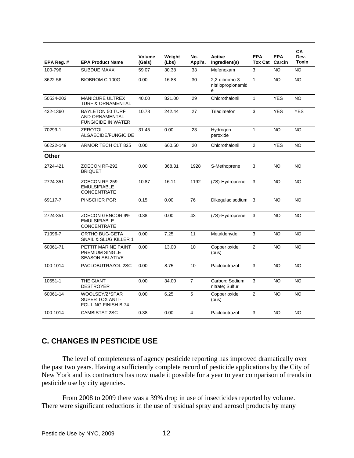| EPA Reg. # | <b>EPA Product Name</b>                                                       | Volume<br>(Gals) | Weiaht<br>(Lbs) | No.<br>Appl's. | <b>Active</b><br>Ingredient(s)            | <b>EPA</b><br><b>Tox Cat</b> | <b>EPA</b><br>Carcin | CA<br>Dev.<br>Toxin |
|------------|-------------------------------------------------------------------------------|------------------|-----------------|----------------|-------------------------------------------|------------------------------|----------------------|---------------------|
| 100-796    | <b>SUBDUE MAXX</b>                                                            | 59.07            | 30.38           | 33             | Mefenoxam                                 | 3                            | <b>NO</b>            | <b>NO</b>           |
| 8622-56    | <b>BIOBROM C-100G</b>                                                         | 0.00             | 16.88           | 30             | 2.2-dibromo-3-<br>nitrilopropionamid<br>e | $\mathbf{1}$                 | <b>NO</b>            | <b>NO</b>           |
| 50534-202  | <b>MANICURE ULTREX</b><br><b>TURF &amp; ORNAMENTAL</b>                        | 40.00            | 821.00          | 29             | Chlorothalonil                            | $\mathbf{1}$                 | <b>YES</b>           | <b>NO</b>           |
| 432-1360   | <b>BAYLETON 50 TURF</b><br><b>AND ORNAMENTAL</b><br><b>FUNGICIDE IN WATER</b> | 10.78            | 242.44          | 27             | Triadimefon                               | 3                            | <b>YES</b>           | <b>YES</b>          |
| 70299-1    | <b>ZEROTOL</b><br>ALGAECIDE/FUNGICIDE                                         | 31.45            | 0.00            | 23             | Hydrogen<br>peroxide                      | $\mathbf{1}$                 | <b>NO</b>            | <b>NO</b>           |
| 66222-149  | <b>ARMOR TECH CLT 825</b>                                                     | 0.00             | 660.50          | 20             | Chlorothalonil                            | $\overline{2}$               | <b>YES</b>           | <b>NO</b>           |
| Other      |                                                                               |                  |                 |                |                                           |                              |                      |                     |
| 2724-421   | ZOECON RF-292<br><b>BRIQUET</b>                                               | 0.00             | 368.31          | 1928           | S-Methoprene                              | 3                            | NO                   | NO                  |
| 2724-351   | ZOECON RF-259<br><b>EMULSIFIABLE</b><br><b>CONCENTRATE</b>                    | 10.87            | 16.11           | 1192           | (7S)-Hydroprene                           | 3                            | <b>NO</b>            | <b>NO</b>           |
| 69117-7    | PINSCHER PGR                                                                  | 0.15             | 0.00            | 76             | Dikegulac sodium                          | 3                            | <b>NO</b>            | <b>NO</b>           |
| 2724-351   | <b>ZOECON GENCOR 9%</b><br><b>EMULSIFIABLE</b><br><b>CONCENTRATE</b>          | 0.38             | 0.00            | 43             | (7S)-Hydroprene                           | 3                            | <b>NO</b>            | <b>NO</b>           |
| 71096-7    | <b>ORTHO BUG-GETA</b><br>SNAIL & SLUG KILLER 1                                | 0.00             | 7.25            | 11             | Metaldehyde                               | 3                            | <b>NO</b>            | <b>NO</b>           |
| 60061-71   | PETTIT MARINE PAINT<br><b>PREMIUM SINGLE</b><br><b>SEASON ABLATIVE</b>        | 0.00             | 13.00           | 10             | Copper oxide<br>(ous)                     | $\overline{2}$               | <b>NO</b>            | <b>NO</b>           |
| 100-1014   | PACLOBUTRAZOL 2SC                                                             | 0.00             | 8.75            | 10             | Paclobutrazol                             | 3                            | <b>NO</b>            | <b>NO</b>           |
| 10551-1    | THE GIANT<br><b>DESTROYER</b>                                                 | 0.00             | 34.00           | $\overline{7}$ | Carbon: Sodium<br>nitrate; Sulfur         | 3                            | <b>NO</b>            | <b>NO</b>           |
| 60061-14   | WOOLSEY/Z*SPAR<br>SUPER TOX ANTI-<br><b>FOULING FINISH B-74</b>               | 0.00             | 6.25            | 5              | Copper oxide<br>(ous)                     | 2                            | NO                   | NO                  |
| 100-1014   | <b>CAMBISTAT 2SC</b>                                                          | 0.38             | 0.00            | 4              | Paclobutrazol                             | 3                            | <b>NO</b>            | <b>NO</b>           |

## **C. CHANGES IN PESTICIDE USE**

 The level of completeness of agency pesticide reporting has improved dramatically over the past two years. Having a sufficiently complete record of pesticide applications by the City of New York and its contractors has now made it possible for a year to year comparison of trends in pesticide use by city agencies.

From 2008 to 2009 there was a 39% drop in use of insecticides reported by volume. There were significant reductions in the use of residual spray and aerosol products by many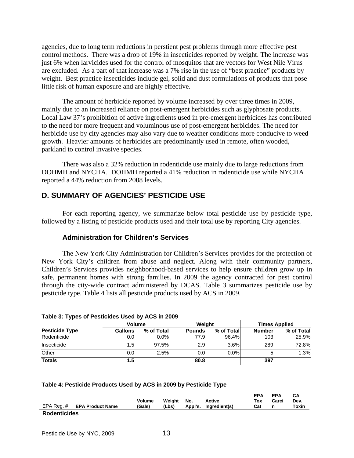agencies, due to long term reductions in perstient pest problems through more effective pest control methods. There was a drop of 19% in insecticides reported by weight. The increase was just 6% when larvicides used for the control of mosquitos that are vectors for West Nile Virus are excluded. As a part of that increase was a 7% rise in the use of "best practice" products by weight. Best practice insecticides include gel, solid and dust formulations of products that pose little risk of human exposure and are highly effective.

 The amount of herbicide reported by volume increased by over three times in 2009, mainly due to an increased reliance on post-emergent herbicides such as glyphosate products. Local Law 37's prohibition of active ingredients used in pre-emergent herbicides has contributed to the need for more frequent and voluminous use of post-emergent herbicides. The need for herbicide use by city agencies may also vary due to weather conditions more conducive to weed growth. Heavier amounts of herbicides are predominantly used in remote, often wooded, parkland to control invasive species.

 There was also a 32% reduction in rodenticide use mainly due to large reductions from DOHMH and NYCHA. DOHMH reported a 41% reduction in rodenticide use while NYCHA reported a 44% reduction from 2008 levels.

## **D. SUMMARY OF AGENCIES' PESTICIDE USE**

 For each reporting agency, we summarize below total pesticide use by pesticide type, followed by a listing of pesticide products used and their total use by reporting City agencies.

#### **Administration for Children's Services**

The New York City Administration for Children's Services provides for the protection of New York City's children from abuse and neglect. Along with their community partners, Children's Services provides neighborhood-based services to help ensure children grow up in safe, permanent homes with strong families. In 2009 the agency contracted for pest control through the city-wide contract administered by DCAS. Table 3 summarizes pesticide use by pesticide type. Table 4 lists all pesticide products used by ACS in 2009.

|                       | <b>Volume</b> |            | Weight        |            | <b>Times Applied</b> |            |  |  |  |  |  |  |  |
|-----------------------|---------------|------------|---------------|------------|----------------------|------------|--|--|--|--|--|--|--|
| <b>Pesticide Type</b> | Gallons       | % of Total | <b>Pounds</b> | % of Total | <b>Number</b>        | % of Total |  |  |  |  |  |  |  |
| Rodenticide           | 0.0           | $0.0\%$    | 77.9          | 96.4%      | 103                  | 25.9%      |  |  |  |  |  |  |  |
| Insecticide           | 1.5           | 97.5%      | 2.9           | 3.6%       | 289                  | 72.8%      |  |  |  |  |  |  |  |
| Other                 | 0.0           | 2.5%       | 0.0           | $0.0\%$    | G                    | 1.3%       |  |  |  |  |  |  |  |
| <b>Totals</b>         | 1.5           |            | 80.8          |            | 397                  |            |  |  |  |  |  |  |  |

#### **Table 3: Types of Pesticides Used by ACS in 2009**

#### **Table 4: Pesticide Products Used by ACS in 2009 by Pesticide Type**

|                     | EPA Reg. # EPA Product Name | Volume<br>(Gals) | Weiaht<br>(Lbs) | No.<br>Appl's. | Active<br>Ingredient(s) | <b>EPA</b><br>Tox<br>Cat | EPA<br>Carci<br>n | CA<br>Dev.<br>Toxin |
|---------------------|-----------------------------|------------------|-----------------|----------------|-------------------------|--------------------------|-------------------|---------------------|
| <b>Rodenticides</b> |                             |                  |                 |                |                         |                          |                   |                     |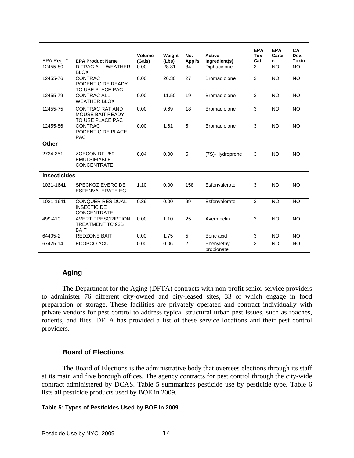| EPA Reg. $#$        | <b>EPA Product Name</b>                                               | <b>Volume</b><br>(Gals) | Weight<br>(Lbs) | No.<br>Appl's. | <b>Active</b><br>Ingredient(s) | <b>EPA</b><br>Tox<br>Cat | <b>EPA</b><br>Carci<br>n | CA<br>Dev.<br><b>Toxin</b> |
|---------------------|-----------------------------------------------------------------------|-------------------------|-----------------|----------------|--------------------------------|--------------------------|--------------------------|----------------------------|
| 12455-80            | <b>DITRAC ALL-WEATHER</b><br><b>BLOX</b>                              | 0.00                    | 28.81           | 34             | Diphacinone                    | 3                        | <b>NO</b>                | <b>NO</b>                  |
| 12455-76            | <b>CONTRAC</b><br>RODENTICIDE READY<br>TO USE PLACE PAC               | 0.00                    | 26.30           | 27             | <b>Bromadiolone</b>            | 3                        | <b>NO</b>                | <b>NO</b>                  |
| 12455-79            | <b>CONTRAC ALL-</b><br><b>WEATHER BLOX</b>                            | 0.00                    | 11.50           | 19             | <b>Bromadiolone</b>            | 3                        | <b>NO</b>                | <b>NO</b>                  |
| 12455-75            | <b>CONTRAC RAT AND</b><br><b>MOUSE BAIT READY</b><br>TO USE PLACE PAC | 0.00                    | 9.69            | 18             | <b>Bromadiolone</b>            | 3                        | NO.                      | <b>NO</b>                  |
| 12455-86            | <b>CONTRAC</b><br>RODENTICIDE PLACE<br><b>PAC</b>                     | 0.00                    | 1.61            | 5              | <b>Bromadiolone</b>            | 3                        | <b>NO</b>                | <b>NO</b>                  |
| <b>Other</b>        |                                                                       |                         |                 |                |                                |                          |                          |                            |
| 2724-351            | ZOECON RF-259<br><b>EMULSIFIABLE</b><br><b>CONCENTRATE</b>            | 0.04                    | 0.00            | 5              | (7S)-Hydroprene                | 3                        | <b>NO</b>                | <b>NO</b>                  |
| <b>Insecticides</b> |                                                                       |                         |                 |                |                                |                          |                          |                            |
| 1021-1641           | <b>SPECKOZ EVERCIDE</b><br><b>ESFENVALERATE EC</b>                    | 1.10                    | 0.00            | 158            | Esfenvalerate                  | 3                        | <b>NO</b>                | <b>NO</b>                  |
| 1021-1641           | <b>CONQUER RESIDUAL</b><br><b>INSECTICIDE</b><br><b>CONCENTRATE</b>   | 0.39                    | 0.00            | 99             | Esfenvalerate                  | 3                        | <b>NO</b>                | <b>NO</b>                  |
| 499-410             | <b>AVERT PRESCRIPTION</b><br>TREATMENT TC 93B<br><b>BAIT</b>          | 0.00                    | 1.10            | 25             | Avermectin                     | 3                        | <b>NO</b>                | <b>NO</b>                  |
| 64405-2             | <b>REDZONE BAIT</b>                                                   | 0.00                    | 1.75            | $\overline{5}$ | Boric acid                     | 3                        | <b>NO</b>                | <b>NO</b>                  |
| 67425-14            | ECOPCO ACU                                                            | 0.00                    | 0.06            | $\overline{2}$ | Phenylethyl<br>propionate      | 3                        | <b>NO</b>                | <b>NO</b>                  |

#### **Aging**

 The Department for the Aging (DFTA) contracts with non-profit senior service providers to administer 76 different city-owned and city-leased sites, 33 of which engage in food preparation or storage. These facilities are privately operated and contract individually with private vendors for pest control to address typical structural urban pest issues, such as roaches, rodents, and flies. DFTA has provided a list of these service locations and their pest control providers.

#### **Board of Elections**

The Board of Elections is the administrative body that oversees elections through its staff at its main and five borough offices. The agency contracts for pest control through the city-wide contract administered by DCAS. Table 5 summarizes pesticide use by pesticide type. Table 6 lists all pesticide products used by BOE in 2009.

#### **Table 5: Types of Pesticides Used by BOE in 2009**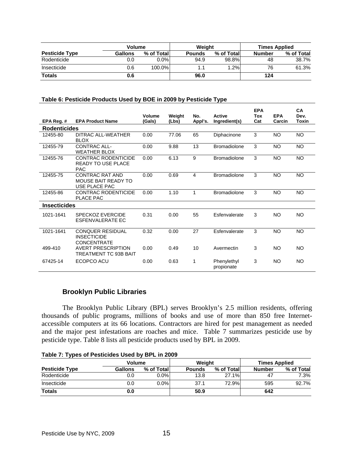|                       | Volume  |            | Weight        |            | <b>Times Applied</b> |            |
|-----------------------|---------|------------|---------------|------------|----------------------|------------|
| <b>Pesticide Type</b> | Gallons | % of Total | <b>Pounds</b> | % of Total | <b>Number</b>        | % of Total |
| Rodenticide           | 0.0     | $0.0\%$    | 94.9          | 98.8%      | 48                   | 38.7%      |
| Insecticide           | 0.6     | $100.0\%$  | 1.1           | 1.2%       | 76                   | 61.3%      |
| <b>Totals</b>         | 0.6     |            | 96.0          |            | 124                  |            |

#### **Table 6: Pesticide Products Used by BOE in 2009 by Pesticide Type**

| EPA Reg. #          | <b>EPA Product Name</b>                                               | Volume<br>(Gals) | Weight<br>(Lbs) | No.<br>Appl's. | <b>Active</b><br>Ingredient(s) | <b>EPA</b><br>Tox<br>Cat | <b>EPA</b><br>Carcin | <b>CA</b><br>Dev.<br>Toxin |
|---------------------|-----------------------------------------------------------------------|------------------|-----------------|----------------|--------------------------------|--------------------------|----------------------|----------------------------|
| <b>Rodenticides</b> |                                                                       |                  |                 |                |                                |                          |                      |                            |
| 12455-80            | DITRAC ALL-WEATHER<br><b>BLOX</b>                                     | 0.00             | 77.06           | 65             | Diphacinone                    | 3                        | NO                   | <b>NO</b>                  |
| 12455-79            | <b>CONTRAC ALL-</b><br><b>WEATHER BLOX</b>                            | 0.00             | 9.88            | 13             | <b>Bromadiolone</b>            | 3                        | <b>NO</b>            | <b>NO</b>                  |
| 12455-76            | <b>CONTRAC RODENTICIDE</b><br><b>READY TO USE PLACE</b><br><b>PAC</b> | 0.00             | 6.13            | 9              | <b>Bromadiolone</b>            | 3                        | <b>NO</b>            | <b>NO</b>                  |
| 12455-75            | <b>CONTRAC RAT AND</b><br>MOUSE BAIT READY TO<br>USE PLACE PAC        | 0.00             | 0.69            | 4              | <b>Bromadiolone</b>            | 3                        | <b>NO</b>            | <b>NO</b>                  |
| 12455-86            | CONTRAC RODENTICIDE<br>PLACE PAC                                      | 0.00             | 1.10            | 1              | <b>Bromadiolone</b>            | 3                        | NO                   | NO                         |
| <b>Insecticides</b> |                                                                       |                  |                 |                |                                |                          |                      |                            |
| 1021-1641           | <b>SPECKOZ EVERCIDE</b><br>ESFENVALERATE EC                           | 0.31             | 0.00            | 55             | Esfenvalerate                  | 3                        | <b>NO</b>            | <b>NO</b>                  |
| 1021-1641           | <b>CONQUER RESIDUAL</b><br><b>INSECTICIDE</b><br><b>CONCENTRATE</b>   | 0.32             | 0.00            | 27             | Esfenvalerate                  | 3                        | <b>NO</b>            | <b>NO</b>                  |
| 499-410             | <b>AVERT PRESCRIPTION</b><br><b>TREATMENT TC 93B BAIT</b>             | 0.00             | 0.49            | 10             | Avermectin                     | 3                        | NO.                  | NO                         |
| 67425-14            | ECOPCO ACU                                                            | 0.00             | 0.63            | 1              | Phenylethyl<br>propionate      | 3                        | NO.                  | NO                         |

## **Brooklyn Public Libraries**

The Brooklyn Public Library (BPL) serves Brooklyn's 2.5 million residents, offering thousands of public programs, millions of books and use of more than 850 free Internetaccessible computers at its 66 locations. Contractors are hired for pest management as needed and the major pest infestations are roaches and mice. Table 7 summarizes pesticide use by pesticide type. Table 8 lists all pesticide products used by BPL in 2009.

|                       | <b>Volume</b> |            | Weight        |            | <b>Times Applied</b> |            |  |
|-----------------------|---------------|------------|---------------|------------|----------------------|------------|--|
| <b>Pesticide Type</b> | Gallons       | % of Total | <b>Pounds</b> | % of Total | <b>Number</b>        | % of Total |  |
| Rodenticide           | 0.0           | 0.0%       | 13.8          | 27.1%      |                      | 7.3%       |  |
| Insecticide           | 0.0           | $0.0\%$    | 37.1          | 72.9%      | 595                  | 92.7%      |  |
| <b>Totals</b>         | 0.0           |            | 50.9          |            | 642                  |            |  |

**Table 7: Types of Pesticides Used by BPL in 2009**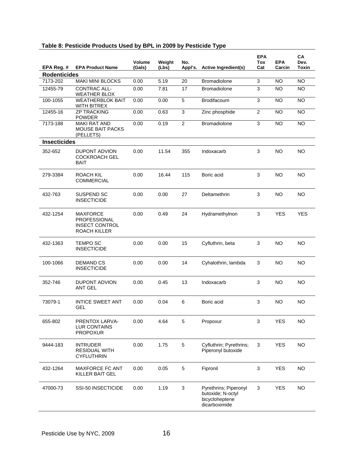| EPA Reg. #          | <b>EPA Product Name</b>                                                         | Volume<br>(Gals) | Weight<br>(Lbs) | No.            | Appl's. Active Ingredient(s)                                                  | <b>EPA</b><br>Tox<br>Cat | <b>EPA</b><br>Carcin | CA<br>Dev.<br><b>Toxin</b> |
|---------------------|---------------------------------------------------------------------------------|------------------|-----------------|----------------|-------------------------------------------------------------------------------|--------------------------|----------------------|----------------------------|
| <b>Rodenticides</b> |                                                                                 |                  |                 |                |                                                                               |                          |                      |                            |
| 7173-202            | <b>MAKI MINI BLOCKS</b>                                                         | 0.00             | 5.19            | 20             | <b>Bromadiolone</b>                                                           | 3                        | <b>NO</b>            | <b>NO</b>                  |
| 12455-79            | <b>CONTRAC ALL-</b><br><b>WEATHER BLOX</b>                                      | 0.00             | 7.81            | 17             | <b>Bromadiolone</b>                                                           | 3                        | <b>NO</b>            | <b>NO</b>                  |
| 100-1055            | <b>WEATHERBLOK BAIT</b><br>WITH BITREX                                          | 0.00             | 0.00            | 5              | Brodifacoum                                                                   | 3                        | <b>NO</b>            | <b>NO</b>                  |
| 12455-16            | <b>ZP TRACKING</b><br><b>POWDER</b>                                             | 0.00             | 0.63            | $\overline{3}$ | Zinc phosphide                                                                | $\overline{2}$           | <b>NO</b>            | <b>NO</b>                  |
| 7173-188            | <b>MAKI RAT AND</b><br><b>MOUSE BAIT PACKS</b><br>(PELLETS)                     | 0.00             | 0.19            | $\overline{2}$ | <b>Bromadiolone</b>                                                           | 3                        | <b>NO</b>            | <b>NO</b>                  |
| <b>Insecticides</b> |                                                                                 |                  |                 |                |                                                                               |                          |                      |                            |
| 352-652             | <b>DUPONT ADVION</b><br><b>COCKROACH GEL</b><br><b>BAIT</b>                     | 0.00             | 11.54           | 355            | Indoxacarb                                                                    | 3                        | <b>NO</b>            | <b>NO</b>                  |
| 279-3384            | <b>ROACH KIL</b><br><b>COMMERCIAL</b>                                           | 0.00             | 16.44           | 115            | Boric acid                                                                    | 3                        | <b>NO</b>            | <b>NO</b>                  |
| 432-763             | SUSPEND SC<br><b>INSECTICIDE</b>                                                | 0.00             | 0.00            | 27             | Deltamethrin                                                                  | 3                        | NO.                  | <b>NO</b>                  |
| 432-1254            | <b>MAXFORCE</b><br>PROFESSIONAL<br><b>INSECT CONTROL</b><br><b>ROACH KILLER</b> | 0.00             | 0.49            | 24             | Hydramethylnon                                                                | 3                        | <b>YES</b>           | <b>YES</b>                 |
| 432-1363            | <b>TEMPO SC</b><br><b>INSECTICIDE</b>                                           | 0.00             | 0.00            | 15             | Cyfluthrin, beta                                                              | 3                        | <b>NO</b>            | <b>NO</b>                  |
| 100-1066            | <b>DEMAND CS</b><br><b>INSECTICIDE</b>                                          | 0.00             | 0.00            | 14             | Cyhalothrin, lambda                                                           | 3                        | <b>NO</b>            | <b>NO</b>                  |
| 352-746             | <b>DUPONT ADVION</b><br><b>ANT GEL</b>                                          | 0.00             | 0.45            | 13             | Indoxacarb                                                                    | 3                        | <b>NO</b>            | NO.                        |
| 73079-1             | <b>INTICE SWEET ANT</b><br><b>GEL</b>                                           | 0.00             | 0.04            | 6              | Boric acid                                                                    | 3                        | <b>NO</b>            | <b>NO</b>                  |
| 655-802             | PRENTOX LARVA-<br><b>LUR CONTAINS</b><br><b>PROPOXUR</b>                        | 0.00             | 4.64            | 5              | Propoxur                                                                      | 3                        | <b>YES</b>           | <b>NO</b>                  |
| 9444-183            | <b>INTRUDER</b><br><b>RESIDUAL WITH</b><br><b>CYFLUTHRIN</b>                    | 0.00             | 1.75            | 5              | Cyfluthrin; Pyrethrins;<br>Piperonyl butoxide                                 | 3                        | <b>YES</b>           | <b>NO</b>                  |
| 432-1264            | <b>MAXFORCE FC ANT</b><br>KILLER BAIT GEL                                       | 0.00             | 0.05            | 5              | Fipronil                                                                      | 3                        | <b>YES</b>           | <b>NO</b>                  |
| 47000-73            | SSI-50 INSECTICIDE                                                              | 0.00             | 1.19            | 3              | Pyrethrins; Piperonyl<br>butoxide; N-octyl<br>bicycloheptene<br>dicarboximide | 3                        | <b>YES</b>           | <b>NO</b>                  |

## **Table 8: Pesticide Products Used by BPL in 2009 by Pesticide Type**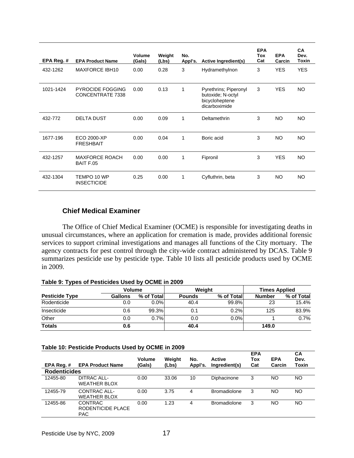| EPA Reg.# | <b>EPA Product Name</b>                     | Volume<br>(Gals) | Weight<br>(Lbs) | No.<br>Appl's. | Active Ingredient(s)                                                          | <b>EPA</b><br><b>Tox</b><br>Cat | <b>EPA</b><br>Carcin | CA<br>Dev.<br><b>Toxin</b> |
|-----------|---------------------------------------------|------------------|-----------------|----------------|-------------------------------------------------------------------------------|---------------------------------|----------------------|----------------------------|
| 432-1262  | <b>MAXFORCE IBH10</b>                       | 0.00             | 0.28            | 3              | Hydramethylnon                                                                | 3                               | <b>YES</b>           | <b>YES</b>                 |
| 1021-1424 | <b>PYROCIDE FOGGING</b><br>CONCENTRATE 7338 | 0.00             | 0.13            | 1              | Pyrethrins; Piperonyl<br>butoxide; N-octyl<br>bicycloheptene<br>dicarboximide | 3                               | <b>YES</b>           | NO.                        |
| 432-772   | <b>DELTA DUST</b>                           | 0.00             | 0.09            | 1              | Deltamethrin                                                                  | 3                               | <b>NO</b>            | <b>NO</b>                  |
| 1677-196  | ECO 2000-XP<br><b>FRESHBAIT</b>             | 0.00             | 0.04            | 1              | Boric acid                                                                    | 3                               | <b>NO</b>            | <b>NO</b>                  |
| 432-1257  | <b>MAXFORCE ROACH</b><br>BAIT F.05          | 0.00             | 0.00            | 1              | Fipronil                                                                      | 3                               | <b>YES</b>           | <b>NO</b>                  |
| 432-1304  | TEMPO 10 WP<br><b>INSECTICIDE</b>           | 0.25             | 0.00            | 1              | Cyfluthrin, beta                                                              | 3                               | <b>NO</b>            | <b>NO</b>                  |

## **Chief Medical Examiner**

The Office of Chief Medical Examiner (OCME) is responsible for investigating deaths in unusual circumstances, where an application for cremation is made, provides additional forensic services to support criminal investigations and manages all functions of the City mortuary. The agency contracts for pest control through the city-wide contract administered by DCAS. Table 9 summarizes pesticide use by pesticide type. Table 10 lists all pesticide products used by OCME in 2009.

|                       | <b>Volume</b> |            |               | Weight     | <b>Times Applied</b> |            |  |
|-----------------------|---------------|------------|---------------|------------|----------------------|------------|--|
| <b>Pesticide Type</b> | Gallons       | % of Total | <b>Pounds</b> | % of Total | <b>Number</b>        | % of Total |  |
| Rodenticide           | 0.0           | $0.0\%$    | 40.4          | 99.8%      | 23                   | 15.4%      |  |
| Insecticide           | 0.6           | 99.3%      | 0.1           | 0.2%       | 125                  | 83.9%      |  |
| Other                 | 0.0           | 0.7%       | 0.0           | $0.0\%$    |                      | 0.7%       |  |
| <b>Totals</b>         | 0.6           |            | 40.4          |            | 149.0                |            |  |

#### **Table 10: Pesticide Products Used by OCME in 2009**

| EPA Req.#           | <b>EPA Product Name</b>                           | <b>Volume</b><br>(Gals) | Weight<br>(Lbs) | No.<br>Appl's. | Active<br>Ingredient(s) | <b>EPA</b><br>Tox<br>Cat | <b>EPA</b><br>Carcin | CA<br>Dev.<br>Toxin |
|---------------------|---------------------------------------------------|-------------------------|-----------------|----------------|-------------------------|--------------------------|----------------------|---------------------|
| <b>Rodenticides</b> |                                                   |                         |                 |                |                         |                          |                      |                     |
| 12455-80            | DITRAC ALL-<br><b>WEATHER BLOX</b>                | 0.00                    | 33.06           | 10             | Diphacinone             | 3                        | NO                   | NO                  |
| 12455-79            | CONTRAC ALL-<br><b>WEATHER BLOX</b>               | 0.00                    | 3.75            | 4              | <b>Bromadiolone</b>     | 3                        | NO                   | NO                  |
| 12455-86            | <b>CONTRAC</b><br>RODENTICIDE PLACE<br><b>PAC</b> | 0.00                    | 1.23            | 4              | <b>Bromadiolone</b>     | 3                        | NO                   | NO                  |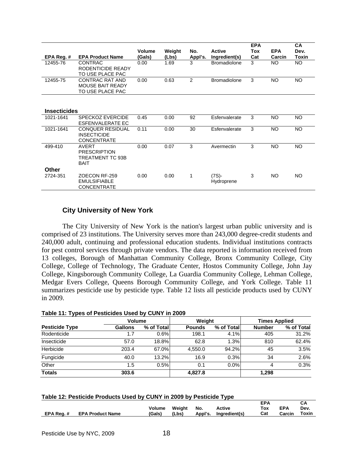|                     |                                                                               | Volume | Weight | No.            | <b>Active</b>          | <b>EPA</b><br>Tox | <b>EPA</b> | <b>CA</b><br>Dev. |
|---------------------|-------------------------------------------------------------------------------|--------|--------|----------------|------------------------|-------------------|------------|-------------------|
| EPA Reg.#           | <b>EPA Product Name</b>                                                       | (Gals) | (Lbs)  | Appl's.        | Ingredient(s)          | Cat               | Carcin     | Toxin             |
| 12455-76            | <b>CONTRAC</b><br>RODENTICIDE READY<br>TO USE PLACE PAC                       | 0.00   | 1.69   | 3              | <b>Bromadiolone</b>    | 3                 | <b>NO</b>  | <b>NO</b>         |
| 12455-75            | <b>CONTRAC RAT AND</b><br><b>MOUSE BAIT READY</b><br>TO USE PLACE PAC         | 0.00   | 0.63   | $\overline{2}$ | <b>Bromadiolone</b>    | 3                 | <b>NO</b>  | <b>NO</b>         |
|                     |                                                                               |        |        |                |                        |                   |            |                   |
| <b>Insecticides</b> |                                                                               |        |        |                |                        |                   |            |                   |
| 1021-1641           | <b>SPECKOZ EVERCIDE</b><br>ESFENVALERATE EC                                   | 0.45   | 0.00   | 92             | Esfenvalerate          | 3                 | <b>NO</b>  | <b>NO</b>         |
| 1021-1641           | <b>CONQUER RESIDUAL</b><br><b>INSECTICIDE</b><br><b>CONCENTRATE</b>           | 0.11   | 0.00   | 30             | Esfenvalerate          | 3                 | <b>NO</b>  | <b>NO</b>         |
| 499-410             | <b>AVERT</b><br><b>PRESCRIPTION</b><br><b>TREATMENT TC 93B</b><br><b>BAIT</b> | 0.00   | 0.07   | 3              | Avermectin             | 3                 | <b>NO</b>  | <b>NO</b>         |
| Other               |                                                                               |        |        |                |                        |                   |            |                   |
| 2724-351            | ZOECON RF-259<br><b>EMULSIFIABLE</b><br><b>CONCENTRATE</b>                    | 0.00   | 0.00   | 1              | $(7S)$ -<br>Hydroprene | 3                 | <b>NO</b>  | NO                |

## **City University of New York**

The City University of New York is the nation's largest urban public university and is comprised of 23 institutions. The University serves more than 243,000 degree-credit students and 240,000 adult, continuing and professional education students. Individual institutions contracts for pest control services through private vendors. The data reported is information received from 13 colleges, Borough of Manhattan Community College, Bronx Community College, City College, College of Technology, The Graduate Center, Hostos Community College, John Jay College, Kingsborough Community College, La Guardia Community College, Lehman College, Medgar Evers College, Queens Borough Community College, and York College. Table 11 summarizes pesticide use by pesticide type. Table 12 lists all pesticide products used by CUNY in 2009.

#### **Table 11: Types of Pesticides Used by CUNY in 2009**

| <b>Volume</b>         |                |            | Weight        |            |               | <b>Times Applied</b> |  |  |
|-----------------------|----------------|------------|---------------|------------|---------------|----------------------|--|--|
| <b>Pesticide Type</b> | <b>Gallons</b> | % of Total | <b>Pounds</b> | % of Total | <b>Number</b> | % of Total           |  |  |
| Rodenticide           | 1.7            | 0.6%       | 198.1         | 4.1%       | 405           | 31.2%                |  |  |
| Insecticide           | 57.0           | 18.8%      | 62.8          | 1.3%       | 810           | 62.4%                |  |  |
| Herbicide             | 203.4          | 67.0%      | 4.550.0       | 94.2%      | 45            | 3.5%                 |  |  |
| Fungicide             | 40.0           | 13.2%      | 16.9          | 0.3%       | 34            | 2.6%                 |  |  |
| Other                 | 1.5            | 0.5%       | 0.1           | $0.0\%$    | 4             | 0.3%                 |  |  |
| <b>Totals</b>         | 303.6          |            | 4,827.8       |            | 1,298         |                      |  |  |

#### **Table 12: Pesticide Products Used by CUNY in 2009 by Pesticide Type**

|                             |        |        |     |                       | <b>EPA</b> |        | CA    |
|-----------------------------|--------|--------|-----|-----------------------|------------|--------|-------|
|                             | Volume | Weiaht | No. | Active                | Tox        | EPA    | Dev.  |
| EPA Reg. # EPA Product Name | (Gals) | (Lbs)  |     | Appl's. Ingredient(s) | Cat        | Carcin | Toxin |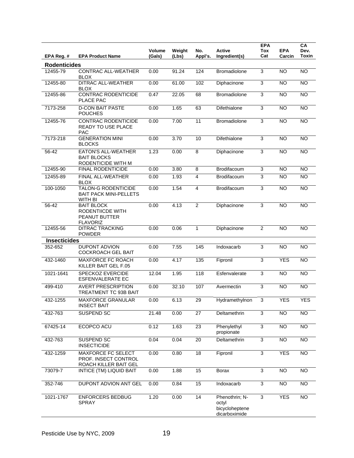| EPA Reg. #          | <b>EPA Product Name</b>                                                    | Volume<br>(Gals) | Weight<br>(Lbs) | No.<br>Appl's.          | <b>Active</b><br>Ingredient(s)                             | <b>EPA</b><br>Tox<br>Cat | <b>EPA</b><br>Carcin | CA<br>Dev.<br><b>Toxin</b> |
|---------------------|----------------------------------------------------------------------------|------------------|-----------------|-------------------------|------------------------------------------------------------|--------------------------|----------------------|----------------------------|
| <b>Rodenticides</b> |                                                                            |                  |                 |                         |                                                            |                          |                      |                            |
| 12455-79            | CONTRAC ALL-WEATHER<br><b>BLOX</b>                                         | 0.00             | 91.24           | 124                     | Bromadiolone                                               | $\overline{3}$           | <b>NO</b>            | <b>NO</b>                  |
| 12455-80            | <b>DITRAC ALL-WEATHER</b><br>BLOX                                          | 0.00             | 61.00           | 102                     | Diphacinone                                                | 3                        | <b>NO</b>            | <b>NO</b>                  |
| 12455-86            | CONTRAC RODENTICIDE<br>PLACE PAC                                           | 0.47             | 22.05           | 68                      | <b>Bromadiolone</b>                                        | 3                        | <b>NO</b>            | $\overline{NO}$            |
| 7173-258            | <b>D-CON BAIT PASTE</b><br><b>POUCHES</b>                                  | 0.00             | 1.65            | 63                      | Difethialone                                               | 3                        | <b>NO</b>            | <b>NO</b>                  |
| 12455-76            | <b>CONTRAC RODENTICIDE</b><br><b>READY TO USE PLACE</b><br><b>PAC</b>      | 0.00             | 7.00            | 11                      | <b>Bromadiolone</b>                                        | 3                        | <b>NO</b>            | <b>NO</b>                  |
| 7173-218            | <b>GENERATION MINI</b><br><b>BLOCKS</b>                                    | 0.00             | 3.70            | 10                      | Difethialone                                               | 3                        | <b>NO</b>            | <b>NO</b>                  |
| 56-42               | <b>EATON'S ALL-WEATHER</b><br><b>BAIT BLOCKS</b><br>RODENTICIDE WITH M     | 1.23             | 0.00            | 8                       | Diphacinone                                                | 3                        | <b>NO</b>            | <b>NO</b>                  |
| 12455-90            | <b>FINAL RODENTICIDE</b>                                                   | 0.00             | 3.80            | 8                       | Brodifacoum                                                | $\overline{3}$           | <b>NO</b>            | <b>NO</b>                  |
| 12455-89            | FINAL ALL-WEATHER<br><b>BLOX</b>                                           | 0.00             | 1.93            | $\overline{\mathbf{4}}$ | Brodifacoum                                                | 3                        | <b>NO</b>            | <b>NO</b>                  |
| 100-1050            | <b>TALON-G RODENTICIDE</b><br><b>BAIT PACK MINI-PELLETS</b><br>WITH BI     | 0.00             | 1.54            | $\overline{4}$          | Brodifacoum                                                | 3                        | <b>NO</b>            | <b>NO</b>                  |
| 56-42               | <b>BAIT BLOCK</b><br>RODENTIICDE WITH<br>PEANUT BUTTER<br><b>FLAVORIZ</b>  | 0.00             | 4.13            | 2                       | Diphacinone                                                | $\overline{3}$           | <b>NO</b>            | $\overline{NO}$            |
| 12455-56            | <b>DITRAC TRACKING</b><br><b>POWDER</b>                                    | 0.00             | 0.06            | 1                       | Diphacinone                                                | $\overline{2}$           | <b>NO</b>            | <b>NO</b>                  |
| <b>Insecticides</b> |                                                                            |                  |                 |                         |                                                            |                          |                      |                            |
| 352-652             | <b>DUPONT ADVION</b><br><b>COCKROACH GEL BAIT</b>                          | 0.00             | 7.55            | 145                     | Indoxacarb                                                 | 3                        | <b>NO</b>            | <b>NO</b>                  |
| 432-1460            | <b>MAXFORCE FC ROACH</b><br>KILLER BAIT GEL F.05                           | 0.00             | 4.17            | 135                     | Fipronil                                                   | 3                        | <b>YES</b>           | <b>NO</b>                  |
| 1021-1641           | <b>SPECKOZ EVERCIDE</b><br>ESFENVALERATE EC                                | 12.04            | 1.95            | 118                     | Esfenvalerate                                              | 3                        | <b>NO</b>            | <b>NO</b>                  |
| 499-410             | <b>AVERT PRESCRIPTION</b><br>TREATMENT TC 93B BAIT                         | 0.00             | 32.10           | 107                     | Avermectin                                                 | 3                        | <b>NO</b>            | <b>NO</b>                  |
| 432-1255            | <b>MAXFORCE GRANULAR</b><br><b>INSECT BAIT</b>                             | 0.00             | 6.13            | $\overline{29}$         | Hydramethylnon                                             | 3                        | <b>YES</b>           | <b>YES</b>                 |
| 432-763             | SUSPEND SC                                                                 | 21.48            | 0.00            | 27                      | Deltamethrin                                               | 3                        | <b>NO</b>            | $\overline{NO}$            |
| 67425-14            | ECOPCO ACU                                                                 | 0.12             | 1.63            | $\overline{23}$         | Phenylethyl<br>propionate                                  | 3                        | <b>NO</b>            | NO                         |
| 432-763             | SUSPEND SC<br><b>INSECTICIDE</b>                                           | 0.04             | 0.04            | 20                      | Deltamethrin                                               | 3                        | <b>NO</b>            | <b>NO</b>                  |
| 432-1259            | <b>MAXFORCE FC SELECT</b><br>PROF. INSECT CONTROL<br>ROACH KILLER BAIT GEL | 0.00             | 0.80            | 18                      | Fipronil                                                   | $\overline{3}$           | <b>YES</b>           | $\overline{NO}$            |
| 73079-7             | INTICE (TM) LIQUID BAIT                                                    | 0.00             | 1.88            | 15                      | <b>Borax</b>                                               | $\overline{3}$           | <b>NO</b>            | N <sub>O</sub>             |
| 352-746             | DUPONT ADVION ANT GEL                                                      | 0.00             | 0.84            | 15                      | Indoxacarb                                                 | $\overline{3}$           | <b>NO</b>            | $\overline{NO}$            |
| 1021-1767           | <b>ENFORCERS BEDBUG</b><br><b>SPRAY</b>                                    | 1.20             | 0.00            | 14                      | Phenothrin; N-<br>octyl<br>bicycloheptene<br>dicarboximide | 3                        | <b>YES</b>           | $\overline{NO}$            |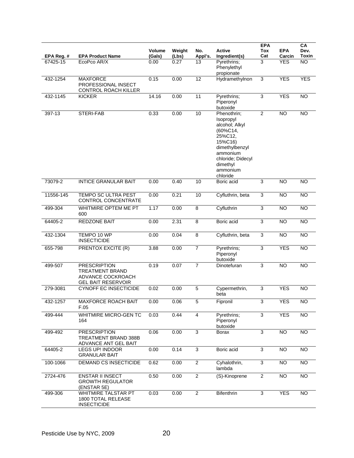| EPA Reg. # | <b>EPA Product Name</b>                                                                         | <b>Volume</b><br>(Gals) | Weight<br>(Lbs) | No.<br>Appl's. | <b>Active</b><br>Ingredient(s)                                                                                                                                      | <b>EPA</b><br>Tox<br>Cat  | <b>EPA</b><br>Carcin | CA<br>Dev.<br><b>Toxin</b> |
|------------|-------------------------------------------------------------------------------------------------|-------------------------|-----------------|----------------|---------------------------------------------------------------------------------------------------------------------------------------------------------------------|---------------------------|----------------------|----------------------------|
| 67425-15   | EcoPco AR/X                                                                                     | 0.00                    | 0.27            | 13             | Pyrethrins;<br>Phenylethyl<br>propionate                                                                                                                            | 3                         | <b>YES</b>           | <b>NO</b>                  |
| 432-1254   | <b>MAXFORCE</b><br>PROFESSIONAL INSECT<br>CONTROL ROACH KILLER                                  | 0.15                    | 0.00            | 12             | Hydramethylnon                                                                                                                                                      | 3                         | <b>YES</b>           | <b>YES</b>                 |
| 432-1145   | <b>KICKER</b>                                                                                   | 14.16                   | 0.00            | 11             | Pyrethrins;<br>Piperonyl<br>butoxide                                                                                                                                | 3                         | <b>YES</b>           | <b>NO</b>                  |
| 397-13     | STERI-FAB                                                                                       | 0.33                    | 0.00            | 10             | Phenothrin;<br>Isopropyl<br>alcohol; Alkyl<br>(60%C14,<br>25%C12,<br>15%C16)<br>dimethylbenzyl<br>ammonium<br>chloride; Didecyl<br>dimethyl<br>ammonium<br>chloride | $\overline{2}$            | <b>NO</b>            | <b>NO</b>                  |
| 73079-2    | <b>INTICE GRANULAR BAIT</b>                                                                     | 0.00                    | 0.40            | 10             | Boric acid                                                                                                                                                          | 3                         | $\overline{NO}$      | $\overline{NO}$            |
| 11556-145  | TEMPO SC ULTRA PEST<br>CONTROL CONCENTRATE                                                      | 0.00                    | 0.21            | 10             | Cyfluthrin, beta                                                                                                                                                    | 3                         | <b>NO</b>            | <b>NO</b>                  |
| 499-304    | WHITMIRE OPTEM ME PT<br>600                                                                     | 1.17                    | 0.00            | $\,8\,$        | Cyfluthrin                                                                                                                                                          | $\overline{3}$            | <b>NO</b>            | $\overline{NO}$            |
| 64405-2    | REDZONE BAIT                                                                                    | 0.00                    | 2.31            | $\overline{8}$ | Boric acid                                                                                                                                                          | 3                         | $\overline{NO}$      | $\overline{NO}$            |
| 432-1304   | TEMPO 10 WP<br><b>INSECTICIDE</b>                                                               | 0.00                    | 0.04            | 8              | Cyfluthrin, beta                                                                                                                                                    | $\overline{3}$            | <b>NO</b>            | <b>NO</b>                  |
| 655-798    | PRENTOX EXCITE (R)                                                                              | 3.88                    | 0.00            | $\overline{7}$ | Pyrethrins;<br>Piperonyl<br>butoxide                                                                                                                                | 3                         | <b>YES</b>           | $\overline{NO}$            |
| 499-507    | <b>PRESCRIPTION</b><br><b>TREATMENT BRAND</b><br>ADVANCE COCKROACH<br><b>GEL BAIT RESERVOIR</b> | 0.19                    | 0.07            | $\overline{7}$ | Dinotefuran                                                                                                                                                         | $\overline{3}$            | <b>NO</b>            | N <sub>O</sub>             |
| 279-3081   | <b>CYNOFF EC INSECTICIDE</b>                                                                    | 0.02                    | 0.00            | 5              | Cypermethrin,<br>beta                                                                                                                                               | $\ensuremath{\mathsf{3}}$ | <b>YES</b>           | <b>NO</b>                  |
| 432-1257   | <b>MAXFORCE ROACH BAIT</b><br>F.05                                                              | 0.00                    | 0.06            | 5              | Fipronil                                                                                                                                                            | $\overline{3}$            | <b>YES</b>           | N <sub>O</sub>             |
| 499-444    | WHITMIRE MICRO-GEN TC<br>164                                                                    | 0.03                    | 0.44            | $\overline{4}$ | Pyrethrins;<br>Piperonyl<br>butoxide                                                                                                                                | $\overline{3}$            | <b>YES</b>           | <b>NO</b>                  |
| 499-492    | <b>PRESCRIPTION</b><br>TREATMENT BRAND 388B<br>ADVANCE ANT GEL BAIT                             | 0.06                    | 0.00            | 3              | Borax                                                                                                                                                               | $\overline{3}$            | $\overline{NO}$      | $\overline{NO}$            |
| 64405-2    | LEGS UP! INDOOR<br><b>GRANULAR BAIT</b>                                                         | 0.00                    | 0.14            | 3              | Boric acid                                                                                                                                                          | 3                         | <b>NO</b>            | <b>NO</b>                  |
| 100-1066   | <b>DEMAND CS INSECTICIDE</b>                                                                    | 0.62                    | 0.00            | $\overline{2}$ | Cyhalothrin,<br>lambda                                                                                                                                              | $\overline{3}$            | <b>NO</b>            | $\overline{NO}$            |
| 2724-476   | <b>ENSTAR II INSECT</b><br><b>GROWTH REGULATOR</b><br>(ENSTAR 5E)                               | 0.50                    | 0.00            | $\overline{2}$ | (S)-Kinoprene                                                                                                                                                       | $\overline{c}$            | <b>NO</b>            | $\overline{NO}$            |
| 499-306    | WHITMIRE TALSTAR PT<br><b>1800 TOTAL RELEASE</b><br><b>INSECTICIDE</b>                          | 0.03                    | 0.00            | $\mathbf{2}$   | Bifenthrin                                                                                                                                                          | $\overline{3}$            | <b>YES</b>           | $\overline{NO}$            |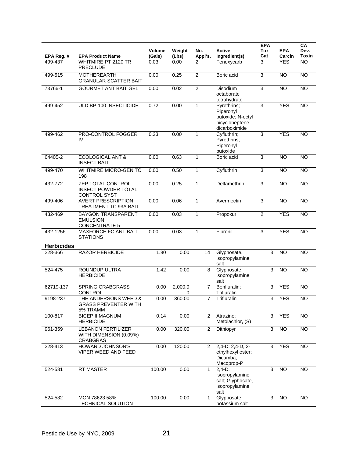| EPA Reg. #        | <b>EPA Product Name</b>                                                       | <b>Volume</b><br>(Gals) | Weight<br>(Lbs) | No.<br>Appl's. | <b>Active</b><br>Ingredient(s)                                                   | <b>EPA</b><br>Tox<br>Cat | <b>EPA</b><br>Carcin | CA<br>Dev.<br><b>Toxin</b> |
|-------------------|-------------------------------------------------------------------------------|-------------------------|-----------------|----------------|----------------------------------------------------------------------------------|--------------------------|----------------------|----------------------------|
| 499-437           | <b>WHITMIRE PT 2120 TR</b><br><b>PRECLUDE</b>                                 | 0.03                    | 0.00            | 2              | Fenoxycarb                                                                       | 3                        | <b>YES</b>           | <b>NO</b>                  |
| 499-515           | <b>MOTHERFARTH</b><br><b>GRANULAR SCATTER BAIT</b>                            | 0.00                    | 0.25            | $\overline{2}$ | Boric acid                                                                       | 3                        | $\overline{NO}$      | N <sub>O</sub>             |
| 73766-1           | <b>GOURMET ANT BAIT GEL</b>                                                   | 0.00                    | 0.02            | $\overline{2}$ | Disodium<br>octaborate<br>tetrahydrate                                           | 3                        | $\overline{NO}$      | $\overline{NO}$            |
| 499-452           | ULD BP-100 INSECTICIDE                                                        | 0.72                    | 0.00            | $\mathbf{1}$   | Pyrethrins;<br>Piperonyl<br>butoxide; N-octyl<br>bicycloheptene<br>dicarboximide | 3                        | <b>YES</b>           | $\overline{NO}$            |
| 499-462           | <b>PRO-CONTROL FOGGER</b><br>IV                                               | 0.23                    | 0.00            | 1              | Cyfluthrin;<br>Pyrethrins;<br>Piperonyl<br>butoxide                              | 3                        | <b>YES</b>           | <b>NO</b>                  |
| 64405-2           | <b>ECOLOGICAL ANT &amp;</b><br><b>INSECT BAIT</b>                             | 0.00                    | 0.63            | $\mathbf{1}$   | Boric acid                                                                       | 3                        | <b>NO</b>            | <b>NO</b>                  |
| 499-470           | WHITMIRE MICRO-GEN TC<br>198                                                  | 0.00                    | 0.50            | 1              | Cyfluthrin                                                                       | 3                        | <b>NO</b>            | $\overline{NO}$            |
| 432-772           | <b>ZEP TOTAL CONTROL</b><br><b>INSECT POWDER TOTAL</b><br><b>CONTROL SYST</b> | 0.00                    | 0.25            | 1              | Deltamethrin                                                                     | 3                        | <b>NO</b>            | <b>NO</b>                  |
| 499-406           | <b>AVERT PRESCRIPTION</b><br>TREATMENT TC 93A BAIT                            | 0.00                    | 0.06            | 1              | Avermectin                                                                       | 3                        | $\overline{NO}$      | $\overline{NO}$            |
| 432-469           | <b>BAYGON TRANSPARENT</b><br><b>EMULSION</b><br><b>CONCENTRATE 5</b>          | 0.00                    | 0.03            | 1              | Propoxur                                                                         | $\overline{2}$           | <b>YES</b>           | <b>NO</b>                  |
| 432-1256          | <b>MAXFORCE FC ANT BAIT</b><br><b>STATIONS</b>                                | 0.00                    | 0.03            | $\mathbf{1}$   | Fipronil                                                                         | 3                        | <b>YES</b>           | N <sub>O</sub>             |
| <b>Herbicides</b> |                                                                               |                         |                 |                |                                                                                  |                          |                      |                            |
| 228-366           | <b>RAZOR HERBICIDE</b>                                                        | 1.80                    | 0.00            | 14             | Glyphosate,<br>isopropylamine<br>salt                                            | 3                        | <b>NO</b>            | <b>NO</b>                  |
| 524-475           | <b>ROUNDUP ULTRA</b><br><b>HERBICIDE</b>                                      | 1.42                    | 0.00            | 8              | Glyphosate,<br>isopropylamine<br>salt                                            | 3                        | $\overline{NO}$      | $\overline{NO}$            |
| 62719-137         | <b>SPRING CRABGRASS</b><br>CONTROL                                            | 0.00                    | 2,000.0<br>0    | $\overline{7}$ | Benfluralin;<br>Trifluralin                                                      | 3                        | <b>YES</b>           | <b>NO</b>                  |
| 9198-237          | THE ANDERSONS WEED &<br><b>GRASS PREVENTER WITH</b><br>5% TRAMM               | 0.00                    | 360.00          | 7              | Trifluralin                                                                      | 3                        | <b>YES</b>           | <b>NO</b>                  |
| 100-817           | <b>BICEP II MAGNUM</b><br><b>HERBICIDE</b>                                    | 0.14                    | 0.00            | $\overline{2}$ | Atrazine;<br>Metolachlor, (S)                                                    | 3                        | <b>YES</b>           | <b>NO</b>                  |
| 961-359           | <b>LEBANON FERTILIZER</b><br>WITH DIMENSION (0.09%)<br><b>CRABGRAS</b>        | 0.00                    | 320.00          | $\overline{2}$ | Dithiopyr                                                                        | 3                        | NO                   | <b>NO</b>                  |
| 228-413           | <b>HOWARD JOHNSON'S</b><br>VIPER WEED AND FEED                                | 0.00                    | 120.00          | 2              | 2,4-D; 2,4-D, 2-<br>ethylhexyl ester;<br>Dicamba;<br>Mecoprop-P                  | 3                        | <b>YES</b>           | N <sub>O</sub>             |
| 524-531           | RT MASTER                                                                     | 100.00                  | 0.00            | $\mathbf{1}$   | $2,4-D,$<br>isopropylamine<br>salt; Glyphosate,<br>isopropylamine<br>salt        | 3                        | <b>NO</b>            | <b>NO</b>                  |
| 524-532           | MON 78623 58%<br>TECHNICAL SOLUTION                                           | 100.00                  | 0.00            | $\mathbf 1$    | Glyphosate,<br>potassium salt                                                    | 3                        | <b>NO</b>            | <b>NO</b>                  |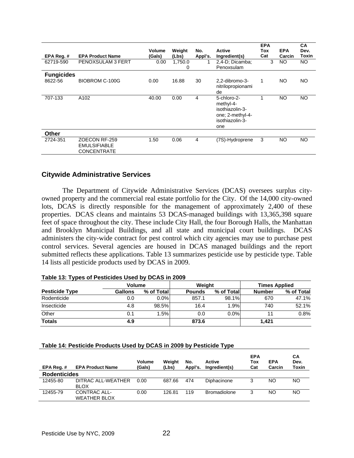| EPA Reg. #                   | <b>EPA Product Name</b>                                    | Volume<br>(Gals) | Weight<br>(Lbs) | No.<br>Appl's. | Active<br>Ingredient(s)                                                                   | <b>EPA</b><br>Tox<br>Cat | <b>EPA</b><br>Carcin | <b>CA</b><br>Dev.<br>Toxin |
|------------------------------|------------------------------------------------------------|------------------|-----------------|----------------|-------------------------------------------------------------------------------------------|--------------------------|----------------------|----------------------------|
| 62719-590                    | PENOXSULAM 3 FERT                                          | 0.00             | 1,750.0<br>0    | 1              | 2,4-D; Dicamba;<br>Penoxsulam                                                             | 3                        | <b>NO</b>            | <b>NO</b>                  |
| <b>Fungicides</b><br>8622-56 | <b>BIOBROM C-100G</b>                                      | 0.00             | 16.88           | 30             | 2.2-dibromo-3-<br>nitrilopropionami<br>de                                                 | 1                        | NO.                  | NO.                        |
| 707-133                      | A102                                                       | 40.00            | 0.00            | 4              | 5-chloro-2-<br>methyl-4-<br>isothiazolin-3-<br>one; 2-methyl-4-<br>isothiazolin-3-<br>one |                          | <b>NO</b>            | <b>NO</b>                  |
| <b>Other</b>                 |                                                            |                  |                 |                |                                                                                           |                          |                      |                            |
| 2724-351                     | ZOECON RF-259<br><b>EMULSIFIABLE</b><br><b>CONCENTRATE</b> | 1.50             | 0.06            | $\overline{4}$ | (7S)-Hydroprene                                                                           | 3                        | <b>NO</b>            | <b>NO</b>                  |

#### **Citywide Administrative Services**

 The Department of Citywide Administrative Services (DCAS) oversees surplus cityowned property and the commercial real estate portfolio for the City. Of the 14,000 city-owned lots, DCAS is directly responsible for the management of approximately 2,400 of these properties. DCAS cleans and maintains 53 DCAS-managed buildings with 13,365,398 square feet of space throughout the city. These include City Hall, the four Borough Halls, the Manhattan and Brooklyn Municipal Buildings, and all state and municipal court buildings. DCAS administers the city-wide contract for pest control which city agencies may use to purchase pest control services. Several agencies are housed in DCAS managed buildings and the report submitted reflects these applications. Table 13 summarizes pesticide use by pesticide type. Table 14 lists all pesticide products used by DCAS in 2009.

|                       | <b>Volume</b> |            | Weight        |            | <b>Times Applied</b> |            |  |
|-----------------------|---------------|------------|---------------|------------|----------------------|------------|--|
| <b>Pesticide Type</b> | Gallons       | % of Total | <b>Pounds</b> | % of Total | <b>Number</b>        | % of Total |  |
| Rodenticide           | 0.0           | $0.0\%$    | 857.1         | 98.1%      | 670                  | 47.1%      |  |
| Insecticide           | 4.8           | 98.5%      | 16.4          | 1.9%       | 740                  | 52.1%      |  |
| Other                 | 0.1           | 1.5%       | 0.0           | $0.0\%$    | 11                   | 0.8%       |  |
| <b>Totals</b>         | 4.9           |            | 873.6         |            | 1.421                |            |  |

|  |  | Table 13: Types of Pesticides Used by DCAS in 2009 |
|--|--|----------------------------------------------------|
|  |  |                                                    |

#### **Table 14: Pesticide Products Used by DCAS in 2009 by Pesticide Type**

| EPA Reg.#           | <b>EPA Product Name</b>             | <b>Volume</b><br>(Gals) | Weiaht<br>(Lbs) | No.<br>Appl's. | Active<br>Ingredient(s) | <b>EPA</b><br>Tox<br>Cat | <b>EPA</b><br>Carcin | CА<br>Dev.<br><b>Toxin</b> |
|---------------------|-------------------------------------|-------------------------|-----------------|----------------|-------------------------|--------------------------|----------------------|----------------------------|
| <b>Rodenticides</b> |                                     |                         |                 |                |                         |                          |                      |                            |
| 12455-80            | DITRAC ALL-WEATHER<br><b>BLOX</b>   | 0.00                    | 687.66          | 474            | Diphacinone             | 3                        | NO                   | NO                         |
| 12455-79            | CONTRAC ALL-<br><b>WEATHER BLOX</b> | 0.00                    | 126.81          | 119            | <b>Bromadiolone</b>     | 3                        | NΟ                   | ΝO                         |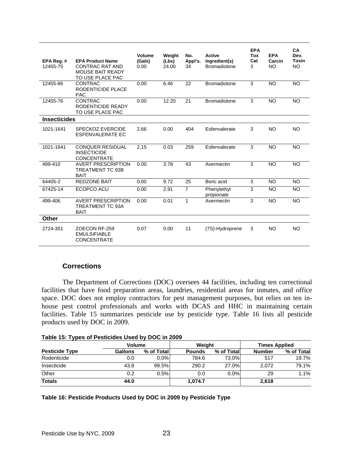| EPA Reg. #<br>12455-75 | <b>EPA Product Name</b><br><b>CONTRAC RAT AND</b><br><b>MOUSE BAIT READY</b><br>TO USE PLACE PAC | Volume<br>(Gals)<br>0.00 | Weight<br>(Lbs)<br>24.00 | No.<br>Appl's.<br>34 | <b>Active</b><br>Ingredient(s)<br><b>Bromadiolone</b> | <b>EPA</b><br>Tox<br>Cat<br>3 | <b>EPA</b><br>Carcin<br><b>NO</b> | CA<br>Dev.<br><b>Toxin</b><br><b>NO</b> |
|------------------------|--------------------------------------------------------------------------------------------------|--------------------------|--------------------------|----------------------|-------------------------------------------------------|-------------------------------|-----------------------------------|-----------------------------------------|
| 12455-86               | <b>CONTRAC</b><br>RODENTICIDE PLACE<br><b>PAC</b>                                                | 0.00                     | 6.46                     | 22                   | <b>Bromadiolone</b>                                   | 3                             | <b>NO</b>                         | <b>NO</b>                               |
| 12455-76               | CONTRAC<br>RODENTICIDE READY<br>TO USE PLACE PAC                                                 | 0.00                     | 12.20                    | 21                   | <b>Bromadiolone</b>                                   | 3                             | <b>NO</b>                         | <b>NO</b>                               |
| <b>Insecticides</b>    |                                                                                                  |                          |                          |                      |                                                       |                               |                                   |                                         |
| 1021-1641              | <b>SPECKOZ EVERCIDE</b><br><b>ESFENVALERATE EC</b>                                               | 2.66                     | 0.00                     | 404                  | Esfenvalerate                                         | 3                             | <b>NO</b>                         | NO.                                     |
| 1021-1641              | <b>CONQUER RESIDUAL</b><br><b>INSECTICIDE</b><br><b>CONCENTRATE</b>                              | 2.15                     | 0.03                     | 259                  | Esfenvalerate                                         | 3                             | <b>NO</b>                         | <b>NO</b>                               |
| 499-410                | <b>AVERT PRESCRIPTION</b><br><b>TREATMENT TC 93B</b><br><b>BAIT</b>                              | 0.00                     | 3.78                     | 43                   | Avermectin                                            | 3                             | <b>NO</b>                         | <b>NO</b>                               |
| 64405-2                | <b>REDZONE BAIT</b>                                                                              | 0.00                     | 9.72                     | 25                   | Boric acid                                            | 3                             | <b>NO</b>                         | <b>NO</b>                               |
| 67425-14               | ECOPCO ACU                                                                                       | 0.00                     | 2.91                     | $\overline{7}$       | Phenylethyl<br>propionate                             | 3                             | <b>NO</b>                         | <b>NO</b>                               |
| 499-406                | <b>AVERT PRESCRIPTION</b><br><b>TREATMENT TC 93A</b><br><b>BAIT</b>                              | 0.00                     | 0.01                     | $\mathbf{1}$         | Avermectin                                            | 3                             | <b>NO</b>                         | <b>NO</b>                               |
| <b>Other</b>           |                                                                                                  |                          |                          |                      |                                                       |                               |                                   |                                         |
| 2724-351               | ZOECON RF-259<br><b>EMULSIFIABLE</b><br><b>CONCENTRATE</b>                                       | 0.07                     | 0.00                     | 11                   | (7S)-Hydroprene                                       | 3                             | <b>NO</b>                         | <b>NO</b>                               |

#### **Corrections**

 The Department of Corrections (DOC) oversees 44 facilities, including ten correctional facilities that have food preparation areas, laundries, residential areas for inmates, and office space. DOC does not employ contractors for pest management purposes, but relies on ten inhouse pest control professionals and works with DCAS and HHC in maintaining certain facilities. Table 15 summarizes pesticide use by pesticide type. Table 16 lists all pesticide products used by DOC in 2009.

| --                    |                |            |               |            |                      |            |  |  |  |  |
|-----------------------|----------------|------------|---------------|------------|----------------------|------------|--|--|--|--|
|                       | <b>Volume</b>  |            | Weight        |            | <b>Times Applied</b> |            |  |  |  |  |
| <b>Pesticide Type</b> | <b>Gallons</b> | % of Total | <b>Pounds</b> | % of Total | <b>Number</b>        | % of Total |  |  |  |  |
| Rodenticide           | 0.0            | $0.0\%$    | 784.6         | 73.0%l     | 517                  | 19.7%      |  |  |  |  |
| Insecticide           | 43.8           | 99.5%      | 290.2         | 27.0%      | 2.072                | 79.1%      |  |  |  |  |
| Other                 | 0.2            | 0.5%       | 0.0           | $0.0\%$    | 29                   | 1.1%       |  |  |  |  |
| <b>Totals</b>         | 44.0           |            | 1.074.7       |            | 2,618                |            |  |  |  |  |

#### **Table 16: Pesticide Products Used by DOC in 2009 by Pesticide Type**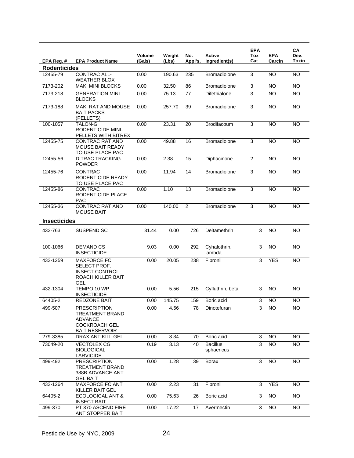|                     |                                                                                                           | Volume | Weight | No.     | Active                        | <b>EPA</b><br>Tox | <b>EPA</b> | CA<br>Dev.      |
|---------------------|-----------------------------------------------------------------------------------------------------------|--------|--------|---------|-------------------------------|-------------------|------------|-----------------|
| EPA Reg. #          | <b>EPA Product Name</b>                                                                                   | (Gals) | (Lbs)  | Appl's. | Ingredient(s)                 | Cat               | Carcin     | Toxin           |
| <b>Rodenticides</b> |                                                                                                           |        |        |         |                               |                   |            |                 |
| 12455-79            | CONTRAC ALL-<br><b>WEATHER BLOX</b>                                                                       | 0.00   | 190.63 | 235     | <b>Bromadiolone</b>           | 3                 | <b>NO</b>  | <b>NO</b>       |
| 7173-202            | <b>MAKI MINI BLOCKS</b>                                                                                   | 0.00   | 32.50  | 86      | <b>Bromadiolone</b>           | 3                 | <b>NO</b>  | <b>NO</b>       |
| 7173-218            | <b>GENERATION MINI</b><br><b>BLOCKS</b>                                                                   | 0.00   | 75.13  | 77      | Difethialone                  | 3                 | <b>NO</b>  | <b>NO</b>       |
| 7173-188            | <b>MAKI RAT AND MOUSE</b><br><b>BAIT PACKS</b><br>(PELLETS)                                               | 0.00   | 257.70 | 39      | Bromadiolone                  | $\overline{3}$    | <b>NO</b>  | <b>NO</b>       |
| 100-1057            | TALON-G<br><b>RODENTICIDE MINI-</b><br>PELLETS WITH BITREX                                                | 0.00   | 23.31  | 20      | Brodifacoum                   | 3                 | <b>NO</b>  | <b>NO</b>       |
| 12455-75            | <b>CONTRAC RAT AND</b><br><b>MOUSE BAIT READY</b><br>TO USE PLACE PAC                                     | 0.00   | 49.88  | 16      | Bromadiolone                  | 3                 | <b>NO</b>  | <b>NO</b>       |
| 12455-56            | <b>DITRAC TRACKING</b><br><b>POWDER</b>                                                                   | 0.00   | 2.38   | 15      | Diphacinone                   | $\overline{c}$    | <b>NO</b>  | <b>NO</b>       |
| 12455-76            | <b>CONTRAC</b><br>RODENTICIDE READY<br>TO USE PLACE PAC                                                   | 0.00   | 11.94  | 14      | Bromadiolone                  | 3                 | <b>NO</b>  | <b>NO</b>       |
| 12455-86            | <b>CONTRAC</b><br>RODENTICIDE PLACE<br><b>PAC</b>                                                         | 0.00   | 1.10   | 13      | <b>Bromadiolone</b>           | 3                 | <b>NO</b>  | $\overline{NO}$ |
| 12455-36            | <b>CONTRAC RAT AND</b><br><b>MOUSE BAIT</b>                                                               | 0.00   | 140.00 | 2       | <b>Bromadiolone</b>           | 3                 | <b>NO</b>  | <b>NO</b>       |
| <b>Insecticides</b> |                                                                                                           |        |        |         |                               |                   |            |                 |
| 432-763             | SUSPEND SC                                                                                                | 31.44  | 0.00   | 726     | Deltamethrin                  | 3                 | <b>NO</b>  | <b>NO</b>       |
| 100-1066            | <b>DEMAND CS</b><br><b>INSECTICIDE</b>                                                                    | 9.03   | 0.00   | 292     | Cyhalothrin,<br>lambda        | 3                 | <b>NO</b>  | <b>NO</b>       |
| 432-1259            | <b>MAXFORCE FC</b><br>SELECT PROF.<br><b>INSECT CONTROL</b><br>ROACH KILLER BAIT<br>GEL                   | 0.00   | 20.05  | 238     | Fipronil                      | 3                 | <b>YES</b> | <b>NO</b>       |
| 432-1304            | TEMPO 10 WP<br><b>INSECTICIDE</b>                                                                         | 0.00   | 5.56   | 215     | Cyfluthrin, beta              | 3                 | <b>NO</b>  | <b>NO</b>       |
| 64405-2             | <b>REDZONE BAIT</b>                                                                                       | 0.00   | 145.75 | 159     | Boric acid                    | 3                 | <b>NO</b>  | <b>NO</b>       |
| 499-507             | <b>PRESCRIPTION</b><br><b>TREATMENT BRAND</b><br>ADVANCE<br><b>COCKROACH GEL</b><br><b>BAIT RESERVOIR</b> | 0.00   | 4.56   | 78      | Dinotefuran                   | 3                 | NO.        | NO.             |
| 279-3385            | DRAX ANT KILL GEL                                                                                         | 0.00   | 3.34   | 70      | Boric acid                    | 3                 | <b>NO</b>  | <b>NO</b>       |
| 73049-20            | <b>VECTOLEX CG</b><br><b>BIOLOGICAL</b><br><b>LARVICIDE</b>                                               | 0.19   | 3.13   | 40      | <b>Bacillus</b><br>sphaericus | 3                 | <b>NO</b>  | <b>NO</b>       |
| 499-492             | <b>PRESCRIPTION</b><br><b>TREATMENT BRAND</b><br>388B ADVANCE ANT<br><b>GEL BAIT</b>                      | 0.00   | 1.28   | 39      | <b>Borax</b>                  | 3                 | NO         | <b>NO</b>       |
| 432-1264            | <b>MAXFORCE FC ANT</b><br><b>KILLER BAIT GEL</b>                                                          | 0.00   | 2.23   | 31      | Fipronil                      | 3                 | <b>YES</b> | <b>NO</b>       |
| 64405-2             | ECOLOGICAL ANT &<br><b>INSECT BAIT</b>                                                                    | 0.00   | 75.63  | 26      | Boric acid                    | 3                 | <b>NO</b>  | <b>NO</b>       |
| 499-370             | PT 370 ASCEND FIRE<br>ANT STOPPER BAIT                                                                    | 0.00   | 17.22  | 17      | Avermectin                    | 3                 | <b>NO</b>  | $\overline{NO}$ |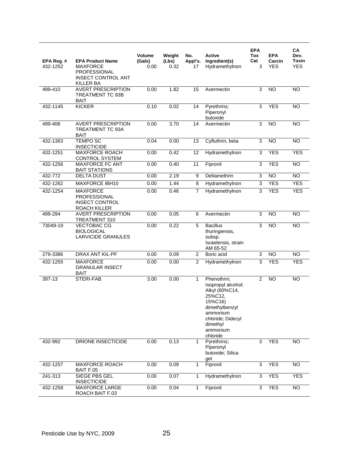| EPA Reg. #<br>432-1252 | <b>EPA Product Name</b><br><b>MAXFORCE</b><br><b>PROFESSIONAL</b><br><b>INSECT CONTROL ANT</b><br><b>KILLER BA</b> | <b>Volume</b><br>(Gals)<br>0.00 | Weight<br>(Lbs)<br>0.32 | No.<br>Appl's.<br>17 | Active<br>Ingredient(s)<br>Hydramethylnon                                                                                                                        | <b>EPA</b><br>Tox<br>Cat<br>3 | <b>EPA</b><br>Carcin<br><b>YES</b> | CA<br>Dev.<br>Toxin<br><b>YES</b> |
|------------------------|--------------------------------------------------------------------------------------------------------------------|---------------------------------|-------------------------|----------------------|------------------------------------------------------------------------------------------------------------------------------------------------------------------|-------------------------------|------------------------------------|-----------------------------------|
| 499-410                | <b>AVERT PRESCRIPTION</b><br>TREATMENT TC 93B<br><b>BAIT</b>                                                       | 0.00                            | 1.82                    | 15                   | Avermectin                                                                                                                                                       | 3                             | <b>NO</b>                          | N <sub>O</sub>                    |
| 432-1145               | <b>KICKER</b>                                                                                                      | 0.10                            | 0.02                    | 14                   | Pyrethrins;<br>Piperonyl<br>butoxide                                                                                                                             | 3                             | <b>YES</b>                         | $\overline{NO}$                   |
| 499-406                | <b>AVERT PRESCRIPTION</b><br><b>TREATMENT TC 93A</b><br><b>BAIT</b>                                                | 0.00                            | 3.70                    | 14                   | Avermectin                                                                                                                                                       | 3                             | <b>NO</b>                          | N <sub>O</sub>                    |
| 432-1363               | <b>TEMPO SC</b><br><b>INSECTICIDE</b>                                                                              | 0.04                            | 0.00                    | 13                   | Cyfluthrin, beta                                                                                                                                                 | 3                             | <b>NO</b>                          | N <sub>O</sub>                    |
| 432-1251               | <b>MAXFORCE ROACH</b><br>CONTROL SYSTEM                                                                            | 0.00                            | 0.42                    | 12                   | Hydramethylnon                                                                                                                                                   | 3                             | <b>YES</b>                         | <b>YES</b>                        |
| 432-1256               | <b>MAXFORCE FC ANT</b><br><b>BAIT STATIONS</b>                                                                     | 0.00                            | 0.40                    | 11                   | Fipronil                                                                                                                                                         | 3                             | <b>YES</b>                         | <b>NO</b>                         |
| 432-772                | <b>DELTA DUST</b>                                                                                                  | 0.00                            | 2.19                    | 9                    | Deltamethrin                                                                                                                                                     | $\mathsf 3$                   | <b>NO</b>                          | N <sub>O</sub>                    |
| 432-1262               | <b>MAXFORCE IBH10</b>                                                                                              | 0.00                            | 1.44                    | 8                    | Hydramethylnon                                                                                                                                                   | 3                             | <b>YES</b>                         | <b>YES</b>                        |
| 432-1254               | <b>MAXFORCE</b><br><b>PROFESSIONAL</b><br><b>INSECT CONTROL</b><br><b>ROACH KILLER</b>                             | 0.00                            | 0.46                    | 7                    | Hydramethylnon                                                                                                                                                   | 3                             | <b>YES</b>                         | <b>YES</b>                        |
| 499-294                | <b>AVERT PRESCRIPTION</b><br>TREATMENT 310                                                                         | 0.00                            | 0.05                    | 6                    | Avermectin                                                                                                                                                       | 3                             | <b>NO</b>                          | <b>NO</b>                         |
| 73049-19               | <b>VECTOBAC CG</b><br><b>BIOLOGICAL</b><br><b>LARVICIDE GRANULES</b>                                               | 0.00                            | 0.22                    | 5                    | <b>Bacillus</b><br>thuringiensis,<br>subsp.<br>Israelensis, strain<br>AM 65-52                                                                                   | 3                             | N <sub>O</sub>                     | N <sub>O</sub>                    |
| 279-3386               | DRAX ANT KIL-PF                                                                                                    | 0.00                            | 0.09                    | $\overline{c}$       | Boric acid                                                                                                                                                       | 3                             | <b>NO</b>                          | <b>NO</b>                         |
| 432-1255               | <b>MAXFORCE</b><br><b>GRANULAR INSECT</b><br><b>BAIT</b>                                                           | 0.00                            | 0.00                    | $\overline{2}$       | Hydramethylnon                                                                                                                                                   | 3                             | <b>YES</b>                         | <b>YES</b>                        |
| 397-13                 | <b>STERI-FAB</b>                                                                                                   | 3.00                            | 0.00                    | 1                    | Phenothrin;<br>Isopropyl alcohol;<br>Alkyl (60%C14,<br>25%C12,<br>15%C16)<br>dimethylbenzyl<br>ammonium<br>chloride; Didecyl<br>dimethyl<br>ammonium<br>chloride | 2                             | <b>NO</b>                          | <b>NO</b>                         |
| 432-992                | DRIONE INSECTICIDE                                                                                                 | 0.00                            | 0.13                    | 1                    | Pyrethrins;<br>Piperonyl<br>butoxide; Silica<br>gel                                                                                                              | 3                             | <b>YES</b>                         | <b>NO</b>                         |
| 432-1257               | <b>MAXFORCE ROACH</b><br>BAIT F.05                                                                                 | 0.00                            | 0.09                    | $\mathbf{1}$         | Fipronil                                                                                                                                                         | 3                             | <b>YES</b>                         | <b>NO</b>                         |
| 241-313                | SIEGE PBS GEL<br><b>INSECTICIDE</b>                                                                                | 0.00                            | 0.07                    | 1                    | Hydramethylnon                                                                                                                                                   | 3                             | <b>YES</b>                         | <b>YES</b>                        |
| 432-1258               | <b>MAXFORCE LARGE</b><br>ROACH BAIT F.03                                                                           | 0.00                            | 0.04                    | 1                    | Fipronil                                                                                                                                                         | 3                             | <b>YES</b>                         | NO                                |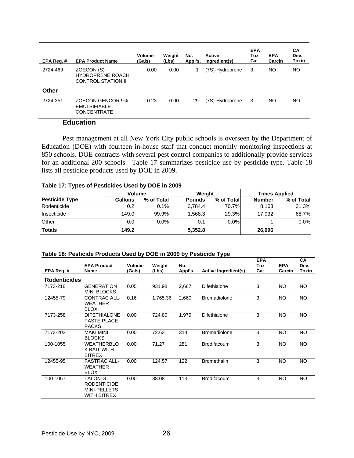| EPA Reg. #   | <b>EPA Product Name</b>                                       | Volume<br>(Gals) | Weiaht<br>(Lbs) | No.<br>Appl's. | Active<br>Ingredient(s) | <b>EPA</b><br>Tox<br>Cat | <b>EPA</b><br>Carcin | СA<br>Dev.<br>Toxin |
|--------------|---------------------------------------------------------------|------------------|-----------------|----------------|-------------------------|--------------------------|----------------------|---------------------|
| 2724-469     | ZOECON (S)-<br><b>HYDROPRENE ROACH</b><br>CONTROL STATION II  | 0.00             | 0.00            |                | (7S)-Hydroprene         | 3                        | NO                   | NO.                 |
| <b>Other</b> |                                                               |                  |                 |                |                         |                          |                      |                     |
| 2724-351     | ZOECON GENCOR 9%<br><b>EMULSIFIABLE</b><br><b>CONCENTRATE</b> | 0.23             | 0.00            | 29             | (7S)-Hydroprene         | 3                        | <b>NO</b>            | NO                  |
|              | <b>Education</b>                                              |                  |                 |                |                         |                          |                      |                     |

 Pest management at all New York City public schools is overseen by the Department of Education (DOE) with fourteen in-house staff that conduct monthly monitoring inspections at 850 schools. DOE contracts with several pest control companies to additionally provide services for an additional 200 schools. Table 17 summarizes pesticide use by pesticide type. Table 18 lists all pesticide products used by DOE in 2009.

#### **Table 17: Types of Pesticides Used by DOE in 2009**

|                       | <b>Volume</b> |            | Weight        |            | <b>Times Applied</b> |            |
|-----------------------|---------------|------------|---------------|------------|----------------------|------------|
| <b>Pesticide Type</b> | Gallons       | % of Total | <b>Pounds</b> | % of Total | <b>Number</b>        | % of Total |
| Rodenticide           | 0.2           | 0.1%       | 3.784.4       | 70.7%      | 8.163                | 31.3%      |
| Insecticide           | 149.0         | 99.9%      | 1.568.3       | 29.3%      | 17.932               | 68.7%      |
| Other                 | 0.0           | 0.0%       | 0.1           | $0.0\%$    |                      | 0.0%       |
| <b>Totals</b>         | 149.2         |            | 5,352.8       |            | 26,096               |            |

| Table 18: Pesticide Products Used by DOE in 2009 by Pesticide Type |  |
|--------------------------------------------------------------------|--|
|                                                                    |  |

|                     | <b>EPA Product</b><br>Name                                          | Volume | Weight   | No.     |                             | <b>EPA</b><br>Tox | <b>EPA</b> | CA<br>Dev. |
|---------------------|---------------------------------------------------------------------|--------|----------|---------|-----------------------------|-------------------|------------|------------|
| EPA Reg. #          |                                                                     | (Gals) | (Lbs)    | Appl's. | <b>Active Ingredient(s)</b> | Cat               | Carcin     | Toxin      |
| <b>Rodenticides</b> |                                                                     |        |          |         |                             |                   |            |            |
| 7173-218            | <b>GENERATION</b><br><b>MINI BLOCKS</b>                             | 0.05   | 931.98   | 2,667   | Difethialone                | 3                 | <b>NO</b>  | <b>NO</b>  |
| 12455-79            | CONTRAC ALL-<br><b>WEATHER</b><br><b>BLOX</b>                       | 0.16   | 1,765.36 | 2,660   | <b>Bromadiolone</b>         | 3                 | NO         | <b>NO</b>  |
| 7173-258            | <b>DIFETHIALONE</b><br><b>PASTE PLACE</b><br><b>PACKS</b>           | 0.00   | 724.80   | 1,979   | Difethialone                | 3                 | <b>NO</b>  | <b>NO</b>  |
| 7173-202            | <b>MAKI MINI</b><br><b>BLOCKS</b>                                   | 0.00   | 72.63    | 314     | <b>Bromadiolone</b>         | 3                 | <b>NO</b>  | <b>NO</b>  |
| 100-1055            | <b>WEATHERBLO</b><br>K BAIT WITH<br><b>BITREX</b>                   | 0.00   | 71.27    | 281     | <b>Brodifacoum</b>          | 3                 | <b>NO</b>  | <b>NO</b>  |
| 12455-95            | <b>FASTRAC ALL-</b><br><b>WEATHER</b><br><b>BLOX</b>                | 0.00   | 124.57   | 122     | <b>Bromethalin</b>          | 3                 | <b>NO</b>  | <b>NO</b>  |
| 100-1057            | TALON-G<br><b>RODENTICIDE</b><br>MINI-PELLETS<br><b>WITH BITREX</b> | 0.00   | 88.08    | 113     | <b>Brodifacoum</b>          | 3                 | <b>NO</b>  | <b>NO</b>  |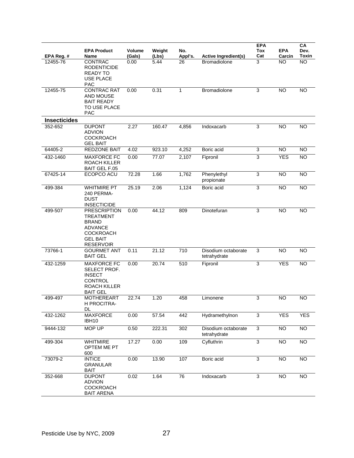| EPA Reg. #          | <b>EPA Product</b><br>Name                                                                                                           | <b>Volume</b><br>(Gals) | Weight<br>(Lbs) | No.<br>Appl's.  | Active Ingredient(s)                | <b>EPA</b><br>Tox<br>Cat | <b>EPA</b><br>Carcin | CA<br>Dev.<br>Toxin |
|---------------------|--------------------------------------------------------------------------------------------------------------------------------------|-------------------------|-----------------|-----------------|-------------------------------------|--------------------------|----------------------|---------------------|
| 12455-76            | CONTRAC<br><b>RODENTICIDE</b><br><b>READY TO</b><br><b>USE PLACE</b><br><b>PAC</b>                                                   | 0.00                    | 5.44            | 26              | <b>Bromadiolone</b>                 | 3                        | NO                   | <b>NO</b>           |
| 12455-75            | <b>CONTRAC RAT</b><br>AND MOUSE<br><b>BAIT READY</b><br>TO USE PLACE<br><b>PAC</b>                                                   | 0.00                    | 0.31            | 1               | <b>Bromadiolone</b>                 | 3                        | <b>NO</b>            | <b>NO</b>           |
| <b>Insecticides</b> |                                                                                                                                      |                         |                 |                 |                                     |                          |                      |                     |
| 352-652             | <b>DUPONT</b><br><b>ADVION</b><br><b>COCKROACH</b><br><b>GEL BAIT</b>                                                                | 2.27                    | 160.47          | 4,856           | Indoxacarb                          | 3                        | <b>NO</b>            | <b>NO</b>           |
| 64405-2             | REDZONE BAIT                                                                                                                         | 4.02                    | 923.10          | 4,252           | Boric acid                          | $\overline{3}$           | <b>NO</b>            | <b>NO</b>           |
| 432-1460            | <b>MAXFORCE FC</b><br>ROACH KILLER<br><b>BAIT GEL F.05</b>                                                                           | 0.00                    | 77.07           | 2,107           | Fipronil                            | 3                        | <b>YES</b>           | <b>NO</b>           |
| 67425-14            | <b>ECOPCO ACU</b>                                                                                                                    | 72.28                   | 1.66            | 1,762           | Phenylethyl<br>propionate           | $\mathsf 3$              | <b>NO</b>            | <b>NO</b>           |
| 499-384             | <b>WHITMIRE PT</b><br>240 PERMA-<br><b>DUST</b><br><b>INSECTICIDE</b>                                                                | 25.19                   | 2.06            | 1,124           | Boric acid                          | 3                        | <b>NO</b>            | <b>NO</b>           |
| 499-507             | <b>PRESCRIPTION</b><br><b>TREATMENT</b><br><b>BRAND</b><br><b>ADVANCE</b><br><b>COCKROACH</b><br><b>GEL BAIT</b><br><b>RESERVOIR</b> | 0.00                    | 44.12           | 809             | Dinotefuran                         | 3                        | <b>NO</b>            | <b>NO</b>           |
| 73766-1             | <b>GOURMET ANT</b><br><b>BAIT GEL</b>                                                                                                | 0.11                    | 21.12           | 710             | Disodium octaborate<br>tetrahydrate | 3                        | <b>NO</b>            | <b>NO</b>           |
| 432-1259            | <b>MAXFORCE FC</b><br>SELECT PROF.<br><b>INSECT</b><br><b>CONTROL</b><br><b>ROACH KILLER</b><br><b>BAIT GEL</b>                      | 0.00                    | 20.74           | 510             | Fipronil                            | $\overline{3}$           | <b>YES</b>           | <b>NO</b>           |
| 499-497             | <b>MOTHEREART</b><br>H PROCITRA-<br>DL.                                                                                              | 22.74                   | 1.20            | 458             | Limonene                            | 3                        | <b>NO</b>            | <b>NO</b>           |
| 432-1262            | <b>MAXFORCE</b><br>IBH10                                                                                                             | 0.00                    | 57.54           | 442             | Hydramethylnon                      | $\overline{3}$           | <b>YES</b>           | <b>YES</b>          |
| 9444-132            | <b>MOP UP</b>                                                                                                                        | 0.50                    | 222.31          | 302             | Disodium octaborate<br>tetrahydrate | $\overline{3}$           | $\overline{NO}$      | $\overline{NO}$     |
| 499-304             | <b>WHITMIRE</b><br>OPTEM ME PT<br>600                                                                                                | 17.27                   | 0.00            | 109             | Cyfluthrin                          | $\overline{3}$           | <b>NO</b>            | NO                  |
| 73079-2             | <b>INTICE</b><br><b>GRANULAR</b><br><b>BAIT</b>                                                                                      | 0.00                    | 13.90           | 107             | Boric acid                          | $\overline{3}$           | <b>NO</b>            | $\overline{NO}$     |
| 352-668             | <b>DUPONT</b><br><b>ADVION</b><br><b>COCKROACH</b><br><b>BAIT ARENA</b>                                                              | 0.02                    | 1.64            | $\overline{76}$ | Indoxacarb                          | $\overline{3}$           | $\overline{N}$       | NO                  |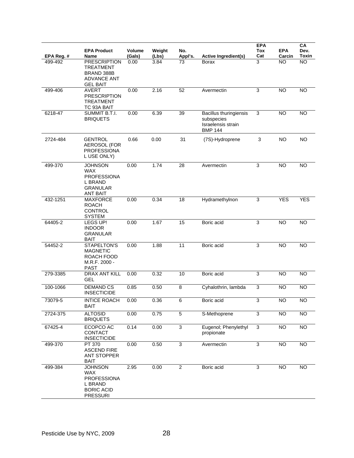| EPA Reg. # | <b>EPA Product</b><br>Name                                                                                 | Volume<br>(Gals) | Weight<br>(Lbs) | No.<br>Appl's.  | <b>Active Ingredient(s)</b>                                                         | <b>EPA</b><br>Tox<br>Cat | <b>EPA</b><br>Carcin | CA<br>Dev.<br><b>Toxin</b> |
|------------|------------------------------------------------------------------------------------------------------------|------------------|-----------------|-----------------|-------------------------------------------------------------------------------------|--------------------------|----------------------|----------------------------|
| 499-492    | <b>PRESCRIPTION</b><br><b>TREATMENT</b><br>BRAND 388B<br><b>ADVANCE ANT</b><br><b>GEL BAIT</b>             | 0.00             | 3.84            | 73              | <b>Borax</b>                                                                        | 3                        | <b>NO</b>            | <b>NO</b>                  |
| 499-406    | <b>AVERT</b><br><b>PRESCRIPTION</b><br><b>TREATMENT</b><br>TC 93A BAIT                                     | 0.00             | 2.16            | 52              | Avermectin                                                                          | 3                        | <b>NO</b>            | <b>NO</b>                  |
| 6218-47    | SUMMIT B.T.I.<br><b>BRIQUETS</b>                                                                           | 0.00             | 6.39            | 39              | <b>Bacillus thuringiensis</b><br>subspecies<br>Israelensis strain<br><b>BMP 144</b> | 3                        | <b>NO</b>            | <b>NO</b>                  |
| 2724-484   | <b>GENTROL</b><br>AEROSOL (FOR<br><b>PROFESSIONA</b><br>L USE ONLY)                                        | 0.66             | 0.00            | 31              | (7S)-Hydroprene                                                                     | 3                        | <b>NO</b>            | <b>NO</b>                  |
| 499-370    | <b>JOHNSON</b><br><b>WAX</b><br><b>PROFESSIONA</b><br><b>L BRAND</b><br><b>GRANULAR</b><br><b>ANT BAIT</b> | 0.00             | 1.74            | 28              | Avermectin                                                                          | 3                        | <b>NO</b>            | NO                         |
| 432-1251   | <b>MAXFORCE</b><br><b>ROACH</b><br><b>CONTROL</b><br><b>SYSTEM</b>                                         | 0.00             | 0.34            | $\overline{18}$ | Hydramethylnon                                                                      | 3                        | <b>YES</b>           | <b>YES</b>                 |
| 64405-2    | <b>LEGS UP!</b><br><b>INDOOR</b><br>GRANULAR<br><b>BAIT</b>                                                | 0.00             | 1.67            | 15              | Boric acid                                                                          | 3                        | <b>NO</b>            | <b>NO</b>                  |
| 54452-2    | STAPELTON'S<br><b>MAGNETIC</b><br>ROACH FOOD<br>M.R.F. 2000 -<br><b>PAST</b>                               | 0.00             | 1.88            | 11              | Boric acid                                                                          | 3                        | <b>NO</b>            | <b>NO</b>                  |
| 279-3385   | <b>DRAX ANT KILL</b><br><b>GEL</b>                                                                         | 0.00             | 0.32            | 10              | Boric acid                                                                          | 3                        | <b>NO</b>            | <b>NO</b>                  |
| 100-1066   | <b>DEMAND CS</b><br><b>INSECTICIDE</b>                                                                     | 0.85             | 0.50            | 8               | Cyhalothrin, lambda                                                                 | 3                        | <b>NO</b>            | <b>NO</b>                  |
| 73079-5    | <b>INTICE ROACH</b><br><b>BAIT</b>                                                                         | 0.00             | 0.36            | 6               | Boric acid                                                                          | 3                        | <b>NO</b>            | <b>NO</b>                  |
| 2724-375   | <b>ALTOSID</b><br><b>BRIQUETS</b>                                                                          | 0.00             | 0.75            | 5               | S-Methoprene                                                                        | 3                        | <b>NO</b>            | <b>NO</b>                  |
| 67425-4    | ECOPCO AC<br>CONTACT<br><b>INSECTICIDE</b>                                                                 | 0.14             | 0.00            | $\overline{3}$  | Eugenol; Phenylethyl<br>propionate                                                  | $\overline{3}$           | $\overline{10}$      | $\overline{N}$             |
| 499-370    | PT 370<br><b>ASCEND FIRE</b><br><b>ANT STOPPER</b><br><b>BAIT</b>                                          | 0.00             | 0.50            | $\overline{3}$  | Avermectin                                                                          | $\overline{3}$           | <b>NO</b>            | $\overline{NO}$            |
| 499-384    | <b>JOHNSON</b><br><b>WAX</b><br><b>PROFESSIONA</b><br>L BRAND<br><b>BORIC ACID</b><br><b>PRESSURI</b>      | 2.95             | 0.00            | $\overline{c}$  | Boric acid                                                                          | 3                        | <b>NO</b>            | <b>NO</b>                  |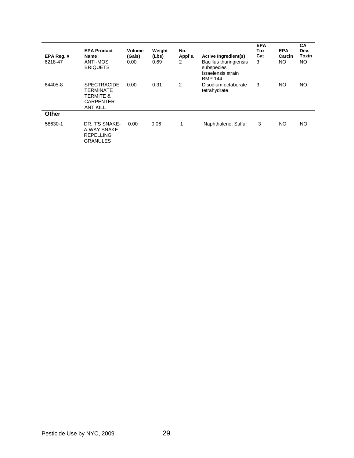| EPA Reg.#    | <b>EPA Product</b><br><b>Name</b>                                                              | Volume<br>(Gals) | Weight<br>(Lbs) | No.<br>Appl's. | <b>Active Ingredient(s)</b>                                                  | <b>EPA</b><br>Tox<br>Cat | <b>EPA</b><br>Carcin | CA<br>Dev.<br>Toxin |
|--------------|------------------------------------------------------------------------------------------------|------------------|-----------------|----------------|------------------------------------------------------------------------------|--------------------------|----------------------|---------------------|
| 6218-47      | ANTI-MOS<br><b>BRIQUETS</b>                                                                    | 0.00             | 0.69            | 2              | Bacillus thuringiensis<br>subspecies<br>Israelensis strain<br><b>BMP 144</b> | 3                        | NO.                  | NO.                 |
| 64405-8      | <b>SPECTRACIDE</b><br>TERMINATE<br><b>TERMITE &amp;</b><br><b>CARPENTER</b><br><b>ANT KILL</b> | 0.00             | 0.31            | 2              | Disodium octaborate<br>tetrahydrate                                          | 3                        | NO.                  | NO.                 |
| <b>Other</b> |                                                                                                |                  |                 |                |                                                                              |                          |                      |                     |
| 58630-1      | DR. T'S SNAKE-<br>A-WAY SNAKE<br><b>REPELLING</b><br><b>GRANULES</b>                           | 0.00             | 0.06            | 1              | Naphthalene; Sulfur                                                          | 3                        | NO.                  | NO.                 |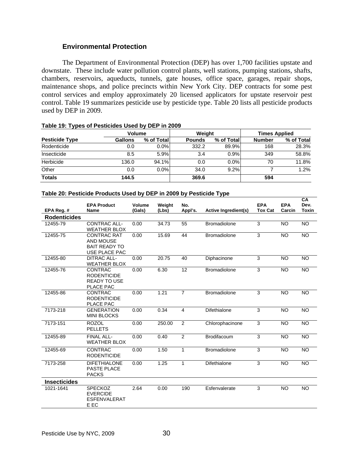#### **Environmental Protection**

 The Department of Environmental Protection (DEP) has over 1,700 facilities upstate and downstate. These include water pollution control plants, well stations, pumping stations, shafts, chambers, reservoirs, aqueducts, tunnels, gate houses, office space, garages, repair shops, maintenance shops, and police precincts within New York City. DEP contracts for some pest control services and employ approximately 20 licensed applicators for upstate reservoir pest control. Table 19 summarizes pesticide use by pesticide type. Table 20 lists all pesticide products used by DEP in 2009.

|                       | <b>Volume</b>  |            | Weight        |            | <b>Times Applied</b> |            |  |
|-----------------------|----------------|------------|---------------|------------|----------------------|------------|--|
| <b>Pesticide Type</b> | <b>Gallons</b> | % of Total | <b>Pounds</b> | % of Total | <b>Number</b>        | % of Total |  |
| Rodenticide           | 0.0            | $0.0\%$    | 332.2         | 89.9%      | 168                  | 28.3%      |  |
| Insecticide           | 8.5            | 5.9%       | 3.4           | 0.9%       | 349                  | 58.8%      |  |
| Herbicide             | 136.0          | 94.1%      | 0.0           | $0.0\%$    | 70                   | 11.8%      |  |
| Other                 | 0.0            | 0.0%       | 34.0          | 9.2%       |                      | 1.2%       |  |
| <b>Totals</b>         | 144.5          |            | 369.6         |            | 594                  |            |  |

|  |  |  |  | Table 19: Types of Pesticides Used by DEP in 2009 |
|--|--|--|--|---------------------------------------------------|
|--|--|--|--|---------------------------------------------------|

| Table 20: Pesticide Products Used by DEP in 2009 by Pesticide Type |  |  |
|--------------------------------------------------------------------|--|--|
|--------------------------------------------------------------------|--|--|

|                     | <b>EPA Product</b>                                                              | Volume | Weight | No.            |                             | <b>EPA</b>     | <b>EPA</b> | CA<br>Dev.      |
|---------------------|---------------------------------------------------------------------------------|--------|--------|----------------|-----------------------------|----------------|------------|-----------------|
| EPA Reg. #          | <b>Name</b>                                                                     | (Gals) | (Lbs)  | Appl's.        | <b>Active Ingredient(s)</b> | <b>Tox Cat</b> | Carcin     | Toxin           |
| <b>Rodenticides</b> |                                                                                 |        |        |                |                             |                |            |                 |
| 12455-79            | <b>CONTRAC ALL-</b><br><b>WEATHER BLOX</b>                                      | 0.00   | 34.73  | 55             | <b>Bromadiolone</b>         | 3              | <b>NO</b>  | <b>NO</b>       |
| 12455-75            | <b>CONTRAC RAT</b><br>AND MOUSE<br><b>BAIT READY TO</b><br>USE PLACE PAC        | 0.00   | 15.69  | 44             | <b>Bromadiolone</b>         | 3              | <b>NO</b>  | <b>NO</b>       |
| 12455-80            | <b>DITRAC ALL-</b><br><b>WEATHER BLOX</b>                                       | 0.00   | 20.75  | 40             | Diphacinone                 | 3              | <b>NO</b>  | $\overline{NO}$ |
| 12455-76            | <b>CONTRAC</b><br><b>RODENTICIDE</b><br><b>READY TO USE</b><br><b>PLACE PAC</b> | 0.00   | 6.30   | 12             | <b>Bromadiolone</b>         | 3              | <b>NO</b>  | <b>NO</b>       |
| 12455-86            | <b>CONTRAC</b><br><b>RODENTICIDE</b><br><b>PLACE PAC</b>                        | 0.00   | 1.21   | $\overline{7}$ | <b>Bromadiolone</b>         | 3              | <b>NO</b>  | <b>NO</b>       |
| 7173-218            | <b>GENERATION</b><br><b>MINI BLOCKS</b>                                         | 0.00   | 0.34   | $\overline{4}$ | Difethialone                | 3              | <b>NO</b>  | <b>NO</b>       |
| 7173-151            | <b>ROZOL</b><br><b>PELLETS</b>                                                  | 0.00   | 250.00 | 2              | Chlorophacinone             | 3              | <b>NO</b>  | <b>NO</b>       |
| 12455-89            | FINAL ALL-<br><b>WEATHER BLOX</b>                                               | 0.00   | 0.40   | $\overline{2}$ | Brodifacoum                 | 3              | <b>NO</b>  | <b>NO</b>       |
| 12455-69            | <b>CONTRAC</b><br><b>RODENTICIDE</b>                                            | 0.00   | 1.50   | $\mathbf{1}$   | <b>Bromadiolone</b>         | 3              | <b>NO</b>  | <b>NO</b>       |
| 7173-258            | <b>DIFETHIALONE</b><br>PASTE PLACE<br><b>PACKS</b>                              | 0.00   | 1.25   | 1              | Difethialone                | 3              | <b>NO</b>  | <b>NO</b>       |
| <b>Insecticides</b> |                                                                                 |        |        |                |                             |                |            |                 |
| 1021-1641           | SPECKOZ<br><b>EVERCIDE</b><br><b>ESFENVALERAT</b><br>E EC                       | 2.64   | 0.00   | 190            | Esfenvalerate               | 3              | <b>NO</b>  | <b>NO</b>       |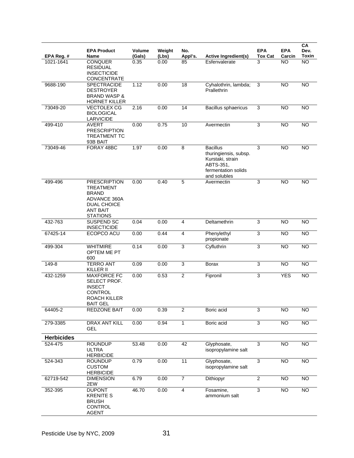| EPA Reg. #        | <b>EPA Product</b><br>Name                                                                                                          | <b>Volume</b><br>(Gals) | Weight<br>(Lbs) | No.<br>Appl's.  | <b>Active Ingredient(s)</b>                                                                                      | <b>EPA</b><br>Tox Cat | <b>EPA</b><br>Carcin | CA<br>Dev.<br>Toxin |
|-------------------|-------------------------------------------------------------------------------------------------------------------------------------|-------------------------|-----------------|-----------------|------------------------------------------------------------------------------------------------------------------|-----------------------|----------------------|---------------------|
| 1021-1641         | <b>CONQUER</b><br><b>RESIDUAL</b><br><b>INSECTICIDE</b><br><b>CONCENTRATE</b>                                                       | 0.35                    | 0.00            | 85              | Esfenvalerate                                                                                                    | 3                     | <b>NO</b>            | <b>NO</b>           |
| 9688-190          | <b>SPECTRACIDE</b><br><b>DESTROYER</b><br><b>BRAND WASP &amp;</b><br><b>HORNET KILLER</b>                                           | 1.12                    | 0.00            | 18              | Cyhalothrin, lambda;<br>Prallethrin                                                                              | 3                     | <b>NO</b>            | <b>NO</b>           |
| 73049-20          | VECTOLEX CG<br><b>BIOLOGICAL</b><br>LARVICIDE                                                                                       | 2.16                    | 0.00            | 14              | <b>Bacillus sphaericus</b>                                                                                       | 3                     | <b>NO</b>            | <b>NO</b>           |
| 499-410           | <b>AVERT</b><br><b>PRESCRIPTION</b><br><b>TREATMENT TC</b><br>93B BAIT                                                              | 0.00                    | 0.75            | 10              | Avermectin                                                                                                       | 3                     | <b>NO</b>            | <b>NO</b>           |
| 73049-46          | FORAY 48BC                                                                                                                          | 1.97                    | 0.00            | 8               | <b>Bacillus</b><br>thuringiensis, subsp.<br>Kurstaki, strain<br>ABTS-351,<br>fermentation solids<br>and solubles | 3                     | <b>NO</b>            | <b>NO</b>           |
| 499-496           | <b>PRESCRIPTION</b><br><b>TREATMENT</b><br><b>BRAND</b><br>ADVANCE 360A<br><b>DUAL CHOICE</b><br><b>ANT BAIT</b><br><b>STATIONS</b> | 0.00                    | 0.40            | 5               | Avermectin                                                                                                       | 3                     | <b>NO</b>            | <b>NO</b>           |
| 432-763           | SUSPEND SC<br><b>INSECTICIDE</b>                                                                                                    | 0.04                    | 0.00            | $\overline{4}$  | Deltamethrin                                                                                                     | 3                     | <b>NO</b>            | $\overline{NO}$     |
| 67425-14          | ECOPCO ACU                                                                                                                          | 0.00                    | 0.44            | $\overline{4}$  | Phenylethyl<br>propionate                                                                                        | 3                     | <b>NO</b>            | <b>NO</b>           |
| 499-304           | <b>WHITMIRE</b><br>OPTEM ME PT<br>600                                                                                               | 0.14                    | 0.00            | 3               | Cyfluthrin                                                                                                       | 3                     | <b>NO</b>            | <b>NO</b>           |
| 149-8             | <b>TERRO ANT</b><br>KILLER II                                                                                                       | 0.09                    | 0.00            | 3               | <b>Borax</b>                                                                                                     | 3                     | <b>NO</b>            | <b>NO</b>           |
| 432-1259          | <b>MAXFORCE FC</b><br>SELECT PROF.<br><b>INSECT</b><br><b>CONTROL</b><br>ROACH KILLER<br><b>BAIT GEL</b>                            | 0.00                    | 0.53            | $\overline{2}$  | Fipronil                                                                                                         | 3                     | <b>YES</b>           | <b>NO</b>           |
| 64405-2           | <b>REDZONE BAIT</b>                                                                                                                 | 0.00                    | 0.39            | $\overline{2}$  | Boric acid                                                                                                       | $\overline{3}$        | <b>NO</b>            | <b>NO</b>           |
| 279-3385          | DRAX ANT KILL<br><b>GEL</b>                                                                                                         | 0.00                    | 0.94            | $\mathbf{1}$    | Boric acid                                                                                                       | $\overline{3}$        | $\overline{NO}$      | $\overline{10}$     |
| <b>Herbicides</b> |                                                                                                                                     |                         |                 |                 |                                                                                                                  |                       |                      |                     |
| 524-475           | <b>ROUNDUP</b><br><b>ULTRA</b><br><b>HERBICIDE</b>                                                                                  | 53.48                   | 0.00            | 42              | Glyphosate,<br>isopropylamine salt                                                                               | $\overline{3}$        | $\overline{NO}$      | $\overline{NO}$     |
| 524-343           | <b>ROUNDUP</b><br><b>CUSTOM</b><br><b>HERBICIDE</b>                                                                                 | 0.79                    | 0.00            | $\overline{11}$ | Glyphosate,<br>isopropylamine salt                                                                               | $\overline{3}$        | <b>NO</b>            | <b>NO</b>           |
| 62719-542         | <b>DIMENSION</b><br>2EW                                                                                                             | 6.79                    | 0.00            | $\overline{7}$  | Dithiopyr                                                                                                        | $\overline{2}$        | $\overline{NO}$      | $\overline{NO}$     |
| 352-395           | <b>DUPONT</b><br><b>KRENITE S</b><br><b>BRUSH</b><br>CONTROL<br><b>AGENT</b>                                                        | 46.70                   | 0.00            | 4               | Fosamine,<br>ammonium salt                                                                                       | 3                     | $\overline{N}$       | $\overline{N}$      |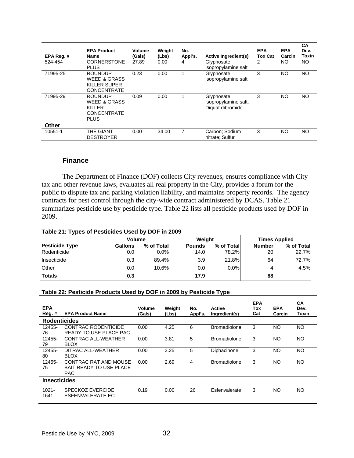|              |                                                                                          |        |        |         |                                                         |            |            | <b>CA</b> |
|--------------|------------------------------------------------------------------------------------------|--------|--------|---------|---------------------------------------------------------|------------|------------|-----------|
|              | <b>EPA Product</b>                                                                       | Volume | Weight | No.     |                                                         | <b>EPA</b> | <b>EPA</b> | Dev.      |
| EPA Reg.#    | Name                                                                                     | (Gals) | (Lbs)  | Appl's. | <b>Active Ingredient(s)</b>                             | Tox Cat    | Carcin     | Toxin     |
| 524-454      | <b>CORNERSTONE</b><br><b>PLUS</b>                                                        | 27.89  | 0.00   | 4       | Glyphosate,<br>isopropylamine salt                      | 2          | NO.        | NO.       |
| 71995-25     | <b>ROUNDUP</b><br><b>WEED &amp; GRASS</b><br>KILLER SUPER<br><b>CONCENTRATE</b>          | 0.23   | 0.00   |         | Glyphosate,<br>isopropylamine salt                      | 3          | NO.        | <b>NO</b> |
| 71995-29     | <b>ROUNDUP</b><br><b>WEED &amp; GRASS</b><br>KILLER<br><b>CONCENTRATE</b><br><b>PLUS</b> | 0.09   | 0.00   |         | Glyphosate,<br>isopropylamine salt;<br>Diquat dibromide | 3          | NO         | <b>NO</b> |
| <b>Other</b> |                                                                                          |        |        |         |                                                         |            |            |           |
| 10551-1      | <b>THE GIANT</b><br><b>DESTROYER</b>                                                     | 0.00   | 34.00  | 7       | Carbon: Sodium<br>nitrate: Sulfur                       | 3          | NO         | NO.       |

#### **Finance**

 The Department of Finance (DOF) collects City revenues, ensures compliance with City tax and other revenue laws, evaluates all real property in the City, provides a forum for the public to dispute tax and parking violation liability, and maintains property records. The agency contracts for pest control through the city-wide contract administered by DCAS. Table 21 summarizes pesticide use by pesticide type. Table 22 lists all pesticide products used by DOF in 2009.

#### **Table 21: Types of Pesticides Used by DOF in 2009**

|                       | <b>Volume</b> |            | Weight        |            | <b>Times Applied</b> |            |  |
|-----------------------|---------------|------------|---------------|------------|----------------------|------------|--|
| <b>Pesticide Type</b> | Gallons       | % of Total | <b>Pounds</b> | % of Total | <b>Number</b>        | % of Total |  |
| Rodenticide           | 0.0           | $0.0\%$    | 14.0          | 78.2%      | 20                   | 22.7%      |  |
| Insecticide           | 0.3           | 89.4%      | 3.9           | 21.8%      | 64                   | 72.7%      |  |
| Other                 | 0.0           | 10.6%      | 0.0           | $0.0\%$    |                      | 4.5%       |  |
| <b>Totals</b>         | 0.3           |            | 17.9          |            | 88                   |            |  |

#### **Table 22: Pesticide Products Used by DOF in 2009 by Pesticide Type**

| <b>EPA</b><br>Reg.# | <b>EPA Product Name</b>                                               | Volume<br>(Gals) | Weight<br>(Lbs) | No.<br>Appl's. | Active<br>Ingredient(s) | <b>EPA</b><br>Tox<br>Cat | <b>EPA</b><br>Carcin | CA<br>Dev.<br>Toxin |
|---------------------|-----------------------------------------------------------------------|------------------|-----------------|----------------|-------------------------|--------------------------|----------------------|---------------------|
| <b>Rodenticides</b> |                                                                       |                  |                 |                |                         |                          |                      |                     |
| 12455-<br>76        | <b>CONTRAC RODENTICIDE</b><br>READY TO USE PLACE PAC                  | 0.00             | 4.25            | 6              | <b>Bromadiolone</b>     | 3                        | <b>NO</b>            | NO.                 |
| 12455-<br>79        | CONTRAC ALL-WEATHER<br><b>BLOX</b>                                    | 0.00             | 3.81            | 5              | <b>Bromadiolone</b>     | 3                        | <b>NO</b>            | NO.                 |
| 12455-<br>80        | DITRAC ALL-WEATHER<br><b>BLOX</b>                                     | 0.00             | 3.25            | 5              | Diphacinone             | 3                        | <b>NO</b>            | <b>NO</b>           |
| 12455-<br>75        | CONTRAC RAT AND MOUSE<br><b>BAIT READY TO USE PLACE</b><br><b>PAC</b> | 0.00             | 2.69            | 4              | <b>Bromadiolone</b>     | 3                        | <b>NO</b>            | NO                  |
| <b>Insecticides</b> |                                                                       |                  |                 |                |                         |                          |                      |                     |
| $1021 -$<br>1641    | <b>SPECKOZ EVERCIDE</b><br>ESFENVALERATE EC                           | 0.19             | 0.00            | 26             | Esfenvalerate           | 3                        | <b>NO</b>            | NO.                 |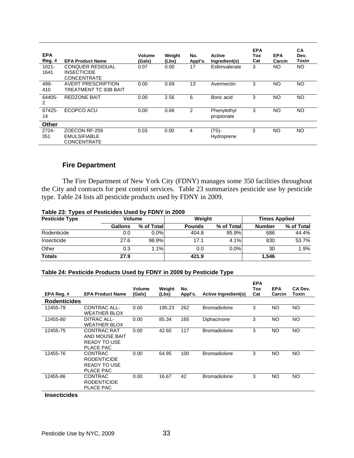| <b>EPA</b><br>Reg.# | <b>EPA Product Name</b>                                             | Volume<br>(Gals) | Weight<br>(Lbs) | No.<br>Appl's. | Active<br>Ingredient(s)   | <b>EPA</b><br>Tox<br>Cat | <b>EPA</b><br>Carcin | <b>CA</b><br>Dev.<br>Toxin |
|---------------------|---------------------------------------------------------------------|------------------|-----------------|----------------|---------------------------|--------------------------|----------------------|----------------------------|
| $1021 -$<br>1641    | <b>CONQUER RESIDUAL</b><br><b>INSECTICIDE</b><br><b>CONCENTRATE</b> | 0.07             | 0.00            | 17             | Esfenvalerate             | 3                        | NO                   | <b>NO</b>                  |
| 499-<br>410         | <b>AVERT PRESCRIPTION</b><br><b>TREATMENT TC 93B BAIT</b>           | 0.00             | 0.69            | 13             | Avermectin                | 3                        | NO                   | NO                         |
| 64405-<br>2         | <b>REDZONE BAIT</b>                                                 | 0.00             | 2.56            | 6              | Boric acid                | 3                        | <b>NO</b>            | <b>NO</b>                  |
| 67425-<br>14        | ECOPCO ACU                                                          | 0.00             | 0.66            | 2              | Phenylethyl<br>propionate | 3                        | NO                   | NO                         |
| Other               |                                                                     |                  |                 |                |                           |                          |                      |                            |
| 2724-<br>351        | ZOECON RF-259<br><b>EMULSIFIABLE</b><br><b>CONCENTRATE</b>          | 0.03             | 0.00            | 4              | (7S)-<br>Hydroprene       | 3                        | <b>NO</b>            | NO.                        |

#### **Fire Department**

 The Fire Department of New York City (FDNY) manages some 350 facilities throughout the City and contracts for pest control services. Table 23 summarizes pesticide use by pesticide type. Table 24 lists all pesticide products used by FDNY in 2009.

| Table 23: Types of Pesticides Used by FDNY in 2009 |  |  |
|----------------------------------------------------|--|--|
|----------------------------------------------------|--|--|

| <b>Pesticide Type</b> | Volume         |            | Weight        |            | <b>Times Applied</b> |            |  |
|-----------------------|----------------|------------|---------------|------------|----------------------|------------|--|
|                       | <b>Gallons</b> | % of Total | <b>Pounds</b> | % of Total | <b>Number</b>        | % of Total |  |
| Rodenticide           | 0.0            | $0.0\%$    | 404.8         | 95.9%      | 686                  | 44.4%      |  |
| Insecticide           | 27.6           | 98.9%      | 17.1          | 4.1%       | 830                  | 53.7%      |  |
| Other                 | 0.3            | 1.1%       | 0.0           | $0.0\%$    | 30                   | 1.9%       |  |
| <b>Totals</b>         | 27.9           |            | 421.9         |            | 1,546                |            |  |

#### **Table 24: Pesticide Products Used by FDNY in 2009 by Pesticide Type**

| EPA Reg.#           | <b>EPA Product Name</b>                                           | <b>Volume</b><br>(Gals) | Weight<br>(Lbs) | No.<br>Appl's. | Active Ingredient(s) | <b>EPA</b><br>Tox<br>Cat | <b>EPA</b><br>Carcin | CA Dev.<br>Toxin |
|---------------------|-------------------------------------------------------------------|-------------------------|-----------------|----------------|----------------------|--------------------------|----------------------|------------------|
| <b>Rodenticides</b> |                                                                   |                         |                 |                |                      |                          |                      |                  |
| 12455-79            | CONTRAC ALL-<br>WEATHER BLOX                                      | 0.00                    | 195.23          | 262            | <b>Bromadiolone</b>  | 3                        | <b>NO</b>            | NO.              |
| 12455-80            | DITRAC ALL-<br>WFATHER BI OX                                      | 0.00                    | 85.34           | 165            | Diphacinone          | 3                        | <b>NO</b>            | NO.              |
| 12455-75            | CONTRAC RAT<br>AND MOUSE BAIT<br><b>READY TO USE</b><br>PLACE PAC | 0.00                    | 42.60           | 117            | <b>Bromadiolone</b>  | 3                        | NO.                  | NO.              |
| 12455-76            | CONTRAC<br><b>RODENTICIDE</b><br>READY TO USE<br>PLACE PAC        | 0.00                    | 64.95           | 100            | <b>Bromadiolone</b>  | 3                        | <b>NO</b>            | NO.              |
| 12455-86            | CONTRAC<br><b>RODENTICIDE</b><br>PLACE PAC                        | 0.00                    | 16.67           | 42             | <b>Bromadiolone</b>  | 3                        | NO.                  | NO.              |

#### **Insecticides**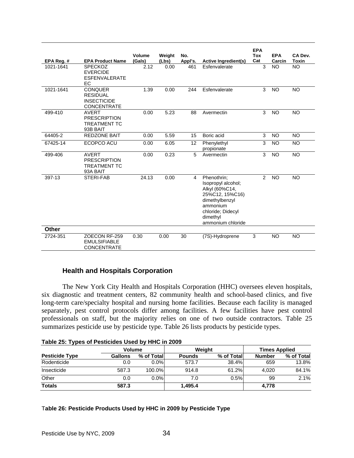|                         | <b>EPA Product Name</b>                                                       | <b>Volume</b><br>(Gals) | Weight<br>(Lbs) | No.<br>Appl's. | Active Ingredient(s)                                                                                                                                       | <b>EPA</b><br><b>Tox</b><br>Cat | <b>EPA</b><br>Carcin | CA Dev.<br><b>Toxin</b> |
|-------------------------|-------------------------------------------------------------------------------|-------------------------|-----------------|----------------|------------------------------------------------------------------------------------------------------------------------------------------------------------|---------------------------------|----------------------|-------------------------|
| EPA Reg. #<br>1021-1641 | <b>SPECKOZ</b><br><b>EVERCIDE</b><br><b>ESFENVALERATE</b><br>EC               | 2.12                    | 0.00            | 461            | Esfenvalerate                                                                                                                                              | $\overline{3}$                  | <b>NO</b>            | <b>NO</b>               |
| 1021-1641               | <b>CONQUER</b><br><b>RESIDUAL</b><br><b>INSECTICIDE</b><br><b>CONCENTRATE</b> | 1.39                    | 0.00            | 244            | Esfenvalerate                                                                                                                                              | 3                               | <b>NO</b>            | <b>NO</b>               |
| 499-410                 | <b>AVERT</b><br><b>PRESCRIPTION</b><br><b>TREATMENT TC</b><br>93B BAIT        | 0.00                    | 5.23            | 88             | Avermectin                                                                                                                                                 | 3                               | <b>NO</b>            | <b>NO</b>               |
| 64405-2                 | <b>REDZONE BAIT</b>                                                           | 0.00                    | 5.59            | 15             | Boric acid                                                                                                                                                 | 3                               | <b>NO</b>            | <b>NO</b>               |
| 67425-14                | ECOPCO ACU                                                                    | 0.00                    | 6.05            | 12             | Phenylethyl<br>propionate                                                                                                                                  | 3                               | <b>NO</b>            | <b>NO</b>               |
| 499-406                 | <b>AVERT</b><br><b>PRESCRIPTION</b><br><b>TREATMENT TC</b><br>93A BAIT        | 0.00                    | 0.23            | 5              | Avermectin                                                                                                                                                 | 3                               | $\overline{NO}$      | <b>NO</b>               |
| 397-13                  | <b>STERI-FAB</b>                                                              | 24.13                   | 0.00            | 4              | Phenothrin;<br>Isopropyl alcohol;<br>Alkyl (60%C14,<br>25%C12, 15%C16)<br>dimethylbenzyl<br>ammonium<br>chloride: Didecyl<br>dimethyl<br>ammonium chloride | $\overline{2}$                  | <b>NO</b>            | <b>NO</b>               |
| <b>Other</b>            |                                                                               |                         |                 |                |                                                                                                                                                            |                                 |                      |                         |
| 2724-351                | ZOECON RF-259<br><b>EMULSIFIABLE</b><br><b>CONCENTRATE</b>                    | 0.30                    | 0.00            | 30             | (7S)-Hydroprene                                                                                                                                            | 3                               | <b>NO</b>            | <b>NO</b>               |

## **Health and Hospitals Corporation**

 The New York City Health and Hospitals Corporation (HHC) oversees eleven hospitals, six diagnostic and treatment centers, 82 community health and school-based clinics, and five long-term care/specialty hospital and nursing home facilities. Because each facility is managed separately, pest control protocols differ among facilities. A few facilities have pest control professionals on staff, but the majority relies on one of two outside contractors. Table 25 summarizes pesticide use by pesticide type. Table 26 lists products by pesticide types.

|                       | <b>Volume</b> |            |               | Weight     | <b>Times Applied</b> |            |  |
|-----------------------|---------------|------------|---------------|------------|----------------------|------------|--|
| <b>Pesticide Type</b> | Gallons       | % of Total | <b>Pounds</b> | % of Total | <b>Number</b>        | % of Total |  |
| Rodenticide           | 0.0           | $0.0\%$    | 573.7         | 38.4%      | 659                  | 13.8%      |  |
| Insecticide           | 587.3         | 100.0%     | 914.8         | 61.2%      | 4.020                | 84.1%      |  |
| Other                 | 0.0           | $0.0\%$    | 7.0           | 0.5%       | 99                   | 2.1%       |  |
| <b>Totals</b>         | 587.3         |            | 1.495.4       |            | 4,778                |            |  |

T**able 26: Pesticide Products Used by HHC in 2009 by Pesticide Type**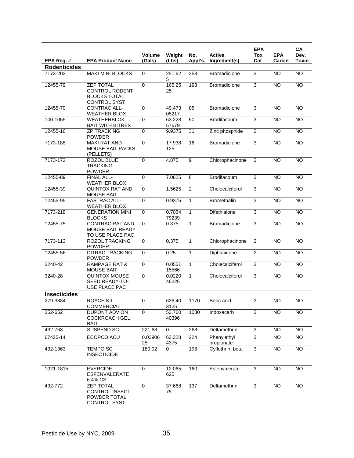|                     |                                                                                  |                  |                 |                 |                                | <b>EPA</b>                |                      | CA                   |
|---------------------|----------------------------------------------------------------------------------|------------------|-----------------|-----------------|--------------------------------|---------------------------|----------------------|----------------------|
| EPA Reg. #          | <b>EPA Product Name</b>                                                          | Volume<br>(Gals) | Weight<br>(Lbs) | No.<br>Appl's.  | <b>Active</b><br>Ingredient(s) | <b>Tox</b><br>Cat         | <b>EPA</b><br>Carcin | Dev.<br><b>Toxin</b> |
| <b>Rodenticides</b> |                                                                                  |                  |                 |                 |                                |                           |                      |                      |
| 7173-202            | <b>MAKI MINI BLOCKS</b>                                                          | $\mathbf 0$      | 251.62<br>5     | 258             | <b>Bromadiolone</b>            | 3                         | <b>NO</b>            | $\overline{NO}$      |
| 12455-79            | <b>ZEP TOTAL</b><br><b>CONTROL RODENT</b><br><b>BLOCKS TOTAL</b><br>CONTROL SYST | $\pmb{0}$        | 165.25<br>25    | 193             | <b>Bromadiolone</b>            | $\overline{3}$            | <b>NO</b>            | <b>NO</b>            |
| 12455-79            | CONTRAC ALL-<br><b>WEATHER BLOX</b>                                              | $\mathbf 0$      | 49.473<br>05217 | 85              | <b>Bromadiolone</b>            | 3                         | <b>NO</b>            | <b>NO</b>            |
| 100-1055            | <b>WEATHERBLOK</b><br><b>BAIT WITH BITREX</b>                                    | $\mathbf 0$      | 63.228<br>57679 | 50              | Brodifacoum                    | $\mathsf 3$               | <b>NO</b>            | <b>NO</b>            |
| 12455-16            | <b>ZP TRACKING</b><br><b>POWDER</b>                                              | $\mathbf 0$      | 9.9375          | 31              | Zinc phosphide                 | $\overline{2}$            | <b>NO</b>            | $\overline{NO}$      |
| 7173-188            | <b>MAKI RAT AND</b><br><b>MOUSE BAIT PACKS</b><br>(PELLETS)                      | $\overline{0}$   | 17.938<br>125   | $\overline{16}$ | <b>Bromadiolone</b>            | 3                         | $\overline{NO}$      | <b>NO</b>            |
| 7173-172            | ROZOL BLUE<br><b>TRACKING</b><br><b>POWDER</b>                                   | $\mathbf 0$      | 4.875           | 9               | Chlorophacinone                | 2                         | <b>NO</b>            | <b>NO</b>            |
| 12455-89            | FINAL ALL-<br><b>WEATHER BLOX</b>                                                | $\mathbf 0$      | 7.0625          | 8               | Brodifacoum                    | 3                         | <b>NO</b>            | <b>NO</b>            |
| 12455-39            | <b>QUINTOX RAT AND</b><br><b>MOUSE BAIT</b>                                      | $\pmb{0}$        | 1.5625          | 2               | Cholecalciferol                | $\mathsf 3$               | <b>NO</b>            | <b>NO</b>            |
| 12455-95            | <b>FASTRAC ALL-</b><br><b>WEATHER BLOX</b>                                       | $\mathbf 0$      | 0.9375          | $\mathbf{1}$    | Bromethalin                    | $\overline{3}$            | <b>NO</b>            | <b>NO</b>            |
| 7173-218            | <b>GENERATION MINI</b><br><b>BLOCKS</b>                                          | $\mathbf 0$      | 0.7054<br>79239 | $\mathbf{1}$    | Difethialone                   | 3                         | $\overline{NO}$      | $\overline{NO}$      |
| 12455-75            | <b>CONTRAC RAT AND</b><br><b>MOUSE BAIT READY</b><br>TO USE PLACE PAC            | $\pmb{0}$        | 0.375           | $\mathbf{1}$    | <b>Bromadiolone</b>            | $\mathsf 3$               | <b>NO</b>            | <b>NO</b>            |
| 7173-113            | ROZOL TRACKING<br><b>POWDER</b>                                                  | 0                | 0.375           | 1               | Chlorophacinone                | $\overline{2}$            | <b>NO</b>            | <b>NO</b>            |
| 12455-56            | <b>DITRAC TRACKING</b><br><b>POWDER</b>                                          | $\pmb{0}$        | 0.25            | $\mathbf{1}$    | Diphacinone                    | $\overline{2}$            | <b>NO</b>            | <b>NO</b>            |
| 3240-42             | <b>RAMPAGE RAT &amp;</b><br><b>MOUSE BAIT</b>                                    | $\mathbf 0$      | 0.0551<br>15566 | $\mathbf{1}$    | Cholecalciferol                | 3                         | $\overline{NO}$      | $\overline{NO}$      |
| 3240-28             | <b>QUINTOX MOUSE</b><br>SEED READY-TO-<br>USE PLACE PAC                          | $\mathbf 0$      | 0.0220<br>46226 | 1               | Cholecalciferol                | 3                         | <b>NO</b>            | <b>NO</b>            |
| <b>Insecticides</b> |                                                                                  |                  |                 |                 |                                |                           |                      |                      |
| 279-3384            | ROACH KIL<br><b>COMMERCIAL</b>                                                   | 0                | 636.40<br>3125  | 1170            | Boric acid                     | 3                         | <b>NO</b>            | <b>NO</b>            |
| 352-652             | DUPONT ADVION<br><b>COCKROACH GEL</b><br><b>BAIT</b>                             | $\overline{0}$   | 53.760<br>40396 | 1030            | Indoxacarb                     | 3                         | <b>NO</b>            | <b>NO</b>            |
| 432-763             | <b>SUSPEND SC</b>                                                                | 221.68           | $\mathbf 0$     | 268             | Deltamethrin                   | $\overline{3}$            | <b>NO</b>            | $\overline{NO}$      |
| 67425-14            | ECOPCO ACU                                                                       | 0.03906<br>25    | 63.328<br>4375  | 224             | Phenylethyl<br>propionate      | 3                         | <b>NO</b>            | <b>NO</b>            |
| 432-1363            | <b>TEMPO SC</b><br><b>INSECTICIDE</b>                                            | 180.02           | 0               | 198             | Cyfluthrin, beta               | $\ensuremath{\mathsf{3}}$ | <b>NO</b>            | <b>NO</b>            |
| 1021-1815           | <b>EVERCIDE</b><br><b>ESFENVALERATE</b><br>6.4% CS                               | $\Omega$         | 12.065<br>625   | 160             | Esfenvalerate                  | 3                         | <b>NO</b>            | <b>NO</b>            |
| 432-772             | <b>ZEP TOTAL</b><br><b>CONTROL INSECT</b><br>POWDER TOTAL<br><b>CONTROL SYST</b> | $\mathbf 0$      | 37.668<br>75    | 137             | Deltamethrin                   | $\overline{3}$            | <b>NO</b>            | <b>NO</b>            |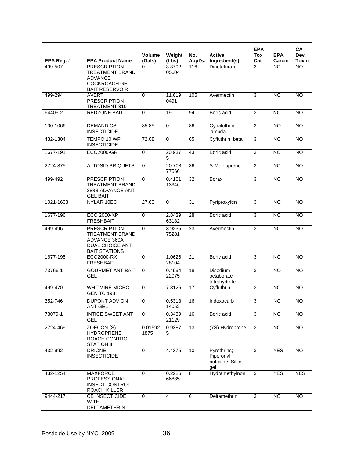|            |                                                                                                                  |                  |                 |                |                                                     | <b>EPA</b>        |                      | CA                   |
|------------|------------------------------------------------------------------------------------------------------------------|------------------|-----------------|----------------|-----------------------------------------------------|-------------------|----------------------|----------------------|
| EPA Reg. # | <b>EPA Product Name</b>                                                                                          | Volume<br>(Gals) | Weight<br>(Lbs) | No.<br>Appl's. | <b>Active</b><br>Ingredient(s)                      | <b>Tox</b><br>Cat | <b>EPA</b><br>Carcin | Dev.<br><b>Toxin</b> |
| 499-507    | <b>PRESCRIPTION</b><br><b>TREATMENT BRAND</b><br><b>ADVANCE</b><br><b>COCKROACH GEL</b><br><b>BAIT RESERVOIR</b> | 0                | 3.3792<br>05604 | 116            | Dinotefuran                                         | 3                 | <b>NO</b>            | <b>NO</b>            |
| 499-294    | <b>AVERT</b><br><b>PRESCRIPTION</b><br>TREATMENT 310                                                             | 0                | 11.619<br>0491  | 105            | Avermectin                                          | 3                 | <b>NO</b>            | <b>NO</b>            |
| 64405-2    | REDZONE BAIT                                                                                                     | 0                | 19              | 94             | Boric acid                                          | 3                 | $\overline{NO}$      | $\overline{NO}$      |
| 100-1066   | <b>DEMAND CS</b><br><b>INSECTICIDE</b>                                                                           | 85.85            | $\overline{0}$  | 86             | Cyhalothrin,<br>lambda                              | $\overline{3}$    | <b>NO</b>            | <b>NO</b>            |
| 432-1304   | TEMPO 10 WP<br><b>INSECTICIDE</b>                                                                                | 72.08            | $\pmb{0}$       | 65             | Cyfluthrin, beta                                    | 3                 | <b>NO</b>            | <b>NO</b>            |
| 1677-191   | ECO2000-GR                                                                                                       | 0                | 20.937<br>5     | 43             | Boric acid                                          | 3                 | <b>NO</b>            | <b>NO</b>            |
| 2724-375   | <b>ALTOSID BRIQUETS</b>                                                                                          | 0                | 20.708<br>77566 | 36             | S-Methoprene                                        | 3                 | <b>NO</b>            | <b>NO</b>            |
| 499-492    | <b>PRESCRIPTION</b><br><b>TREATMENT BRAND</b><br>388B ADVANCE ANT<br><b>GEL BAIT</b>                             | 0                | 0.4101<br>13346 | 32             | <b>Borax</b>                                        | 3                 | <b>NO</b>            | <b>NO</b>            |
| 1021-1603  | NYLAR 10EC                                                                                                       | 27.63            | $\mathbf 0$     | 31             | Pyriproxyfen                                        | $\overline{3}$    | <b>NO</b>            | <b>NO</b>            |
| 1677-196   | <b>ECO 2000-XP</b><br><b>FRESHBAIT</b>                                                                           | 0                | 2.8439<br>63182 | 28             | Boric acid                                          | 3                 | <b>NO</b>            | <b>NO</b>            |
| 499-496    | <b>PRESCRIPTION</b><br><b>TREATMENT BRAND</b><br>ADVANCE 360A<br><b>DUAL CHOICE ANT</b><br><b>BAIT STATIONS</b>  | 0                | 3.9235<br>75281 | 23             | Avermectin                                          | 3                 | <b>NO</b>            | <b>NO</b>            |
| 1677-195   | ECO2000-RX<br><b>FRESHBAIT</b>                                                                                   | 0                | 1.0626<br>28104 | 21             | Boric acid                                          | 3                 | <b>NO</b>            | <b>NO</b>            |
| 73766-1    | <b>GOURMET ANT BAIT</b><br><b>GEL</b>                                                                            | $\mathbf 0$      | 0.4994<br>22075 | 18             | Disodium<br>octaborate<br>tetrahydrate              | 3                 | <b>NO</b>            | $\overline{NO}$      |
| 499-470    | <b>WHITMIRE MICRO-</b><br><b>GEN TC 198</b>                                                                      | $\pmb{0}$        | 7.8125          | 17             | Cyfluthrin                                          | 3                 | <b>NO</b>            | <b>NO</b>            |
| 352-746    | <b>DUPONT ADVION</b><br><b>ANT GEL</b>                                                                           | 0                | 0.5313<br>14052 | 16             | Indoxacarb                                          | 3                 | <b>NO</b>            | <b>NO</b>            |
| 73079-1    | <b>INTICE SWEET ANT</b><br><b>GEL</b>                                                                            | 0                | 0.3439<br>21129 | 16             | Boric acid                                          | 3                 | <b>NO</b>            | <b>NO</b>            |
| 2724-469   | ZOECON (S)-<br><b>HYDROPRENE</b><br>ROACH CONTROL<br><b>STATION II</b>                                           | 0.01592<br>1875  | 0.9387<br>5     | 13             | (7S)-Hydroprene                                     | 3                 | <b>NO</b>            | <b>NO</b>            |
| 432-992    | <b>DRIONE</b><br><b>INSECTICIDE</b>                                                                              | 0                | 4.4375          | 10             | Pyrethrins;<br>Piperonyl<br>butoxide; Silica<br>gel | 3                 | <b>YES</b>           | <b>NO</b>            |
| 432-1254   | <b>MAXFORCE</b><br>PROFESSIONAL<br><b>INSECT CONTROL</b><br>ROACH KILLER                                         | 0                | 0.2226<br>66885 | 8              | Hydramethylnon                                      | 3                 | <b>YES</b>           | <b>YES</b>           |
| 9444-217   | CB INSECTICIDE<br><b>WITH</b><br>DELTAMETHRIN                                                                    | 0                | $\overline{4}$  | 6              | Deltamethrin                                        | 3                 | <b>NO</b>            | <b>NO</b>            |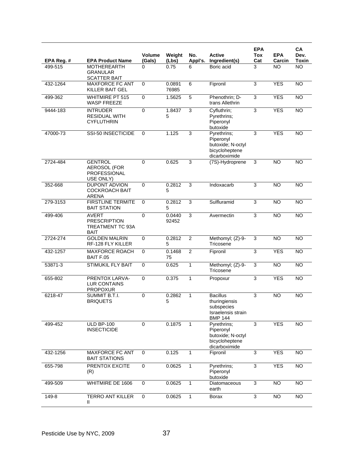| EPA Reg. # | <b>EPA Product Name</b>                                                | Volume<br>(Gals) | Weight<br>(Lbs) | No.<br>Appl's. | <b>Active</b><br>Ingredient(s)                                                         | <b>EPA</b><br>Tox<br>Cat | <b>EPA</b><br>Carcin | CA<br>Dev.<br><b>Toxin</b> |
|------------|------------------------------------------------------------------------|------------------|-----------------|----------------|----------------------------------------------------------------------------------------|--------------------------|----------------------|----------------------------|
| 499-515    | <b>MOTHEREARTH</b><br><b>GRANULAR</b><br><b>SCATTER BAIT</b>           | $\Omega$         | 0.75            | 6              | Boric acid                                                                             | 3                        | <b>NO</b>            | <b>NO</b>                  |
| 432-1264   | <b>MAXFORCE FC ANT</b><br>KILLER BAIT GEL                              | $\Omega$         | 0.0891<br>76985 | 6              | Fipronil                                                                               | 3                        | <b>YES</b>           | <b>NO</b>                  |
| 499-362    | <b>WHITMIRE PT 515</b><br><b>WASP FREEZE</b>                           | $\mathbf 0$      | 1.5625          | 5              | Phenothrin; D-<br>trans Allethrin                                                      | 3                        | <b>YES</b>           | <b>NO</b>                  |
| 9444-183   | <b>INTRUDER</b><br><b>RESIDUAL WITH</b><br><b>CYFLUTHRIN</b>           | 0                | 1.8437<br>5     | 3              | Cyfluthrin;<br>Pyrethrins;<br>Piperonyl<br>butoxide                                    | 3                        | <b>YES</b>           | <b>NO</b>                  |
| 47000-73   | SSI-50 INSECTICIDE                                                     | 0                | 1.125           | 3              | Pyrethrins;<br>Piperonyl<br>butoxide; N-octyl<br>bicycloheptene<br>dicarboximide       | 3                        | <b>YES</b>           | <b>NO</b>                  |
| 2724-484   | <b>GENTROL</b><br>AEROSOL (FOR<br>PROFESSIONAL<br>USE ONLY)            | $\mathbf 0$      | 0.625           | $\overline{3}$ | (7S)-Hydroprene                                                                        | 3                        | <b>NO</b>            | <b>NO</b>                  |
| 352-668    | <b>DUPONT ADVION</b><br><b>COCKROACH BAIT</b><br><b>ARENA</b>          | $\mathbf 0$      | 0.2812<br>5     | 3              | Indoxacarb                                                                             | 3                        | <b>NO</b>            | <b>NO</b>                  |
| 279-3153   | <b>FIRSTLINE TERMITE</b><br><b>BAIT STATION</b>                        | 0                | 0.2812<br>5     | 3              | Sulfluramid                                                                            | 3                        | <b>NO</b>            | <b>NO</b>                  |
| 499-406    | <b>AVERT</b><br><b>PRESCRIPTION</b><br>TREATMENT TC 93A<br><b>BAIT</b> | $\Omega$         | 0.0440<br>92452 | 3              | Avermectin                                                                             | 3                        | <b>NO</b>            | $\overline{NO}$            |
| 2724-274   | <b>GOLDEN MALRIN</b><br>RF-128 FLY KILLER                              | $\mathbf 0$      | 0.2812<br>5     | $\overline{2}$ | Methomyl; (Z)-9-<br>Tricosene                                                          | 3                        | <b>NO</b>            | <b>NO</b>                  |
| 432-1257   | <b>MAXFORCE ROACH</b><br>BAIT F.05                                     | $\mathbf 0$      | 0.1468<br>75    | $\overline{2}$ | Fipronil                                                                               | $\overline{3}$           | <b>YES</b>           | <b>NO</b>                  |
| 53871-3    | STIMUKIL FLY BAIT                                                      | $\Omega$         | 0.625           | $\mathbf{1}$   | Methomyl; (Z)-9-<br>Tricosene                                                          | $\overline{3}$           | $\overline{NO}$      | <b>NO</b>                  |
| 655-802    | <b>PRENTOX LARVA-</b><br><b>LUR CONTAINS</b><br><b>PROPOXUR</b>        | $\overline{0}$   | 0.375           | $\mathbf{1}$   | Propoxur                                                                               | 3                        | <b>YES</b>           | <b>NO</b>                  |
| 6218-47    | SUMMIT B.T.I.<br><b>BRIQUETS</b>                                       | $\mathbf 0$      | 0.2862<br>5     | $\mathbf{1}$   | <b>Bacillus</b><br>thuringiensis<br>subspecies<br>Israelensis strain<br><b>BMP 144</b> | 3                        | <b>NO</b>            | <b>NO</b>                  |
| 499-452    | <b>ULD BP-100</b><br><b>INSECTICIDE</b>                                | 0                | 0.1875          | 1              | Pyrethrins;<br>Piperonyl<br>butoxide; N-octyl<br>bicycloheptene<br>dicarboximide       | 3                        | <b>YES</b>           | <b>NO</b>                  |
| 432-1256   | <b>MAXFORCE FC ANT</b><br><b>BAIT STATIONS</b>                         | 0                | 0.125           | 1              | Fipronil                                                                               | $\overline{\omega}$      | <b>YES</b>           | <b>NO</b>                  |
| 655-798    | PRENTOX EXCITE<br>(R)                                                  | $\pmb{0}$        | 0.0625          | 1              | Pyrethrins;<br>Piperonyl<br>butoxide                                                   | $\overline{3}$           | <b>YES</b>           | <b>NO</b>                  |
| 499-509    | WHITMIRE DE 1606                                                       | $\pmb{0}$        | 0.0625          | $\mathbf{1}$   | Diatomaceous<br>earth                                                                  | 3                        | <b>NO</b>            | <b>NO</b>                  |
| 149-8      | <b>TERRO ANT KILLER</b><br>Ш                                           | $\pmb{0}$        | 0.0625          | 1              | <b>Borax</b>                                                                           | $\overline{3}$           | <b>NO</b>            | <b>NO</b>                  |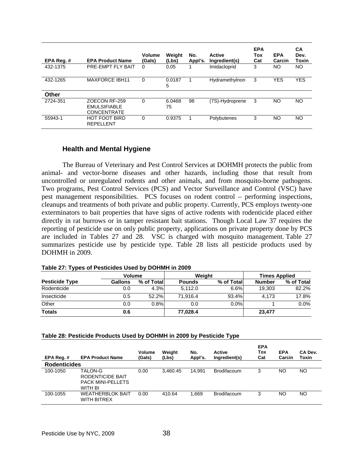| EPA Reg.#    | <b>EPA Product Name</b>                                    | Volume<br>(Gals) | Weiaht<br>(Lbs) | No.<br>Appl's. | <b>Active</b><br>Ingredient(s) | <b>EPA</b><br>Tox<br>Cat | <b>EPA</b><br>Carcin | CA<br>Dev.<br>Toxin |
|--------------|------------------------------------------------------------|------------------|-----------------|----------------|--------------------------------|--------------------------|----------------------|---------------------|
| 432-1375     | <b>PRE-EMPT FLY BAIT</b>                                   | 0                | 0.05            |                | Imidacloprid                   | 3                        | NO                   | NO.                 |
| 432-1265     | <b>MAXFORCE IBH11</b>                                      | 0                | 0.0187<br>5     |                | Hydramethylnon                 | 3                        | <b>YES</b>           | <b>YES</b>          |
| <b>Other</b> |                                                            |                  |                 |                |                                |                          |                      |                     |
| 2724-351     | ZOECON RF-259<br><b>FMULSIFIABLE</b><br><b>CONCENTRATE</b> | 0                | 6.0468<br>75    | 98             | (7S)-Hydroprene                | 3                        | NO                   | NO                  |
| 55943-1      | <b>HOT FOOT BIRD</b><br><b>REPELLENT</b>                   | 0                | 0.9375          |                | Polybutenes                    | 3                        | NΟ                   | NO.                 |

### **Health and Mental Hygiene**

 The Bureau of Veterinary and Pest Control Services at DOHMH protects the public from animal- and vector-borne diseases and other hazards, including those that result from uncontrolled or unregulated rodents and other animals, and from mosquito-borne pathogens. Two programs, Pest Control Services (PCS) and Vector Surveillance and Control (VSC) have pest management responsibilities. PCS focuses on rodent control – performing inspections, cleanups and treatments of both private and public property. Currently, PCS employs twenty-one exterminators to bait properties that have signs of active rodents with rodenticide placed either directly in rat burrows or in tamper resistant bait stations. Though Local Law 37 requires the reporting of pesticide use on only public property, applications on private property done by PCS are included in Tables 27 and 28. VSC is charged with mosquito management. Table 27 summarizes pesticide use by pesticide type. Table 28 lists all pesticide products used by DOHMH in 2009.

|                       | <b>Volume</b>  |            | Weiaht        |            | <b>Times Applied</b> |            |  |
|-----------------------|----------------|------------|---------------|------------|----------------------|------------|--|
| <b>Pesticide Type</b> | <b>Gallons</b> | % of Total | <b>Pounds</b> | % of Total | <b>Number</b>        | % of Total |  |
| Rodenticide           | 0.0            | 4.3%       | 5.112.0       | 6.6%       | 19.303               | 82.2%      |  |
| Insecticide           | 0.5            | 52.2%      | 71.916.4      | 93.4%      | 4.173                | 17.8%      |  |
| Other                 | 0.0            | 0.8%       | 0.0           | 0.0%       |                      | 0.0%       |  |
| <b>Totals</b>         | 0.6            |            | 77,028.4      |            | 23,477               |            |  |

**Table 27: Types of Pesticides Used by DOHMH in 2009** 

#### **Table 28: Pesticide Products Used by DOHMH in 2009 by Pesticide Type**

| EPA Reg.#           | <b>EPA Product Name</b>                                            | Volume<br>(Gals) | Weight<br>(Lbs) | No.<br>Appl's. | Active<br>Ingredient(s) | <b>EPA</b><br>Tox<br>Cat | <b>EPA</b><br>Carcin | CA Dev.<br>Toxin |
|---------------------|--------------------------------------------------------------------|------------------|-----------------|----------------|-------------------------|--------------------------|----------------------|------------------|
| <b>Rodenticides</b> |                                                                    |                  |                 |                |                         |                          |                      |                  |
| 100-1050            | TALON-G<br>RODENTICIDE BAIT<br><b>PACK MINI-PELLETS</b><br>WITH BI | 0.00             | 3.460.45        | 14.991         | <b>Brodifacoum</b>      | 3                        | NΟ                   | NO.              |
| 100-1055            | <b>WEATHERBLOK BAIT</b><br>WITH BITREX                             | 0.00             | 410.64          | .669           | <b>Brodifacoum</b>      | 3                        | NΟ                   | NO.              |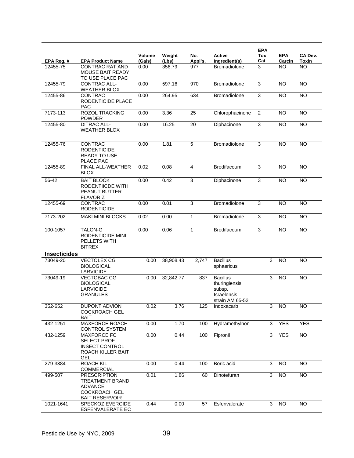| EPA Reg. #          | <b>EPA Product Name</b>                                                                                   | Volume<br>(Gals) | Weight<br>(Lbs) | No.<br>Appl's. | Active<br>Ingredient(s)                                                        | <b>EPA</b><br>Tox<br>Cat | <b>EPA</b><br>Carcin | CA Dev.<br>Toxin |
|---------------------|-----------------------------------------------------------------------------------------------------------|------------------|-----------------|----------------|--------------------------------------------------------------------------------|--------------------------|----------------------|------------------|
| 12455-75            | <b>CONTRAC RAT AND</b><br><b>MOUSE BAIT READY</b><br>TO USE PLACE PAC                                     | 0.00             | 356.79          | 977            | <b>Bromadiolone</b>                                                            | 3                        | NO.                  | <b>NO</b>        |
| 12455-79            | CONTRAC ALL-<br><b>WEATHER BLOX</b>                                                                       | 0.00             | 597.16          | 970            | Bromadiolone                                                                   | 3                        | <b>NO</b>            | <b>NO</b>        |
| 12455-86            | <b>CONTRAC</b><br>RODENTICIDE PLACE<br><b>PAC</b>                                                         | 0.00             | 264.95          | 634            | Bromadiolone                                                                   | $\overline{3}$           | $\overline{NO}$      | $\overline{NO}$  |
| 7173-113            | ROZOL TRACKING<br><b>POWDER</b>                                                                           | 0.00             | 3.36            | 25             | Chlorophacinone                                                                | $\overline{2}$           | <b>NO</b>            | <b>NO</b>        |
| 12455-80            | <b>DITRAC ALL-</b><br><b>WEATHER BLOX</b>                                                                 | 0.00             | 16.25           | 20             | Diphacinone                                                                    | 3                        | <b>NO</b>            | <b>NO</b>        |
| 12455-76            | <b>CONTRAC</b><br><b>RODENTICIDE</b><br><b>READY TO USE</b><br>PLACE PAC                                  | 0.00             | 1.81            | 5              | Bromadiolone                                                                   | 3                        | <b>NO</b>            | <b>NO</b>        |
| 12455-89            | FINAL ALL-WEATHER<br><b>BLOX</b>                                                                          | 0.02             | 0.08            | 4              | Brodifacoum                                                                    | 3                        | <b>NO</b>            | <b>NO</b>        |
| 56-42               | <b>BAIT BLOCK</b><br><b>RODENTIICDE WITH</b><br>PEANUT BUTTER<br><b>FLAVORIZ</b>                          | 0.00             | 0.42            | 3              | Diphacinone                                                                    | 3                        | <b>NO</b>            | <b>NO</b>        |
| 12455-69            | <b>CONTRAC</b><br><b>RODENTICIDE</b>                                                                      | 0.00             | 0.01            | 3              | <b>Bromadiolone</b>                                                            | 3                        | <b>NO</b>            | <b>NO</b>        |
| 7173-202            | <b>MAKI MINI BLOCKS</b>                                                                                   | 0.02             | 0.00            | $\mathbf{1}$   | <b>Bromadiolone</b>                                                            | 3                        | <b>NO</b>            | <b>NO</b>        |
| 100-1057            | TALON-G<br>RODENTICIDE MINI-<br>PELLETS WITH<br><b>BITREX</b>                                             | 0.00             | 0.06            | $\mathbf{1}$   | Brodifacoum                                                                    | $\overline{3}$           | <b>NO</b>            | <b>NO</b>        |
| <b>Insecticides</b> |                                                                                                           |                  |                 |                |                                                                                |                          |                      |                  |
| 73049-20            | <b>VECTOLEX CG</b><br><b>BIOLOGICAL</b><br><b>LARVICIDE</b>                                               | 0.00             | 38,908.43       | 2,747          | <b>Bacillus</b><br>sphaericus                                                  | 3                        | <b>NO</b>            | <b>NO</b>        |
| 73049-19            | <b>VECTOBAC CG</b><br><b>BIOLOGICAL</b><br><b>LARVICIDE</b><br><b>GRANULES</b>                            | 0.00             | 32,842.77       | 837            | <b>Bacillus</b><br>thuringiensis,<br>subsp.<br>Israelensis,<br>strain AM 65-52 | 3                        | <b>NO</b>            | <b>NO</b>        |
| 352-652             | DUPONT ADVION<br><b>COCKROACH GEL</b><br><b>BAIT</b>                                                      | 0.02             | 3.76            | 125            | Indoxacarb                                                                     | 3                        | <b>NO</b>            | NO               |
| 432-1251            | <b>MAXFORCE ROACH</b><br><b>CONTROL SYSTEM</b>                                                            | 0.00             | 1.70            | 100            | Hydramethylnon                                                                 | 3                        | <b>YES</b>           | <b>YES</b>       |
| 432-1259            | <b>MAXFORCE FC</b><br>SELECT PROF.<br><b>INSECT CONTROL</b><br>ROACH KILLER BAIT<br>GEL                   | 0.00             | 0.44            | 100            | Fipronil                                                                       | 3                        | <b>YES</b>           | <b>NO</b>        |
| 279-3384            | <b>ROACH KIL</b><br><b>COMMERCIAL</b>                                                                     | 0.00             | 0.44            | 100            | Boric acid                                                                     | 3                        | <b>NO</b>            | <b>NO</b>        |
| 499-507             | <b>PRESCRIPTION</b><br>TREATMENT BRAND<br><b>ADVANCE</b><br><b>COCKROACH GEL</b><br><b>BAIT RESERVOIR</b> | 0.01             | 1.86            | 60             | Dinotefuran                                                                    | 3                        | <b>NO</b>            | <b>NO</b>        |
| 1021-1641           | <b>SPECKOZ EVERCIDE</b><br>ESFENVALERATE EC                                                               | 0.44             | 0.00            | 57             | Esfenvalerate                                                                  | 3                        | <b>NO</b>            | NO.              |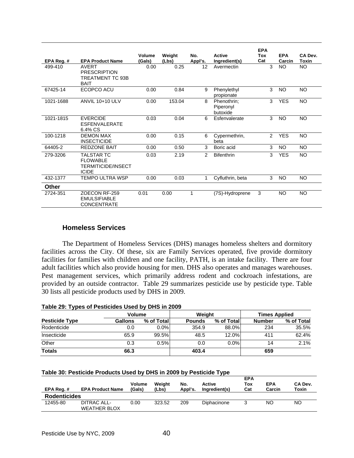| EPA Reg. #   | <b>EPA Product Name</b>                                                           | <b>Volume</b><br>(Gals) | Weight<br>(Lbs) | No.<br>Appl's. | <b>Active</b><br>Ingredient(s)       | <b>EPA</b><br>Tox<br>Cat | <b>EPA</b><br>Carcin | CA Dev.<br>Toxin |
|--------------|-----------------------------------------------------------------------------------|-------------------------|-----------------|----------------|--------------------------------------|--------------------------|----------------------|------------------|
| 499-410      | <b>AVERT</b><br><b>PRESCRIPTION</b><br>TREATMENT TC 93B<br><b>BAIT</b>            | 0.00                    | 0.25            | 12             | Avermectin                           | 3                        | <b>NO</b>            | NO.              |
| 67425-14     | ECOPCO ACU                                                                        | 0.00                    | 0.84            | 9              | Phenylethyl<br>propionate            | 3                        | <b>NO</b>            | <b>NO</b>        |
| 1021-1688    | <b>ANVIL 10+10 ULV</b>                                                            | 0.00                    | 153.04          | 8              | Phenothrin;<br>Piperonyl<br>butoxide | 3                        | <b>YES</b>           | <b>NO</b>        |
| 1021-1815    | <b>EVERCIDE</b><br><b>ESFENVALERATE</b><br>6.4% CS                                | 0.03                    | 0.04            | 6              | Esfenvalerate                        | 3                        | <b>NO</b>            | <b>NO</b>        |
| 100-1218     | <b>DEMON MAX</b><br><b>INSECTICIDE</b>                                            | 0.00                    | 0.15            | 6              | Cypermethrin,<br>beta                | 2                        | <b>YES</b>           | <b>NO</b>        |
| 64405-2      | <b>REDZONE BAIT</b>                                                               | 0.00                    | 0.50            | 3              | Boric acid                           | 3                        | <b>NO</b>            | <b>NO</b>        |
| 279-3206     | <b>TALSTAR TC</b><br><b>FLOWABLE</b><br><b>TERMITICIDE/INSECT</b><br><b>ICIDE</b> | 0.03                    | 2.19            | 2              | <b>Bifenthrin</b>                    | 3                        | <b>YES</b>           | <b>NO</b>        |
| 432-1377     | <b>TEMPO ULTRA WSP</b>                                                            | 0.00                    | 0.03            | 1              | Cyfluthrin, beta                     | 3                        | <b>NO</b>            | NO.              |
| <b>Other</b> |                                                                                   |                         |                 |                |                                      |                          |                      |                  |
| 2724-351     | ZOECON RF-259<br><b>EMULSIFIABLE</b><br><b>CONCENTRATE</b>                        | 0.01                    | 0.00            | 1              | (7S)-Hydroprene                      | 3                        | <b>NO</b>            | NO.              |

# **Homeless Services**

 The Department of Homeless Services (DHS) manages homeless shelters and dormitory facilities across the City. Of these, six are Family Services operated, five provide dormitory facilities for families with children and one facility, PATH, is an intake facility. There are four adult facilities which also provide housing for men. DHS also operates and manages warehouses. Pest management services, which primarily address rodent and cockroach infestations, are provided by an outside contractor. Table 29 summarizes pesticide use by pesticide type. Table 30 lists all pesticide products used by DHS in 2009.

|                       | <b>Volume</b>  |             | Weight        |            | <b>Times Applied</b> |            |  |
|-----------------------|----------------|-------------|---------------|------------|----------------------|------------|--|
| <b>Pesticide Type</b> | <b>Gallons</b> | % of Totall | <b>Pounds</b> | % of Total | <b>Number</b>        | % of Total |  |
| Rodenticide           | 0.0            | $0.0\%$     | 354.9         | 88.0%      | 234                  | 35.5%      |  |
| Insecticide           | 65.9           | 99.5%       | 48.5          | 12.0%      | 411                  | 62.4%      |  |
| Other                 | 0.3            | 0.5%        | 0.0           | $0.0\%$    | 14                   | 2.1%       |  |
| <b>Totals</b>         | 66.3           |             | 403.4         |            | 659                  |            |  |

|--|

| EPA Reg.#           | <b>EPA Product Name</b>            | Volume<br>(Gals) | Weight<br>(Lbs) | No.<br>Appl's. | Active<br>Ingredient(s) | <b>EPA</b><br>Tox<br>Cat | <b>EPA</b><br>Carcin | CA Dev.<br>Toxin |
|---------------------|------------------------------------|------------------|-----------------|----------------|-------------------------|--------------------------|----------------------|------------------|
| <b>Rodenticides</b> |                                    |                  |                 |                |                         |                          |                      |                  |
| 12455-80            | DITRAC ALL-<br><b>WEATHER BLOX</b> | 0.00             | 323.52          | 209            | Diphacinone             |                          | NΟ                   | NO               |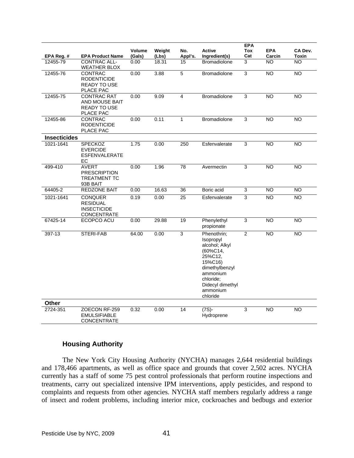|                     |                                                                          |                  |                 |                 |                                                                                                                                                                        | <b>EPA</b>        |                      |                  |
|---------------------|--------------------------------------------------------------------------|------------------|-----------------|-----------------|------------------------------------------------------------------------------------------------------------------------------------------------------------------------|-------------------|----------------------|------------------|
| EPA Reg. #          | <b>EPA Product Name</b>                                                  | Volume<br>(Gals) | Weight<br>(Lbs) | No.<br>Appl's.  | <b>Active</b><br>Ingredient(s)                                                                                                                                         | <b>Tox</b><br>Cat | <b>EPA</b><br>Carcin | CA Dev.<br>Toxin |
| 12455-79            | <b>CONTRAC ALL-</b><br><b>WEATHER BLOX</b>                               | 0.00             | 18.31           | 15              | <b>Bromadiolone</b>                                                                                                                                                    | 3                 | NO.                  | <b>NO</b>        |
| 12455-76            | <b>CONTRAC</b><br><b>RODENTICIDE</b><br><b>READY TO USE</b><br>PLACE PAC | 0.00             | 3.88            | $\overline{5}$  | Bromadiolone                                                                                                                                                           | 3                 | <b>NO</b>            | <b>NO</b>        |
| 12455-75            | <b>CONTRAC RAT</b><br>AND MOUSE BAIT<br>READY TO USE<br>PLACE PAC        | 0.00             | 9.09            | $\overline{4}$  | Bromadiolone                                                                                                                                                           | 3                 | <b>NO</b>            | <b>NO</b>        |
| 12455-86            | <b>CONTRAC</b><br><b>RODENTICIDE</b><br>PLACE PAC                        | 0.00             | 0.11            | $\mathbf{1}$    | <b>Bromadiolone</b>                                                                                                                                                    | 3                 | <b>NO</b>            | <b>NO</b>        |
| <b>Insecticides</b> |                                                                          |                  |                 |                 |                                                                                                                                                                        |                   |                      |                  |
| 1021-1641           | <b>SPECKOZ</b><br><b>EVERCIDE</b><br><b>ESFENVALERATE</b><br>EC          | 1.75             | 0.00            | 250             | Esfenvalerate                                                                                                                                                          | 3                 | <b>NO</b>            | <b>NO</b>        |
| 499-410             | <b>AVERT</b><br><b>PRESCRIPTION</b><br><b>TREATMENT TC</b><br>93B BAIT   | 0.00             | 1.96            | 78              | Avermectin                                                                                                                                                             | 3                 | NO                   | NO               |
| 64405-2             | <b>REDZONE BAIT</b>                                                      | 0.00             | 16.63           | 36              | Boric acid                                                                                                                                                             | 3                 | <b>NO</b>            | <b>NO</b>        |
| 1021-1641           | <b>CONQUER</b><br><b>RESIDUAL</b><br><b>INSECTICIDE</b><br>CONCENTRATE   | 0.19             | 0.00            | 25              | Esfenvalerate                                                                                                                                                          | 3                 | <b>NO</b>            | <b>NO</b>        |
| 67425-14            | ECOPCO ACU                                                               | 0.00             | 29.88           | $\overline{19}$ | Phenylethyl<br>propionate                                                                                                                                              | $\overline{3}$    | $\overline{NO}$      | $\overline{NO}$  |
| 397-13              | STERI-FAB                                                                | 64.00            | 0.00            | $\overline{3}$  | Phenothrin;<br>Isopropyl<br>alcohol; Alkyl<br>$(60\%C14,$<br>25%C12,<br>15%C16)<br>dimethylbenzyl<br>ammonium<br>chloride;<br>Didecyl dimethyl<br>ammonium<br>chloride | $\overline{2}$    | <b>NO</b>            | <b>NO</b>        |
| Other               |                                                                          |                  |                 |                 |                                                                                                                                                                        |                   |                      |                  |
| 2724-351            | ZOECON RF-259<br><b>EMULSIFIABLE</b><br><b>CONCENTRATE</b>               | 0.32             | 0.00            | 14              | $(7S) -$<br>Hydroprene                                                                                                                                                 | 3                 | <b>NO</b>            | <b>NO</b>        |

# **Housing Authority**

 The New York City Housing Authority (NYCHA) manages 2,644 residential buildings and 178,466 apartments, as well as office space and grounds that cover 2,502 acres. NYCHA currently has a staff of some 75 pest control professionals that perform routine inspections and treatments, carry out specialized intensive IPM interventions, apply pesticides, and respond to complaints and requests from other agencies. NYCHA staff members regularly address a range of insect and rodent problems, including interior mice, cockroaches and bedbugs and exterior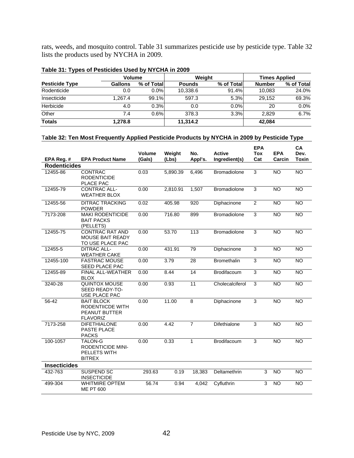rats, weeds, and mosquito control. Table 31 summarizes pesticide use by pesticide type. Table 32 lists the products used by NYCHA in 2009.

|                       | Volume         |            | Weiaht        |            | <b>Times Applied</b> |            |
|-----------------------|----------------|------------|---------------|------------|----------------------|------------|
| <b>Pesticide Type</b> | <b>Gallons</b> | % of Total | <b>Pounds</b> | % of Total | <b>Number</b>        | % of Total |
| Rodenticide           | 0.0            | 0.0%       | 10.338.6      | 91.4%      | 10.083               | 24.0%      |
| Insecticide           | 1.267.4        | 99.1%      | 597.3         | 5.3%       | 29.152               | 69.3%      |
| Herbicide             | 4.0            | 0.3%       | 0.0           | $0.0\%$    | 20                   | 0.0%       |
| Other                 | 7.4            | 0.6%       | 378.3         | 3.3%       | 2.829                | 6.7%       |
| <b>Totals</b>         | 1,278.8        |            | 11.314.2      |            | 42.084               |            |

#### **Table 31: Types of Pesticides Used by NYCHA in 2009**

# T**able 32: Ten Most Frequently Applied Pesticide Products by NYCHA in 2009 by Pesticide Type**

|                     |                                                                                  | Volume | Weight   | No.            | <b>Active</b>       | <b>EPA</b><br><b>Tox</b> | <b>EPA</b>      | CA<br>Dev.      |
|---------------------|----------------------------------------------------------------------------------|--------|----------|----------------|---------------------|--------------------------|-----------------|-----------------|
| EPA Reg. #          | <b>EPA Product Name</b>                                                          | (Gals) | (Lbs)    | Appl's.        | Ingredient(s)       | Cat                      | Carcin          | <b>Toxin</b>    |
| <b>Rodenticides</b> |                                                                                  |        |          |                |                     |                          |                 |                 |
| 12455-86            | <b>CONTRAC</b><br><b>RODENTICIDE</b><br>PLACE PAC                                | 0.03   | 5,890.39 | 6,496          | Bromadiolone        | 3                        | <b>NO</b>       | <b>NO</b>       |
| 12455-79            | <b>CONTRAC ALL-</b><br><b>WEATHER BLOX</b>                                       | 0.00   | 2,810.91 | 1,507          | Bromadiolone        | 3                        | <b>NO</b>       | <b>NO</b>       |
| 12455-56            | <b>DITRAC TRACKING</b><br><b>POWDER</b>                                          | 0.02   | 405.98   | 920            | Diphacinone         | $\overline{2}$           | <b>NO</b>       | NO              |
| 7173-208            | <b>MAKI RODENTICIDE</b><br><b>BAIT PACKS</b><br>(PELLETS)                        | 0.00   | 716.80   | 899            | <b>Bromadiolone</b> | 3                        | <b>NO</b>       | $\overline{NO}$ |
| 12455-75            | <b>CONTRAC RAT AND</b><br><b>MOUSE BAIT READY</b><br>TO USE PLACE PAC            | 0.00   | 53.70    | 113            | <b>Bromadiolone</b> | 3                        | <b>NO</b>       | <b>NO</b>       |
| 12455-5             | <b>DITRAC ALL-</b><br><b>WEATHER CAKE</b>                                        | 0.00   | 431.91   | 79             | Diphacinone         | 3                        | <b>NO</b>       | <b>NO</b>       |
| 12455-100           | <b>FASTRAC MOUSE</b><br>SEED PLACE PAC                                           | 0.00   | 3.79     | 28             | <b>Bromethalin</b>  | $\overline{3}$           | <b>NO</b>       | <b>NO</b>       |
| 12455-89            | <b>FINAL ALL-WEATHER</b><br>BLOX                                                 | 0.00   | 8.44     | 14             | Brodifacoum         | 3                        | <b>NO</b>       | $\overline{NO}$ |
| 3240-28             | <b>QUINTOX MOUSE</b><br>SEED READY-TO-<br>USE PLACE PAC                          | 0.00   | 0.93     | 11             | Cholecalciferol     | 3                        | <b>NO</b>       | <b>NO</b>       |
| 56-42               | <b>BAIT BLOCK</b><br><b>RODENTIICDE WITH</b><br>PEANUT BUTTER<br><b>FLAVORIZ</b> | 0.00   | 11.00    | 8              | Diphacinone         | 3                        | <b>NO</b>       | <b>NO</b>       |
| 7173-258            | <b>DIFETHIALONE</b><br>PASTE PLACE<br><b>PACKS</b>                               | 0.00   | 4.42     | $\overline{7}$ | Difethialone        | 3                        | $\overline{NO}$ | $\overline{NO}$ |
| 100-1057            | TALON-G<br><b>RODENTICIDE MINI-</b><br>PELLETS WITH<br><b>BITREX</b>             | 0.00   | 0.33     | $\mathbf{1}$   | Brodifacoum         | 3                        | <b>NO</b>       | <b>NO</b>       |
| <b>Insecticides</b> |                                                                                  |        |          |                |                     |                          |                 |                 |
| 432-763             | SUSPEND SC<br><b>INSECTICIDE</b>                                                 | 293.63 | 0.19     | 18,383         | Deltamethrin        | 3                        | <b>NO</b>       | <b>NO</b>       |
| 499-304             | <b>WHITMIRE OPTEM</b><br><b>ME PT 600</b>                                        | 56.74  | 0.94     | 4.042          | Cyfluthrin          | 3                        | <b>NO</b>       | NO              |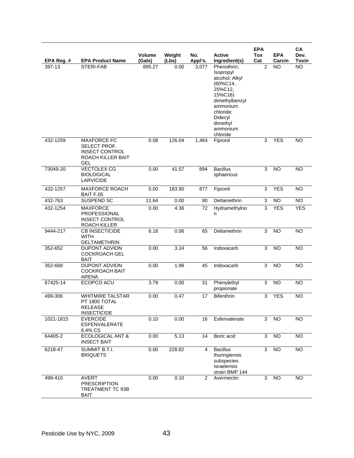| EPA Reg.# | <b>EPA Product Name</b>                                                                        | Volume<br>(Gals) | Weight<br>(Lbs) | No.<br>Appl's. | <b>Active</b><br>Ingredient(s)                                                                                                                                         | <b>EPA</b><br>Tox<br>Cat | <b>EPA</b><br>Carcin | CA<br>Dev.<br><b>Toxin</b> |
|-----------|------------------------------------------------------------------------------------------------|------------------|-----------------|----------------|------------------------------------------------------------------------------------------------------------------------------------------------------------------------|--------------------------|----------------------|----------------------------|
| 397-13    | STERI-FAB                                                                                      | 895.27           | 0.00            | 3,077          | Phenothrin;<br>Isopropyl<br>alcohol; Alkyl<br>(60%C14,<br>25%C12,<br>15%C16)<br>dimethylbenzyl<br>ammonium<br>chloride;<br>Didecyl<br>dimethyl<br>ammonium<br>chloride | $\overline{2}$           | <b>NO</b>            | <b>NO</b>                  |
| 432-1259  | <b>MAXFORCE FC</b><br>SELECT PROF.<br><b>INSECT CONTROL</b><br>ROACH KILLER BAIT<br><b>GEL</b> | 0.08             | 126.04          | 1,464          | Fipronil                                                                                                                                                               | 3                        | <b>YES</b>           | <b>NO</b>                  |
| 73049-20  | <b>VECTOLEX CG</b><br><b>BIOLOGICAL</b><br><b>LARVICIDE</b>                                    | 0.00             | 41.57           | 894            | <b>Bacillus</b><br>sphaericus                                                                                                                                          | 3                        | <b>NO</b>            | <b>NO</b>                  |
| 432-1257  | <b>MAXFORCE ROACH</b><br>BAIT F.05                                                             | 0.00             | 183.90          | 877            | Fipronil                                                                                                                                                               | 3                        | <b>YES</b>           | <b>NO</b>                  |
| 432-763   | <b>SUSPEND SC</b>                                                                              | 11.64            | 0.00            | 90             | Deltamethrin                                                                                                                                                           | 3                        | <b>NO</b>            | NO                         |
| 432-1254  | <b>MAXFORCE</b><br>PROFESSIONAL<br><b>INSECT CONTROL</b><br>ROACH KILLER                       | 0.00             | 4.36            | 72             | Hydramethylno<br>n                                                                                                                                                     | 3                        | <b>YES</b>           | <b>YES</b>                 |
| 9444-217  | <b>CB INSECTICIDE</b><br><b>WITH</b><br>DELTAMETHRIN                                           | 6.18             | 0.06            | 65             | Deltamethrin                                                                                                                                                           | 3                        | <b>NO</b>            | <b>NO</b>                  |
| 352-652   | <b>DUPONT ADVION</b><br><b>COCKROACH GEL</b><br><b>BAIT</b>                                    | 0.00             | 3.24            | 56             | Indoxacarb                                                                                                                                                             | 3                        | NO                   | <b>NO</b>                  |
| 352-668   | <b>DUPONT ADVION</b><br><b>COCKROACH BAIT</b><br><b>ARENA</b>                                  | 0.00             | 1.99            | 45             | Indoxacarb                                                                                                                                                             | 3                        | <b>NO</b>            | <b>NO</b>                  |
| 67425-14  | ECOPCO ACU                                                                                     | 3.79             | 0.00            | 31             | Phenylethyl<br>propionate                                                                                                                                              | 3                        | <b>NO</b>            | <b>NO</b>                  |
| 499-306   | <b>WHITMIRE TALSTAR</b><br>PT 1800 TOTAL<br><b>RELEASE</b><br><b>INSECTICIDE</b>               | 0.00             | 0.47            | 17             | <b>Bifenthrin</b>                                                                                                                                                      | 3                        | <b>YES</b>           | <b>NO</b>                  |
| 1021-1815 | <b>EVERCIDE</b><br><b>ESFENVALERATE</b><br>6.4% CS                                             | 0.10             | 0.00            | 16             | Esfenvalerate                                                                                                                                                          | 3                        | <b>NO</b>            | <b>NO</b>                  |
| 64405-2   | <b>ECOLOGICAL ANT &amp;</b><br><b>INSECT BAIT</b>                                              | 0.00             | 5.13            | 14             | Boric acid                                                                                                                                                             | 3                        | NO                   | <b>NO</b>                  |
| 6218-47   | SUMMIT B.T.I.<br><b>BRIQUETS</b>                                                               | 0.00             | 228.82          | 4              | <b>Bacillus</b><br>thuringiensis<br>subspecies<br><b>Israelensis</b><br>strain BMP 144                                                                                 | 3                        | <b>NO</b>            | <b>NO</b>                  |
| 499-410   | <b>AVERT</b><br><b>PRESCRIPTION</b><br>TREATMENT TC 93B<br><b>BAIT</b>                         | 0.00             | 0.10            | 2              | Avermectin                                                                                                                                                             | 3                        | <b>NO</b>            | NO                         |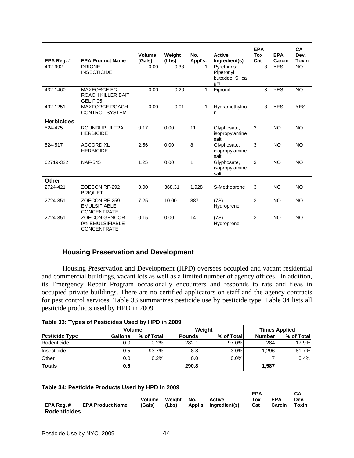| EPA Reg. #        | <b>EPA Product Name</b>                                       | Volume<br>(Gals) | Weight<br>(Lbs) | No.<br>Appl's. | <b>Active</b><br>Ingredient(s)                      | <b>EPA</b><br>Tox<br>Cat | <b>EPA</b><br>Carcin | <b>CA</b><br>Dev.<br><b>Toxin</b> |
|-------------------|---------------------------------------------------------------|------------------|-----------------|----------------|-----------------------------------------------------|--------------------------|----------------------|-----------------------------------|
| 432-992           | <b>DRIONE</b><br><b>INSECTICIDE</b>                           | 0.00             | 0.33            |                | Pyrethrins:<br>Piperonyl<br>butoxide; Silica<br>gel | 3                        | <b>YES</b>           | <b>NO</b>                         |
| 432-1460          | <b>MAXFORCE FC</b><br>ROACH KILLER BAIT<br><b>GEL F.05</b>    | 0.00             | 0.20            | 1              | Fipronil                                            | 3                        | <b>YES</b>           | <b>NO</b>                         |
| 432-1251          | <b>MAXFORCE ROACH</b><br><b>CONTROL SYSTEM</b>                | 0.00             | 0.01            | 1              | Hydramethylno<br>n.                                 | 3                        | <b>YES</b>           | <b>YES</b>                        |
| <b>Herbicides</b> |                                                               |                  |                 |                |                                                     |                          |                      |                                   |
| 524-475           | ROUNDUP ULTRA<br><b>HERBICIDE</b>                             | 0.17             | 0.00            | 11             | Glyphosate,<br>isopropylamine<br>salt               | 3                        | <b>NO</b>            | <b>NO</b>                         |
| 524-517           | <b>ACCORD XL</b><br><b>HERBICIDE</b>                          | 2.56             | 0.00            | 8              | Glyphosate,<br>isopropylamine<br>salt               | 3                        | <b>NO</b>            | <b>NO</b>                         |
| 62719-322         | <b>NAF-545</b>                                                | 1.25             | 0.00            | $\mathbf{1}$   | Glyphosate,<br>isopropylamine<br>salt               | 3                        | <b>NO</b>            | <b>NO</b>                         |
| Other             |                                                               |                  |                 |                |                                                     |                          |                      |                                   |
| 2724-421          | ZOECON RF-292<br><b>BRIQUET</b>                               | 0.00             | 368.31          | 1,928          | S-Methoprene                                        | 3                        | <b>NO</b>            | <b>NO</b>                         |
| 2724-351          | ZOECON RF-259<br><b>EMULSIFIABLE</b><br><b>CONCENTRATE</b>    | 7.25             | 10.00           | 887            | $(7S)$ -<br>Hydroprene                              | 3                        | <b>NO</b>            | <b>NO</b>                         |
| 2724-351          | <b>ZOECON GENCOR</b><br>9% EMULSIFIABLE<br><b>CONCENTRATE</b> | 0.15             | 0.00            | 14             | $(7S) -$<br>Hydroprene                              | 3                        | <b>NO</b>            | <b>NO</b>                         |

# **Housing Preservation and Development**

 Housing Preservation and Development (HPD) oversees occupied and vacant residential and commercial buildings, vacant lots as well as a limited number of agency offices. In addition, its Emergency Repair Program occasionally encounters and responds to rats and fleas in occupied private buildings. There are no certified applicators on staff and the agency contracts for pest control services. Table 33 summarizes pesticide use by pesticide type. Table 34 lists all pesticide products used by HPD in 2009.

#### **Table 33: Types of Pesticides Used by HPD in 2009**

|                       | <b>Volume</b> |            |               | Weight     | <b>Times Applied</b> |            |  |
|-----------------------|---------------|------------|---------------|------------|----------------------|------------|--|
| <b>Pesticide Type</b> | Gallons       | % of Total | <b>Pounds</b> | % of Total | <b>Number</b>        | % of Total |  |
| Rodenticide           | 0.0           | 0.2%       | 282.1         | 97.0%      | 284                  | 17.9%      |  |
| Insecticide           | 0.5           | 93.7%      | 8.8           | 3.0%       | 1.296                | 81.7%      |  |
| Other                 | 0.0           | 6.2%       | 0.0           | $0.0\%$    |                      | 0.4%       |  |
| <b>Totals</b>         | 0.5           |            | 290.8         |            | 1,587                |            |  |

#### **Table 34: Pesticide Products Used by HPD in 2009**

| EPA Reg.#           | <b>EPA Product Name</b> | Volume<br>(Gals) | Weight<br>(Lbs) | No. | Active<br>Appl's. Ingredient(s) | <b>EPA</b><br>Тох<br>Cat | <b>EPA</b><br>Carcin | СA<br>Dev.<br>Toxin |
|---------------------|-------------------------|------------------|-----------------|-----|---------------------------------|--------------------------|----------------------|---------------------|
| <b>Rodenticides</b> |                         |                  |                 |     |                                 |                          |                      |                     |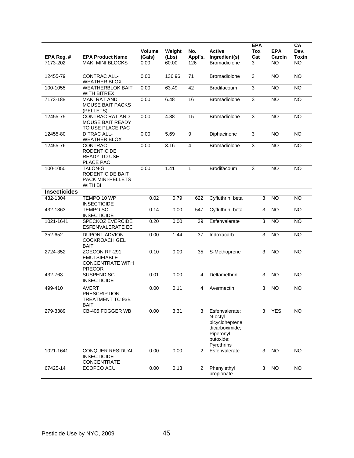| EPA Reg. #          | <b>EPA Product Name</b>                                                          | Volume<br>(Gals) | Weight<br>(Lbs) | No.<br>Appl's.          | Active<br>Ingredient(s)                                                                               | <b>EPA</b><br><b>Tox</b><br>Cat | <b>EPA</b><br>Carcin | CA<br>Dev.<br><b>Toxin</b> |
|---------------------|----------------------------------------------------------------------------------|------------------|-----------------|-------------------------|-------------------------------------------------------------------------------------------------------|---------------------------------|----------------------|----------------------------|
| 7173-202            | <b>MAKI MINI BLOCKS</b>                                                          | 0.00             | 60.00           | 126                     | <b>Bromadiolone</b>                                                                                   | 3                               | NO.                  | <b>NO</b>                  |
| 12455-79            | <b>CONTRAC ALL-</b><br><b>WEATHER BLOX</b>                                       | 0.00             | 136.96          | 71                      | Bromadiolone                                                                                          | 3                               | <b>NO</b>            | <b>NO</b>                  |
| 100-1055            | <b>WEATHERBLOK BAIT</b><br><b>WITH BITREX</b>                                    | 0.00             | 63.49           | 42                      | Brodifacoum                                                                                           | 3                               | <b>NO</b>            | <b>NO</b>                  |
| 7173-188            | <b>MAKI RAT AND</b><br><b>MOUSE BAIT PACKS</b><br>(PELLETS)                      | 0.00             | 6.48            | $\overline{16}$         | Bromadiolone                                                                                          | 3                               | <b>NO</b>            | $\overline{NO}$            |
| 12455-75            | <b>CONTRAC RAT AND</b><br><b>MOUSE BAIT READY</b><br>TO USE PLACE PAC            | 0.00             | 4.88            | 15                      | Bromadiolone                                                                                          | 3                               | <b>NO</b>            | $\overline{NO}$            |
| 12455-80            | <b>DITRAC ALL-</b><br><b>WEATHER BLOX</b>                                        | 0.00             | 5.69            | $\overline{9}$          | Diphacinone                                                                                           | 3                               | <b>NO</b>            | <b>NO</b>                  |
| 12455-76            | CONTRAC<br><b>RODENTICIDE</b><br><b>READY TO USE</b><br>PLACE PAC                | 0.00             | 3.16            | $\overline{\mathbf{4}}$ | Bromadiolone                                                                                          | 3                               | <b>NO</b>            | $\overline{NO}$            |
| 100-1050            | TALON-G<br>RODENTICIDE BAIT<br><b>PACK MINI-PELLETS</b><br>WITH BI               | 0.00             | 1.41            | $\mathbf{1}$            | Brodifacoum                                                                                           | 3                               | <b>NO</b>            | <b>NO</b>                  |
| <b>Insecticides</b> |                                                                                  |                  |                 |                         |                                                                                                       |                                 |                      |                            |
| 432-1304            | TEMPO 10 WP<br><b>INSECTICIDE</b>                                                | 0.02             | 0.79            | 622                     | Cyfluthrin, beta                                                                                      | 3                               | <b>NO</b>            | <b>NO</b>                  |
| 432-1363            | <b>TEMPO SC</b><br><b>INSECTICIDE</b>                                            | 0.14             | 0.00            | 547                     | Cyfluthrin, beta                                                                                      | 3                               | <b>NO</b>            | <b>NO</b>                  |
| 1021-1641           | SPECKOZ EVERCIDE<br>ESFENVALERATE EC                                             | 0.20             | 0.00            | 39                      | Esfenvalerate                                                                                         | 3                               | <b>NO</b>            | <b>NO</b>                  |
| 352-652             | <b>DUPONT ADVION</b><br><b>COCKROACH GEL</b><br><b>BAIT</b>                      | 0.00             | 1.44            | 37                      | Indoxacarb                                                                                            | 3                               | NO                   | $\overline{NO}$            |
| 2724-352            | ZOECON RF-291<br><b>EMULSIFIABLE</b><br><b>CONCENTRATE WITH</b><br><b>PRECOR</b> | 0.10             | 0.00            | 35                      | S-Methoprene                                                                                          | 3                               | NO                   | $\overline{NO}$            |
| 432-763             | SUSPEND SC<br><b>INSECTICIDE</b>                                                 | 0.01             | 0.00            | 4                       | Deltamethrin                                                                                          | 3                               | <b>NO</b>            | <b>NO</b>                  |
| 499-410             | <b>AVERT</b><br><b>PRESCRIPTION</b><br>TREATMENT TC 93B<br><b>BAIT</b>           | 0.00             | 0.11            | 4                       | Avermectin                                                                                            | 3                               | <b>NO</b>            | <b>NO</b>                  |
| 279-3389            | CB-405 FOGGER WB                                                                 | 0.00             | 3.31            | 3                       | Esfenvalerate;<br>N-octyl<br>bicycloheptene<br>dicarboximide:<br>Piperonyl<br>butoxide;<br>Pyrethrins | 3                               | <b>YES</b>           | $\overline{NO}$            |
| 1021-1641           | <b>CONQUER RESIDUAL</b><br><b>INSECTICIDE</b><br>CONCENTRATE                     | 0.00             | 0.00            | 2                       | Esfenvalerate                                                                                         | 3                               | <b>NO</b>            | <b>NO</b>                  |
| 67425-14            | ECOPCO ACU                                                                       | 0.00             | 0.13            | 2                       | Phenylethyl<br>propionate                                                                             | 3                               | $\overline{10}$      | <b>NO</b>                  |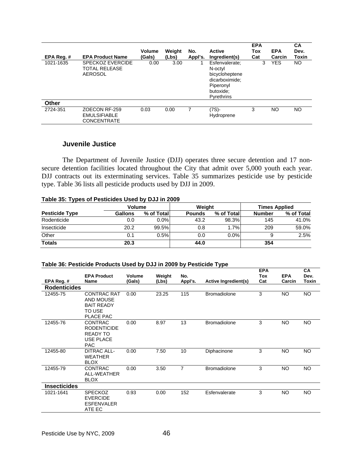| EPA Reg. # | <b>EPA Product Name</b>                                    | Volume<br>(Gals) | Weiaht<br>(Lbs) | No.<br>Appl's. | <b>Active</b><br>Ingredient(s)                                                                               | <b>EPA</b><br>Tox<br>Cat | <b>EPA</b><br>Carcin | CA<br>Dev.<br>Toxin |
|------------|------------------------------------------------------------|------------------|-----------------|----------------|--------------------------------------------------------------------------------------------------------------|--------------------------|----------------------|---------------------|
| 1021-1635  | <b>SPECKOZ EVERCIDE</b><br>TOTAL RELEASE<br><b>AEROSOL</b> | 0.00             | 3.00            |                | Esfenvalerate:<br>N-octyl<br>bicycloheptene<br>dicarboximide;<br>Piperonyl<br>butoxide;<br><b>Pyrethrins</b> | 3                        | <b>YES</b>           | NO.                 |
| Other      |                                                            |                  |                 |                |                                                                                                              |                          |                      |                     |
| 2724-351   | ZOECON RF-259<br><b>EMULSIFIABLE</b><br><b>CONCENTRATE</b> | 0.03             | 0.00            | 7              | (7S)-<br>Hydroprene                                                                                          | 3                        | NO.                  | NO.                 |

### **Juvenile Justice**

 The Department of Juvenile Justice (DJJ) operates three secure detention and 17 nonsecure detention facilities located throughout the City that admit over 5,000 youth each year. DJJ contracts out its exterminating services. Table 35 summarizes pesticide use by pesticide type. Table 36 lists all pesticide products used by DJJ in 2009.

#### **Table 35: Types of Pesticides Used by DJJ in 2009**

|                       | <b>Volume</b>  |            | Weight        |            | <b>Times Applied</b> |            |  |
|-----------------------|----------------|------------|---------------|------------|----------------------|------------|--|
| <b>Pesticide Type</b> | <b>Gallons</b> | % of Total | <b>Pounds</b> | % of Total | <b>Number</b>        | % of Total |  |
| Rodenticide           | 0.0            | $0.0\%$    | 43.2          | 98.3%      | 145                  | 41.0%      |  |
| Insecticide           | 20.2           | 99.5%      | 0.8           | 1.7%       | 209                  | 59.0%      |  |
| Other                 | 0.1            | 0.5%       | 0.0           | $0.0\%$    |                      | 2.5%       |  |
| <b>Totals</b>         | 20.3           |            | 44.0          |            | 354                  |            |  |

### **Table 36: Pesticide Products Used by DJJ in 2009 by Pesticide Type**

|                     | <b>EPA Product</b>                                                                        | Volume | Weight | No.            |                      | <b>EPA</b><br>Tox | <b>EPA</b> | CA<br>Dev. |
|---------------------|-------------------------------------------------------------------------------------------|--------|--------|----------------|----------------------|-------------------|------------|------------|
| EPA Reg. #          | <b>Name</b>                                                                               | (Gals) | (Lbs)  | Appl's.        | Active Ingredient(s) | Cat               | Carcin     | Toxin      |
| <b>Rodenticides</b> |                                                                                           |        |        |                |                      |                   |            |            |
| 12455-75            | <b>CONTRAC RAT</b><br><b>AND MOUSE</b><br><b>BAIT READY</b><br>TO USE<br>PLACE PAC        | 0.00   | 23.25  | 115            | <b>Bromadiolone</b>  | 3                 | <b>NO</b>  | <b>NO</b>  |
| 12455-76            | <b>CONTRAC</b><br><b>RODENTICIDE</b><br><b>READY TO</b><br><b>USE PLACE</b><br><b>PAC</b> | 0.00   | 8.97   | 13             | <b>Bromadiolone</b>  | 3                 | NO.        | <b>NO</b>  |
| 12455-80            | <b>DITRAC ALL-</b><br><b>WEATHER</b><br><b>BLOX</b>                                       | 0.00   | 7.50   | 10             | Diphacinone          | 3                 | <b>NO</b>  | <b>NO</b>  |
| 12455-79            | <b>CONTRAC</b><br>ALL-WEATHER<br><b>BLOX</b>                                              | 0.00   | 3.50   | $\overline{7}$ | <b>Bromadiolone</b>  | 3                 | <b>NO</b>  | <b>NO</b>  |
| <b>Insecticides</b> |                                                                                           |        |        |                |                      |                   |            |            |
| 1021-1641           | <b>SPECKOZ</b><br><b>EVERCIDE</b><br><b>ESFENVALER</b><br>ATE EC                          | 0.93   | 0.00   | 152            | Esfenvalerate        | 3                 | <b>NO</b>  | <b>NO</b>  |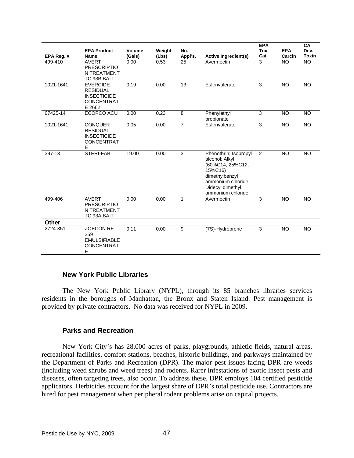|              |                                                                                         |                  |                 |                |                                                                                                                                                         | <b>EPA</b>              |                      | CA                   |
|--------------|-----------------------------------------------------------------------------------------|------------------|-----------------|----------------|---------------------------------------------------------------------------------------------------------------------------------------------------------|-------------------------|----------------------|----------------------|
| EPA Reg. #   | <b>EPA Product</b><br><b>Name</b>                                                       | Volume<br>(Gals) | Weight<br>(Lbs) | No.<br>Appl's. | <b>Active Ingredient(s)</b>                                                                                                                             | <b>Tox</b><br>Cat       | <b>EPA</b><br>Carcin | Dev.<br><b>Toxin</b> |
| 499-410      | <b>AVERT</b><br><b>PRESCRIPTIO</b><br>N TREATMENT<br>TC 93B BAIT                        | 0.00             | 0.53            | 25             | Avermectin                                                                                                                                              | $\overline{\mathbf{3}}$ | <b>NO</b>            | $\overline{10}$      |
| 1021-1641    | <b>EVERCIDE</b><br><b>RESIDUAL</b><br><b>INSECTICIDE</b><br><b>CONCENTRAT</b><br>E 2662 | 0.19             | 0.00            | 13             | Esfenvalerate                                                                                                                                           | 3                       | <b>NO</b>            | <b>NO</b>            |
| 67425-14     | ECOPCO ACU                                                                              | 0.00             | 0.23            | 8              | Phenylethyl<br>propionate                                                                                                                               | 3                       | <b>NO</b>            | <b>NO</b>            |
| 1021-1641    | <b>CONQUER</b><br><b>RESIDUAL</b><br><b>INSECTICIDE</b><br><b>CONCENTRAT</b><br>Е       | 0.05             | 0.00            | $\overline{7}$ | Esfenvalerate                                                                                                                                           | 3                       | <b>NO</b>            | <b>NO</b>            |
| 397-13       | STERI-FAB                                                                               | 19.00            | 0.00            | 3              | Phenothrin; Isopropyl<br>alcohol; Alkyl<br>(60%C14, 25%C12,<br>15%C16)<br>dimethylbenzyl<br>ammonium chloride:<br>Didecyl dimethyl<br>ammonium chloride | 2                       | <b>NO</b>            | <b>NO</b>            |
| 499-406      | <b>AVERT</b><br><b>PRESCRIPTIO</b><br>N TREATMENT<br>TC 93A BAIT                        | 0.00             | 0.00            | 1              | Avermectin                                                                                                                                              | 3                       | <b>NO</b>            | <b>NO</b>            |
| <b>Other</b> |                                                                                         |                  |                 |                |                                                                                                                                                         |                         |                      |                      |
| 2724-351     | <b>ZOECON RF-</b><br>259<br><b>EMULSIFIABLE</b><br><b>CONCENTRAT</b><br>Е               | 0.11             | 0.00            | 9              | (7S)-Hydroprene                                                                                                                                         | 3                       | <b>NO</b>            | <b>NO</b>            |

# **New York Public Libraries**

 The New York Public Library (NYPL), through its 85 branches libraries services residents in the boroughs of Manhattan, the Bronx and Staten Island. Pest management is provided by private contractors. No data was received for NYPL in 2009.

# **Parks and Recreation**

 New York City's has 28,000 acres of parks, playgrounds, athletic fields, natural areas, recreational facilities, comfort stations, beaches, historic buildings, and parkways maintained by the Department of Parks and Recreation (DPR). The major pest issues facing DPR are weeds (including weed shrubs and weed trees) and rodents. Rarer infestations of exotic insect pests and diseases, often targeting trees, also occur. To address these, DPR employs 104 certified pesticide applicators. Herbicides account for the largest share of DPR's total pesticide use. Contractors are hired for pest management when peripheral rodent problems arise on capital projects.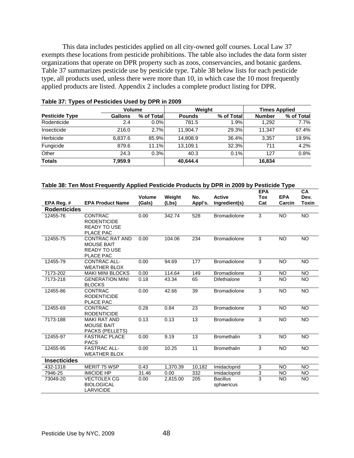This data includes pesticides applied on all city-owned golf courses. Local Law 37 exempts these locations from pesticide prohibitions. The table also includes the data form sister organizations that operate on DPR property such as zoos, conservancies, and botanic gardens. Table 37 summarizes pesticide use by pesticide type. Table 38 below lists for each pesticide type, all products used, unless there were more than 10, in which case the 10 most frequently applied products are listed. Appendix 2 includes a complete product listing for DPR.

|                       | Volume         |             | Weight        |            | <b>Times Applied</b> |            |  |
|-----------------------|----------------|-------------|---------------|------------|----------------------|------------|--|
| <b>Pesticide Type</b> | <b>Gallons</b> | % of Totall | <b>Pounds</b> | % of Total | <b>Number</b>        | % of Total |  |
| Rodenticide           | 2.4            | 0.0%        | 781.5         | 1.9%       | 1.292                | 7.7%       |  |
| Insecticide           | 216.0          | 2.7%        | 11.904.7      | 29.3%      | 11.347               | 67.4%      |  |
| Herbicide             | 6,837.6        | 85.9%       | 14.808.9      | 36.4%      | 3.357                | 19.9%      |  |
| Fungicide             | 879.6          | 11.1%       | 13.109.1      | 32.3%      | 711                  | 4.2%       |  |
| Other                 | 24.3           | 0.3%        | 40.3          | 0.1%       | 127                  | 0.8%       |  |
| <b>Totals</b>         | 7,959.9        |             | 40.644.4      |            | 16.834               |            |  |

#### **Table 37: Types of Pesticides Used by DPR in 2009**

#### **Table 38: Ten Most Frequently Applied Pesticide Products by DPR in 2009 by Pesticide Type**

|                     |                                                                                 | Volume |                 | No.     | <b>Active</b>                 | <b>EPA</b>     | <b>EPA</b>      | CA              |
|---------------------|---------------------------------------------------------------------------------|--------|-----------------|---------|-------------------------------|----------------|-----------------|-----------------|
| EPA Reg. #          | <b>EPA Product Name</b>                                                         | (Gals) | Weight<br>(Lbs) | Appl's. | Ingredient(s)                 | Tox<br>Cat     | Carcin          | Dev.<br>Toxin   |
| <b>Rodenticides</b> |                                                                                 |        |                 |         |                               |                |                 |                 |
| 12455-76            | <b>CONTRAC</b><br><b>RODENTICIDE</b><br><b>READY TO USE</b><br>PLACE PAC        | 0.00   | 342.74          | 528     | <b>Bromadiolone</b>           | 3              | <b>NO</b>       | <b>NO</b>       |
| 12455-75            | <b>CONTRAC RAT AND</b><br><b>MOUSE BAIT</b><br><b>READY TO USE</b><br>PLACE PAC | 0.00   | 104.06          | 234     | <b>Bromadiolone</b>           | 3              | <b>NO</b>       | <b>NO</b>       |
| 12455-79            | <b>CONTRAC ALL-</b><br><b>WEATHER BLOX</b>                                      | 0.00   | 94.69           | 177     | <b>Bromadiolone</b>           | 3              | <b>NO</b>       | <b>NO</b>       |
| 7173-202            | <b>MAKI MINI BLOCKS</b>                                                         | 0.00   | 114.64          | 149     | <b>Bromadiolone</b>           | 3              | <b>NO</b>       | <b>NO</b>       |
| 7173-218            | <b>GENERATION MINI</b><br><b>BLOCKS</b>                                         | 0.18   | 43.34           | 65      | Difethialone                  | 3              | <b>NO</b>       | <b>NO</b>       |
| 12455-86            | <b>CONTRAC</b><br><b>RODENTICIDE</b><br>PLACE PAC                               | 0.00   | 42.66           | 39      | <b>Bromadiolone</b>           | 3              | <b>NO</b>       | <b>NO</b>       |
| 12455-69            | <b>CONTRAC</b><br><b>RODENTICIDE</b>                                            | 0.28   | 0.84            | 23      | <b>Bromadiolone</b>           | 3              | <b>NO</b>       | <b>NO</b>       |
| 7173-188            | <b>MAKI RAT AND</b><br><b>MOUSE BAIT</b><br>PACKS (PELLETS)                     | 0.13   | 0.13            | 13      | <b>Bromadiolone</b>           | 3              | <b>NO</b>       | <b>NO</b>       |
| 12455-97            | <b>FASTRAC PLACE</b><br><b>PACS</b>                                             | 0.00   | 9.19            | 13      | <b>Bromethalin</b>            | 3              | <b>NO</b>       | <b>NO</b>       |
| 12455-95            | <b>FASTRAC ALL-</b><br><b>WEATHER BLOX</b>                                      | 0.00   | 10.25           | 11      | <b>Bromethalin</b>            | 3              | <b>NO</b>       | <b>NO</b>       |
| <b>Insecticides</b> |                                                                                 |        |                 |         |                               |                |                 |                 |
| $432 - 1318$        | <b>MERIT 75 WSP</b>                                                             | 0.43   | 1,370.39        | 10,182  | Imidacloprid                  | 3              | <b>NO</b>       | <b>NO</b>       |
| 7946-25             | <b>IMICIDE HP</b>                                                               | 31.46  | 0.00            | 332     | Imidacloprid                  | 3              | <b>NO</b>       | <b>NO</b>       |
| 73049-20            | <b>VECTOLEX CG</b><br><b>BIOLOGICAL</b><br><b>LARVICIDE</b>                     | 0.00   | 2,815.00        | 205     | <b>Bacillus</b><br>sphaericus | $\overline{3}$ | $\overline{NO}$ | $\overline{NO}$ |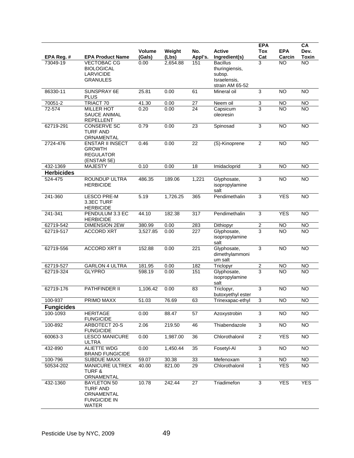|                   |                                                                                | <b>Volume</b>      | Weight   | No.             | <b>Active</b>                                                                  | <b>EPA</b><br><b>Tox</b> | <b>EPA</b>      | CA<br>Dev.      |
|-------------------|--------------------------------------------------------------------------------|--------------------|----------|-----------------|--------------------------------------------------------------------------------|--------------------------|-----------------|-----------------|
| EPA Reg. #        | <b>EPA Product Name</b>                                                        | (Gals)             | (Lbs)    | Appl's.         | Ingredient(s)                                                                  | Cat                      | Carcin          | <b>Toxin</b>    |
| 73049-19          | <b>VECTOBAC CG</b><br><b>BIOLOGICAL</b><br><b>LARVICIDE</b><br><b>GRANULES</b> | 0.00               | 2.654.88 | 151             | <b>Bacillus</b><br>thuringiensis,<br>subsp.<br>Israelensis,<br>strain AM 65-52 | 3                        | <b>NO</b>       | <b>NO</b>       |
| 86330-11          | SUNSPRAY 6E<br><b>PLUS</b>                                                     | 25.81              | 0.00     | 61              | Mineral oil                                                                    | 3                        | <b>NO</b>       | <b>NO</b>       |
| 70051-2           | TRIACT 70                                                                      | $\overline{4}1.30$ | 0.00     | 27              | Neem oil                                                                       | 3                        | <b>NO</b>       | <b>NO</b>       |
| 72-574            | <b>MILLER HOT</b><br><b>SAUCE ANIMAL</b><br><b>REPELLENT</b>                   | 0.20               | 0.00     | 24              | Capsicum<br>oleoresin                                                          | 3                        | NΟ              | NO              |
| 62719-291         | <b>CONSERVE SC</b><br><b>TURF AND</b><br>ORNAMENTAL                            | 0.79               | 0.00     | 23              | Spinosad                                                                       | 3                        | <b>NO</b>       | <b>NO</b>       |
| 2724-476          | <b>ENSTAR II INSECT</b><br><b>GROWTH</b><br><b>REGULATOR</b><br>(ENSTAR 5E)    | 0.46               | 0.00     | 22              | (S)-Kinoprene                                                                  | $\overline{c}$           | <b>NO</b>       | <b>NO</b>       |
| 432-1369          | <b>MAJESTY</b>                                                                 | 0.10               | 0.00     | 18              | Imidacloprid                                                                   | 3                        | <b>NO</b>       | <b>NO</b>       |
| <b>Herbicides</b> |                                                                                |                    |          |                 |                                                                                |                          |                 |                 |
| 524-475           | <b>ROUNDUP ULTRA</b><br><b>HERBICIDE</b>                                       | 486.35             | 189.06   | 1,221           | Glyphosate,<br>isopropylamine<br>salt                                          | 3                        | <b>NO</b>       | <b>NO</b>       |
| 241-360           | <b>LESCO PRE-M</b><br>3.3EC TURF<br><b>HERBICIDE</b>                           | 5.19               | 1,726.25 | 365             | Pendimethalin                                                                  | 3                        | <b>YES</b>      | <b>NO</b>       |
| 241-341           | PENDULUM 3.3 EC<br><b>HERBICIDE</b>                                            | 44.10              | 182.38   | 317             | Pendimethalin                                                                  | 3                        | <b>YES</b>      | <b>NO</b>       |
| 62719-542         | <b>DIMENSION 2EW</b>                                                           | 380.99             | 0.00     | 283             | Dithiopyr                                                                      | $\overline{2}$           | <b>NO</b>       | <b>NO</b>       |
| 62719-517         | <b>ACCORD XRT</b>                                                              | 3,527.85           | 0.00     | 227             | Glyphosate,<br>isopropylamine<br>salt                                          | 3                        | <b>NO</b>       | <b>NO</b>       |
| 62719-556         | <b>ACCORD XRT II</b>                                                           | 152.88             | 0.00     | 221             | Glyphosate,<br>dimethylammoni<br>um salt                                       | 3                        | <b>NO</b>       | $\overline{NO}$ |
| 62719-527         | <b>GARLON 4 ULTRA</b>                                                          | 181.95             | 0.00     | 182             | Triclopyr                                                                      | $\overline{2}$           | <b>NO</b>       | $\overline{N}$  |
| 62719-324         | <b>GLYPRO</b>                                                                  | 598.19             | 0.00     | 151             | Glyphosate,<br>isopropylamine<br>salt                                          | 3                        | <b>NO</b>       | <b>NO</b>       |
| 62719-176         | PATHFINDER II                                                                  | 1,106.42           | 0.00     | 83              | Triclopyr,<br>butoxyethyl ester                                                | 3                        | <b>NO</b>       | <b>NO</b>       |
| 100-937           | PRIMO MAXX                                                                     | 51.03              | 76.69    | 63              | Trinexapac-ethyl                                                               | 3                        | <b>NO</b>       | $\overline{10}$ |
| <b>Fungicides</b> |                                                                                |                    |          |                 |                                                                                |                          |                 |                 |
| 100-1093          | <b>HERITAGE</b><br><b>FUNGICIDE</b>                                            | 0.00               | 88.47    | 57              | Azoxystrobin                                                                   | 3                        | $\overline{N}$  | $\overline{N}$  |
| 100-892           | ARBOTECT 20-S<br><b>FUNGICIDE</b>                                              | 2.06               | 219.50   | 46              | Thiabendazole                                                                  | $\overline{3}$           | $\overline{NO}$ | $\overline{N}$  |
| 60063-3           | <b>LESCO MANICURE</b><br>ULTRA                                                 | 0.00               | 1,987.00 | $\overline{36}$ | Chlorothalonil                                                                 | $\overline{2}$           | <b>YES</b>      | <b>NO</b>       |
| 432-890           | <b>ALIETTE WDG</b><br><b>BRAND FUNGICIDE</b>                                   | 0.00               | 1,450.44 | 35              | Fosetyl-Al                                                                     | 3                        | <b>NO</b>       | <b>NO</b>       |
| 100-796           | <b>SUBDUE MAXX</b>                                                             | 59.07              | 30.38    | 33              | Mefenoxam                                                                      | 3                        | <b>NO</b>       | <b>NO</b>       |
| 50534-202         | <b>MANICURE ULTREX</b><br><b>TURF &amp;</b><br>ORNAMENTAL                      | 40.00              | 821.00   | 29              | Chlorothalonil                                                                 | 1                        | <b>YES</b>      | NO.             |
| 432-1360          | BAYLETON 50<br><b>TURF AND</b><br>ORNAMENTAL<br><b>FUNGICIDE IN</b><br>WATER   | 10.78              | 242.44   | 27              | Triadimefon                                                                    | 3                        | <b>YES</b>      | <b>YES</b>      |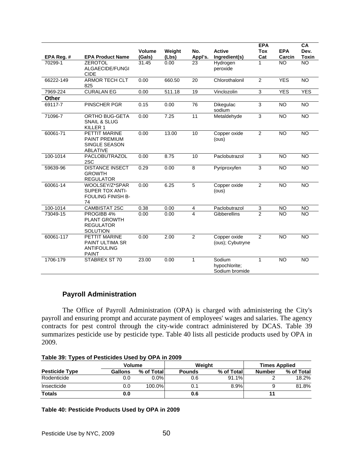|              |                                                                                  |                  |                 |                         |                                           | <b>EPA</b>        |                      | $\overline{CA}$      |
|--------------|----------------------------------------------------------------------------------|------------------|-----------------|-------------------------|-------------------------------------------|-------------------|----------------------|----------------------|
| EPA Reg. #   | <b>EPA Product Name</b>                                                          | Volume<br>(Gals) | Weight<br>(Lbs) | No.<br>Appl's.          | <b>Active</b><br>Ingredient(s)            | <b>Tox</b><br>Cat | <b>EPA</b><br>Carcin | Dev.<br><b>Toxin</b> |
| 70299-1      | <b>ZEROTOL</b><br>ALGAECIDE/FUNGI<br><b>CIDE</b>                                 | 31.45            | 0.00            | 23                      | Hydrogen<br>peroxide                      | 1                 | <b>NO</b>            | <b>NO</b>            |
| 66222-149    | <b>ARMOR TECH CLT</b><br>825                                                     | 0.00             | 660.50          | $\overline{20}$         | Chlorothalonil                            | $\overline{2}$    | <b>YES</b>           | $\overline{NO}$      |
| 7969-224     | <b>CURALAN EG</b>                                                                | 0.00             | 511.18          | 19                      | Vinclozolin                               | $\overline{3}$    | <b>YES</b>           | <b>YES</b>           |
| <b>Other</b> |                                                                                  |                  |                 |                         |                                           |                   |                      |                      |
| 69117-7      | <b>PINSCHER PGR</b>                                                              | 0.15             | 0.00            | 76                      | <b>Dikegulac</b><br>sodium                | 3                 | <b>NO</b>            | <b>NO</b>            |
| 71096-7      | ORTHO BUG-GETA<br><b>SNAIL &amp; SLUG</b><br>KILLER 1                            | 0.00             | 7.25            | 11                      | Metaldehyde                               | $\overline{3}$    | $\overline{NO}$      | $\overline{NO}$      |
| 60061-71     | PETTIT MARINE<br><b>PAINT PREMIUM</b><br><b>SINGLE SEASON</b><br><b>ABLATIVE</b> | 0.00             | 13.00           | 10                      | Copper oxide<br>(ous)                     | $\overline{2}$    | NO                   | $\overline{NO}$      |
| 100-1014     | PACLOBUTRAZOL<br>2SC                                                             | 0.00             | 8.75            | 10                      | Paclobutrazol                             | 3                 | <b>NO</b>            | <b>NO</b>            |
| 59639-96     | <b>DISTANCE INSECT</b><br><b>GROWTH</b><br><b>REGULATOR</b>                      | 0.29             | 0.00            | $\overline{8}$          | Pyriproxyfen                              | 3                 | N <sub>O</sub>       | NO                   |
| 60061-14     | WOOLSEY/Z*SPAR<br><b>SUPER TOX ANTI-</b><br><b>FOULING FINISH B-</b><br>74       | 0.00             | 6.25            | $\overline{5}$          | Copper oxide<br>(ous)                     | $\overline{2}$    | <b>NO</b>            | <b>NO</b>            |
| 100-1014     | CAMBISTAT 2SC                                                                    | 0.38             | 0.00            | 4                       | Paclobutrazol                             | 3                 | <b>NO</b>            | <b>NO</b>            |
| 73049-15     | PROGIBB 4%<br><b>PLANT GROWTH</b><br><b>REGULATOR</b><br><b>SOLUTION</b>         | 0.00             | 0.00            | $\overline{\mathbf{4}}$ | Gibberellins                              | $\overline{2}$    | <b>NO</b>            | <b>NO</b>            |
| 60061-117    | PETTIT MARINE<br>PAINT ULTIMA SR<br><b>ANTIFOULING</b><br><b>PAINT</b>           | 0.00             | 2.00            | $\overline{2}$          | Copper oxide<br>(ous); Cybutryne          | $\overline{2}$    | NO                   | $\overline{NO}$      |
| 1706-179     | STABREX ST 70                                                                    | 23.00            | 0.00            | $\mathbf{1}$            | Sodium<br>hypochlorite;<br>Sodium bromide | 1                 | <b>NO</b>            | <b>NO</b>            |

# **Payroll Administration**

 The Office of Payroll Administration (OPA) is charged with administering the City's payroll and ensuring prompt and accurate payment of employees' wages and salaries. The agency contracts for pest control through the city-wide contract administered by DCAS. Table 39 summarizes pesticide use by pesticide type. Table 40 lists all pesticide products used by OPA in 2009.

|  |  |  |  | Table 39: Types of Pesticides Used by OPA in 2009 |
|--|--|--|--|---------------------------------------------------|
|--|--|--|--|---------------------------------------------------|

|                       | <b>Volume</b> |            |               | Weight     | <b>Times Applied</b> |            |  |
|-----------------------|---------------|------------|---------------|------------|----------------------|------------|--|
| <b>Pesticide Type</b> | Gallons       | % of Total | <b>Pounds</b> | % of Total | <b>Number</b>        | % of Total |  |
| Rodenticide           | 0.0           | $0.0\%$    | 0.6           | 91.1%      |                      | 18.2%      |  |
| Insecticide           | 0.0           | 100.0%     | 0.1           | 8.9%       |                      | 81.8%      |  |
| <b>Totals</b>         | 0.0           |            | 0.6           |            |                      |            |  |

**Table 40: Pesticide Products Used by OPA in 2009**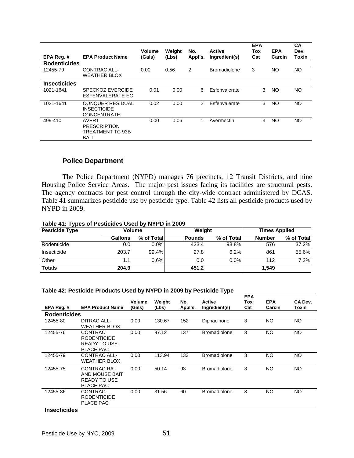| EPA Req. #          | <b>EPA Product Name</b>                                                | Volume<br>(Gals) | Weight<br>(Lbs) | No.<br>Appl's. | <b>Active</b><br>Ingredient(s) | <b>EPA</b><br>Tox<br>Cat | <b>EPA</b><br>Carcin | <b>CA</b><br>Dev.<br>Toxin |
|---------------------|------------------------------------------------------------------------|------------------|-----------------|----------------|--------------------------------|--------------------------|----------------------|----------------------------|
| <b>Rodenticides</b> |                                                                        |                  |                 |                |                                |                          |                      |                            |
| 12455-79            | CONTRAC ALL-<br><b>WEATHER BLOX</b>                                    | 0.00             | 0.56            | 2              | <b>Bromadiolone</b>            | 3                        | NO                   | <b>NO</b>                  |
| <b>Insecticides</b> |                                                                        |                  |                 |                |                                |                          |                      |                            |
| 1021-1641           | <b>SPECKOZ EVERCIDE</b><br>ESFENVALERATE EC                            | 0.01             | 0.00            | 6              | Esfenvalerate                  | 3                        | <b>NO</b>            | NO.                        |
| 1021-1641           | <b>CONQUER RESIDUAL</b><br><b>INSECTICIDE</b><br><b>CONCENTRATE</b>    | 0.02             | 0.00            | 2              | Esfenvalerate                  | 3                        | <b>NO</b>            | NO.                        |
| 499-410             | <b>AVERT</b><br><b>PRESCRIPTION</b><br>TREATMENT TC 93B<br><b>BAIT</b> | 0.00             | 0.06            |                | Avermectin                     | 3                        | NO                   | NO.                        |

# **Police Department**

 The Police Department (NYPD) manages 76 precincts, 12 Transit Districts, and nine Housing Police Service Areas. The major pest issues facing its facilities are structural pests. The agency contracts for pest control through the city-wide contract administered by DCAS. Table 41 summarizes pesticide use by pesticide type. Table 42 lists all pesticide products used by NYPD in 2009.

#### **Table 41: Types of Pesticides Used by NYPD in 2009**

| <b>Pesticide Type</b> | <b>Volume</b>  |            | Weight        |            | <b>Times Applied</b> |            |  |
|-----------------------|----------------|------------|---------------|------------|----------------------|------------|--|
|                       | <b>Gallons</b> | % of Total | <b>Pounds</b> | % of Total | <b>Number</b>        | % of Total |  |
| Rodenticide           | 0.0            | $0.0\%$    | 423.4         | 93.8%      | 576                  | 37.2%      |  |
| Insecticide           | 203.7          | 99.4%      | 27.8          | 6.2%       | 861                  | 55.6%      |  |
| Other                 |                | 0.6%       | 0.0           | $0.0\%$    | 112                  | 7.2%       |  |
| <b>Totals</b>         | 204.9          |            | 451.2         |            | 1,549                |            |  |

#### **Table 42: Pesticide Products Used by NYPD in 2009 by Pesticide Type**

|                     |                                                                          |        |        |         |                     | <b>EPA</b> |            |           |
|---------------------|--------------------------------------------------------------------------|--------|--------|---------|---------------------|------------|------------|-----------|
|                     |                                                                          | Volume | Weight | No.     | Active              | Tox        | <b>EPA</b> | CA Dev.   |
| EPA Reg.#           | <b>EPA Product Name</b>                                                  | (Gals) | (Lbs)  | Appl's. | Ingredient(s)       | Cat        | Carcin     | Toxin     |
| <b>Rodenticides</b> |                                                                          |        |        |         |                     |            |            |           |
| 12455-80            | DITRAC ALL-<br><b>WEATHER BLOX</b>                                       | 0.00   | 130.67 | 152     | Diphacinone         | 3          | NO         | NO.       |
| 12455-76            | <b>CONTRAC</b><br><b>RODENTICIDE</b><br><b>READY TO USE</b><br>PLACE PAC | 0.00   | 97.12  | 137     | <b>Bromadiolone</b> | 3          | <b>NO</b>  | <b>NO</b> |
| 12455-79            | CONTRAC ALL-<br><b>WEATHER BLOX</b>                                      | 0.00   | 113.94 | 133     | <b>Bromadiolone</b> | 3          | NO.        | NO.       |
| 12455-75            | <b>CONTRAC RAT</b><br>AND MOUSE BAIT<br><b>READY TO USE</b><br>PLACE PAC | 0.00   | 50.14  | 93      | <b>Bromadiolone</b> | 3          | NO.        | NO.       |
| 12455-86            | <b>CONTRAC</b><br><b>RODENTICIDE</b><br><b>PLACE PAC</b>                 | 0.00   | 31.56  | 60      | <b>Bromadiolone</b> | 3          | NO.        | NO.       |
| .                   |                                                                          |        |        |         |                     |            |            |           |

#### **Insecticides**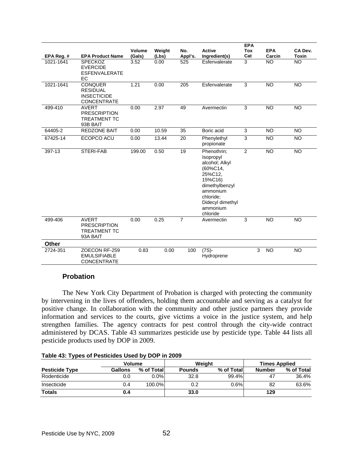|            |                                                                               |                  |                 |                 |                                                                                                                                                                     | <b>EPA</b>     |                      |                         |
|------------|-------------------------------------------------------------------------------|------------------|-----------------|-----------------|---------------------------------------------------------------------------------------------------------------------------------------------------------------------|----------------|----------------------|-------------------------|
| EPA Reg. # | <b>EPA Product Name</b>                                                       | Volume<br>(Gals) | Weight<br>(Lbs) | No.<br>Appl's.  | <b>Active</b><br>Ingredient(s)                                                                                                                                      | Tox<br>Cat     | <b>EPA</b><br>Carcin | CA Dev.<br><b>Toxin</b> |
| 1021-1641  | <b>SPECKOZ</b><br><b>EVERCIDE</b><br><b>ESFENVALERATE</b><br>EC               | 3.52             | 0.00            | 525             | Esfenvalerate                                                                                                                                                       | 3              | <b>NO</b>            | <b>NO</b>               |
| 1021-1641  | <b>CONQUER</b><br><b>RESIDUAL</b><br><b>INSECTICIDE</b><br><b>CONCENTRATE</b> | 1.21             | 0.00            | 205             | Esfenvalerate                                                                                                                                                       | 3              | <b>NO</b>            | <b>NO</b>               |
| 499-410    | <b>AVERT</b><br><b>PRESCRIPTION</b><br><b>TREATMENT TC</b><br>93B BAIT        | 0.00             | 2.97            | 49              | Avermectin                                                                                                                                                          | 3              | <b>NO</b>            | <b>NO</b>               |
| 64405-2    | <b>REDZONE BAIT</b>                                                           | 0.00             | 10.59           | 35              | Boric acid                                                                                                                                                          | 3              | <b>NO</b>            | <b>NO</b>               |
| 67425-14   | ECOPCO ACU                                                                    | 0.00             | 13.44           | 20              | Phenylethyl<br>propionate                                                                                                                                           | 3              | <b>NO</b>            | <b>NO</b>               |
| 397-13     | STERI-FAB                                                                     | 199.00           | 0.50            | $\overline{19}$ | Phenothrin;<br>Isopropyl<br>alcohol; Alkyl<br>(60%C14,<br>25%C12,<br>15%C16)<br>dimethylbenzyl<br>ammonium<br>chloride:<br>Didecyl dimethyl<br>ammonium<br>chloride | $\overline{2}$ | <b>NO</b>            | <b>NO</b>               |
| 499-406    | <b>AVERT</b><br><b>PRESCRIPTION</b><br><b>TREATMENT TC</b><br>93A BAIT        | 0.00             | 0.25            | $\overline{7}$  | Avermectin                                                                                                                                                          | 3              | <b>NO</b>            | <b>NO</b>               |
| Other      |                                                                               |                  |                 |                 |                                                                                                                                                                     |                |                      |                         |
| 2724-351   | ZOECON RF-259<br><b>EMULSIFIABLE</b><br><b>CONCENTRATE</b>                    | 0.83             | 0.00            | 100             | $(7S) -$<br>Hydroprene                                                                                                                                              | 3              | <b>NO</b>            | <b>NO</b>               |

# **Probation**

 The New York City Department of Probation is charged with protecting the community by intervening in the lives of offenders, holding them accountable and serving as a catalyst for positive change. In collaboration with the community and other justice partners they provide information and services to the courts, give victims a voice in the justice system, and help strengthen families. The agency contracts for pest control through the city-wide contract administered by DCAS. Table 43 summarizes pesticide use by pesticide type. Table 44 lists all pesticide products used by DOP in 2009.

|  |  | Table 43: Types of Pesticides Used by DOP in 2009 |
|--|--|---------------------------------------------------|
|  |  |                                                   |

|                       |                | Volume     |               | Weiaht     |               | <b>Times Applied</b> |
|-----------------------|----------------|------------|---------------|------------|---------------|----------------------|
| <b>Pesticide Type</b> | <b>Gallons</b> | % of Total | <b>Pounds</b> | % of Total | <b>Number</b> | % of Total           |
| Rodenticide           | 0.0            | $0.0\%$    | 32.8          | 99.4%      | 47            | 36.4%                |
| Insecticide           | 0.4            | 100.0%     | 0.2           | 0.6%       | 82            | 63.6%                |
| <b>Totals</b>         | 0.4            |            | 33.0          |            | 129           |                      |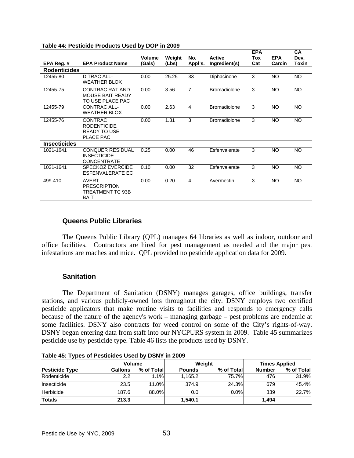|                     |                                                                          | <b>Volume</b> | Weight | No.            | <b>Active</b>       | <b>EPA</b><br>Tox | <b>EPA</b> | <b>CA</b><br>Dev. |
|---------------------|--------------------------------------------------------------------------|---------------|--------|----------------|---------------------|-------------------|------------|-------------------|
| EPA Reg. #          | <b>EPA Product Name</b>                                                  | (Gals)        | (Lbs)  | Appl's.        | Ingredient(s)       | Cat               | Carcin     | Toxin             |
| <b>Rodenticides</b> |                                                                          |               |        |                |                     |                   |            |                   |
| 12455-80            | <b>DITRAC ALL-</b><br><b>WEATHER BLOX</b>                                | 0.00          | 25.25  | 33             | Diphacinone         | 3                 | NO         | NO                |
| 12455-75            | <b>CONTRAC RAT AND</b><br><b>MOUSE BAIT READY</b><br>TO USE PLACE PAC    | 0.00          | 3.56   | $\overline{7}$ | <b>Bromadiolone</b> | 3                 | <b>NO</b>  | <b>NO</b>         |
| 12455-79            | <b>CONTRAC ALL-</b><br><b>WEATHER BLOX</b>                               | 0.00          | 2.63   | 4              | <b>Bromadiolone</b> | 3                 | <b>NO</b>  | <b>NO</b>         |
| 12455-76            | CONTRAC<br><b>RODENTICIDE</b><br><b>READY TO USE</b><br><b>PLACE PAC</b> | 0.00          | 1.31   | 3              | <b>Bromadiolone</b> | 3                 | <b>NO</b>  | <b>NO</b>         |
| <b>Insecticides</b> |                                                                          |               |        |                |                     |                   |            |                   |
| 1021-1641           | <b>CONQUER RESIDUAL</b><br><b>INSECTICIDE</b><br><b>CONCENTRATE</b>      | 0.25          | 0.00   | 46             | Esfenvalerate       | 3                 | <b>NO</b>  | <b>NO</b>         |
| 1021-1641           | <b>SPECKOZ EVERCIDE</b><br>ESFENVALERATE EC                              | 0.10          | 0.00   | 32             | Esfenvalerate       | 3                 | NO         | NO                |
| 499-410             | <b>AVERT</b><br><b>PRESCRIPTION</b><br>TREATMENT TC 93B<br><b>BAIT</b>   | 0.00          | 0.20   | 4              | Avermectin          | 3                 | <b>NO</b>  | <b>NO</b>         |

#### **Table 44: Pesticide Products Used by DOP in 2009**

# **Queens Public Libraries**

The Queens Public Library (QPL) manages 64 libraries as well as indoor, outdoor and office facilities. Contractors are hired for pest management as needed and the major pest infestations are roaches and mice. QPL provided no pesticide application data for 2009.

# **Sanitation**

 The Department of Sanitation (DSNY) manages garages, office buildings, transfer stations, and various publicly-owned lots throughout the city. DSNY employs two certified pesticide applicators that make routine visits to facilities and responds to emergency calls because of the nature of the agency's work – managing garbage – pest problems are endemic at some facilities. DSNY also contracts for weed control on some of the City's rights-of-way. DSNY began entering data from staff into our NYCPURS system in 2009. Table 45 summarizes pesticide use by pesticide type. Table 46 lists the products used by DSNY.

|                       | Volume         |            |               | Weight     | <b>Times Applied</b> |            |  |
|-----------------------|----------------|------------|---------------|------------|----------------------|------------|--|
| <b>Pesticide Type</b> | <b>Gallons</b> | % of Total | <b>Pounds</b> | % of Total | <b>Number</b>        | % of Total |  |
| Rodenticide           | 2.2            | 1.1%       | 1,165.2       | 75.7%l     | 476                  | 31.9%      |  |
| Insecticide           | 23.5           | 11.0%      | 374.9         | 24.3%      | 679                  | 45.4%      |  |
| Herbicide             | 187.6          | 88.0%      | 0.0           | $0.0\%$    | 339                  | 22.7%      |  |
| <b>Totals</b>         | 213.3          |            | 1.540.1       |            | 1,494                |            |  |

**Table 45: Types of Pesticides Used by DSNY in 2009**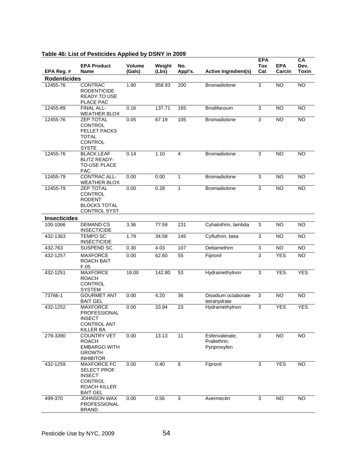| EPA Reg. #          | <b>EPA Product</b><br>Name                                                                                      | <b>Volume</b><br>(Gals) | Weight<br>(Lbs) | No.<br>Appl's. | <b>Active Ingredient(s)</b>                    | <b>EPA</b><br>Tox<br>Cat | <b>EPA</b><br>Carcin | CA<br>Dev.<br>Toxin |
|---------------------|-----------------------------------------------------------------------------------------------------------------|-------------------------|-----------------|----------------|------------------------------------------------|--------------------------|----------------------|---------------------|
| <b>Rodenticides</b> |                                                                                                                 |                         |                 |                |                                                |                          |                      |                     |
| 12455-76            | CONTRAC<br><b>RODENTICIDE</b><br><b>READY TO USE</b><br>PLACE PAC                                               | 1.90                    | 958.93          | 200            | Bromadiolone                                   | 3                        | <b>NO</b>            | <b>NO</b>           |
| 12455-89            | FINAL ALL-<br><b>WEATHER BLOX</b>                                                                               | 0.16                    | 137.71          | 165            | Brodifacoum                                    | $\mathsf 3$              | <b>NO</b>            | <b>NO</b>           |
| 12455-76            | <b>ZEP TOTAL</b><br><b>CONTROL</b><br>PELLET PACKS<br><b>TOTAL</b><br><b>CONTROL</b><br><b>SYSTE</b>            | 0.05                    | 67.19           | 105            | Bromadiolone                                   | 3                        | <b>NO</b>            | <b>NO</b>           |
| 12455-76            | <b>BLACK LEAF</b><br><b>BLITZ READY-</b><br><b>TO-USE PLACE</b><br><b>PAC</b>                                   | 0.14                    | 1.10            | 4              | Bromadiolone                                   | 3                        | <b>NO</b>            | <b>NO</b>           |
| 12455-79            | <b>CONTRAC ALL-</b><br><b>WEATHER BLOX</b>                                                                      | 0.00                    | 0.00            | $\mathbf{1}$   | Bromadiolone                                   | 3                        | <b>NO</b>            | <b>NO</b>           |
| 12455-79            | <b>ZEP TOTAL</b><br><b>CONTROL</b><br><b>RODENT</b><br><b>BLOCKS TOTAL</b><br><b>CONTROL SYST</b>               | 0.00                    | 0.28            | $\mathbf{1}$   | Bromadiolone                                   | 3                        | <b>NO</b>            | <b>NO</b>           |
| <b>Insecticides</b> |                                                                                                                 |                         |                 |                |                                                |                          |                      |                     |
| 100-1066            | <b>DEMAND CS</b><br><b>INSECTICIDE</b>                                                                          | 3.36                    | 77.59           | 231            | Cyhalothrin, lambda                            | $\mathsf 3$              | <b>NO</b>            | <b>NO</b>           |
| 432-1363            | <b>TEMPO SC</b><br><b>INSECTICIDE</b>                                                                           | 1.79                    | 34.58           | 145            | Cyfluthrin, beta                               | $\mathsf 3$              | <b>NO</b>            | <b>NO</b>           |
| 432-763             | SUSPEND SC                                                                                                      | 0.30                    | 4.03            | 107            | Deltamethrin                                   | $\mathsf 3$              | <b>NO</b>            | <b>NO</b>           |
| 432-1257            | <b>MAXFORCE</b><br><b>ROACH BAIT</b><br>F.05                                                                    | 0.00                    | 62.60           | 55             | Fipronil                                       | 3                        | <b>YES</b>           | <b>NO</b>           |
| 432-1251            | <b>MAXFORCE</b><br><b>ROACH</b><br><b>CONTROL</b><br><b>SYSTEM</b>                                              | 18.00                   | 142.80          | 53             | Hydramethylnon                                 | $\overline{3}$           | <b>YES</b>           | <b>YES</b>          |
| 73766-1             | <b>GOURMET ANT</b><br><b>BAIT GEL</b>                                                                           | 0.00                    | 4.20            | 36             | Disodium octaborate<br>tetrahydrate            | 3                        | <b>NO</b>            | <b>NO</b>           |
| 432-1252            | <b>MAXFORCE</b><br>PROFESSIONAL<br><b>INSECT</b><br><b>CONTROL ANT</b><br><b>KILLER BA</b>                      | 0.00                    | 33.94           | 23             | Hydramethylnon                                 | 3                        | <b>YES</b>           | <b>YES</b>          |
| 279-3390            | <b>COUNTRY VET</b><br><b>ROACH</b><br><b>EMBARGO WITH</b><br><b>GROWTH</b><br><b>INHIBITOR</b>                  | 0.00                    | 13.13           | 11             | Esfenvalerate;<br>Prallethrin;<br>Pyriproxyfen | 3                        | <b>NO</b>            | <b>NO</b>           |
| 432-1259            | <b>MAXFORCE FC</b><br>SELECT PROF.<br><b>INSECT</b><br><b>CONTROL</b><br><b>ROACH KILLER</b><br><b>BAIT GEL</b> | 0.00                    | 0.40            | 8              | Fipronil                                       | 3                        | <b>YES</b>           | <b>NO</b>           |
| 499-370             | <b>JOHNSON WAX</b><br>PROFESSIONAL<br><b>BRAND</b>                                                              | 0.00                    | 0.56            | 3              | Avermectin                                     | 3                        | NO                   | <b>NO</b>           |

# **Table 46: List of Pesticides Applied by DSNY in 2009**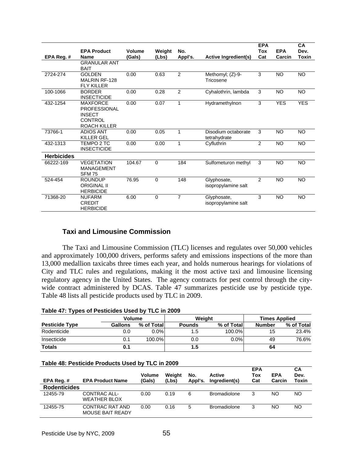|                   |                                                                                           |        |             |                |                                     | <b>EPA</b> |            | <b>CA</b>  |
|-------------------|-------------------------------------------------------------------------------------------|--------|-------------|----------------|-------------------------------------|------------|------------|------------|
|                   | <b>EPA Product</b>                                                                        | Volume | Weight      | No.            |                                     | <b>Tox</b> | <b>EPA</b> | Dev.       |
| EPA Reg. #        | <b>Name</b>                                                                               | (Gals) | (Lbs)       | Appl's.        | <b>Active Ingredient(s)</b>         | Cat        | Carcin     | Toxin      |
|                   | <b>GRANULAR ANT</b><br><b>BAIT</b>                                                        |        |             |                |                                     |            |            |            |
| 2724-274          | <b>GOLDEN</b><br><b>MALRIN RF-128</b><br><b>FLY KILLER</b>                                | 0.00   | 0.63        | $\overline{2}$ | Methomyl; (Z)-9-<br>Tricosene       | 3          | NO.        | <b>NO</b>  |
| 100-1066          | <b>BORDER</b><br><b>INSECTICIDE</b>                                                       | 0.00   | 0.28        | $\overline{2}$ | Cyhalothrin, lambda                 | 3          | NO.        | <b>NO</b>  |
| 432-1254          | <b>MAXFORCE</b><br><b>PROFESSIONAL</b><br><b>INSECT</b><br><b>CONTROL</b><br>ROACH KILLER | 0.00   | 0.07        | 1              | Hydramethylnon                      | 3          | <b>YES</b> | <b>YES</b> |
| 73766-1           | <b>ADIOS ANT</b><br>KILLER GEL                                                            | 0.00   | 0.05        | $\mathbf{1}$   | Disodium octaborate<br>tetrahydrate | 3          | <b>NO</b>  | <b>NO</b>  |
| 432-1313          | TEMPO 2 TC<br><b>INSECTICIDE</b>                                                          | 0.00   | 0.00        | 1              | Cyfluthrin                          | 2          | <b>NO</b>  | <b>NO</b>  |
| <b>Herbicides</b> |                                                                                           |        |             |                |                                     |            |            |            |
| 66222-169         | <b>VEGETATION</b><br><b>MANAGEMENT</b><br><b>SFM 75</b>                                   | 104.67 | $\mathbf 0$ | 184            | Sulfometuron methyl                 | 3          | NO.        | <b>NO</b>  |
| 524-454           | <b>ROUNDUP</b><br><b>ORIGINAL II</b><br><b>HERBICIDE</b>                                  | 76.95  | $\mathbf 0$ | 148            | Glyphosate,<br>isopropylamine salt  | 2          | <b>NO</b>  | NO         |
| 71368-20          | <b>NUFARM</b><br><b>CREDIT</b><br><b>HERBICIDE</b>                                        | 6.00   | $\Omega$    | $\overline{7}$ | Glyphosate,<br>isopropylamine salt  | 3          | <b>NO</b>  | <b>NO</b>  |

# **Taxi and Limousine Commission**

 The Taxi and Limousine Commission (TLC) licenses and regulates over 50,000 vehicles and approximately 100,000 drivers, performs safety and emissions inspections of the more than 13,000 medallion taxicabs three times each year, and holds numerous hearings for violations of City and TLC rules and regulations, making it the most active taxi and limousine licensing regulatory agency in the United States. The agency contracts for pest control through the citywide contract administered by DCAS. Table 47 summarizes pesticide use by pesticide type. Table 48 lists all pesticide products used by TLC in 2009.

|  |  | Table 47: Types of Pesticides Used by TLC in 2009 |
|--|--|---------------------------------------------------|
|  |  |                                                   |

| - -                   |         |             |               |            |                      |            |  |
|-----------------------|---------|-------------|---------------|------------|----------------------|------------|--|
|                       | Volume  |             | Weight        |            | <b>Times Applied</b> |            |  |
| <b>Pesticide Type</b> | Gallons | % of Totall | <b>Pounds</b> | % of Total | <b>Number</b>        | % of Total |  |
| Rodenticide           | 0.0     | $0.0\%$     | 1.5           | 100.0%     | 15                   | 23.4%      |  |
| Insecticide           |         | 100.0%      | 0.0           | $0.0\%$    | 49                   | 76.6%      |  |
| <b>Totals</b>         | U. 1    |             | 1.5           |            | 64                   |            |  |

#### **Table 48: Pesticide Products Used by TLC in 2009**

| EPA Reg.#           | <b>EPA Product Name</b>             | <b>Volume</b><br>(Gals) | Weiaht<br>(Lbs) | No.<br>Appl's. | Active<br>Ingredient(s) | <b>EPA</b><br>Tox<br>Cat | <b>EPA</b><br>Carcin | CA<br>Dev.<br>Toxin |
|---------------------|-------------------------------------|-------------------------|-----------------|----------------|-------------------------|--------------------------|----------------------|---------------------|
| <b>Rodenticides</b> |                                     |                         |                 |                |                         |                          |                      |                     |
| 12455-79            | CONTRAC ALL-<br><b>WEATHER BLOX</b> | 0.00                    | 0.19            | 6              | <b>Bromadiolone</b>     | 3                        | NO                   | NO                  |
| 12455-75            | CONTRAC RAT AND<br>MOUSE BAIT READY | 0.00                    | 0.16            | 5              | <b>Bromadiolone</b>     | 3                        | NO                   | <b>NO</b>           |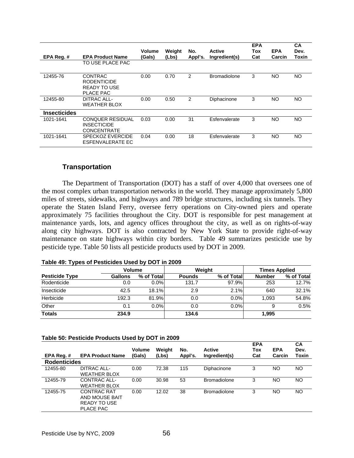| EPA Req.#           | <b>EPA Product Name</b><br>TO USE PLACE PAC                              | Volume<br>(Gals) | Weight<br>(Lbs) | No.<br>Appl's. | <b>Active</b><br>Ingredient(s) | <b>EPA</b><br>Tox<br>Cat | <b>EPA</b><br>Carcin | СA<br>Dev.<br>Toxin |
|---------------------|--------------------------------------------------------------------------|------------------|-----------------|----------------|--------------------------------|--------------------------|----------------------|---------------------|
| 12455-76            | <b>CONTRAC</b><br><b>RODENTICIDE</b><br><b>READY TO USE</b><br>PLACE PAC | 0.00             | 0.70            | 2              | <b>Bromadiolone</b>            | 3                        | NO.                  | NO.                 |
| 12455-80            | DITRAC ALL-<br><b>WEATHER BLOX</b>                                       | 0.00             | 0.50            | 2              | Diphacinone                    | 3                        | NO                   | NO                  |
| <b>Insecticides</b> |                                                                          |                  |                 |                |                                |                          |                      |                     |
| 1021-1641           | <b>CONQUER RESIDUAL</b><br><b>INSECTICIDE</b><br><b>CONCENTRATE</b>      | 0.03             | 0.00            | 31             | Esfenvalerate                  | 3                        | NO.                  | <b>NO</b>           |
| 1021-1641           | <b>SPECKOZ EVERCIDE</b><br>ESFENVALERATE EC                              | 0.04             | 0.00            | 18             | Esfenvalerate                  | 3                        | NO.                  | NO.                 |

# **Transportation**

The Department of Transportation (DOT) has a staff of over 4,000 that oversees one of the most complex urban transportation networks in the world. They manage approximately 5,800 miles of streets, sidewalks, and highways and 789 bridge structures, including six tunnels. They operate the Staten Island Ferry, oversee ferry operations on City-owned piers and operate approximately 75 facilities throughout the City. DOT is responsible for pest management at maintenance yards, lots, and agency offices throughout the city, as well as on rights-of-way along city highways. DOT is also contracted by New York State to provide right-of-way maintenance on state highways within city borders. Table 49 summarizes pesticide use by pesticide type. Table 50 lists all pesticide products used by DOT in 2009.

#### **Table 49: Types of Pesticides Used by DOT in 2009**

|                       | <b>Volume</b>  |            |               | Weight     | <b>Times Applied</b> |            |  |
|-----------------------|----------------|------------|---------------|------------|----------------------|------------|--|
| <b>Pesticide Type</b> | <b>Gallons</b> | % of Total | <b>Pounds</b> | % of Total | Number               | % of Total |  |
| Rodenticide           | 0.0            | 0.0%       | 131.7         | 97.9%l     | 253                  | 12.7%      |  |
| Insecticide           | 42.5           | 18.1%      | 2.9           | 2.1%       | 640                  | 32.1%      |  |
| Herbicide             | 192.3          | 81.9%      | 0.0           | $0.0\%$    | 1.093                | 54.8%      |  |
| Other                 | 0.1            | $0.0\%$    | 0.0           | 0.0%       | 9                    | 0.5%       |  |
| <b>Totals</b>         | 234.9          |            | 134.6         |            | 1,995                |            |  |

#### **Table 50: Pesticide Products Used by DOT in 2009**

| EPA Req.#           | <b>EPA Product Name</b>                                                         | Volume<br>(Gals) | Weight<br>(Lbs) | No.<br>Appl's. | <b>Active</b><br>Ingredient(s) | <b>EPA</b><br>Tox<br>Cat | <b>EPA</b><br>Carcin | <b>CA</b><br>Dev.<br>Toxin |
|---------------------|---------------------------------------------------------------------------------|------------------|-----------------|----------------|--------------------------------|--------------------------|----------------------|----------------------------|
| <b>Rodenticides</b> |                                                                                 |                  |                 |                |                                |                          |                      |                            |
| 12455-80            | DITRAC ALL-<br><b>WEATHER BLOX</b>                                              | 0.00             | 72.38           | 115            | Diphacinone                    | 3                        | NO                   | NO                         |
| 12455-79            | CONTRAC ALL-<br><b>WEATHER BLOX</b>                                             | 0.00             | 30.98           | 53             | <b>Bromadiolone</b>            | 3                        | NO                   | NO.                        |
| 12455-75            | <b>CONTRAC RAT</b><br>AND MOUSE BAIT<br><b>READY TO USE</b><br><b>PLACE PAC</b> | 0.00             | 12.02           | 38             | <b>Bromadiolone</b>            | 3                        | NO                   | NO.                        |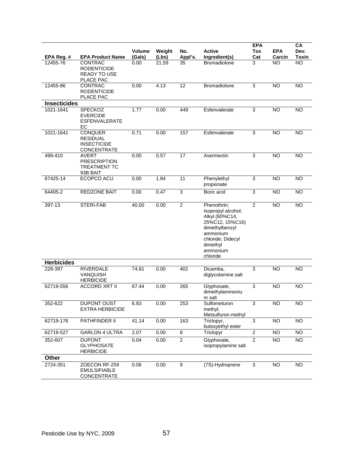| EPA Reg. #          | <b>EPA Product Name</b>                                                | Volume<br>(Gals) | Weight<br>(Lbs) | No.<br>Appl's.   | <b>Active</b><br>Ingredient(s)                                                                                                                                | <b>EPA</b><br><b>Tox</b><br>Cat | <b>EPA</b><br>Carcin | CA<br>Dev.<br><b>Toxin</b> |
|---------------------|------------------------------------------------------------------------|------------------|-----------------|------------------|---------------------------------------------------------------------------------------------------------------------------------------------------------------|---------------------------------|----------------------|----------------------------|
| 12455-76            | CONTRAC<br><b>RODENTICIDE</b><br><b>READY TO USE</b><br>PLACE PAC      | 0.00             | 21.59           | 35               | <b>Bromadiolone</b>                                                                                                                                           | 3                               | <b>NO</b>            | <b>NO</b>                  |
| 12455-86            | <b>CONTRAC</b><br><b>RODENTICIDE</b><br>PLACE PAC                      | 0.00             | 4.13            | $\overline{12}$  | Bromadiolone                                                                                                                                                  | 3                               | $\overline{NO}$      | $\overline{NO}$            |
| <b>Insecticides</b> |                                                                        |                  |                 |                  |                                                                                                                                                               |                                 |                      |                            |
| 1021-1641           | SPECKOZ<br><b>EVERCIDE</b><br><b>ESFENVALERATE</b><br>EС               | 1.77             | 0.00            | 449              | Esfenvalerate                                                                                                                                                 | 3                               | $\overline{NO}$      | $\overline{NO}$            |
| 1021-1641           | <b>CONQUER</b><br><b>RESIDUAL</b><br><b>INSECTICIDE</b><br>CONCENTRATE | 0.71             | 0.00            | 157              | Esfenvalerate                                                                                                                                                 | 3                               | <b>NO</b>            | <b>NO</b>                  |
| 499-410             | <b>AVERT</b><br><b>PRESCRIPTION</b><br><b>TREATMENT TC</b><br>93B BAIT | 0.00             | 0.57            | 17               | Avermectin                                                                                                                                                    | 3                               | <b>NO</b>            | <b>NO</b>                  |
| 67425-14            | ECOPCO ACU                                                             | 0.00             | 1.84            | 11               | Phenylethyl<br>propionate                                                                                                                                     | $\overline{3}$                  | $\overline{NO}$      | $\overline{NO}$            |
| 64405-2             | <b>REDZONE BAIT</b>                                                    | 0.00             | 0.47            | 3                | Boric acid                                                                                                                                                    | 3                               | <b>NO</b>            | <b>NO</b>                  |
| 397-13              | STERI-FAB                                                              | 40.00            | 0.00            | $\overline{2}$   | Phenothrin;<br>Isopropyl alcohol;<br>Alkyl (60%C14,<br>25%C12, 15%C16)<br>dimethylbenzyl<br>ammonium<br>chloride; Didecyl<br>dimethyl<br>ammonium<br>chloride | 2                               | <b>NO</b>            | <b>NO</b>                  |
| <b>Herbicides</b>   |                                                                        |                  |                 |                  |                                                                                                                                                               |                                 |                      |                            |
| 228-397             | RIVERDALE<br><b>VANQUISH</b><br><b>HERBICIDE</b>                       | 74.81            | 0.00            | 402              | Dicamba,<br>diglycolamine salt                                                                                                                                | 3                               | <b>NO</b>            | <b>NO</b>                  |
| 62719-556           | <b>ACCORD XRT II</b>                                                   | 67.44            | 0.00            | 265              | Glyphosate,<br>dimethylammoniu<br>m salt                                                                                                                      | 3                               | <b>NO</b>            | <b>NO</b>                  |
| 352-622             | DUPONT OUST<br><b>EXTRA HERBICIDE</b>                                  | 6.83             | 0.00            | 253              | Sulfometuron<br>methyl;<br>Metsulfuron-methyl                                                                                                                 | 3                               | <b>NO</b>            | <b>NO</b>                  |
| 62719-176           | PATHFINDER II                                                          | 41.14            | 0.00            | 163              | Triclopyr,<br>butoxyethyl ester                                                                                                                               | $\overline{3}$                  | <b>NO</b>            | $\overline{NO}$            |
| 62719-527           | <b>GARLON 4 ULTRA</b>                                                  | 2.07             | 0.00            | $\overline{8}$   | Triclopyr                                                                                                                                                     | $\overline{2}$                  | N <sub>O</sub>       | <b>NO</b>                  |
| 352-607             | <b>DUPONT</b><br><b>GLYPHOSATE</b><br><b>HERBICIDE</b>                 | 0.04             | 0.00            | $\overline{2}$   | Glyphosate,<br>isopropylamine salt                                                                                                                            | $\overline{2}$                  | <b>NO</b>            | <b>NO</b>                  |
| Other               |                                                                        |                  |                 |                  |                                                                                                                                                               |                                 |                      |                            |
| 2724-351            | ZOECON RF-259<br><b>EMULSIFIABLE</b><br>CONCENTRATE                    | 0.06             | 0.00            | $\boldsymbol{9}$ | (7S)-Hydroprene                                                                                                                                               | $\sqrt{3}$                      | <b>NO</b>            | <b>NO</b>                  |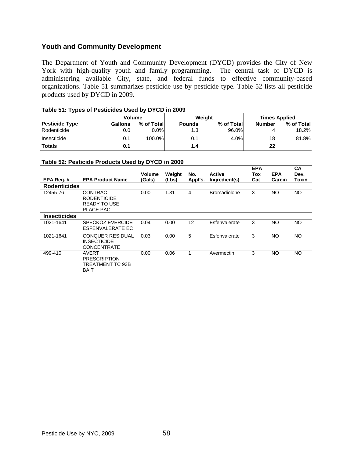# **Youth and Community Development**

The Department of Youth and Community Development (DYCD) provides the City of New York with high-quality youth and family programming. The central task of DYCD is administering available City, state, and federal funds to effective community-based organizations. Table 51 summarizes pesticide use by pesticide type. Table 52 lists all pesticide products used by DYCD in 2009.

|                       | <b>Volume</b> |             | Weight        |            | <b>Times Applied</b> |            |  |
|-----------------------|---------------|-------------|---------------|------------|----------------------|------------|--|
| <b>Pesticide Type</b> | Gallons       | % of Totall | <b>Pounds</b> | % of Total | <b>Number</b>        | % of Total |  |
| Rodenticide           | 0.0           | $0.0\%$     | 1.3           | 96.0%      |                      | 18.2%      |  |
| Insecticide           | 0.1           | 100.0%      | 0.1           | 4.0%       | 18                   | 81.8%      |  |
| <b>Totals</b>         | 0.1           |             | 1.4           |            | 22                   |            |  |

# **Table 51: Types of Pesticides Used by DYCD in 2009**

#### **Table 52: Pesticide Products Used by DYCD in 2009**

|                     |                                                                        | Volume | Weight | No.     | <b>Active</b>       | <b>EPA</b><br>Tox | <b>EPA</b> | CA<br>Dev.   |
|---------------------|------------------------------------------------------------------------|--------|--------|---------|---------------------|-------------------|------------|--------------|
| EPA Reg. #          | <b>EPA Product Name</b>                                                | (Gals) | (Lbs)  | Appl's. | Ingredient(s)       | Cat               | Carcin     | <b>Toxin</b> |
| <b>Rodenticides</b> |                                                                        |        |        |         |                     |                   |            |              |
| 12455-76            | CONTRAC<br><b>RODENTICIDE</b><br>READY TO USE<br>PLACE PAC             | 0.00   | 1.31   | 4       | <b>Bromadiolone</b> | 3                 | <b>NO</b>  | <b>NO</b>    |
| <b>Insecticides</b> |                                                                        |        |        |         |                     |                   |            |              |
| 1021-1641           | <b>SPECKOZ EVERCIDE</b><br>ESFENVALERATE EC                            | 0.04   | 0.00   | 12      | Esfenvalerate       | 3                 | <b>NO</b>  | <b>NO</b>    |
| 1021-1641           | <b>CONQUER RESIDUAL</b><br><b>INSECTICIDE</b><br>CONCENTRATE           | 0.03   | 0.00   | 5       | Esfenvalerate       | 3                 | NO         | <b>NO</b>    |
| 499-410             | <b>AVERT</b><br><b>PRESCRIPTION</b><br>TREATMENT TC 93B<br><b>BAIT</b> | 0.00   | 0.06   | 1       | Avermectin          | 3                 | NO         | NO.          |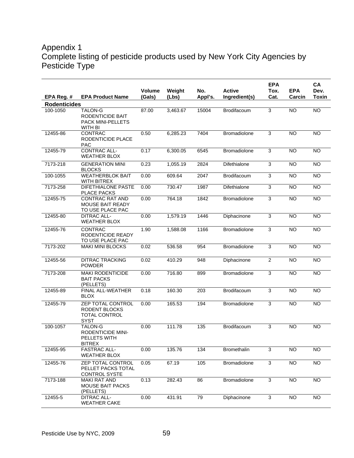# Appendix 1 Complete listing of pesticide products used by New York City Agencies by Pesticide Type

|                     |                                                                                         | Volume | Weight   | No.     | <b>Active</b>       | <b>EPA</b><br>Tox. | <b>EPA</b>      | <b>CA</b><br>Dev. |
|---------------------|-----------------------------------------------------------------------------------------|--------|----------|---------|---------------------|--------------------|-----------------|-------------------|
| EPA Reg. #          | <b>EPA Product Name</b>                                                                 | (Gals) | (Lbs)    | Appl's. | Ingredient(s)       | Cat.               | Carcin          | <b>Toxin</b>      |
| <b>Rodenticides</b> |                                                                                         |        |          |         |                     |                    |                 |                   |
| 100-1050            | TALON-G<br>RODENTICIDE BAIT<br>PACK MINI-PELLETS<br><b>WITH BI</b>                      | 87.00  | 3,463.67 | 15004   | Brodifacoum         | 3                  | $\overline{NO}$ | <b>NO</b>         |
| 12455-86            | <b>CONTRAC</b><br>RODENTICIDE PLACE<br><b>PAC</b>                                       | 0.50   | 6,285.23 | 7404    | <b>Bromadiolone</b> | 3                  | <b>NO</b>       | <b>NO</b>         |
| 12455-79            | <b>CONTRAC ALL-</b><br><b>WEATHER BLOX</b>                                              | 0.17   | 6,300.05 | 6545    | <b>Bromadiolone</b> | 3                  | <b>NO</b>       | <b>NO</b>         |
| 7173-218            | <b>GENERATION MINI</b><br><b>BLOCKS</b>                                                 | 0.23   | 1,055.19 | 2824    | Difethialone        | 3                  | <b>NO</b>       | <b>NO</b>         |
| 100-1055            | <b>WEATHERBLOK BAIT</b><br>WITH BITREX                                                  | 0.00   | 609.64   | 2047    | Brodifacoum         | 3                  | N <sub>O</sub>  | $\overline{NO}$   |
| 7173-258            | <b>DIFETHIALONE PASTE</b><br>PLACE PACKS                                                | 0.00   | 730.47   | 1987    | Difethialone        | 3                  | <b>NO</b>       | <b>NO</b>         |
| 12455-75            | <b>CONTRAC RAT AND</b><br><b>MOUSE BAIT READY</b><br>TO USE PLACE PAC                   | 0.00   | 764.18   | 1842    | Bromadiolone        | 3                  | <b>NO</b>       | <b>NO</b>         |
| 12455-80            | <b>DITRAC ALL-</b><br><b>WEATHER BLOX</b>                                               | 0.00   | 1,579.19 | 1446    | Diphacinone         | 3                  | <b>NO</b>       | <b>NO</b>         |
| 12455-76            | <b>CONTRAC</b><br>RODENTICIDE READY<br>TO USE PLACE PAC                                 | 1.90   | 1,588.08 | 1166    | <b>Bromadiolone</b> | 3                  | <b>NO</b>       | <b>NO</b>         |
| 7173-202            | <b>MAKI MINI BLOCKS</b>                                                                 | 0.02   | 536.58   | 954     | <b>Bromadiolone</b> | 3                  | <b>NO</b>       | <b>NO</b>         |
| 12455-56            | <b>DITRAC TRACKING</b><br><b>POWDER</b>                                                 | 0.02   | 410.29   | 948     | Diphacinone         | $\overline{2}$     | NO              | $\overline{NO}$   |
| 7173-208            | <b>MAKI RODENTICIDE</b><br><b>BAIT PACKS</b><br>(PELLETS)                               | 0.00   | 716.80   | 899     | <b>Bromadiolone</b> | 3                  | <b>NO</b>       | <b>NO</b>         |
| 12455-89            | FINAL ALL-WEATHER<br><b>BLOX</b>                                                        | 0.18   | 160.30   | 203     | Brodifacoum         | 3                  | <b>NO</b>       | <b>NO</b>         |
| 12455-79            | <b>ZEP TOTAL CONTROL</b><br><b>RODENT BLOCKS</b><br><b>TOTAL CONTROL</b><br><b>SYST</b> | 0.00   | 165.53   | 194     | Bromadiolone        | 3                  | <b>NO</b>       | <b>NO</b>         |
| 100-1057            | TALON-G<br><b>RODENTICIDE MINI-</b><br>PELLETS WITH<br><b>BITREX</b>                    | 0.00   | 111.78   | 135     | Brodifacoum         | 3                  | <b>NO</b>       | <b>NO</b>         |
| 12455-95            | <b>FASTRAC ALL-</b><br><b>WEATHER BLOX</b>                                              | 0.00   | 135.76   | 134     | <b>Bromethalin</b>  | 3                  | <b>NO</b>       | <b>NO</b>         |
| 12455-76            | ZEP TOTAL CONTROL<br>PELLET PACKS TOTAL<br><b>CONTROL SYSTE</b>                         | 0.05   | 67.19    | 105     | <b>Bromadiolone</b> | $\overline{3}$     | NO              | N <sub>O</sub>    |
| 7173-188            | <b>MAKI RAT AND</b><br><b>MOUSE BAIT PACKS</b><br>(PELLETS)                             | 0.13   | 282.43   | 86      | Bromadiolone        | $\overline{3}$     | $\overline{NO}$ | $\overline{NO}$   |
| 12455-5             | <b>DITRAC ALL-</b><br><b>WEATHER CAKE</b>                                               | 0.00   | 431.91   | 79      | Diphacinone         | $\overline{3}$     | <b>NO</b>       | <b>NO</b>         |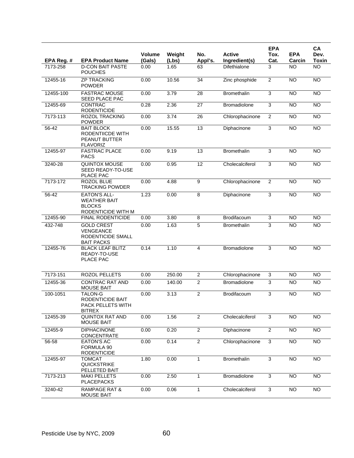|              |                                                                                   |                         |                 |                 |                                | <b>EPA</b>     |                      | <b>CA</b>            |
|--------------|-----------------------------------------------------------------------------------|-------------------------|-----------------|-----------------|--------------------------------|----------------|----------------------|----------------------|
| EPA Reg. #   | <b>EPA Product Name</b>                                                           | <b>Volume</b><br>(Gals) | Weight<br>(Lbs) | No.<br>Appl's.  | <b>Active</b><br>Ingredient(s) | Tox.<br>Cat.   | <b>EPA</b><br>Carcin | Dev.<br><b>Toxin</b> |
| 7173-258     | <b>D-CON BAIT PASTE</b><br><b>POUCHES</b>                                         | 0.00                    | 1.65            | 63              | Difethialone                   | 3              | NO                   | <b>NO</b>            |
| $12455 - 16$ | <b>ZP TRACKING</b><br><b>POWDER</b>                                               | 0.00                    | 10.56           | 34              | Zinc phosphide                 | $\overline{2}$ | $\overline{NO}$      | $\overline{NO}$      |
| 12455-100    | <b>FASTRAC MOUSE</b><br>SEED PLACE PAC                                            | 0.00                    | 3.79            | 28              | <b>Bromethalin</b>             | 3              | <b>NO</b>            | N <sub>O</sub>       |
| 12455-69     | <b>CONTRAC</b><br><b>RODENTICIDE</b>                                              | 0.28                    | 2.36            | 27              | <b>Bromadiolone</b>            | 3              | N <sub>O</sub>       | <b>NO</b>            |
| 7173-113     | <b>ROZOL TRACKING</b><br><b>POWDER</b>                                            | 0.00                    | 3.74            | 26              | Chlorophacinone                | $\overline{2}$ | <b>NO</b>            | <b>NO</b>            |
| 56-42        | <b>BAIT BLOCK</b><br>RODENTIICDE WITH<br>PEANUT BUTTER<br><b>FLAVORIZ</b>         | 0.00                    | 15.55           | $\overline{13}$ | Diphacinone                    | 3              | <b>NO</b>            | $\overline{NO}$      |
| 12455-97     | <b>FASTRAC PLACE</b><br><b>PACS</b>                                               | 0.00                    | 9.19            | 13              | <b>Bromethalin</b>             | 3              | <b>NO</b>            | <b>NO</b>            |
| 3240-28      | <b>QUINTOX MOUSE</b><br>SEED READY-TO-USE<br>PLACE PAC                            | 0.00                    | 0.95            | 12              | Cholecalciferol                | 3              | NO                   | $\overline{NO}$      |
| 7173-172     | ROZOL BLUE<br><b>TRACKING POWDER</b>                                              | 0.00                    | 4.88            | 9               | Chlorophacinone                | $\overline{2}$ | <b>NO</b>            | <b>NO</b>            |
| 56-42        | <b>EATON'S ALL-</b><br><b>WEATHER BAIT</b><br><b>BLOCKS</b><br>RODENTICIDE WITH M | 1.23                    | 0.00            | 8               | Diphacinone                    | 3              | $\overline{NO}$      | <b>NO</b>            |
| 12455-90     | FINAL RODENTICIDE                                                                 | 0.00                    | 3.80            | 8               | Brodifacoum                    | 3              | <b>NO</b>            | <b>NO</b>            |
| 432-748      | <b>GOLD CREST</b><br><b>VENGEANCE</b><br>RODENTICIDE SMALL<br><b>BAIT PACKS</b>   | 0.00                    | 1.63            | 5               | <b>Bromethalin</b>             | 3              | <b>NO</b>            | <b>NO</b>            |
| 12455-76     | <b>BLACK LEAF BLITZ</b><br>READY-TO-USE<br>PLACE PAC                              | 0.14                    | 1.10            | $\overline{4}$  | Bromadiolone                   | 3              | <b>NO</b>            | <b>NO</b>            |
| 7173-151     | <b>ROZOL PELLETS</b>                                                              | 0.00                    | 250.00          | $\overline{c}$  | Chlorophacinone                | 3              | <b>NO</b>            | <b>NO</b>            |
| 12455-36     | <b>CONTRAC RAT AND</b><br><b>MOUSE BAIT</b>                                       | 0.00                    | 140.00          | $\overline{2}$  | <b>Bromadiolone</b>            | 3              | <b>NO</b>            | <b>NO</b>            |
| 100-1051     | <b>TALON-G</b><br><b>RODENTICIDE BAIT</b><br>PACK PELLETS WITH<br><b>BITREX</b>   | 0.00                    | 3.13            | $\overline{2}$  | Brodifacoum                    | 3              | <b>NO</b>            | <b>NO</b>            |
| 12455-39     | <b>QUINTOX RAT AND</b><br><b>MOUSE BAIT</b>                                       | 0.00                    | 1.56            | $\overline{2}$  | Cholecalciferol                | $\overline{3}$ | $\overline{N}$       | $\overline{NO}$      |
| 12455-9      | <b>DIPHACINONE</b><br>CONCENTRATE                                                 | 0.00                    | 0.20            | $\overline{2}$  | Diphacinone                    | $\overline{2}$ | $\overline{N}$       | $\overline{NO}$      |
| 56-58        | <b>EATON'S AC</b><br>FORMULA 90<br><b>RODENTICIDE</b>                             | 0.00                    | 0.14            | $\overline{2}$  | Chlorophacinone                | 3              | <b>NO</b>            | <b>NO</b>            |
| 12455-97     | <b>TOMCAT</b><br><b>QUICKSTRIKE</b><br>PELLETED BAIT                              | 1.80                    | 0.00            | $\mathbf{1}$    | Bromethalin                    | $\mathbf{3}$   | <b>NO</b>            | $\overline{NO}$      |
| 7173-213     | <b>MAKI PELLETS</b><br><b>PLACEPACKS</b>                                          | 0.00                    | 2.50            | $\mathbf{1}$    | Bromadiolone                   | 3              | <b>NO</b>            | <b>NO</b>            |
| 3240-42      | <b>RAMPAGE RAT &amp;</b><br><b>MOUSE BAIT</b>                                     | 0.00                    | 0.06            | $\mathbf{1}$    | Cholecalciferol                | $\overline{3}$ | $\overline{N}$       | $\overline{NO}$      |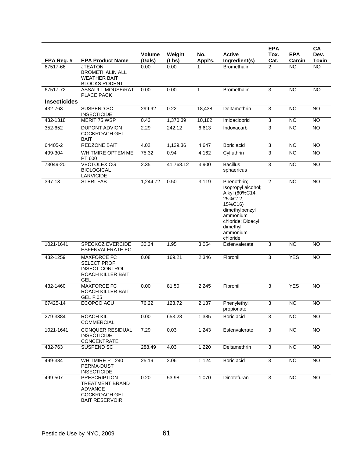| EPA Reg. #          | <b>EPA Product Name</b>                                                                            | Volume<br>(Gals)   | Weight<br>(Lbs) | No.<br>Appl's. | <b>Active</b><br>Ingredient(s)                                                                                                                                   | <b>EPA</b><br>Tox.<br>Cat. | <b>EPA</b><br>Carcin | CA<br>Dev.<br><b>Toxin</b> |
|---------------------|----------------------------------------------------------------------------------------------------|--------------------|-----------------|----------------|------------------------------------------------------------------------------------------------------------------------------------------------------------------|----------------------------|----------------------|----------------------------|
| 67517-66            | <b>JTEATON</b><br><b>BROMETHALIN ALL</b><br><b>WEATHER BAIT</b><br><b>BLOCKS RODENT</b>            | 0.00               | 0.00            | 1              | <b>Bromethalin</b>                                                                                                                                               | $\overline{2}$             | NO.                  | <b>NO</b>                  |
| 67517-72            | ASSAULT MOUSE/RAT<br>PLACE PACK                                                                    | 0.00               | 0.00            | $\mathbf{1}$   | Bromethalin                                                                                                                                                      | $\overline{3}$             | <b>NO</b>            | <b>NO</b>                  |
| <b>Insecticides</b> |                                                                                                    |                    |                 |                |                                                                                                                                                                  |                            |                      |                            |
| 432-763             | SUSPEND SC<br><b>INSECTICIDE</b>                                                                   | 299.92             | 0.22            | 18,438         | Deltamethrin                                                                                                                                                     | 3                          | <b>NO</b>            | <b>NO</b>                  |
| 432-1318            | MERIT 75 WSP                                                                                       | 0.43               | 1,370.39        | 10,182         | Imidacloprid                                                                                                                                                     | 3                          | <b>NO</b>            | <b>NO</b>                  |
| 352-652             | DUPONT ADVION<br><b>COCKROACH GEL</b><br><b>BAIT</b>                                               | 2.29               | 242.12          | 6,613          | Indoxacarb                                                                                                                                                       | $\overline{3}$             | <b>NO</b>            | NO.                        |
| 64405-2             | REDZONE BAIT                                                                                       | 4.02               | 1,139.36        | 4,647          | Boric acid                                                                                                                                                       | $\overline{3}$             | <b>NO</b>            | <b>NO</b>                  |
| 499-304             | WHITMIRE OPTEM ME<br>PT 600                                                                        | 75.32              | 0.94            | 4,162          | Cyfluthrin                                                                                                                                                       | 3                          | <b>NO</b>            | <b>NO</b>                  |
| 73049-20            | <b>VECTOLEX CG</b><br><b>BIOLOGICAL</b><br><b>LARVICIDE</b>                                        | 2.35               | 41,768.12       | 3,900          | <b>Bacillus</b><br>sphaericus                                                                                                                                    | 3                          | <b>NO</b>            | <b>NO</b>                  |
| 397-13              | STERI-FAB                                                                                          | 1,244.72           | 0.50            | 3,119          | Phenothrin;<br>Isopropyl alcohol;<br>Alkyl (60%C14,<br>25%C12.<br>15%C16)<br>dimethylbenzyl<br>ammonium<br>chloride; Didecyl<br>dimethyl<br>ammonium<br>chloride | 2                          | <b>NO</b>            | <b>NO</b>                  |
| 1021-1641           | SPECKOZ EVERCIDE<br><b>ESFENVALERATE EC</b>                                                        | 30.34              | 1.95            | 3,054          | Esfenvalerate                                                                                                                                                    | $\overline{3}$             | <b>NO</b>            | $\overline{NO}$            |
| 432-1259            | <b>MAXFORCE FC</b><br>SELECT PROF.<br><b>INSECT CONTROL</b><br>ROACH KILLER BAIT<br><b>GEL</b>     | 0.08               | 169.21          | 2,346          | Fipronil                                                                                                                                                         | 3                          | <b>YES</b>           | <b>NO</b>                  |
| 432-1460            | <b>MAXFORCE FC</b><br>ROACH KILLER BAIT<br><b>GEL F.05</b>                                         | 0.00               | 81.50           | 2,245          | Fipronil                                                                                                                                                         | $\overline{3}$             | <b>YES</b>           | <b>NO</b>                  |
| 67425-14            | ECOPCO ACU                                                                                         | $76.\overline{22}$ | 123.72          | 2,137          | Phenylethyl<br>propionate                                                                                                                                        | 3                          | <b>NO</b>            | <b>NO</b>                  |
| 279-3384            | <b>ROACH KIL</b><br>COMMERCIAL                                                                     | 0.00               | 653.28          | 1,385          | Boric acid                                                                                                                                                       | 3                          | <b>NO</b>            | <b>NO</b>                  |
| 1021-1641           | <b>CONQUER RESIDUAL</b><br><b>INSECTICIDE</b><br>CONCENTRATE                                       | 7.29               | 0.03            | 1,243          | Esfenvalerate                                                                                                                                                    | 3                          | $\overline{NO}$      | $\overline{10}$            |
| 432-763             | SUSPEND SC                                                                                         | 288.49             | 4.03            | 1,220          | Deltamethrin                                                                                                                                                     | $\sqrt{3}$                 | <b>NO</b>            | <b>NO</b>                  |
| 499-384             | <b>WHITMIRE PT 240</b><br>PERMA-DUST<br><b>INSECTICIDE</b>                                         | 25.19              | 2.06            | 1,124          | Boric acid                                                                                                                                                       | 3                          | <b>NO</b>            | <b>NO</b>                  |
| 499-507             | <b>PRESCRIPTION</b><br>TREATMENT BRAND<br>ADVANCE<br><b>COCKROACH GEL</b><br><b>BAIT RESERVOIR</b> | 0.20               | 53.98           | 1,070          | Dinotefuran                                                                                                                                                      | $\overline{\omega}$        | NO.                  | <b>NO</b>                  |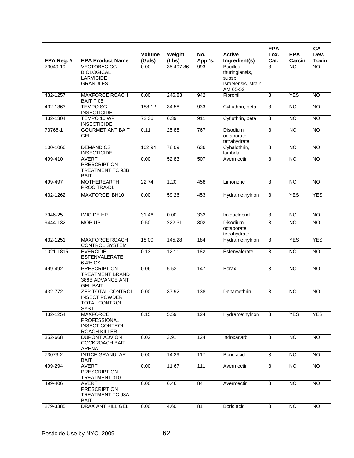| EPA Reg. # | <b>EPA Product Name</b>                                                              | <b>Volume</b><br>(Gals) | Weight<br>(Lbs) | No.<br>Appl's. | <b>Active</b><br>Ingredient(s)                                                 | <b>EPA</b><br>Tox.<br>Cat. | <b>EPA</b><br>Carcin | CA<br>Dev.<br><b>Toxin</b> |
|------------|--------------------------------------------------------------------------------------|-------------------------|-----------------|----------------|--------------------------------------------------------------------------------|----------------------------|----------------------|----------------------------|
| 73049-19   | <b>VECTOBAC CG</b><br><b>BIOLOGICAL</b><br><b>LARVICIDE</b><br><b>GRANULES</b>       | 0.00                    | 35,497.86       | 993            | <b>Bacillus</b><br>thuringiensis,<br>subsp.<br>Israelensis, strain<br>AM 65-52 | 3                          | NO                   | <b>NO</b>                  |
| 432-1257   | <b>MAXFORCE ROACH</b><br>BAIT F.05                                                   | 0.00                    | 246.83          | 942            | Fipronil                                                                       | 3                          | <b>YES</b>           | <b>NO</b>                  |
| 432-1363   | <b>TEMPO SC</b><br><b>INSECTICIDE</b>                                                | 188.12                  | 34.58           | 933            | Cyfluthrin, beta                                                               | $\sqrt{3}$                 | <b>NO</b>            | $\overline{NO}$            |
| 432-1304   | TEMPO 10 WP<br><b>INSECTICIDE</b>                                                    | 72.36                   | 6.39            | 911            | Cyfluthrin, beta                                                               | $\overline{3}$             | <b>NO</b>            | <b>NO</b>                  |
| 73766-1    | <b>GOURMET ANT BAIT</b><br><b>GEL</b>                                                | 0.11                    | 25.88           | 767            | <b>Disodium</b><br>octaborate<br>tetrahydrate                                  | 3                          | $\overline{NO}$      | N <sub>O</sub>             |
| 100-1066   | <b>DEMAND CS</b><br><b>INSECTICIDE</b>                                               | 102.94                  | 78.09           | 636            | Cyhalothrin,<br>lambda                                                         | 3                          | <b>NO</b>            | <b>NO</b>                  |
| 499-410    | <b>AVERT</b><br><b>PRESCRIPTION</b><br><b>TREATMENT TC 93B</b><br><b>BAIT</b>        | 0.00                    | 52.83           | 507            | Avermectin                                                                     | 3                          | <b>NO</b>            | <b>NO</b>                  |
| 499-497    | <b>MOTHEREARTH</b><br>PROCITRA-DL                                                    | 22.74                   | 1.20            | 458            | Limonene                                                                       | 3                          | <b>NO</b>            | <b>NO</b>                  |
| 432-1262   | <b>MAXFORCE IBH10</b>                                                                | 0.00                    | 59.26           | 453            | Hydramethylnon                                                                 | $\overline{3}$             | <b>YES</b>           | <b>YES</b>                 |
| 7946-25    | <b>IMICIDE HP</b>                                                                    | 31.46                   | 0.00            | 332            | Imidacloprid                                                                   | $\sqrt{3}$                 | <b>NO</b>            | <b>NO</b>                  |
| 9444-132   | <b>MOP UP</b>                                                                        | 0.50                    | 222.31          | 302            | <b>Disodium</b><br>octaborate<br>tetrahydrate                                  | $\overline{3}$             | <b>NO</b>            | <b>NO</b>                  |
| 432-1251   | <b>MAXFORCE ROACH</b><br><b>CONTROL SYSTEM</b>                                       | 18.00                   | 145.28          | 184            | Hydramethylnon                                                                 | 3                          | <b>YES</b>           | <b>YES</b>                 |
| 1021-1815  | <b>EVERCIDE</b><br><b>ESFENVALERATE</b><br>6.4% CS                                   | 0.13                    | 12.11           | 182            | Esfenvalerate                                                                  | 3                          | <b>NO</b>            | <b>NO</b>                  |
| 499-492    | <b>PRESCRIPTION</b><br><b>TREATMENT BRAND</b><br>388B ADVANCE ANT<br><b>GEL BAIT</b> | 0.06                    | 5.53            | 147            | <b>Borax</b>                                                                   | 3                          | $\overline{NO}$      | $\overline{NO}$            |
| 432-772    | ZEP TOTAL CONTROL<br><b>INSECT POWDER</b><br><b>TOTAL CONTROL</b><br><b>SYST</b>     | 0.00                    | 37.92           | 138            | Deltamethrin                                                                   | 3                          | <b>NO</b>            | <b>NO</b>                  |
| 432-1254   | <b>MAXFORCE</b><br>PROFESSIONAL<br><b>INSECT CONTROL</b><br>ROACH KILLER             | 0.15                    | 5.59            | 124            | Hydramethylnon                                                                 | 3                          | <b>YES</b>           | <b>YES</b>                 |
| 352-668    | DUPONT ADVION<br><b>COCKROACH BAIT</b><br><b>ARENA</b>                               | 0.02                    | 3.91            | 124            | Indoxacarb                                                                     | 3                          | <b>NO</b>            | <b>NO</b>                  |
| 73079-2    | <b>INTICE GRANULAR</b><br><b>BAIT</b>                                                | 0.00                    | 14.29           | 117            | Boric acid                                                                     | 3                          | NO.                  | <b>NO</b>                  |
| 499-294    | <b>AVERT</b><br><b>PRESCRIPTION</b><br>TREATMENT 310                                 | 0.00                    | 11.67           | 111            | Avermectin                                                                     | $\overline{3}$             | <b>NO</b>            | NO.                        |
| 499-406    | <b>AVERT</b><br><b>PRESCRIPTION</b><br>TREATMENT TC 93A<br>BAIT                      | 0.00                    | 6.46            | 84             | Avermectin                                                                     | 3                          | <b>NO</b>            | <b>NO</b>                  |
| 279-3385   | DRAX ANT KILL GEL                                                                    | 0.00                    | 4.60            | 81             | Boric acid                                                                     | 3                          | NO                   | <b>NO</b>                  |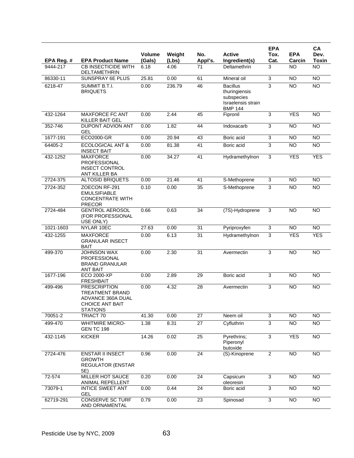|                        |                                                                                                                 | Volume | Weight        | No.     | <b>Active</b>                                                                          | <b>EPA</b><br>Tox. | <b>EPA</b>      | CA<br>Dev.                      |
|------------------------|-----------------------------------------------------------------------------------------------------------------|--------|---------------|---------|----------------------------------------------------------------------------------------|--------------------|-----------------|---------------------------------|
| EPA Reg. #<br>9444-217 | <b>EPA Product Name</b><br><b>CB INSECTICIDE WITH</b>                                                           | (Gals) | (Lbs)<br>4.06 | Appl's. | Ingredient(s)                                                                          | Cat.<br>3          | Carcin          | <b>Toxin</b><br>$\overline{NO}$ |
|                        | DELTAMETHRIN                                                                                                    | 6.18   |               | 71      | Deltamethrin                                                                           |                    | <b>NO</b>       |                                 |
| 86330-11               | <b>SUNSPRAY 6E PLUS</b>                                                                                         | 25.81  | 0.00          | 61      | Mineral oil                                                                            | 3                  | <b>NO</b>       | <b>NO</b>                       |
| 6218-47                | SUMMIT B.T.I.<br><b>BRIQUETS</b>                                                                                | 0.00   | 236.79        | 46      | <b>Bacillus</b><br>thuringiensis<br>subspecies<br>Israelensis strain<br><b>BMP 144</b> | $\overline{3}$     | <b>NO</b>       | <b>NO</b>                       |
| 432-1264               | <b>MAXFORCE FC ANT</b><br><b>KILLER BAIT GEL</b>                                                                | 0.00   | 2.44          | 45      | Fipronil                                                                               | $\overline{3}$     | <b>YES</b>      | <b>NO</b>                       |
| 352-746                | DUPONT ADVION ANT<br>GEL                                                                                        | 0.00   | 1.82          | 44      | Indoxacarb                                                                             | 3                  | <b>NO</b>       | $\overline{NO}$                 |
| 1677-191               | ECO2000-GR                                                                                                      | 0.00   | 20.94         | 43      | Boric acid                                                                             | $\overline{3}$     | <b>NO</b>       | $\overline{NO}$                 |
| 64405-2                | <b>ECOLOGICAL ANT &amp;</b><br><b>INSECT BAIT</b>                                                               | 0.00   | 81.38         | 41      | Boric acid                                                                             | 3                  | <b>NO</b>       | <b>NO</b>                       |
| 432-1252               | <b>MAXFORCE</b><br>PROFESSIONAL<br><b>INSECT CONTROL</b><br>ANT KILLER BA                                       | 0.00   | 34.27         | 41      | Hydramethylnon                                                                         | $\overline{3}$     | <b>YES</b>      | <b>YES</b>                      |
| 2724-375               | <b>ALTOSID BRIQUETS</b>                                                                                         | 0.00   | 21.46         | 41      | S-Methoprene                                                                           | 3                  | <b>NO</b>       | <b>NO</b>                       |
| 2724-352               | ZOECON RF-291<br><b>EMULSIFIABLE</b><br><b>CONCENTRATE WITH</b><br><b>PRECOR</b>                                | 0.10   | 0.00          | 35      | S-Methoprene                                                                           | $\overline{3}$     | $\overline{NO}$ | $\overline{NO}$                 |
| 2724-484               | <b>GENTROL AEROSOL</b><br>(FOR PROFESSIONAL<br>USE ONLY)                                                        | 0.66   | 0.63          | 34      | (7S)-Hydroprene                                                                        | 3                  | <b>NO</b>       | <b>NO</b>                       |
| 1021-1603              | NYLAR 10EC                                                                                                      | 27.63  | 0.00          | 31      | Pyriproxyfen                                                                           | $\mathfrak{S}$     | <b>NO</b>       | $\overline{NO}$                 |
| 432-1255               | <b>MAXFORCE</b><br><b>GRANULAR INSECT</b><br><b>BAIT</b>                                                        | 0.00   | 6.13          | 31      | Hydramethylnon                                                                         | 3                  | <b>YES</b>      | <b>YES</b>                      |
| 499-370                | <b>JOHNSON WAX</b><br>PROFESSIONAL<br><b>BRAND GRANULAR</b><br><b>ANT BAIT</b>                                  | 0.00   | 2.30          | 31      | Avermectin                                                                             | 3                  | <b>NO</b>       | <b>NO</b>                       |
| 1677-196               | <b>ECO 2000-XP</b><br><b>FRESHBAIT</b>                                                                          | 0.00   | 2.89          | 29      | Boric acid                                                                             | 3                  | <b>NO</b>       | <b>NO</b>                       |
| 499-496                | <b>PRESCRIPTION</b><br><b>TREATMENT BRAND</b><br>ADVANCE 360A DUAL<br><b>CHOICE ANT BAIT</b><br><b>STATIONS</b> | 0.00   | 4.32          | 28      | Avermectin                                                                             | 3                  | <b>NO</b>       | <b>NO</b>                       |
| 70051-2                | TRIACT 70                                                                                                       | 41.30  | 0.00          | 27      | Neem oil                                                                               | 3                  | <b>NO</b>       | <b>NO</b>                       |
| 499-470                | <b>WHITMIRE MICRO-</b><br><b>GEN TC 198</b>                                                                     | 1.38   | 8.31          | 27      | Cyfluthrin                                                                             | 3                  | $\overline{NO}$ | $\overline{NO}$                 |
| 432-1145               | <b>KICKER</b>                                                                                                   | 14.26  | 0.02          | 25      | Pyrethrins;<br>Piperonyl<br>butoxide                                                   | $\overline{3}$     | <b>YES</b>      | <b>NO</b>                       |
| 2724-476               | <b>ENSTAR II INSECT</b><br><b>GROWTH</b><br><b>REGULATOR (ENSTAR</b><br>5E)                                     | 0.96   | 0.00          | 24      | (S)-Kinoprene                                                                          | $\overline{2}$     | <b>NO</b>       | <b>NO</b>                       |
| 72-574                 | <b>MILLER HOT SAUCE</b><br>ANIMAL REPELLENT                                                                     | 0.20   | 0.00          | 24      | Capsicum<br>oleoresin                                                                  | 3                  | <b>NO</b>       | <b>NO</b>                       |
| 73079-1                | <b>INTICE SWEET ANT</b><br><b>GEL</b>                                                                           | 0.00   | 0.44          | 24      | Boric acid                                                                             | $\overline{3}$     | <b>NO</b>       | <b>NO</b>                       |
| 62719-291              | <b>CONSERVE SC TURF</b><br>AND ORNAMENTAL                                                                       | 0.79   | 0.00          | 23      | Spinosad                                                                               | $\overline{3}$     | NO <sub>1</sub> | <b>NO</b>                       |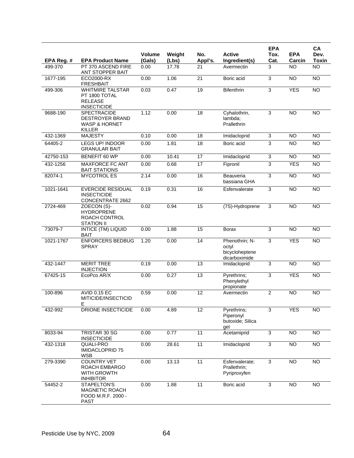|                       |                                                                                           | <b>Volume</b>  | Weight         | No.             | <b>Active</b>                                              | <b>EPA</b><br>Tox. | <b>EPA</b>          | <b>CA</b><br>Dev.         |
|-----------------------|-------------------------------------------------------------------------------------------|----------------|----------------|-----------------|------------------------------------------------------------|--------------------|---------------------|---------------------------|
| EPA Reg. #<br>499-370 | <b>EPA Product Name</b><br>PT 370 ASCEND FIRE                                             | (Gals)<br>0.00 | (Lbs)<br>17.78 | Appl's.<br>21   | Ingredient(s)<br>Avermectin                                | Cat.<br>3          | Carcin<br><b>NO</b> | <b>Toxin</b><br><b>NO</b> |
|                       | ANT STOPPER BAIT                                                                          |                |                |                 |                                                            |                    |                     |                           |
| 1677-195              | ECO2000-RX<br><b>FRESHBAIT</b>                                                            | 0.00           | 1.06           | 21              | Boric acid                                                 | 3                  | <b>NO</b>           | <b>NO</b>                 |
| 499-306               | <b>WHITMIRE TALSTAR</b><br>PT 1800 TOTAL<br><b>RELEASE</b><br><b>INSECTICIDE</b>          | 0.03           | 0.47           | 19              | <b>Bifenthrin</b>                                          | 3                  | <b>YES</b>          | <b>NO</b>                 |
| 9688-190              | <b>SPECTRACIDE</b><br><b>DESTROYER BRAND</b><br><b>WASP &amp; HORNET</b><br><b>KILLER</b> | 1.12           | 0.00           | 18              | Cyhalothrin,<br>lambda:<br>Prallethrin                     | 3                  | <b>NO</b>           | NO                        |
| 432-1369              | <b>MAJESTY</b>                                                                            | 0.10           | 0.00           | 18              | Imidacloprid                                               | 3                  | <b>NO</b>           | <b>NO</b>                 |
| 64405-2               | <b>LEGS UP! INDOOR</b><br><b>GRANULAR BAIT</b>                                            | 0.00           | 1.81           | $\overline{18}$ | Boric acid                                                 | 3                  | <b>NO</b>           | <b>NO</b>                 |
| 42750-153             | <b>BENEFIT 60 WP</b>                                                                      | 0.00           | 10.41          | $\overline{17}$ | Imidacloprid                                               | $\overline{3}$     | <b>NO</b>           | <b>NO</b>                 |
| 432-1256              | <b>MAXFORCE FC ANT</b><br><b>BAIT STATIONS</b>                                            | 0.00           | 0.68           | 17              | Fipronil                                                   | $\overline{3}$     | <b>YES</b>          | <b>NO</b>                 |
| 82074-1               | <b>MYCOTROL ES</b>                                                                        | 2.14           | 0.00           | 16              | Beauveria<br>bassiana GHA                                  | 3                  | <b>NO</b>           | <b>NO</b>                 |
| 1021-1641             | <b>EVERCIDE RESIDUAL</b><br><b>INSECTICIDE</b><br><b>CONCENTRATE 2662</b>                 | 0.19           | 0.31           | 16              | Esfenvalerate                                              | $\overline{3}$     | <b>NO</b>           | $\overline{NO}$           |
| 2724-469              | ZOECON (S)-<br><b>HYDROPRENE</b><br>ROACH CONTROL<br><b>STATION II</b>                    | 0.02           | 0.94           | 15              | (7S)-Hydroprene                                            | 3                  | <b>NO</b>           | <b>NO</b>                 |
| 73079-7               | <b>INTICE (TM) LIQUID</b><br><b>BAIT</b>                                                  | 0.00           | 1.88           | 15              | <b>Borax</b>                                               | 3                  | <b>NO</b>           | <b>NO</b>                 |
| 1021-1767             | <b>ENFORCERS BEDBUG</b><br><b>SPRAY</b>                                                   | 1.20           | 0.00           | $\overline{14}$ | Phenothrin; N-<br>octyl<br>bicycloheptene<br>dicarboximide | 3                  | <b>YES</b>          | <b>NO</b>                 |
| 432-1447              | <b>MERIT TREE</b><br><b>INJECTION</b>                                                     | 0.19           | 0.00           | 13              | Imidacloprid                                               | 3                  | <b>NO</b>           | <b>NO</b>                 |
| 67425-15              | EcoPco AR/X                                                                               | 0.00           | 0.27           | 13              | Pyrethrins;<br>Phenylethyl<br>propionate                   | $\overline{3}$     | <b>YES</b>          | <b>NO</b>                 |
| 100-896               | <b>AVID 0.15 EC</b><br>MITICIDE/INSECTICID<br>Е                                           | 0.59           | 0.00           | 12              | Avermectin                                                 | $\overline{2}$     | <b>NO</b>           | <b>NO</b>                 |
| 432-992               | DRIONE INSECTICIDE                                                                        | 0.00           | 4.89           | 12              | Pyrethrins;<br>Piperonyl<br>butoxide; Silica<br>gel        | 3                  | <b>YES</b>          | NO                        |
| 8033-94               | TRISTAR 30 SG<br><b>INSECTICIDE</b>                                                       | 0.00           | 0.77           | 11              | Acetamiprid                                                | $\overline{3}$     | <b>NO</b>           | $\overline{NO}$           |
| 432-1318              | QUALI-PRO<br><b>IMIDACLOPRID 75</b><br><b>WSB</b>                                         | 0.00           | 28.61          | 11              | Imidacloprid                                               | $\overline{3}$     | $\overline{NO}$     | NO <sub>1</sub>           |
| 279-3390              | <b>COUNTRY VET</b><br>ROACH EMBARGO<br>WITH GROWTH<br><b>INHIBITOR</b>                    | 0.00           | 13.13          | 11              | Esfenvalerate;<br>Prallethrin;<br>Pyriproxyfen             | $\overline{3}$     | <b>NO</b>           | NO                        |
| 54452-2               | STAPELTON'S<br>MAGNETIC ROACH<br>FOOD M.R.F. 2000 -<br><b>PAST</b>                        | 0.00           | 1.88           | 11              | Boric acid                                                 | 3                  | NO                  | NO                        |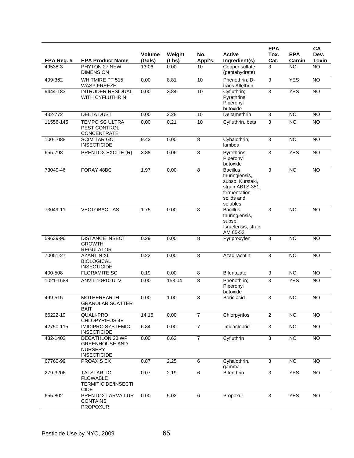|                       |                                                                                   |                 |               |                |                                                                                                                     | <b>EPA</b>     |                      | <b>CA</b>            |
|-----------------------|-----------------------------------------------------------------------------------|-----------------|---------------|----------------|---------------------------------------------------------------------------------------------------------------------|----------------|----------------------|----------------------|
|                       | <b>EPA Product Name</b>                                                           | <b>Volume</b>   | Weight        | No.<br>Appl's. | <b>Active</b><br>Ingredient(s)                                                                                      | Tox.<br>Cat.   | <b>EPA</b><br>Carcin | Dev.<br><b>Toxin</b> |
| EPA Reg. #<br>49538-3 | PHYTON 27 NEW<br><b>DIMENSION</b>                                                 | (Gals)<br>13.06 | (Lbs)<br>0.00 | 10             | Copper sulfate<br>(pentahydrate)                                                                                    | 3              | <b>NO</b>            | <b>NO</b>            |
| 499-362               | <b>WHITMIRE PT 515</b><br><b>WASP FREEZE</b>                                      | 0.00            | 8.81          | 10             | Phenothrin; D-                                                                                                      | 3              | <b>YES</b>           | $\overline{NO}$      |
| 9444-183              | <b>INTRUDER RESIDUAL</b><br><b>WITH CYFLUTHRIN</b>                                | 0.00            | 3.84          | 10             | trans Allethrin<br>Cyfluthrin;<br>Pyrethrins;<br>Piperonyl<br>butoxide                                              | 3              | <b>YES</b>           | <b>NO</b>            |
| 432-772               | <b>DELTA DUST</b>                                                                 | 0.00            | 2.28          | 10             | Deltamethrin                                                                                                        | 3              | NO                   | NO                   |
| 11556-145             | <b>TEMPO SC ULTRA</b><br>PEST CONTROL<br>CONCENTRATE                              | 0.00            | 0.21          | 10             | Cyfluthrin, beta                                                                                                    | 3              | $\overline{NO}$      | <b>NO</b>            |
| 100-1088              | <b>SCIMITAR GC</b><br><b>INSECTICIDE</b>                                          | 9.42            | 0.00          | 8              | Cyhalothrin,<br>lambda                                                                                              | 3              | <b>NO</b>            | <b>NO</b>            |
| 655-798               | <b>PRENTOX EXCITE (R)</b>                                                         | 3.88            | 0.06          | 8              | Pyrethrins;<br>Piperonyl<br>butoxide                                                                                | 3              | <b>YES</b>           | NO                   |
| 73049-46              | FORAY 48BC                                                                        | 1.97            | 0.00          | 8              | <b>Bacillus</b><br>thuringiensis,<br>subsp. Kurstaki,<br>strain ABTS-351,<br>fermentation<br>solids and<br>solubles | $\overline{3}$ | <b>NO</b>            | <b>NO</b>            |
| 73049-11              | <b>VECTOBAC - AS</b>                                                              | 1.75            | 0.00          | 8              | <b>Bacillus</b><br>thuringiensis,<br>subsp.<br>Israelensis, strain<br>AM 65-52                                      | 3              | <b>NO</b>            | <b>NO</b>            |
| 59639-96              | <b>DISTANCE INSECT</b><br><b>GROWTH</b><br><b>REGULATOR</b>                       | 0.29            | 0.00          | 8              | Pyriproxyfen                                                                                                        | 3              | <b>NO</b>            | <b>NO</b>            |
| 70051-27              | <b>AZANTIN XL</b><br><b>BIOLOGICAL</b><br><b>INSECTICIDE</b>                      | 0.22            | 0.00          | 8              | Azadirachtin                                                                                                        | 3              | <b>NO</b>            | <b>NO</b>            |
| 400-508               | <b>FLORAMITE SC</b>                                                               | 0.19            | 0.00          | 8              | <b>Bifenazate</b>                                                                                                   | 3              | <b>NO</b>            | <b>NO</b>            |
| 1021-1688             | ANVIL 10+10 ULV                                                                   | 0.00            | 153.04        | $\overline{8}$ | Phenothrin;<br>Piperonyl<br>butoxide                                                                                | 3              | <b>YES</b>           | <b>NO</b>            |
| 499-515               | <b>MOTHEREARTH</b><br><b>GRANULAR SCATTER</b><br><b>BAIT</b>                      | 0.00            | 1.00          | 8              | Boric acid                                                                                                          | 3              | <b>NO</b>            | <b>NO</b>            |
| 66222-19              | QUALI-PRO<br>CHLOPYRIFOS 4E                                                       | 14.16           | 0.00          | $\overline{7}$ | Chlorpyrifos                                                                                                        | $\overline{2}$ | <b>NO</b>            | <b>NO</b>            |
| 42750-115             | <b>IMIDIPRO SYSTEMIC</b><br><b>INSECTICIDE</b>                                    | 6.84            | 0.00          | $\overline{7}$ | Imidacloprid                                                                                                        | $\overline{3}$ | $\overline{NO}$      | N <sub>O</sub>       |
| 432-1402              | DECATHLON 20 WP<br><b>GREENHOUSE AND</b><br><b>NURSERY</b><br><b>INSECTICIDE</b>  | 0.00            | 0.62          | $\overline{7}$ | Cyfluthrin                                                                                                          | $\overline{3}$ | <b>NO</b>            | $\overline{NO}$      |
| 67760-99              | <b>PROAXIS EX</b>                                                                 | 0.87            | 2.25          | 6              | Cyhalothrin,<br>gamma                                                                                               | $\overline{3}$ | NO <sub>1</sub>      | <b>NO</b>            |
| 279-3206              | <b>TALSTAR TC</b><br><b>FLOWABLE</b><br><b>TERMITICIDE/INSECTI</b><br><b>CIDE</b> | 0.07            | 2.19          | 6              | Bifenthrin                                                                                                          | $\overline{3}$ | <b>YES</b>           | <b>NO</b>            |
| 655-802               | PRENTOX LARVA-LUR<br><b>CONTAINS</b><br><b>PROPOXUR</b>                           | 0.00            | 5.02          | 6              | Propoxur                                                                                                            | 3              | <b>YES</b>           | NO                   |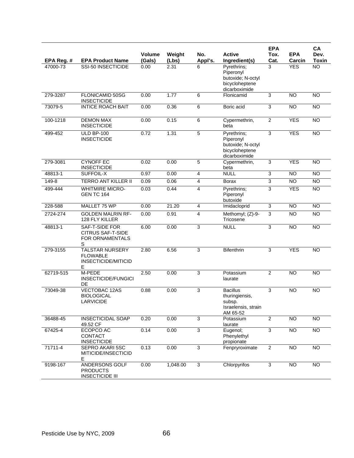|            |                                                                       | Volume | Weight   | No.                     | <b>Active</b>                                                                    | <b>EPA</b><br>Tox. | <b>EPA</b>      | CA<br>Dev.      |
|------------|-----------------------------------------------------------------------|--------|----------|-------------------------|----------------------------------------------------------------------------------|--------------------|-----------------|-----------------|
| EPA Reg. # | <b>EPA Product Name</b>                                               | (Gals) | (Lbs)    | Appl's.                 | Ingredient(s)                                                                    | Cat.               | Carcin          | <b>Toxin</b>    |
| 47000-73   | SSI-50 INSECTICIDE                                                    | 0.00   | 2.31     | 6                       | Pyrethrins;<br>Piperonyl<br>butoxide; N-octyl<br>bicycloheptene<br>dicarboximide | 3                  | <b>YES</b>      | <b>NO</b>       |
| 279-3287   | <b>FLONICAMID 50SG</b><br><b>INSECTICIDE</b>                          | 0.00   | 1.77     | 6                       | Flonicamid                                                                       | 3                  | <b>NO</b>       | NO              |
| 73079-5    | <b>INTICE ROACH BAIT</b>                                              | 0.00   | 0.36     | 6                       | Boric acid                                                                       | 3                  | $\overline{NO}$ | $\overline{NO}$ |
| 100-1218   | <b>DEMON MAX</b><br><b>INSECTICIDE</b>                                | 0.00   | 0.15     | 6                       | Cypermethrin,<br>beta                                                            | $\overline{2}$     | <b>YES</b>      | <b>NO</b>       |
| 499-452    | <b>ULD BP-100</b><br><b>INSECTICIDE</b>                               | 0.72   | 1.31     | 5                       | Pyrethrins;<br>Piperonyl<br>butoxide; N-octyl<br>bicycloheptene<br>dicarboximide | 3                  | <b>YES</b>      | $\overline{NO}$ |
| 279-3081   | <b>CYNOFF EC</b><br><b>INSECTICIDE</b>                                | 0.02   | 0.00     | $\overline{5}$          | Cypermethrin,<br>beta                                                            | 3                  | <b>YES</b>      | <b>NO</b>       |
| 48813-1    | SUFFOIL-X                                                             | 0.97   | 0.00     | $\overline{4}$          | <b>NULL</b>                                                                      | $\overline{3}$     | $\overline{NO}$ | $\overline{NO}$ |
| 149-8      | TERRO ANT KILLER II                                                   | 0.09   | 0.06     | 4                       | <b>Borax</b>                                                                     | 3                  | <b>NO</b>       | <b>NO</b>       |
| 499-444    | <b>WHITMIRE MICRO-</b><br><b>GEN TC 164</b>                           | 0.03   | 0.44     | $\overline{\mathbf{4}}$ | Pyrethrins;<br>Piperonyl<br>butoxide                                             | $\overline{3}$     | <b>YES</b>      | <b>NO</b>       |
| 228-588    | MALLET 75 WP                                                          | 0.00   | 21.20    | $\overline{4}$          | Imidacloprid                                                                     | $\overline{3}$     | <b>NO</b>       | <b>NO</b>       |
| 2724-274   | <b>GOLDEN MALRIN RF-</b><br>128 FLY KILLER                            | 0.00   | 0.91     | 4                       | Methomyl; (Z)-9-<br>Tricosene                                                    | 3                  | <b>NO</b>       | <b>NO</b>       |
| 48813-1    | SAF-T-SIDE FOR<br>CITRUS SAF-T-SIDE<br>FOR ORNAMENTALS<br>S           | 6.00   | 0.00     | 3                       | <b>NULL</b>                                                                      | 3                  | <b>NO</b>       | $\overline{NO}$ |
| 279-3155   | <b>TALSTAR NURSERY</b><br><b>FLOWABLE</b><br>INSECTICIDE/MITICID<br>E | 2.80   | 6.56     | 3                       | <b>Bifenthrin</b>                                                                | $\overline{3}$     | <b>YES</b>      | <b>NO</b>       |
| 62719-515  | M-PEDE<br><b>INSECTICIDE/FUNGICI</b><br>DE                            | 2.50   | 0.00     | 3                       | Potassium<br>laurate                                                             | $\overline{2}$     | <b>NO</b>       | <b>NO</b>       |
| 73049-38   | VECTOBAC 12AS<br><b>BIOLOGICAL</b><br>LARVICIDE                       | 0.88   | 0.00     | 3                       | <b>Bacillus</b><br>thuringiensis,<br>subsp.<br>Israelensis, strain<br>AM 65-52   | 3                  | <b>NO</b>       | <b>NO</b>       |
| 36488-45   | <b>INSECTICIDAL SOAP</b><br>49.52 CF                                  | 0.20   | 0.00     | 3                       | Potassium<br>laurate                                                             | $\overline{2}$     | $\overline{NO}$ | $\overline{NO}$ |
| 67425-4    | ECOPCO AC<br><b>CONTACT</b><br><b>INSECTICIDE</b>                     | 0.14   | 0.00     | 3                       | Eugenol;<br>Phenylethyl<br>propionate                                            | $\overline{3}$     | NO <sub>1</sub> | <b>NO</b>       |
| 71711-4    | SEPRO AKARI 5SC<br>MITICIDE/INSECTICID<br>E.                          | 0.13   | 0.00     | $\overline{3}$          | Fenpryroximate                                                                   | $\overline{2}$     | $\overline{NO}$ | $\overline{NO}$ |
| 9198-167   | ANDERSONS GOLF<br><b>PRODUCTS</b><br><b>INSECTICIDE III</b>           | 0.00   | 1,048.00 | 3                       | Chlorpyrifos                                                                     | $\overline{3}$     | $\overline{NO}$ | <b>NO</b>       |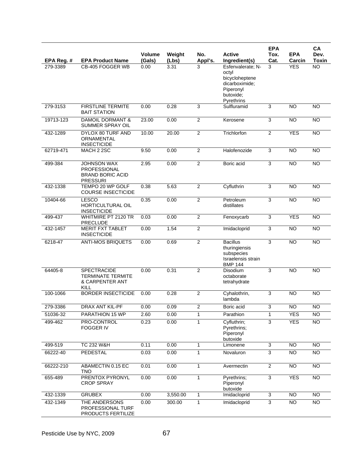|            |                                                                                  |                  |                 |                |                                                                                                        | <b>EPA</b>     |                      | CA                   |
|------------|----------------------------------------------------------------------------------|------------------|-----------------|----------------|--------------------------------------------------------------------------------------------------------|----------------|----------------------|----------------------|
| EPA Reg. # | <b>EPA Product Name</b>                                                          | Volume<br>(Gals) | Weight<br>(Lbs) | No.<br>Appl's. | <b>Active</b><br>Ingredient(s)                                                                         | Tox.<br>Cat.   | <b>EPA</b><br>Carcin | Dev.<br><b>Toxin</b> |
| 279-3389   | CB-405 FOGGER WB                                                                 | 0.00             | 3.31            | 3              | Esfenvalerate; N-<br>octyl<br>bicycloheptene<br>dicarboximide:<br>Piperonyl<br>butoxide;<br>Pyrethrins | 3              | <b>YES</b>           | $\overline{NO}$      |
| 279-3153   | <b>FIRSTLINE TERMITE</b><br><b>BAIT STATION</b>                                  | 0.00             | 0.28            | $\mathsf 3$    | Sulfluramid                                                                                            | 3              | <b>NO</b>            | <b>NO</b>            |
| 19713-123  | <b>DAMOIL DORMANT &amp;</b><br>SUMMER SPRAY OIL                                  | 23.00            | 0.00            | $\overline{2}$ | Kerosene                                                                                               | 3              | <b>NO</b>            | $\overline{NO}$      |
| 432-1289   | DYLOX 80 TURF AND<br>ORNAMENTAL<br><b>INSECTICIDE</b>                            | 10.00            | 20.00           | $\overline{2}$ | Trichlorfon                                                                                            | $\overline{2}$ | <b>YES</b>           | <b>NO</b>            |
| 62719-471  | MACH 2 2SC                                                                       | 9.50             | 0.00            | 2              | Halofenozide                                                                                           | 3              | N <sub>O</sub>       | <b>NO</b>            |
| 499-384    | <b>JOHNSON WAX</b><br>PROFESSIONAL<br><b>BRAND BORIC ACID</b><br><b>PRESSURI</b> | 2.95             | 0.00            | $\overline{2}$ | Boric acid                                                                                             | 3              | <b>NO</b>            | $\overline{NO}$      |
| 432-1338   | TEMPO 20 WP GOLF<br><b>COURSE INSECTICIDE</b>                                    | 0.38             | 5.63            | $\overline{2}$ | Cyfluthrin                                                                                             | 3              | <b>NO</b>            | <b>NO</b>            |
| 10404-66   | <b>LESCO</b><br>HORTICULTURAL OIL<br><b>INSECTICIDE</b>                          | 0.35             | 0.00            | $\overline{2}$ | Petroleum<br>distillates                                                                               | 3              | <b>NO</b>            | $\overline{NO}$      |
| 499-437    | WHITMIRE PT 2120 TR<br><b>PRECLUDE</b>                                           | 0.03             | 0.00            | $\overline{c}$ | Fenoxycarb                                                                                             | $\overline{3}$ | <b>YES</b>           | <b>NO</b>            |
| 432-1457   | <b>MERIT FXT TABLET</b><br><b>INSECTICIDE</b>                                    | 0.00             | 1.54            | $\overline{2}$ | Imidacloprid                                                                                           | 3              | <b>NO</b>            | $\overline{NO}$      |
| 6218-47    | <b>ANTI-MOS BRIQUETS</b>                                                         | 0.00             | 0.69            | $\overline{c}$ | <b>Bacillus</b><br>thuringiensis<br>subspecies<br>Israelensis strain<br><b>BMP 144</b>                 | 3              | <b>NO</b>            | <b>NO</b>            |
| 64405-8    | <b>SPECTRACIDE</b><br>TERMINATE TERMITE<br>& CARPENTER ANT<br>KILL               | 0.00             | 0.31            | $\overline{2}$ | <b>Disodium</b><br>octaborate<br>tetrahydrate                                                          | 3              | <b>NO</b>            | $\overline{NO}$      |
| 100-1066   | <b>BORDER INSECTICIDE</b>                                                        | 0.00             | 0.28            | $\overline{2}$ | Cyhalothrin,<br>lambda                                                                                 | 3              | <b>NO</b>            | <b>NO</b>            |
| 279-3386   | DRAX ANT KIL-PF                                                                  | 0.00             | 0.09            | $\overline{2}$ | Boric acid                                                                                             | $\overline{3}$ | $\overline{NO}$      | <b>NO</b>            |
| 51036-32   | PARATHION 15 WP                                                                  | 2.60             | 0.00            | $\mathbf{1}$   | Parathion                                                                                              | $\mathbf{1}$   | <b>YES</b>           | <b>NO</b>            |
| 499-462    | PRO-CONTROL<br><b>FOGGER IV</b>                                                  | 0.23             | 0.00            | 1              | Cyfluthrin;<br>Pyrethrins;<br>Piperonyl<br>butoxide                                                    | 3              | <b>YES</b>           | <b>NO</b>            |
| 499-519    | TC 232 W&H                                                                       | 0.11             | 0.00            | $\mathbf{1}$   | Limonene                                                                                               | $\overline{3}$ | <b>NO</b>            | $\overline{NO}$      |
| 66222-40   | PEDESTAL                                                                         | 0.03             | 0.00            | $\mathbf{1}$   | Novaluron                                                                                              | $\overline{3}$ | NO                   | <b>NO</b>            |
| 66222-210  | ABAMECTIN 0.15 EC<br><b>TNO</b>                                                  | 0.01             | 0.00            | $\mathbf{1}$   | Avermectin                                                                                             | $\overline{2}$ | $\overline{NO}$      | N <sub>O</sub>       |
| 655-489    | PRENTOX PYRONYL<br><b>CROP SPRAY</b>                                             | 0.00             | 0.00            | $\mathbf{1}$   | Pyrethrins;<br>Piperonyl<br>butoxide                                                                   | $\overline{3}$ | <b>YES</b>           | <b>NO</b>            |
| 432-1339   | <b>GRUBEX</b>                                                                    | 0.00             | 3,550.00        | $\mathbf 1$    | Imidacloprid                                                                                           | 3              | NO                   | <b>NO</b>            |
| 432-1349   | THE ANDERSONS<br>PROFESSIONAL TURF<br>PRODUCTS FERTILIZE                         | 0.00             | 300.00          | $\mathbf{1}$   | Imidacloprid                                                                                           | $\overline{3}$ | <b>NO</b>            | <b>NO</b>            |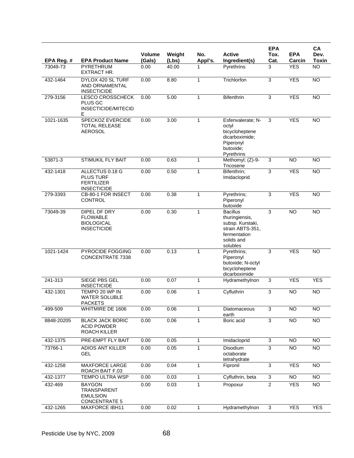|            |                                                                                | <b>Volume</b> | Weight | No.          | <b>Active</b>                                                                                                       | <b>EPA</b><br>Tox. | <b>EPA</b> | CA<br>Dev.      |
|------------|--------------------------------------------------------------------------------|---------------|--------|--------------|---------------------------------------------------------------------------------------------------------------------|--------------------|------------|-----------------|
| EPA Reg. # | <b>EPA Product Name</b>                                                        | (Gals)        | (Lbs)  | Appl's.      | Ingredient(s)                                                                                                       | Cat.               | Carcin     | <b>Toxin</b>    |
| 73049-73   | <b>PYRETHRUM</b><br>EXTRACT HR.                                                | 0.00          | 40.00  | 1            | Pyrethrins                                                                                                          | 3                  | <b>YES</b> | $\overline{NO}$ |
| 432-1464   | DYLOX 420 SL TURF<br>AND ORNAMENTAL<br><b>INSECTICIDE</b>                      | 0.00          | 8.80   | 1            | Trichlorfon                                                                                                         | 3                  | <b>YES</b> | <b>NO</b>       |
| 279-3156   | LESCO CROSSCHECK<br>PLUS GC<br>INSECTICIDE/MITECID<br>Е                        | 0.00          | 5.00   | 1            | <b>Bifenthrin</b>                                                                                                   | 3                  | <b>YES</b> | <b>NO</b>       |
| 1021-1635  | SPECKOZ EVERCIDE<br><b>TOTAL RELEASE</b><br><b>AEROSOL</b>                     | 0.00          | 3.00   | $\mathbf{1}$ | Esfenvalerate; N-<br>octyl<br>bicycloheptene<br>dicarboximide;<br>Piperonyl<br>butoxide;<br>Pyrethrins              | 3                  | <b>YES</b> | <b>NO</b>       |
| 53871-3    | <b>STIMUKIL FLY BAIT</b>                                                       | 0.00          | 0.63   | $\mathbf{1}$ | Methomyl; (Z)-9-<br>Tricosene                                                                                       | $\overline{3}$     | <b>NO</b>  | <b>NO</b>       |
| 432-1418   | ALLECTUS 0.18 G<br><b>PLUS TURF</b><br><b>FERTILIZER</b><br><b>INSECTICIDE</b> | 0.00          | 0.50   | $\mathbf{1}$ | Bifenthrin;<br>Imidacloprid                                                                                         | $\overline{3}$     | <b>YES</b> | <b>NO</b>       |
| 279-3393   | CB-80-1 FOR INSECT<br><b>CONTROL</b>                                           | 0.00          | 0.38   | $\mathbf{1}$ | Pyrethrins;<br>Piperonyl<br>butoxide                                                                                | 3                  | <b>YES</b> | <b>NO</b>       |
| 73049-39   | DIPEL DF DRY<br><b>FLOWABLE</b><br><b>BIOLOGICAL</b><br><b>INSECTICIDE</b>     | 0.00          | 0.30   | $\mathbf{1}$ | <b>Bacillus</b><br>thuringiensis,<br>subsp. Kurstaki,<br>strain ABTS-351,<br>fermentation<br>solids and<br>solubles | 3                  | <b>NO</b>  | <b>NO</b>       |
| 1021-1424  | PYROCIDE FOGGING<br><b>CONCENTRATE 7338</b>                                    | 0.00          | 0.13   | 1            | Pyrethrins;<br>Piperonyl<br>butoxide; N-octyl<br>bicycloheptene<br>dicarboximide                                    | $\overline{3}$     | <b>YES</b> | <b>NO</b>       |
| 241-313    | SIEGE PBS GEL<br><b>INSECTICIDE</b>                                            | 0.00          | 0.07   | $\mathbf{1}$ | Hydramethylnon                                                                                                      | 3                  | <b>YES</b> | <b>YES</b>      |
| 432-1301   | TEMPO 20 WP IN<br><b>WATER SOLUBLE</b><br><b>PACKETS</b>                       | 0.00          | 0.06   | 1            | Cyfluthrin                                                                                                          | $\overline{3}$     | NO         | NO              |
| 499-509    | WHITMIRE DE 1606                                                               | 0.00          | 0.06   | $\mathbf{1}$ | Diatomaceous<br>earth                                                                                               | 3                  | <b>NO</b>  | <b>NO</b>       |
| 8848-20205 | <b>BLACK JACK BORIC</b><br><b>ACID POWDER</b><br><b>ROACH KILLER</b>           | 0.00          | 0.06   | 1            | Boric acid                                                                                                          | $\overline{3}$     | <b>NO</b>  | <b>NO</b>       |
| 432-1375   | PRE-EMPT FLY BAIT                                                              | 0.00          | 0.05   | $\mathbf{1}$ | Imidacloprid                                                                                                        | $\overline{3}$     | NO         | $\overline{NO}$ |
| 73766-1    | <b>ADIOS ANT KILLER</b><br>GEL                                                 | 0.00          | 0.05   | 1            | Disodium<br>octaborate<br>tetrahydrate                                                                              | 3                  | <b>NO</b>  | <b>NO</b>       |
| 432-1258   | <b>MAXFORCE LARGE</b><br>ROACH BAIT F.03                                       | 0.00          | 0.04   | 1            | Fipronil                                                                                                            | 3                  | <b>YES</b> | <b>NO</b>       |
| 432-1377   | TEMPO ULTRA WSP                                                                | 0.00          | 0.03   | 1            | Cyfluthrin, beta                                                                                                    | $\mathbf{3}$       | <b>NO</b>  | <b>NO</b>       |
| 432-469    | <b>BAYGON</b><br><b>TRANSPARENT</b><br><b>EMULSION</b><br><b>CONCENTRATE 5</b> | 0.00          | 0.03   | $\mathbf{1}$ | Propoxur                                                                                                            | $\overline{2}$     | <b>YES</b> | $\overline{NO}$ |
| 432-1265   | MAXFORCE IBH11                                                                 | 0.00          | 0.02   | 1            | Hydramethylnon                                                                                                      | 3                  | <b>YES</b> | <b>YES</b>      |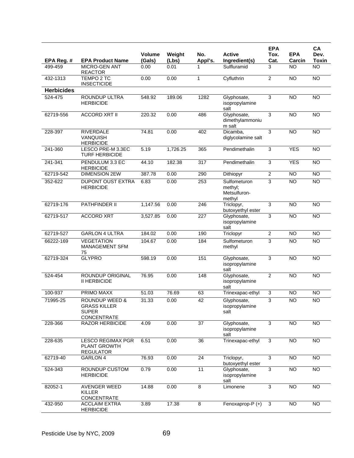|                   |                                                                                 |                  |                 |                |                                                   | <b>EPA</b>     |                      | CA                   |
|-------------------|---------------------------------------------------------------------------------|------------------|-----------------|----------------|---------------------------------------------------|----------------|----------------------|----------------------|
| EPA Reg. #        | <b>EPA Product Name</b>                                                         | Volume<br>(Gals) | Weight<br>(Lbs) | No.<br>Appl's. | <b>Active</b><br>Ingredient(s)                    | Tox.<br>Cat.   | <b>EPA</b><br>Carcin | Dev.<br><b>Toxin</b> |
| 499-459           | MICRO-GEN ANT<br><b>REACTOR</b>                                                 | 0.00             | 0.01            | 1              | Sulfluramid                                       | 3              | NO                   | <b>NO</b>            |
| 432-1313          | <b>TEMPO 2 TC</b><br><b>INSECTICIDE</b>                                         | 0.00             | 0.00            | 1              | Cyfluthrin                                        | $\overline{2}$ | <b>NO</b>            | <b>NO</b>            |
| <b>Herbicides</b> |                                                                                 |                  |                 |                |                                                   |                |                      |                      |
| 524-475           | <b>ROUNDUP ULTRA</b><br><b>HERBICIDE</b>                                        | 548.92           | 189.06          | 1282           | Glyphosate,<br>isopropylamine<br>salt             | 3              | <b>NO</b>            | <b>NO</b>            |
| 62719-556         | <b>ACCORD XRT II</b>                                                            | 220.32           | 0.00            | 486            | Glyphosate,<br>dimethylammoniu<br>m salt          | 3              | $\overline{NO}$      | N <sub>O</sub>       |
| 228-397           | <b>RIVERDALE</b><br><b>VANQUISH</b><br><b>HERBICIDE</b>                         | 74.81            | 0.00            | 402            | Dicamba,<br>diglycolamine salt                    | 3              | $\overline{10}$      | NO                   |
| 241-360           | LESCO PRE-M 3.3EC<br><b>TURF HERBICIDE</b>                                      | 5.19             | 1,726.25        | 365            | Pendimethalin                                     | 3              | <b>YES</b>           | NO                   |
| 241-341           | PENDULUM 3.3 EC<br><b>HERBICIDE</b>                                             | 44.10            | 182.38          | 317            | Pendimethalin                                     | $\overline{3}$ | <b>YES</b>           | <b>NO</b>            |
| 62719-542         | <b>DIMENSION 2EW</b>                                                            | 387.78           | 0.00            | 290            | Dithiopyr                                         | $\overline{2}$ | <b>NO</b>            | <b>NO</b>            |
| 352-622           | <b>DUPONT OUST EXTRA</b><br><b>HERBICIDE</b>                                    | 6.83             | 0.00            | 253            | Sulfometuron<br>methyl;<br>Metsulfuron-<br>methyl | 3              | <b>NO</b>            | <b>NO</b>            |
| 62719-176         | <b>PATHFINDER II</b>                                                            | 1,147.56         | 0.00            | 246            | Triclopyr,<br>butoxyethyl ester                   | 3              | N <sub>O</sub>       | $\overline{NO}$      |
| 62719-517         | <b>ACCORD XRT</b>                                                               | 3,527.85         | 0.00            | 227            | Glyphosate,<br>isopropylamine<br>salt             | 3              | N <sub>O</sub>       | $\overline{NO}$      |
| 62719-527         | <b>GARLON 4 ULTRA</b>                                                           | 184.02           | 0.00            | 190            | Triclopyr                                         | $\overline{2}$ | $\overline{N}$       | NO                   |
| 66222-169         | <b>VEGETATION</b><br><b>MANAGEMENT SFM</b><br>75                                | 104.67           | 0.00            | 184            | Sulfometuron<br>methyl                            | 3              | <b>NO</b>            | $\overline{NO}$      |
| 62719-324         | <b>GLYPRO</b>                                                                   | 598.19           | 0.00            | 151            | Glyphosate,<br>isopropylamine<br>salt             | $\overline{3}$ | <b>NO</b>            | <b>NO</b>            |
| 524-454           | <b>ROUNDUP ORIGINAL</b><br><b>II HERBICIDE</b>                                  | 76.95            | 0.00            | 148            | Glyphosate,<br>isopropylamine<br>salt             | $\overline{2}$ | <b>NO</b>            | <b>NO</b>            |
| 100-937           | PRIMO MAXX                                                                      | 51.03            | 76.69           | 63             | Trinexapac-ethyl                                  | 3              | <b>NO</b>            | <b>NO</b>            |
| 71995-25          | <b>ROUNDUP WEED &amp;</b><br><b>GRASS KILLER</b><br><b>SUPER</b><br>CONCENTRATE | 31.33            | 0.00            | 42             | Glyphosate,<br>isopropylamine<br>salt             | 3              | <b>NO</b>            | $\overline{NO}$      |
| 228-366           | <b>RAZOR HERBICIDE</b>                                                          | 4.09             | 0.00            | 37             | Glyphosate,<br>isopropylamine<br>salt             | $\overline{3}$ | N <sub>O</sub>       | <b>NO</b>            |
| 228-635           | <b>LESCO REGIMAX PGR</b><br>PLANT GROWTH<br><b>REGULATOR</b>                    | 6.51             | 0.00            | 36             | Trinexapac-ethyl                                  | 3              | $\overline{N}$       | <b>NO</b>            |
| 62719-40          | GARLON 4                                                                        | 76.93            | 0.00            | 24             | Triclopyr,<br>butoxyethyl ester                   | 3              | <b>NO</b>            | <b>NO</b>            |
| 524-343           | ROUNDUP CUSTOM<br><b>HERBICIDE</b>                                              | 0.79             | 0.00            | 11             | Glyphosate,<br>isopropylamine<br>salt             | 3              | <b>NO</b>            | $\overline{NO}$      |
| 82052-1           | <b>AVENGER WEED</b><br><b>KILLER</b><br>CONCENTRATE                             | 14.88            | 0.00            | $\overline{8}$ | Limonene                                          | $\overline{3}$ | $\overline{3}$       | $\overline{10}$      |
| 432-950           | <b>ACCLAIM EXTRA</b><br><b>HERBICIDE</b>                                        | 3.89             | 17.38           | 8              | Fenoxaprop-P (+)                                  | 3              | <b>NO</b>            | <b>NO</b>            |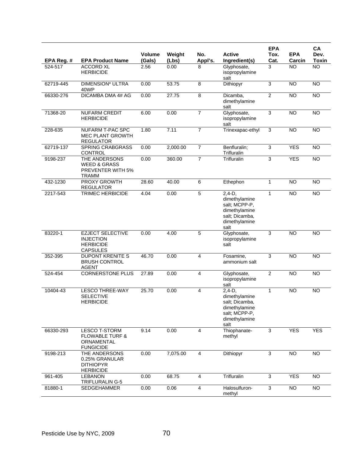|            |                                                                                    |                         |                 |                |                                                                                                        | <b>EPA</b>     |                      | CA                   |
|------------|------------------------------------------------------------------------------------|-------------------------|-----------------|----------------|--------------------------------------------------------------------------------------------------------|----------------|----------------------|----------------------|
| EPA Reg. # | <b>EPA Product Name</b>                                                            | <b>Volume</b><br>(Gals) | Weight<br>(Lbs) | No.<br>Appl's. | <b>Active</b><br>Ingredient(s)                                                                         | Tox.<br>Cat.   | <b>EPA</b><br>Carcin | Dev.<br><b>Toxin</b> |
| 524-517    | <b>ACCORD XL</b><br><b>HERBICIDE</b>                                               | 2.56                    | 0.00            | 8              | Glyphosate,<br>isopropylamine<br>salt                                                                  | 3              | <b>NO</b>            | $\overline{NO}$      |
| 62719-445  | <b>DIMENSION* ULTRA</b><br>40WP                                                    | 0.00                    | 53.75           | 8              | Dithiopyr                                                                                              | 3              | <b>NO</b>            | <b>NO</b>            |
| 66330-276  | DICAMBA DMA 4# AG                                                                  | 0.00                    | 27.75           | 8              | Dicamba,<br>dimethylamine<br>salt                                                                      | $\overline{2}$ | NO                   | $\overline{NO}$      |
| 71368-20   | <b>NUFARM CREDIT</b><br><b>HERBICIDE</b>                                           | 6.00                    | 0.00            | $\overline{7}$ | Glyphosate,<br>isopropylamine<br>salt                                                                  | 3              | <b>NO</b>            | <b>NO</b>            |
| 228-635    | NUFARM T-PAC SPC<br><b>MEC PLANT GROWTH</b><br><b>REGULATOR</b>                    | 1.80                    | 7.11            | $\overline{7}$ | Trinexapac-ethyl                                                                                       | 3              | <b>NO</b>            | <b>NO</b>            |
| 62719-137  | <b>SPRING CRABGRASS</b><br><b>CONTROL</b>                                          | 0.00                    | 2,000.00        | $\overline{7}$ | Benfluralin;<br>Trifluralin                                                                            | $\overline{3}$ | <b>YES</b>           | <b>NO</b>            |
| 9198-237   | THE ANDERSONS<br><b>WEED &amp; GRASS</b><br>PREVENTER WITH 5%<br><b>TRAMM</b>      | 0.00                    | 360.00          | $\overline{7}$ | Trifluralin                                                                                            | 3              | <b>YES</b>           | <b>NO</b>            |
| 432-1230   | <b>PROXY GROWTH</b><br><b>REGULATOR</b>                                            | 28.60                   | 40.00           | 6              | Ethephon                                                                                               | $\mathbf{1}$   | <b>NO</b>            | <b>NO</b>            |
| 2217-543   | <b>TRIMEC HERBICIDE</b>                                                            | 4.04                    | 0.00            | $\overline{5}$ | $2,4-D,$<br>dimethylamine<br>salt; MCPP-P,<br>dimethylamine<br>salt; Dicamba,<br>dimethylamine<br>salt | $\mathbf{1}$   | $\overline{NO}$      | NO                   |
| 83220-1    | <b>EZJECT SELECTIVE</b><br><b>INJECTION</b><br><b>HERBICIDE</b><br><b>CAPSULES</b> | 0.00                    | 4.00            | 5              | Glyphosate,<br>isopropylamine<br>salt                                                                  | 3              | <b>NO</b>            | N <sub>O</sub>       |
| 352-395    | <b>DUPONT KRENITE S</b><br><b>BRUSH CONTROL</b><br><b>AGENT</b>                    | 46.70                   | 0.00            | $\overline{4}$ | Fosamine,<br>ammonium salt                                                                             | 3              | <b>NO</b>            | <b>NO</b>            |
| 524-454    | <b>CORNERSTONE PLUS</b>                                                            | 27.89                   | 0.00            | $\overline{4}$ | Glyphosate,<br>isopropylamine<br>salt                                                                  | $\overline{2}$ | <b>NO</b>            | <b>NO</b>            |
| 10404-43   | <b>LESCO THREE-WAY</b><br><b>SELECTIVE</b><br><b>HERBICIDE</b>                     | 25.70                   | 0.00            | 4              | $2,4-D,$<br>dimethylamine<br>salt; Dicamba,<br>dimethylamine<br>salt; MCPP-P,<br>dimethylamine<br>salt | $\mathbf{1}$   | <b>NO</b>            | <b>NO</b>            |
| 66330-293  | LESCO T-STORM<br><b>FLOWABLE TURF &amp;</b><br>ORNAMENTAL<br><b>FUNGICIDE</b>      | 9.14                    | 0.00            | 4              | Thiophanate-<br>methyl                                                                                 | $\overline{3}$ | <b>YES</b>           | <b>YES</b>           |
| 9198-213   | THE ANDERSONS<br>0.25% GRANULAR<br><b>DITHIOPYR</b><br><b>HERBICIDE</b>            | 0.00                    | 7,075.00        | $\overline{4}$ | Dithiopyr                                                                                              | 3              | <b>NO</b>            | <b>NO</b>            |
| 961-405    | <b>LEBANON</b><br>TRIFLURALIN G-5                                                  | 0.00                    | 68.75           | $\overline{4}$ | Trifluralin                                                                                            | 3              | <b>YES</b>           | NO                   |
| 81880-1    | <b>SEDGEHAMMER</b>                                                                 | 0.00                    | 0.06            | 4              | Halosulfuron-<br>methyl                                                                                | 3              | <b>NO</b>            | <b>NO</b>            |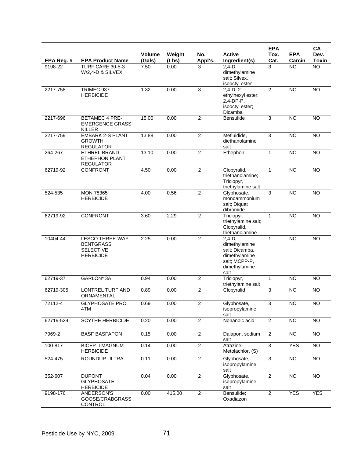|            |                                                                                    |                         |                 | No.            | <b>Active</b>                                                                                          | <b>EPA</b>     | <b>EPA</b>      | CA<br>Dev.      |
|------------|------------------------------------------------------------------------------------|-------------------------|-----------------|----------------|--------------------------------------------------------------------------------------------------------|----------------|-----------------|-----------------|
| EPA Reg. # | <b>EPA Product Name</b>                                                            | <b>Volume</b><br>(Gals) | Weight<br>(Lbs) | Appl's.        | Ingredient(s)                                                                                          | Tox.<br>Cat.   | Carcin          | <b>Toxin</b>    |
| 9198-22    | TURF CARE 30-5-3<br>$W/2$ , 4-D & SILVEX                                           | 7.50                    | 0.00            | 3              | $2,4-D,$<br>dimethylamine<br>salt; Silvex,<br>isooctyl ester                                           | 3              | <b>NO</b>       | <b>NO</b>       |
| 2217-758   | TRIMEC 937<br><b>HERBICIDE</b>                                                     | 1.32                    | 0.00            | $\overline{3}$ | $2,4-D, 2-$<br>ethylhexyl ester;<br>2,4-DP-P,<br>isooctyl ester;<br>Dicamba                            | 2              | <b>NO</b>       | <b>NO</b>       |
| 2217-696   | <b>BETAMEC 4 PRE-</b><br><b>EMERGENCE GRASS</b><br><b>KILLER</b>                   | 15.00                   | 0.00            | $\overline{2}$ | Bensulide                                                                                              | 3              | <b>NO</b>       | $\overline{NO}$ |
| 2217-759   | <b>EMBARK 2-S PLANT</b><br><b>GROWTH</b><br><b>REGULATOR</b>                       | 13.88                   | 0.00            | $\overline{2}$ | Mefluidide,<br>diethanolamine<br>salt                                                                  | 3              | <b>NO</b>       | <b>NO</b>       |
| 264-267    | <b>ETHREL BRAND</b><br>ETHEPHON PLANT<br><b>REGULATOR</b>                          | 13.10                   | 0.00            | $\overline{2}$ | Ethephon                                                                                               | 1              | <b>NO</b>       | <b>NO</b>       |
| 62719-92   | <b>CONFRONT</b>                                                                    | 4.50                    | 0.00            | $\overline{2}$ | Clopyralid,<br>triethanolamine:<br>Triclopyr,<br>triethylamine salt                                    | $\mathbf{1}$   | NO              | $\overline{NO}$ |
| 524-535    | <b>MON 78365</b><br><b>HERBICIDE</b>                                               | 4.00                    | 0.56            | $\overline{2}$ | Glyphosate,<br>monoammonium<br>salt; Diquat<br>dibromide                                               | 3              | <b>NO</b>       | <b>NO</b>       |
| 62719-92   | <b>CONFRONT</b>                                                                    | 3.60                    | 2.29            | $\overline{2}$ | Triclopyr,<br>triethylamine salt;<br>Clopyralid,<br>triethanolamine                                    | $\mathbf{1}$   | <b>NO</b>       | <b>NO</b>       |
| 10404-44   | <b>LESCO THREE-WAY</b><br><b>BENTGRASS</b><br><b>SELECTIVE</b><br><b>HERBICIDE</b> | 2.25                    | 0.00            | $\overline{2}$ | $2,4-D,$<br>dimethylamine<br>salt; Dicamba,<br>dimethylamine<br>salt; MCPP-P,<br>dimethylamine<br>salt | $\mathbf{1}$   | $\overline{10}$ | <b>NO</b>       |
| 62719-37   | <b>GARLON* 3A</b>                                                                  | 0.94                    | 0.00            | $\overline{2}$ | Triclopyr,<br>triethylamine salt                                                                       | $\mathbf{1}$   | $\overline{10}$ | <b>NO</b>       |
| 62719-305  | LONTREL TURF AND<br>ORNAMENTAL                                                     | 0.89                    | 0.00            | $\overline{2}$ | Clopyralid                                                                                             | 3              | <b>NO</b>       | <b>NO</b>       |
| 72112-4    | <b>GLYPHOSATE PRO</b><br>4TM                                                       | 0.69                    | 0.00            | $\overline{c}$ | Glyphosate,<br>isopropylamine<br>salt                                                                  | 3              | NO              | NO              |
| 62719-529  | <b>SCYTHE HERBICIDE</b>                                                            | 0.20                    | 0.00            | $\overline{2}$ | Nonanoic acid                                                                                          | $\overline{2}$ | N <sub>O</sub>  | <b>NO</b>       |
| 7969-2     | <b>BASF BASFAPON</b>                                                               | 0.15                    | 0.00            | $\overline{2}$ | Dalapon, sodium<br>salt                                                                                | $\overline{2}$ | $\overline{NO}$ | $\overline{NO}$ |
| 100-817    | <b>BICEP II MAGNUM</b><br><b>HERBICIDE</b>                                         | 0.14                    | 0.00            | $\overline{2}$ | Atrazine;<br>Metolachlor, (S)                                                                          | $\overline{3}$ | <b>YES</b>      | $\overline{NO}$ |
| 524-475    | ROUNDUP ULTRA                                                                      | 0.11                    | 0.00            | $\overline{2}$ | Glyphosate,<br>isopropylamine<br>salt                                                                  | $\overline{3}$ | $\overline{NO}$ | $\overline{NO}$ |
| 352-607    | <b>DUPONT</b><br><b>GLYPHOSATE</b><br><b>HERBICIDE</b>                             | 0.04                    | 0.00            | $\overline{2}$ | Glyphosate,<br>isopropylamine<br>salt                                                                  | $\overline{2}$ | $\overline{NO}$ | $\overline{NO}$ |
| 9198-176   | ANDERSON'S<br>GOOSE/CRABGRASS<br><b>CONTROL</b>                                    | 0.00                    | 415.00          | $\overline{2}$ | Bensulide;<br>Oxadiazon                                                                                | $\overline{2}$ | <b>YES</b>      | <b>YES</b>      |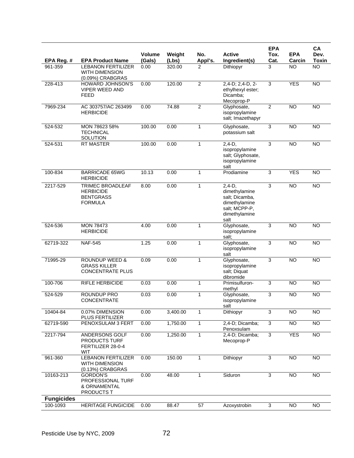|                       |                                                                             |                |                 |                |                                                                                                        | <b>EPA</b>     |                     | CA                        |
|-----------------------|-----------------------------------------------------------------------------|----------------|-----------------|----------------|--------------------------------------------------------------------------------------------------------|----------------|---------------------|---------------------------|
|                       | <b>EPA Product Name</b>                                                     | <b>Volume</b>  | Weight          | No.            | <b>Active</b>                                                                                          | Tox.           | <b>EPA</b>          | Dev.                      |
| EPA Reg. #<br>961-359 | <b>LEBANON FERTILIZER</b><br><b>WITH DIMENSION</b><br>(0.09%) CRABGRAS      | (Gals)<br>0.00 | (Lbs)<br>320.00 | Appl's.<br>2   | Ingredient(s)<br>Dithiopyr                                                                             | Cat.<br>3      | Carcin<br><b>NO</b> | <b>Toxin</b><br><b>NO</b> |
| 228-413               | <b>HOWARD JOHNSON'S</b><br><b>VIPER WEED AND</b><br>FEED                    | 0.00           | 120.00          | $\overline{2}$ | $2,4-D$ ; $2,4-D$ , $2-D$<br>ethylhexyl ester;<br>Dicamba:<br>Mecoprop-P                               | 3              | <b>YES</b>          | $\overline{NO}$           |
| 7969-234              | AC 303757/AC 263499<br><b>HERBICIDE</b>                                     | 0.00           | 74.88           | $\overline{2}$ | Glyphosate,<br>isopropylamine<br>salt; Imazethapyr                                                     | $\overline{2}$ | <b>NO</b>           | $\overline{NO}$           |
| 524-532               | MON 78623 58%<br><b>TECHNICAL</b><br><b>SOLUTION</b>                        | 100.00         | 0.00            | 1              | Glyphosate,<br>potassium salt                                                                          | 3              | <b>NO</b>           | <b>NO</b>                 |
| 524-531               | RT MASTER                                                                   | 100.00         | 0.00            | $\mathbf{1}$   | $2,4-D,$<br>isopropylamine<br>salt; Glyphosate,<br>isopropylamine<br>salt                              | 3              | <b>NO</b>           | <b>NO</b>                 |
| 100-834               | <b>BARRICADE 65WG</b><br><b>HERBICIDE</b>                                   | 10.13          | 0.00            | $\mathbf{1}$   | Prodiamine                                                                                             | 3              | <b>YES</b>          | <b>NO</b>                 |
| 2217-529              | TRIMEC BROADLEAF<br><b>HERBICIDE</b><br><b>BENTGRASS</b><br><b>FORMULA</b>  | 8.00           | 0.00            | $\mathbf{1}$   | $2,4-D,$<br>dimethylamine<br>salt; Dicamba,<br>dimethylamine<br>salt; MCPP-P,<br>dimethylamine<br>salt | 3              | N <sub>O</sub>      | $\overline{NO}$           |
| 524-536               | <b>MON 78473</b><br><b>HERBICIDE</b>                                        | 4.00           | 0.00            | 1              | Glyphosate,<br>isopropylamine<br>salt;                                                                 | 3              | $\overline{10}$     | $\overline{NO}$           |
| 62719-322             | <b>NAF-545</b>                                                              | 1.25           | 0.00            | $\mathbf{1}$   | Glyphosate,<br>isopropylamine<br>salt                                                                  | 3              | N <sub>O</sub>      | $\overline{NO}$           |
| 71995-29              | <b>ROUNDUP WEED &amp;</b><br><b>GRASS KILLER</b><br><b>CONCENTRATE PLUS</b> | 0.09           | 0.00            | $\mathbf{1}$   | Glyphosate,<br>isopropylamine<br>salt; Diquat<br>dibromide                                             | 3              | <b>NO</b>           | <b>NO</b>                 |
| 100-706               | <b>RIFLE HERBICIDE</b>                                                      | 0.03           | 0.00            | 1              | Primisulfuron-<br>methyl                                                                               | 3              | <b>NO</b>           | <b>NO</b>                 |
| 524-529               | ROUNDUP PRO<br>CONCENTRATE                                                  | 0.03           | 0.00            | $\mathbf{1}$   | Glyphosate,<br>isopropylamine<br>salt                                                                  | 3              | <b>NO</b>           | <b>NO</b>                 |
| 10404-84              | 0.07% DIMENSION<br>PLUS FERTILIZER                                          | 0.00           | 3,400.00        | 1              | Dithiopyr                                                                                              | 3              | N <sub>O</sub>      | $\overline{NO}$           |
| 62719-590             | PENOXSULAM 3 FERT                                                           | 0.00           | 1,750.00        | $\mathbf{1}$   | 2,4-D; Dicamba;<br>Penoxsulam                                                                          | $\overline{3}$ | NO                  | NO                        |
| 2217-794              | ANDERSONS GOLF<br><b>PRODUCTS TURF</b><br>FERTILIZER 28-0-4<br>WIT          | 0.00           | 1,250.00        | $\mathbf{1}$   | 2,4-D; Dicamba;<br>Mecoprop-P                                                                          | $\mathfrak{S}$ | <b>YES</b>          | <b>NO</b>                 |
| 961-360               | <b>LEBANON FERTILIZER</b><br><b>WITH DIMENSION</b><br>(0.13%) CRABGRAS      | 0.00           | 150.00          | $\mathbf{1}$   | Dithiopyr                                                                                              | 3              | <b>NO</b>           | N <sub>O</sub>            |
| 10163-213             | <b>GORDON'S</b><br>PROFESSIONAL TURF<br>& ORNAMENTAL<br>PRODUCTS T          | 0.00           | 48.00           | $\mathbf{1}$   | Siduron                                                                                                | $\overline{3}$ | NO                  | $\overline{NO}$           |
| <b>Fungicides</b>     |                                                                             |                |                 |                |                                                                                                        |                |                     |                           |
| 100-1093              | <b>HERITAGE FUNGICIDE</b>                                                   | 0.00           | 88.47           | 57             | Azoxystrobin                                                                                           | 3              | $\overline{N}$      | <b>NO</b>                 |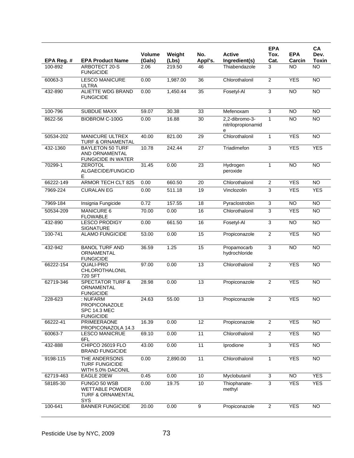|            |                                                                               | <b>Volume</b> | Weight   | No.             | <b>Active</b>                             | <b>EPA</b><br>Tox. | <b>EPA</b>      | <b>CA</b><br>Dev. |
|------------|-------------------------------------------------------------------------------|---------------|----------|-----------------|-------------------------------------------|--------------------|-----------------|-------------------|
| EPA Reg. # | <b>EPA Product Name</b>                                                       | (Gals)        | (Lbs)    | Appl's.         | Ingredient(s)                             | Cat.               | Carcin          | <b>Toxin</b>      |
| 100-892    | ARBOTECT 20-S<br><b>FUNGICIDE</b>                                             | 2.06          | 219.50   | 46              | Thiabendazole                             | 3                  | <b>NO</b>       | <b>NO</b>         |
| 60063-3    | <b>LESCO MANICURE</b><br><b>ULTRA</b>                                         | 0.00          | 1,987.00 | 36              | Chlorothalonil                            | $\overline{2}$     | <b>YES</b>      | $\overline{NO}$   |
| 432-890    | ALIETTE WDG BRAND<br><b>FUNGICIDE</b>                                         | 0.00          | 1,450.44 | 35              | Fosetyl-Al                                | 3                  | NO              | $\overline{NO}$   |
| 100-796    | <b>SUBDUE MAXX</b>                                                            | 59.07         | 30.38    | 33              | Mefenoxam                                 | 3                  | <b>NO</b>       | <b>NO</b>         |
| 8622-56    | <b>BIOBROM C-100G</b>                                                         | 0.00          | 16.88    | 30              | 2,2-dibromo-3-<br>nitrilopropionamid<br>е | 1                  | <b>NO</b>       | <b>NO</b>         |
| 50534-202  | <b>MANICURE ULTREX</b><br><b>TURF &amp; ORNAMENTAL</b>                        | 40.00         | 821.00   | 29              | Chlorothalonil                            | $\mathbf{1}$       | <b>YES</b>      | $\overline{NO}$   |
| 432-1360   | <b>BAYLETON 50 TURF</b><br>AND ORNAMENTAL<br><b>FUNGICIDE IN WATER</b>        | 10.78         | 242.44   | 27              | Triadimefon                               | 3                  | <b>YES</b>      | <b>YES</b>        |
| 70299-1    | <b>ZEROTOL</b><br>ALGAECIDE/FUNGICID<br>Е                                     | 31.45         | 0.00     | $\overline{23}$ | Hydrogen<br>peroxide                      | 1                  | <b>NO</b>       | <b>NO</b>         |
| 66222-149  | <b>ARMOR TECH CLT 825</b>                                                     | 0.00          | 660.50   | 20              | Chlorothalonil                            | $\overline{2}$     | <b>YES</b>      | <b>NO</b>         |
| 7969-224   | <b>CURALAN EG</b>                                                             | 0.00          | 511.18   | 19              | Vinclozolin                               | $\overline{3}$     | <b>YES</b>      | <b>YES</b>        |
| 7969-184   | Insignia Fungicide                                                            | 0.72          | 157.55   | $\overline{18}$ | Pyraclostrobin                            | $\overline{3}$     | NO              | $\overline{NO}$   |
| 50534-209  | <b>MANICURE 6</b><br><b>FLOWABLE</b>                                          | 70.00         | 0.00     | 16              | Chlorothalonil                            | 3                  | <b>YES</b>      | <b>NO</b>         |
| 432-890    | <b>LESCO PRODIGY</b><br><b>SIGNATURE</b>                                      | 0.00          | 661.50   | 16              | Fosetyl-Al                                | 3                  | <b>NO</b>       | $\overline{NO}$   |
| 100-741    | <b>ALAMO FUNGICIDE</b>                                                        | 53.00         | 0.00     | 15              | Propiconazole                             | $\overline{2}$     | <b>YES</b>      | <b>NO</b>         |
| 432-942    | <b>BANOL TURF AND</b><br>ORNAMENTAL<br><b>FUNGICIDE</b>                       | 36.59         | 1.25     | $\overline{15}$ | Propamocarb<br>hydrochloride              | 3                  | $\overline{10}$ | $\overline{NO}$   |
| 66222-154  | <b>QUALI-PRO</b><br>CHLOROTHALONIL<br>720 SFT                                 | 97.00         | 0.00     | 13              | Chlorothalonil                            | $\overline{2}$     | <b>YES</b>      | <b>NO</b>         |
| 62719-346  | <b>SPECTATOR TURF &amp;</b><br>ORNAMENTAL<br><b>FUNGICIDE</b>                 | 28.98         | 0.00     | 13              | Propiconazole                             | $\overline{2}$     | <b>YES</b>      | <b>NO</b>         |
| 228-623    | : NUFARM<br>PROPICONAZOLE<br><b>SPC 14.3 MEC</b><br><b>FUNGICIDE</b>          | 24.63         | 55.00    | 13              | Propiconazole                             | $\overline{2}$     | <b>YES</b>      | $\overline{NO}$   |
| 66222-41   | PRIMEERAONE<br>PROPICONAZOLA 14.3                                             | 16.39         | 0.00     | $\overline{12}$ | Propiconazole                             | $\overline{2}$     | <b>YES</b>      | $\overline{NO}$   |
| 60063-7    | <b>LESCO MANICRUE</b><br>6FL                                                  | 69.10         | 0.00     | $\overline{11}$ | Chlorothalonil                            | $\overline{2}$     | <b>YES</b>      | $\overline{NO}$   |
| 432-888    | CHIPCO 26019 FLO<br><b>BRAND FUNGICIDE</b>                                    | 43.00         | 0.00     | $\overline{11}$ | Iprodione                                 | $\overline{3}$     | <b>YES</b>      | $\overline{NO}$   |
| 9198-115   | THE ANDERSONS<br><b>TURF FUNGICIDE</b><br>WITH 5.0% DACONIL                   | 0.00          | 2,890.00 | $\overline{11}$ | Chlorothalonil                            | $\mathbf{1}$       | <b>YES</b>      | $\overline{NO}$   |
| 62719-463  | EAGLE 20EW                                                                    | 0.45          | 0.00     | 10              | Myclobutanil                              | $\overline{3}$     | <b>NO</b>       | <b>YES</b>        |
| 58185-30   | FUNGO 50 WSB<br><b>WETTABLE POWDER</b><br><b>TURF &amp; ORNAMENTAL</b><br>SYS | 0.00          | 19.75    | 10              | Thiophanate-<br>methyl                    | 3                  | <b>YES</b>      | <b>YES</b>        |
| 100-641    | <b>BANNER FUNGICIDE</b>                                                       | 20.00         | 0.00     | 9               | Propiconazole                             | $\overline{2}$     | <b>YES</b>      | <b>NO</b>         |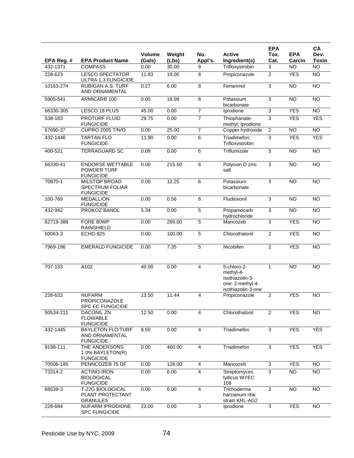|            |                                                                    |                         |                 |                |                                                                                       | <b>EPA</b>     |                      | CA                   |
|------------|--------------------------------------------------------------------|-------------------------|-----------------|----------------|---------------------------------------------------------------------------------------|----------------|----------------------|----------------------|
| EPA Reg. # | <b>EPA Product Name</b>                                            | <b>Volume</b><br>(Gals) | Weight<br>(Lbs) | No.<br>Appl's. | <b>Active</b><br>Ingredient(s)                                                        | Tox.<br>Cat.   | <b>EPA</b><br>Carcin | Dev.<br><b>Toxin</b> |
| 432-1371   | <b>COMPASS</b>                                                     | 0.00                    | 30.00           | 9              | Trifloxystrobin                                                                       | 3              | $\overline{NO}$      | NO                   |
| 228-623    | <b>LESCO SPECTATOR</b><br>ULTRA 1.3 FUNGICIDE                      | 11.83                   | 19.00           | 8              | Propiconazole                                                                         | $\overline{2}$ | <b>YES</b>           | $\overline{NO}$      |
| 10163-274  | <b>RUBIGAN A.S. TURF</b><br>AND ORNAMENTAL                         | 0.27                    | 6.00            | 8              | Fenarimol                                                                             | 3              | <b>NO</b>            | <b>NO</b>            |
| 5905-541   | ARMICARB 100                                                       | 0.00                    | 18.08           | $\overline{8}$ | Potassium<br>bicarbonate                                                              | $\overline{3}$ | NO                   | $\overline{NO}$      |
| 66330-305  | LESCO 18 PLUS                                                      | 45.00                   | 0.00            | 7              | Iprodione                                                                             | $\overline{3}$ | <b>YES</b>           | <b>NO</b>            |
| 538-183    | <b>PROTURF FLUID</b><br><b>FUNGICIDE</b>                           | 29.75                   | 0.00            | $\overline{7}$ | Thiophanate-<br>methyl; Iprodione                                                     | 3              | <b>YES</b>           | <b>YES</b>           |
| 67690-37   | <b>CUPRO 2005 T/N/O</b>                                            | 0.00                    | 25.00           | 7              | Copper hydroxide                                                                      | $\overline{2}$ | <b>NO</b>            | <b>NO</b>            |
| 432-1446   | <b>TARTAN FLO</b><br><b>FUNGICIDE</b>                              | 11.90                   | 0.00            | 6              | Triadimefon;<br>Trifloxystrobin                                                       | 3              | <b>YES</b>           | <b>YES</b>           |
| 400-521    | <b>TERRAGUARD SC</b>                                               | 0.09                    | 0.00            | 6              | Triflumizole                                                                          | $\overline{3}$ | $\overline{NO}$      | $\overline{NO}$      |
| 66330-41   | <b>ENDORSE WETTABLE</b><br>POWDER TURF<br><b>FUNGICIDE</b>         | 0.00                    | 215.50          | 6              | Polyoxin D zinc<br>salt                                                               | 3              | N <sub>O</sub>       | <b>NO</b>            |
| 70870-1    | <b>MILSTOP BROAD</b><br><b>SPECTRUM FOLIAR</b><br><b>FUNGICIDE</b> | 0.00                    | 12.25           | 6              | Potassium<br>bicarbonate                                                              | 3              | <b>NO</b>            | <b>NO</b>            |
| 100-769    | <b>MEDALLION</b><br><b>FUNGICIDE</b>                               | 0.00                    | 0.56            | 6              | Fludioxonil                                                                           | 3              | $\overline{10}$      | $\overline{NO}$      |
| 432-942    | PROKOZ BANOL                                                       | 5.34                    | 0.00            | 5              | Propamocarb<br>hydrochloride                                                          | 3              | $\overline{NO}$      | $\overline{NO}$      |
| 62719-388  | FORE 80WP<br><b>RAINSHIELD</b>                                     | 0.00                    | 289.00          | 5              | Mancozeb                                                                              | $\overline{3}$ | <b>YES</b>           | $\overline{NO}$      |
| 60063-3    | <b>ECHO 825</b>                                                    | 0.00                    | 100.00          | 5              | Chlorothalonil                                                                        | $\overline{2}$ | <b>YES</b>           | N <sub>O</sub>       |
| 7969-196   | <b>EMERALD FUNGICIDE</b>                                           | 0.00                    | 7.35            | 5              | Nicobifen                                                                             | $\overline{2}$ | <b>YES</b>           | N <sub>O</sub>       |
| 707-133    | A102                                                               | 40.00                   | 0.00            | 4              | 5-chloro-2-<br>methyl-4-<br>isothiazolin-3-<br>one; 2-methyl-4-<br>isothiazolin-3-one | $\mathbf{1}$   | $\overline{10}$      | NO                   |
| 228-633    | <b>NUFARM</b><br>PROPICONAZOLE<br><b>SPC EC FUNGICIDE</b>          | 13.50                   | 11.44           | 4              | Propiconazole                                                                         | $\overline{2}$ | <b>YES</b>           | <b>NO</b>            |
| 50534-211  | DACONIL ZN<br><b>FLOWABLE</b><br><b>FUNGICIDE</b>                  | 12.50                   | 0.00            | 4              | Chlorothalonil                                                                        | $\overline{2}$ | <b>YES</b>           | $\overline{NO}$      |
| 432-1445   | <b>BAYLETON FLO TURF</b><br>AND ORNAMENTAL<br><b>FUNGICIDE</b>     | 8.50                    | 0.00            | 4              | Triadimefon                                                                           | 3              | <b>YES</b>           | <b>YES</b>           |
| 9198-111   | THE ANDERSONS<br>1.0% BAYLETON(R)<br><b>FUNGICIDE</b>              | 0.00                    | 460.00          | $\overline{4}$ | Triadimefon                                                                           | $\overline{3}$ | <b>YES</b>           | <b>YES</b>           |
| 70506-185  | PENNCOZEB 75 DF                                                    | 0.00                    | 128.00          | $\overline{4}$ | Mancozeb                                                                              | 3              | <b>YES</b>           | <b>NO</b>            |
| 73314-2    | <b>ACTINO-IRON</b><br><b>BIOLOGICAL</b><br><b>FUNGICIDE</b>        | 0.00                    | 6.00            | $\overline{4}$ | Streptomyces<br>Iydicus WYEC<br>108                                                   | 3              | <b>NO</b>            | <b>NO</b>            |
| 68539-3    | T-22G BIOLOGICAL<br>PLANT PROTECTANT<br><b>GRANULES</b>            | 0.00                    | 6.00            | 4              | Trichoderma<br>harzianum rifai<br>strain KRL-AG2                                      | 3              | $\overline{NO}$      | $\overline{NO}$      |
| 228-684    | <b>NUFARM IPRODIONE</b><br><b>SPC FUNGICIDE</b>                    | 22.00                   | 0.00            | 3              | Iprodione                                                                             | 3              | <b>YES</b>           | <b>NO</b>            |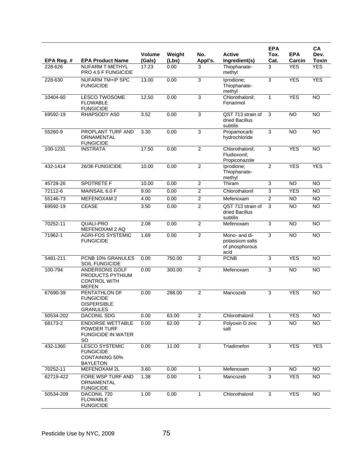|            |                                                                                       |                         |                 |                |                                                            | <b>EPA</b>     |                      | CA                   |
|------------|---------------------------------------------------------------------------------------|-------------------------|-----------------|----------------|------------------------------------------------------------|----------------|----------------------|----------------------|
| EPA Reg. # | <b>EPA Product Name</b>                                                               | <b>Volume</b><br>(Gals) | Weight<br>(Lbs) | No.<br>Appl's. | <b>Active</b><br>Ingredient(s)                             | Tox.<br>Cat.   | <b>EPA</b><br>Carcin | Dev.<br><b>Toxin</b> |
| 228-626    | <b>NUFARM T-METHYL</b><br>PRO 4.5 F FUNGICIDE                                         | 17.23                   | 0.00            | 3              | Thiophanate-<br>methyl                                     | 3              | <b>YES</b>           | <b>YES</b>           |
| 228-630    | <b>NUFARM TM+IP SPC</b><br><b>FUNGICIDE</b>                                           | 13.00                   | 0.00            | 3              | Iprodione;<br>Thiophanate-<br>methyl                       | $\overline{3}$ | <b>YES</b>           | <b>YES</b>           |
| 10404-60   | <b>LESCO TWOSOME</b><br><b>FLOWABLE</b><br><b>FUNGICIDE</b>                           | 12.50                   | 0.00            | 3              | Chlorothalonil;<br>Fenarimol                               | $\mathbf{1}$   | <b>YES</b>           | <b>NO</b>            |
| 69592-19   | RHAPSODY AS0                                                                          | 3.52                    | 0.00            | 3              | QST 713 strain of<br>dried Bacillus<br>subtilis            | 3              | $\overline{10}$      | $\overline{NO}$      |
| 55260-9    | PROPLANT TURF AND<br>ORNAMENTAL<br><b>FUNGICIDE</b>                                   | 3.30                    | 0.00            | 3              | Propamocarb<br>hydrochloride                               | $\overline{3}$ | <b>NO</b>            | <b>NO</b>            |
| 100-1231   | <b>INSTRATA</b>                                                                       | 17.50                   | 0.00            | $\overline{2}$ | Chlorothalonil;<br>Fludioxonil:<br>Propiconazole           | 3              | <b>YES</b>           | NO                   |
| 432-1414   | 26/36 FUNGICIDE                                                                       | 10.00                   | 0.00            | $\overline{2}$ | Iprodione;<br>Thiophanate-<br>methyl                       | $\overline{2}$ | <b>YES</b>           | <b>YES</b>           |
| 45728-26   | <b>SPOTRETE F</b>                                                                     | 10.00                   | 0.00            | $\overline{2}$ | Thiram                                                     | $\overline{3}$ | <b>NO</b>            | <b>NO</b>            |
| 72112-6    | MAINSAIL 6.0 F                                                                        | 9.00                    | 0.00            | $\overline{2}$ | Chlorothalonil                                             | 3              | <b>YES</b>           | <b>NO</b>            |
| 55146-73   | MEFENOXAM 2                                                                           | 4.00                    | 0.00            | $\overline{c}$ | Mefenoxam                                                  | $\overline{2}$ | $\overline{NO}$      | <b>NO</b>            |
| 69592-19   | <b>CEASE</b>                                                                          | 3.50                    | 0.00            | $\overline{2}$ | QST 713 strain of<br>dried Bacillus<br>subtilis            | 3              | $\overline{NO}$      | NO                   |
| 70252-11   | QUALI-PRO<br>MEFENOXAM 2 AQ                                                           | 2.08                    | 0.00            | $\overline{2}$ | Mefenoxam                                                  | 3              | <b>NO</b>            | <b>NO</b>            |
| 71962-1    | <b>AGRI-FOS SYSTEMIC</b><br><b>FUNGICIDE</b>                                          | 1.69                    | 0.00            | $\overline{2}$ | Mono- and di-<br>potassium salts<br>of phosphorous<br>acid | $\overline{3}$ | NO                   | <b>NO</b>            |
| 5481-211   | PCNB 10% GRANULES<br><b>SOIL FUNGICIDE</b>                                            | 0.00                    | 750.00          | $\overline{2}$ | <b>PCNB</b>                                                | 3              | <b>YES</b>           | <b>NO</b>            |
| 100-794    | ANDERSONS GOLF<br>PRODUCTS PYTHIUM<br><b>CONTROL WITH</b><br><b>MEFEN</b>             | 0.00                    | 300.00          | $\overline{2}$ | Mefenoxam                                                  | 3              | NO                   | NO                   |
| 67690-39   | PENTATHLON DF<br><b>FUNGICIDE</b><br><b>DISPERSIBLE</b><br><b>GRANULES</b>            | 0.00                    | 288.00          | $\overline{2}$ | Mancozeb                                                   | 3              | <b>YES</b>           | <b>NO</b>            |
| 50534-202  | DACONIL SDG                                                                           | 0.00                    | 63.00           | $\overline{2}$ | Chlorothalonil                                             | 1              | <b>YES</b>           | <b>NO</b>            |
| 68173-2    | <b>ENDORSE WETTABLE</b><br>POWDER TURF<br><b>FUNGICIDE IN WATER</b><br><b>SO</b>      | 0.00                    | 62.00           | $\overline{2}$ | Polyoxin D zinc<br>salt                                    | $\overline{3}$ | NO.                  | <b>NO</b>            |
| 432-1360   | <b>LESCO SYSTEMIC</b><br><b>FUNGICIDE</b><br><b>CONTAINING 50%</b><br><b>BAYLETON</b> | 0.00                    | 11.00           | $\overline{2}$ | Triadimefon                                                | 3              | <b>YES</b>           | <b>YES</b>           |
| 70252-11   | MEFENOXAM 2L                                                                          | 3.60                    | 0.00            | 1              | Mefenoxam                                                  | $\overline{3}$ | $\overline{NO}$      | $\overline{NO}$      |
| 62719-422  | FORE WSP TURF AND<br>ORNAMENTAL<br><b>FUNGICIDE</b>                                   | 1.38                    | 0.00            | 1              | Mancozeb                                                   | 3              | <b>YES</b>           | <b>NO</b>            |
| 50534-209  | DACONIL 720<br><b>FLOWABLE</b><br><b>FUNGICIDE</b>                                    | 1.00                    | 0.00            | 1              | Chlorothalonil                                             | $\mathbf{3}$   | <b>YES</b>           | <b>NO</b>            |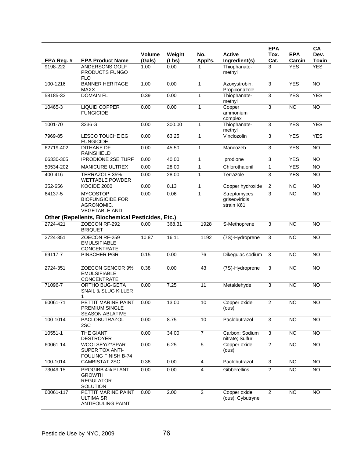|                                                  |                                                                                  |                |               |                |                                             | <b>EPA</b>     |                      | CA                         |
|--------------------------------------------------|----------------------------------------------------------------------------------|----------------|---------------|----------------|---------------------------------------------|----------------|----------------------|----------------------------|
|                                                  |                                                                                  | <b>Volume</b>  | Weight        | No.            | <b>Active</b>                               | Tox.           | <b>EPA</b>           | Dev.                       |
| EPA Reg. #<br>9198-222                           | <b>EPA Product Name</b><br>ANDERSONS GOLF                                        | (Gals)<br>1.00 | (Lbs)<br>0.00 | Appl's.        | Ingredient(s)<br>Thiophanate-               | Cat.<br>3      | Carcin<br><b>YES</b> | <b>Toxin</b><br><b>YES</b> |
|                                                  | PRODUCTS FUNGO<br><b>FLO</b>                                                     |                |               |                | methyl                                      |                |                      |                            |
| 100-1216                                         | <b>BANNER HERITAGE</b><br>MAXX                                                   | 1.00           | 0.00          | 1              | Azoxystrobin;<br>Propiconazole              | 3              | <b>YES</b>           | <b>NO</b>                  |
| 58185-33                                         | <b>DOMAIN FL</b>                                                                 | 0.39           | 0.00          | $\mathbf{1}$   | Thiophanate-<br>methyl                      | 3              | <b>YES</b>           | <b>YES</b>                 |
| 10465-3                                          | <b>LIQUID COPPER</b><br><b>FUNGICIDE</b>                                         | 0.00           | 0.00          | $\mathbf{1}$   | Copper<br>ammonium<br>complex               | 3              | N <sub>O</sub>       | N <sub>O</sub>             |
| 1001-70                                          | 3336 G                                                                           | 0.00           | 300.00        | 1              | Thiophanate-<br>methyl                      | 3              | <b>YES</b>           | <b>YES</b>                 |
| 7969-85                                          | <b>LESCO TOUCHE EG</b><br><b>FUNGICIDE</b>                                       | 0.00           | 63.25         | 1              | Vinclozolin                                 | 3              | <b>YES</b>           | <b>YES</b>                 |
| 62719-402                                        | <b>DITHANE DF</b><br><b>RAINSHIELD</b>                                           | 0.00           | 45.50         | $\mathbf{1}$   | Mancozeb                                    | 3              | <b>YES</b>           | NO                         |
| 66330-305                                        | <b>IPRODIONE 2SE TURF</b>                                                        | 0.00           | 40.00         | $\mathbf{1}$   | Iprodione                                   | 3              | <b>YES</b>           | $\overline{NO}$            |
| 50534-202                                        | <b>MANICURE ULTREX</b>                                                           | 0.00           | 28.00         | 1              | Chlorothalonil                              | $\mathbf{1}$   | <b>YES</b>           | <b>NO</b>                  |
| 400-416                                          | <b>TERRAZOLE 35%</b><br><b>WETTABLE POWDER</b>                                   | 0.00           | 28.00         | $\mathbf{1}$   | Terrazole                                   | 3              | <b>YES</b>           | <b>NO</b>                  |
| 352-656                                          | KOCIDE 2000                                                                      | 0.00           | 0.13          | 1              | Copper hydroxide                            | $\overline{2}$ | <b>NO</b>            | <b>NO</b>                  |
| 64137-5                                          | <b>MYCOSTOP</b><br><b>BIOFUNGICIDE FOR</b><br>AGRONOMIC,<br><b>VEGETABLE AND</b> | 0.00           | 0.06          | 1              | Streptomyces<br>griseoviridis<br>strain K61 | 3              | <b>NO</b>            | $\overline{NO}$            |
| Other (Repellents, Biochemical Pesticides, Etc.) |                                                                                  |                |               |                |                                             |                |                      |                            |
| 2724-421                                         | ZOECON RF-292<br><b>BRIQUET</b>                                                  | 0.00           | 368.31        | 1928           | S-Methoprene                                | 3              | <b>NO</b>            | <b>NO</b>                  |
| 2724-351                                         | ZOECON RF-259<br><b>EMULSIFIABLE</b><br>CONCENTRATE                              | 10.87          | 16.11         | 1192           | (7S)-Hydroprene                             | $\overline{3}$ | <b>NO</b>            | $\overline{NO}$            |
| 69117-7                                          | PINSCHER PGR                                                                     | 0.15           | 0.00          | 76             | Dikegulac sodium                            | 3              | <b>NO</b>            | $\overline{NO}$            |
| 2724-351                                         | <b>ZOECON GENCOR 9%</b><br><b>EMULSIFIABLE</b><br>CONCENTRATE                    | 0.38           | 0.00          | 43             | (7S)-Hydroprene                             | 3              | N <sub>O</sub>       | <b>NO</b>                  |
| 71096-7                                          | <b>ORTHO BUG-GETA</b><br>SNAIL & SLUG KILLER<br>1                                | 0.00           | 7.25          | 11             | Metaldehyde                                 | 3              | <b>NO</b>            | <b>NO</b>                  |
| 60061-71                                         | PETTIT MARINE PAINT<br>PREMIUM SINGLE<br>SEASON ABLATIVE                         | 0.00           | 13.00         | 10             | Copper oxide<br>(ous)                       | $\overline{2}$ | NO                   | NO <sub>1</sub>            |
| 100-1014                                         | PACLOBUTRAZOL<br>2SC                                                             | 0.00           | 8.75          | 10             | Paclobutrazol                               | 3              | <b>NO</b>            | <b>NO</b>                  |
| 10551-1                                          | <b>THE GIANT</b><br><b>DESTROYER</b>                                             | 0.00           | 34.00         | $\overline{7}$ | Carbon; Sodium<br>nitrate; Sulfur           | 3              | <b>NO</b>            | $\overline{NO}$            |
| 60061-14                                         | WOOLSEY/Z*SPAR<br><b>SUPER TOX ANTI-</b><br><b>FOULING FINISH B-74</b>           | 0.00           | 6.25          | $\overline{5}$ | Copper oxide<br>(ous)                       | $\overline{2}$ | $\overline{N}$       | NO <sub>1</sub>            |
| 100-1014                                         | <b>CAMBISTAT 2SC</b>                                                             | 0.38           | 0.00          | $\overline{4}$ | Paclobutrazol                               | $\overline{3}$ | <b>NO</b>            | $\overline{NO}$            |
| 73049-15                                         | PROGIBB 4% PLANT<br><b>GROWTH</b><br><b>REGULATOR</b><br>SOLUTION                | 0.00           | 0.00          | 4              | Gibberellins                                | $\overline{2}$ | $\overline{N}$       | $\overline{N}$             |
| 60061-117                                        | PETTIT MARINE PAINT<br><b>ULTIMA SR</b><br><b>ANTIFOULING PAINT</b>              | 0.00           | 2.00          | $\overline{2}$ | Copper oxide<br>(ous); Cybutryne            | $\overline{2}$ | <b>NO</b>            | <b>NO</b>                  |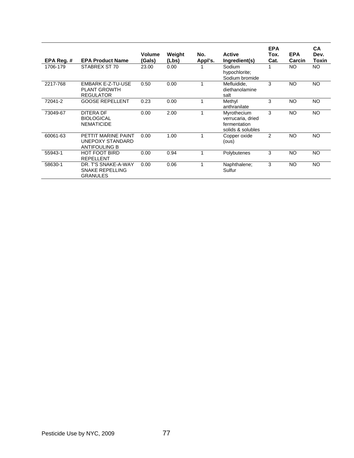| EPA Reg. $#$ | <b>EPA Product Name</b>                                          | <b>Volume</b><br>(Gals) | Weight<br>(Lbs) | No.<br>Appl's. | <b>Active</b><br>Ingredient(s)                                        | <b>EPA</b><br>Tox.<br>Cat. | <b>EPA</b><br>Carcin | <b>CA</b><br>Dev.<br>Toxin |
|--------------|------------------------------------------------------------------|-------------------------|-----------------|----------------|-----------------------------------------------------------------------|----------------------------|----------------------|----------------------------|
| 1706-179     | STABREX ST 70                                                    | 23.00                   | 0.00            |                | Sodium<br>hypochlorite;<br>Sodium bromide                             |                            | NO.                  | NO.                        |
| 2217-768     | EMBARK E-Z-TU-USE<br><b>PLANT GROWTH</b><br><b>REGULATOR</b>     | 0.50                    | 0.00            |                | Mefluidide,<br>diethanolamine<br>salt                                 | 3                          | NO                   | NO                         |
| 72041-2      | <b>GOOSE REPELLENT</b>                                           | 0.23                    | 0.00            |                | Methyl<br>anthranilate                                                | 3                          | <b>NO</b>            | <b>NO</b>                  |
| 73049-67     | DITERA DF<br><b>BIOLOGICAL</b><br><b>NEMATICIDE</b>              | 0.00                    | 2.00            |                | Myrothecium<br>verrucaria, dried<br>fermentation<br>solids & solubles | 3                          | NO                   | NO.                        |
| 60061-63     | PETTIT MARINE PAINT<br>UNEPOXY STANDARD<br><b>ANTIFOULING B</b>  | 0.00                    | 1.00            |                | Copper oxide<br>(ous)                                                 | 2                          | <b>NO</b>            | <b>NO</b>                  |
| 55943-1      | <b>HOT FOOT BIRD</b><br><b>REPELLENT</b>                         | 0.00                    | 0.94            |                | Polybutenes                                                           | 3                          | <b>NO</b>            | <b>NO</b>                  |
| 58630-1      | DR. T'S SNAKE-A-WAY<br><b>SNAKE REPELLING</b><br><b>GRANULES</b> | 0.00                    | 0.06            |                | Naphthalene;<br>Sulfur                                                | 3                          | <b>NO</b>            | <b>NO</b>                  |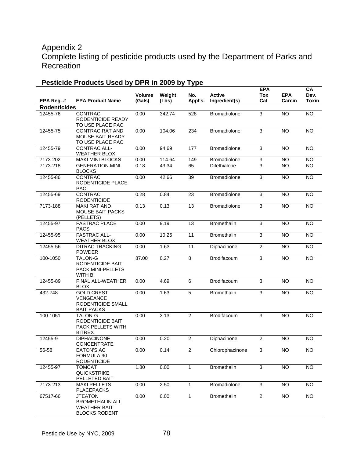## Appendix 2 Complete listing of pesticide products used by the Department of Parks and Recreation

|                     |                                                                                         | Volume | Weight | No.             | <b>Active</b>       | <b>EPA</b><br>Tox         | <b>EPA</b>      | CA<br>Dev.      |
|---------------------|-----------------------------------------------------------------------------------------|--------|--------|-----------------|---------------------|---------------------------|-----------------|-----------------|
| EPA Reg. #          | <b>EPA Product Name</b>                                                                 | (Gals) | (Lbs)  | Appl's.         | Ingredient(s)       | Cat                       | Carcin          | Toxin           |
| <b>Rodenticides</b> |                                                                                         |        |        |                 |                     |                           |                 |                 |
| 12455-76            | <b>CONTRAC</b><br>RODENTICIDE READY<br>TO USE PLACE PAC                                 | 0.00   | 342.74 | 528             | Bromadiolone        | 3                         | <b>NO</b>       | <b>NO</b>       |
| 12455-75            | <b>CONTRAC RAT AND</b><br>MOUSE BAIT READY<br>TO USE PLACE PAC                          | 0.00   | 104.06 | 234             | Bromadiolone        | 3                         | <b>NO</b>       | <b>NO</b>       |
| 12455-79            | CONTRAC ALL-<br><b>WEATHER BLOX</b>                                                     | 0.00   | 94.69  | 177             | Bromadiolone        | $\overline{3}$            | <b>NO</b>       | <b>NO</b>       |
| 7173-202            | <b>MAKI MINI BLOCKS</b>                                                                 | 0.00   | 114.64 | 149             | <b>Bromadiolone</b> | 3                         | <b>NO</b>       | <b>NO</b>       |
| 7173-218            | <b>GENERATION MINI</b><br><b>BLOCKS</b>                                                 | 0.18   | 43.34  | 65              | Difethialone        | 3                         | <b>NO</b>       | <b>NO</b>       |
| 12455-86            | <b>CONTRAC</b><br>RODENTICIDE PLACE<br><b>PAC</b>                                       | 0.00   | 42.66  | 39              | Bromadiolone        | 3                         | <b>NO</b>       | <b>NO</b>       |
| 12455-69            | CONTRAC<br><b>RODENTICIDE</b>                                                           | 0.28   | 0.84   | 23              | Bromadiolone        | 3                         | <b>NO</b>       | <b>NO</b>       |
| 7173-188            | <b>MAKI RAT AND</b><br><b>MOUSE BAIT PACKS</b><br>(PELLETS)                             | 0.13   | 0.13   | $\overline{13}$ | Bromadiolone        | 3                         | $\overline{NO}$ | N <sub>O</sub>  |
| 12455-97            | <b>FASTRAC PLACE</b><br><b>PACS</b>                                                     | 0.00   | 9.19   | 13              | <b>Bromethalin</b>  | 3                         | <b>NO</b>       | <b>NO</b>       |
| 12455-95            | <b>FASTRAC ALL-</b><br><b>WEATHER BLOX</b>                                              | 0.00   | 10.25  | 11              | <b>Bromethalin</b>  | 3                         | <b>NO</b>       | <b>NO</b>       |
| 12455-56            | <b>DITRAC TRACKING</b><br><b>POWDER</b>                                                 | 0.00   | 1.63   | 11              | Diphacinone         | $\overline{2}$            | <b>NO</b>       | $\overline{NO}$ |
| 100-1050            | <b>TALON-G</b><br>RODENTICIDE BAIT<br>PACK MINI-PELLETS<br><b>WITH BI</b>               | 87.00  | 0.27   | $\overline{8}$  | Brodifacoum         | 3                         | NO              | N <sub>O</sub>  |
| 12455-89            | <b>FINAL ALL-WEATHER</b><br><b>BLOX</b>                                                 | 0.00   | 4.69   | 6               | Brodifacoum         | 3                         | <b>NO</b>       | <b>NO</b>       |
| 432-748             | <b>GOLD CREST</b><br><b>VENGEANCE</b><br>RODENTICIDE SMALL<br><b>BAIT PACKS</b>         | 0.00   | 1.63   | $\overline{5}$  | <b>Bromethalin</b>  | 3                         | NO              | $\overline{NO}$ |
| 100-1051            | <b>TALON-G</b><br><b>RODENTICIDE BAIT</b><br>PACK PELLETS WITH<br><b>BITREX</b>         | 0.00   | 3.13   | $\overline{2}$  | Brodifacoum         | 3                         | <b>NO</b>       | <b>NO</b>       |
| 12455-9             | <b>DIPHACINONE</b><br><b>CONCENTRATE</b>                                                | 0.00   | 0.20   | $\overline{2}$  | Diphacinone         | 2                         | <b>NO</b>       | <b>NO</b>       |
| 56-58               | <b>EATON'S AC</b><br>FORMULA 90<br><b>RODENTICIDE</b>                                   | 0.00   | 0.14   | $\overline{2}$  | Chlorophacinone     | 3                         | $\overline{10}$ | NO              |
| 12455-97            | <b>TOMCAT</b><br><b>QUICKSTRIKE</b><br>PELLETED BAIT                                    | 1.80   | 0.00   | $\mathbf{1}$    | Bromethalin         | $\ensuremath{\mathsf{3}}$ | <b>NO</b>       | <b>NO</b>       |
| 7173-213            | <b>MAKI PELLETS</b><br><b>PLACEPACKS</b>                                                | 0.00   | 2.50   | 1               | Bromadiolone        | 3                         | $\overline{10}$ | $\overline{N}$  |
| 67517-66            | <b>JTEATON</b><br><b>BROMETHALIN ALL</b><br><b>WEATHER BAIT</b><br><b>BLOCKS RODENT</b> | 0.00   | 0.00   | $\mathbf{1}$    | Bromethalin         | $\overline{2}$            | $\overline{NO}$ | NO              |

## **Pesticide Products Used by DPR in 2009 by Type**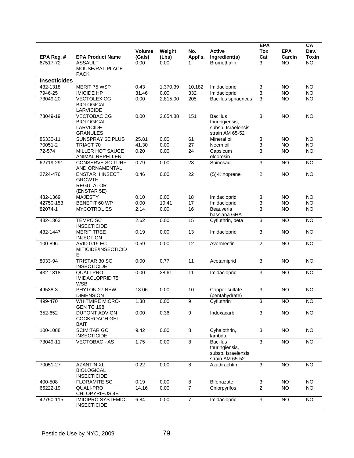|                     |                                                                                |                  |                 | No.             | <b>Active</b>                                                               | <b>EPA</b>        |                      | CA              |
|---------------------|--------------------------------------------------------------------------------|------------------|-----------------|-----------------|-----------------------------------------------------------------------------|-------------------|----------------------|-----------------|
| EPA Reg. #          | <b>EPA Product Name</b>                                                        | Volume<br>(Gals) | Weight<br>(Lbs) | Appl's.         | Ingredient(s)                                                               | <b>Tox</b><br>Cat | <b>EPA</b><br>Carcin | Dev.<br>Toxin   |
| 67517-72            | <b>ASSAULT</b><br>MOUSE/RAT PLACE<br><b>PACK</b>                               | 0.00             | 0.00            |                 | <b>Bromethalin</b>                                                          | 3                 | <b>NO</b>            | $\overline{NO}$ |
| <b>Insecticides</b> |                                                                                |                  |                 |                 |                                                                             |                   |                      |                 |
| 432-1318            | MERIT 75 WSP                                                                   | 0.43             | 1,370.39        | 10,182          | Imidacloprid                                                                | 3                 | NO                   | <b>NO</b>       |
| 7946-25             | <b>IMICIDE HP</b>                                                              | 31.46            | 0.00            | 332             | Imidacloprid                                                                | 3                 | <b>NO</b>            | <b>NO</b>       |
| 73049-20            | <b>VECTOLEX CG</b><br><b>BIOLOGICAL</b><br><b>LARVICIDE</b>                    | 0.00             | 2,815.00        | 205             | Bacillus sphaericus                                                         | 3                 | <b>NO</b>            | <b>NO</b>       |
| 73049-19            | <b>VECTOBAC CG</b><br><b>BIOLOGICAL</b><br><b>LARVICIDE</b><br><b>GRANULES</b> | 0.00             | 2,654.88        | 151             | <b>Bacillus</b><br>thuringiensis,<br>subsp. Israelensis,<br>strain AM 65-52 | 3                 | N <sub>O</sub>       | $\overline{NO}$ |
| 86330-11            | SUNSPRAY 6E PLUS                                                               | 25.81            | 0.00            | 61              | Mineral oil                                                                 | 3                 | <b>NO</b>            | <b>NO</b>       |
| 70051-2             | TRIACT 70                                                                      | 41.30            | 0.00            | 27              | Neem oil                                                                    | 3                 | <b>NO</b>            | <b>NO</b>       |
| 72-574              | MILLER HOT SAUCE<br>ANIMAL REPELLENT                                           | 0.20             | 0.00            | 24              | Capsicum<br>oleoresin                                                       | 3                 | <b>NO</b>            | <b>NO</b>       |
| 62719-291           | <b>CONSERVE SC TURF</b><br>AND ORNAMENTAL                                      | 0.79             | 0.00            | $\overline{23}$ | Spinosad                                                                    | 3                 | N <sub>O</sub>       | $\overline{NO}$ |
| 2724-476            | <b>ENSTAR II INSECT</b><br><b>GROWTH</b><br><b>REGULATOR</b><br>(ENSTAR 5E)    | 0.46             | 0.00            | 22              | (S)-Kinoprene                                                               | $\overline{2}$    | <b>NO</b>            | $\overline{NO}$ |
| 432-1369            | <b>MAJESTY</b>                                                                 | 0.10             | 0.00            | 18              | Imidacloprid                                                                | 3                 | <b>NO</b>            | <b>NO</b>       |
| 42750-153           | BENEFIT 60 WP                                                                  | 0.00             | 10.41           | 17              | Imidacloprid                                                                | $\overline{3}$    | <b>NO</b>            | <b>NO</b>       |
| 82074-1             | <b>MYCOTROL ES</b>                                                             | 2.14             | 0.00            | 16              | Beauveria<br>bassiana GHA                                                   | 3                 | <b>NO</b>            | <b>NO</b>       |
| 432-1363            | <b>TEMPO SC</b><br><b>INSECTICIDE</b>                                          | 2.62             | 0.00            | $\overline{15}$ | Cyfluthrin, beta                                                            | $\overline{3}$    | N <sub>O</sub>       | $\overline{NO}$ |
| 432-1447            | <b>MERIT TREE</b><br><b>INJECTION</b>                                          | 0.19             | 0.00            | 13              | Imidacloprid                                                                | $\overline{3}$    | <b>NO</b>            | <b>NO</b>       |
| 100-896             | <b>AVID 0.15 EC</b><br>MITICIDE/INSECTICID<br>Е                                | 0.59             | 0.00            | 12              | Avermectin                                                                  | $\overline{2}$    | <b>NO</b>            | <b>NO</b>       |
| 8033-94             | TRISTAR 30 SG<br><b>INSECTICIDE</b>                                            | 0.00             | 0.77            | 11              | Acetamiprid                                                                 | 3                 | <b>NO</b>            | <b>NO</b>       |
| 432-1318            | QUALI-PRO<br><b>IMIDACLOPRID 75</b><br><b>WSB</b>                              | 0.00             | 28.61           | $\overline{11}$ | Imidacloprid                                                                | 3                 | <b>NO</b>            | $\overline{NO}$ |
| 49538-3             | PHYTON 27 NEW<br><b>DIMENSION</b>                                              | 13.06            | 0.00            | 10              | Copper sulfate<br>(pentahydrate)                                            | 3                 | <b>NO</b>            | <b>NO</b>       |
| 499-470             | <b>WHITMIRE MICRO-</b><br><b>GEN TC 198</b>                                    | 1.38             | 0.00            | 9               | Cyfluthrin                                                                  | $\overline{3}$    | <b>NO</b>            | NO              |
| 352-652             | DUPONT ADVION<br><b>COCKROACH GEL</b><br><b>BAIT</b>                           | 0.00             | 0.36            | 9               | Indoxacarb                                                                  | 3                 | <b>NO</b>            | $\overline{10}$ |
| 100-1088            | <b>SCIMITAR GC</b><br><b>INSECTICIDE</b>                                       | 9.42             | 0.00            | 8               | Cyhalothrin,<br>lambda                                                      | 3                 | <b>NO</b>            | $\overline{NO}$ |
| 73049-11            | <b>VECTOBAC - AS</b>                                                           | 1.75             | 0.00            | 8               | <b>Bacillus</b><br>thuringiensis,<br>subsp. Israelensis,<br>strain AM 65-52 | $\overline{3}$    | <b>NO</b>            | NO              |
| 70051-27            | <b>AZANTIN XL</b><br><b>BIOLOGICAL</b><br><b>INSECTICIDE</b>                   | 0.22             | 0.00            | $\overline{8}$  | Azadirachtin                                                                | $\sqrt{3}$        | <b>NO</b>            | $\overline{NO}$ |
| 400-508             | <b>FLORAMITE SC</b>                                                            | 0.19             | 0.00            | $\infty$        | Bifenazate                                                                  | 3                 | NO                   | $\overline{10}$ |
| 66222-19            | <b>QUALI-PRO</b><br>CHLOPYRIFOS 4E                                             | 14.16            | 0.00            | $\overline{7}$  | Chlorpyrifos                                                                | $\overline{2}$    | <b>NO</b>            | <b>NO</b>       |
| 42750-115           | <b>IMIDIPRO SYSTEMIC</b><br><b>INSECTICIDE</b>                                 | 6.84             | 0.00            | $\overline{7}$  | Imidacloprid                                                                | 3                 | <b>NO</b>            | NO              |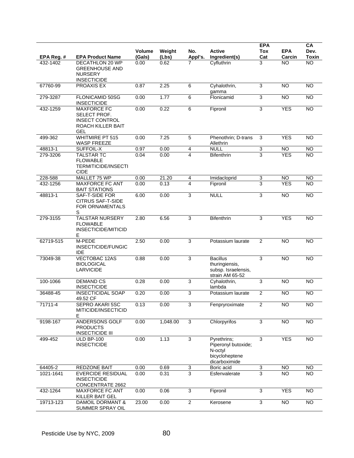| EPA Reg. # | <b>EPA Product Name</b>                                                                 | <b>Volume</b><br>(Gals) | Weight<br>(Lbs) | No.<br>Appl's.          | <b>Active</b><br>Ingredient(s)                                                   | <b>EPA</b><br>Tox<br>Cat  | <b>EPA</b><br>Carcin | CA<br>Dev.<br>Toxin |
|------------|-----------------------------------------------------------------------------------------|-------------------------|-----------------|-------------------------|----------------------------------------------------------------------------------|---------------------------|----------------------|---------------------|
| 432-1402   | <b>DECATHLON 20 WP</b><br><b>GREENHOUSE AND</b><br><b>NURSERY</b><br><b>INSECTICIDE</b> | 0.00                    | 0.62            | 7                       | Cyfluthrin                                                                       | 3                         | <b>NO</b>            | $\overline{NO}$     |
| 67760-99   | PROAXIS EX                                                                              | 0.87                    | 2.25            | 6                       | Cyhalothrin,<br>gamma                                                            | 3                         | <b>NO</b>            | <b>NO</b>           |
| 279-3287   | FLONICAMID 50SG<br><b>INSECTICIDE</b>                                                   | 0.00                    | 1.77            | 6                       | Flonicamid                                                                       | 3                         | N <sub>O</sub>       | $\overline{NO}$     |
| 432-1259   | <b>MAXFORCE FC</b><br>SELECT PROF.<br><b>INSECT CONTROL</b><br>ROACH KILLER BAIT<br>GEL | 0.00                    | 0.22            | 6                       | Fipronil                                                                         | 3                         | <b>YES</b>           | <b>NO</b>           |
| 499-362    | <b>WHITMIRE PT 515</b><br><b>WASP FREEZE</b>                                            | 0.00                    | 7.25            | 5                       | Phenothrin; D-trans<br>Allethrin                                                 | 3                         | <b>YES</b>           | <b>NO</b>           |
| 48813-1    | SUFFOIL-X                                                                               | 0.97                    | 0.00            | $\overline{\mathbf{4}}$ | <b>NULL</b>                                                                      | $\ensuremath{\mathsf{3}}$ | <b>NO</b>            | <b>NO</b>           |
| 279-3206   | <b>TALSTAR TC</b><br><b>FLOWABLE</b><br><b>TERMITICIDE/INSECTI</b><br><b>CIDE</b>       | 0.04                    | 0.00            | 4                       | <b>Bifenthrin</b>                                                                | 3                         | <b>YES</b>           | <b>NO</b>           |
| 228-588    | MALLET 75 WP                                                                            | 0.00                    | 21.20           | 4                       | Imidacloprid                                                                     | 3                         | NO                   | <b>NO</b>           |
| 432-1256   | MAXFORCE FC ANT<br><b>BAIT STATIONS</b>                                                 | 0.00                    | 0.13            | 4                       | Fipronil                                                                         | 3                         | <b>YES</b>           | <b>NO</b>           |
| 48813-1    | SAF-T-SIDE FOR<br>CITRUS SAF-T-SIDE<br><b>FOR ORNAMENTALS</b><br>S                      | 6.00                    | 0.00            | 3                       | <b>NULL</b>                                                                      | $\overline{3}$            | <b>NO</b>            | <b>NO</b>           |
| 279-3155   | <b>TALSTAR NURSERY</b><br><b>FLOWABLE</b><br>INSECTICIDE/MITICID<br>Е                   | 2.80                    | 6.56            | 3                       | <b>Bifenthrin</b>                                                                | 3                         | <b>YES</b>           | <b>NO</b>           |
| 62719-515  | M-PEDE<br>INSECTICIDE/FUNGIC<br><b>IDE</b>                                              | 2.50                    | 0.00            | 3                       | Potassium laurate                                                                | 2                         | <b>NO</b>            | <b>NO</b>           |
| 73049-38   | <b>VECTOBAC 12AS</b><br><b>BIOLOGICAL</b><br><b>LARVICIDE</b>                           | 0.88                    | 0.00            | $\overline{3}$          | <b>Bacillus</b><br>thuringiensis,<br>subsp. Israelensis,<br>strain AM 65-52      | 3                         | <b>NO</b>            | <b>NO</b>           |
| 100-1066   | <b>DEMAND CS</b><br><b>INSECTICIDE</b>                                                  | 0.28                    | 0.00            | 3                       | Cyhalothrin,<br>lambda                                                           | 3                         | <b>NO</b>            | <b>NO</b>           |
| 36488-45   | <b>INSECTICIDAL SOAP</b><br>49.52 CF                                                    | 0.20                    | 0.00            | 3                       | Potassium laurate                                                                | 2                         | <b>NO</b>            | <b>NO</b>           |
| 71711-4    | SEPRO AKARI 5SC<br>MITICIDE/INSECTICID<br>Е                                             | 0.13                    | 0.00            | 3                       | Fenpryroximate                                                                   | $\overline{2}$            | <b>NO</b>            | <b>NO</b>           |
| 9198-167   | ANDERSONS GOLF<br><b>PRODUCTS</b><br><b>INSECTICIDE III</b>                             | 0.00                    | 1,048.00        | 3                       | Chlorpyrifos                                                                     | 3                         | NO <sub>1</sub>      | <b>NO</b>           |
| 499-452    | <b>ULD BP-100</b><br><b>INSECTICIDE</b>                                                 | 0.00                    | 1.13            | $\overline{3}$          | Pyrethrins;<br>Piperonyl butoxide;<br>N-octyl<br>bicycloheptene<br>dicarboximide | 3                         | <b>YES</b>           | $\overline{NO}$     |
| 64405-2    | <b>REDZONE BAIT</b>                                                                     | 0.00                    | 0.69            | 3                       | Boric acid                                                                       | 3                         | <b>NO</b>            | $\overline{10}$     |
| 1021-1641  | <b>EVERCIDE RESIDUAL</b><br><b>INSECTICIDE</b><br><b>CONCENTRATE 2662</b>               | 0.00                    | 0.31            | 3                       | Esfenvalerate                                                                    | 3                         | <b>NO</b>            | <b>NO</b>           |
| 432-1264   | MAXFORCE FC ANT<br>KILLER BAIT GEL                                                      | 0.00                    | 0.06            | 3                       | Fipronil                                                                         | 3                         | <b>YES</b>           | <b>NO</b>           |
| 19713-123  | DAMOIL DORMANT &<br>SUMMER SPRAY OIL                                                    | 23.00                   | 0.00            | $\overline{2}$          | Kerosene                                                                         | $\overline{3}$            | $\overline{NO}$      | $\overline{10}$     |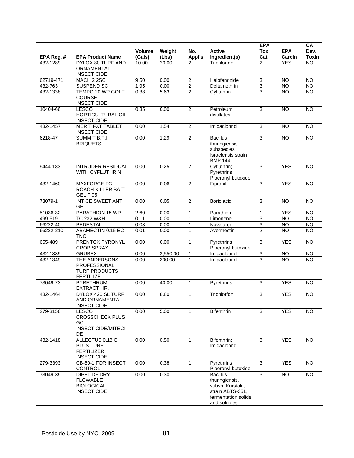| EPA Reg. # | <b>EPA Product Name</b>                                                          | <b>Volume</b><br>(Gals) | Weight<br>(Lbs) | No.<br>Appl's. | <b>Active</b><br>Ingredient(s)                                                                                   | <b>EPA</b><br><b>Tox</b><br>Cat | <b>EPA</b><br>Carcin | CA<br>Dev.<br><b>Toxin</b> |
|------------|----------------------------------------------------------------------------------|-------------------------|-----------------|----------------|------------------------------------------------------------------------------------------------------------------|---------------------------------|----------------------|----------------------------|
| 432-1289   | DYLOX 80 TURF AND<br>ORNAMENTAL<br><b>INSECTICIDE</b>                            | 10.00                   | 20.00           | $\overline{2}$ | Trichlorfon                                                                                                      | 2                               | <b>YES</b>           | $\overline{N}$             |
| 62719-471  | MACH 2 2SC                                                                       | 9.50                    | 0.00            | $\overline{2}$ | Halofenozide                                                                                                     | 3                               | $\overline{NO}$      | $\overline{NO}$            |
| 432-763    | <b>SUSPEND SC</b>                                                                | 1.95                    | 0.00            | $\overline{2}$ | Deltamethrin                                                                                                     | 3                               | N <sub>O</sub>       | $\overline{NO}$            |
| 432-1338   | TEMPO 20 WP GOLF<br><b>COURSE</b><br><b>INSECTICIDE</b>                          | 0.38                    | 5.63            | $\overline{2}$ | Cyfluthrin                                                                                                       | 3                               | <b>NO</b>            | N <sub>O</sub>             |
| 10404-66   | <b>LESCO</b><br>HORTICULTURAL OIL<br><b>INSECTICIDE</b>                          | 0.35                    | 0.00            | $\overline{2}$ | Petroleum<br>distillates                                                                                         | 3                               | N <sub>O</sub>       | $\overline{NO}$            |
| 432-1457   | <b>MERIT FXT TABLET</b><br><b>INSECTICIDE</b>                                    | 0.00                    | 1.54            | $\overline{2}$ | Imidacloprid                                                                                                     | $\overline{3}$                  | N <sub>O</sub>       | <b>NO</b>                  |
| 6218-47    | SUMMIT B.T.I.<br><b>BRIQUETS</b>                                                 | 0.00                    | 1.29            | $\overline{2}$ | <b>Bacillus</b><br>thuringiensis<br>subspecies<br>Israelensis strain<br><b>BMP 144</b>                           | $\overline{3}$                  | N <sub>O</sub>       | $\overline{N}$             |
| 9444-183   | <b>INTRUDER RESIDUAL</b><br><b>WITH CYFLUTHRIN</b>                               | 0.00                    | 0.25            | $\overline{2}$ | Cyfluthrin;<br>Pyrethrins;<br>Piperonyl butoxide                                                                 | $\overline{3}$                  | <b>YES</b>           | <b>NO</b>                  |
| 432-1460   | <b>MAXFORCE FC</b><br>ROACH KILLER BAIT<br><b>GEL F.05</b>                       | 0.00                    | 0.06            | $\overline{2}$ | Fipronil                                                                                                         | 3                               | <b>YES</b>           | <b>NO</b>                  |
| 73079-1    | <b>INTICE SWEET ANT</b><br><b>GEL</b>                                            | 0.00                    | 0.05            | $\overline{2}$ | Boric acid                                                                                                       | $\overline{3}$                  | <b>NO</b>            | $\overline{NO}$            |
| 51036-32   | PARATHION 15 WP                                                                  | 2.60                    | 0.00            | 1              | Parathion                                                                                                        | 1                               | <b>YES</b>           | <b>NO</b>                  |
| 499-519    | TC 232 W&H                                                                       | 0.11                    | 0.00            | 1              | Limonene                                                                                                         | 3                               | <b>NO</b>            | NO                         |
| 66222-40   | PEDESTAL                                                                         | 0.03                    | 0.00            | 1              | Novaluron                                                                                                        | 3                               | $\overline{NO}$      | $\overline{NO}$            |
| 66222-210  | ABAMECTIN 0.15 EC<br><b>TNO</b>                                                  | 0.01                    | 0.00            | $\mathbf{1}$   | Avermectin                                                                                                       | $\overline{c}$                  | <b>NO</b>            | <b>NO</b>                  |
| 655-489    | PRENTOX PYRONYL<br><b>CROP SPRAY</b>                                             | 0.00                    | 0.00            | $\mathbf{1}$   | Pyrethrins;<br>Piperonyl butoxide                                                                                | $\overline{3}$                  | <b>YES</b>           | $\overline{N}$             |
| 432-1339   | <b>GRUBEX</b>                                                                    | 0.00                    | 3,550.00        | 1              | Imidacloprid                                                                                                     | 3                               | <b>NO</b>            | <b>NO</b>                  |
| 432-1349   | THE ANDERSONS<br><b>PROFESSIONAL</b><br><b>TURF PRODUCTS</b><br><b>FERTILIZE</b> | 0.00                    | 300.00          | $\mathbf{1}$   | Imidacloprid                                                                                                     | 3                               | <b>NO</b>            | <b>NO</b>                  |
| 73049-73   | <b>PYRETHRUM</b><br>EXTRACT HR.                                                  | 0.00                    | 40.00           | 1              | Pyrethrins                                                                                                       | $\overline{3}$                  | <b>YES</b>           | <b>NO</b>                  |
| 432-1464   | DYLOX 420 SL TURF<br>AND ORNAMENTAL<br><b>INSECTICIDE</b>                        | 0.00                    | 8.80            | 1              | Trichlorfon                                                                                                      | 3                               | <b>YES</b>           | <b>NO</b>                  |
| 279-3156   | <b>LESCO</b><br><b>CROSSCHECK PLUS</b><br>GC<br><b>INSECTICIDE/MITECI</b><br>DE  | 0.00                    | 5.00            | 1              | <b>Bifenthrin</b>                                                                                                | 3                               | <b>YES</b>           | <b>NO</b>                  |
| 432-1418   | ALLECTUS 0.18 G<br><b>PLUS TURF</b><br><b>FERTILIZER</b><br><b>INSECTICIDE</b>   | 0.00                    | 0.50            | $\mathbf{1}$   | Bifenthrin;<br>Imidacloprid                                                                                      | 3                               | <b>YES</b>           | <b>NO</b>                  |
| 279-3393   | CB-80-1 FOR INSECT<br><b>CONTROL</b>                                             | 0.00                    | 0.38            | $\mathbf{1}$   | Pyrethrins;<br>Piperonyl butoxide                                                                                | 3                               | <b>YES</b>           | <b>NO</b>                  |
| 73049-39   | DIPEL DF DRY<br><b>FLOWABLE</b><br><b>BIOLOGICAL</b><br><b>INSECTICIDE</b>       | 0.00                    | 0.30            | 1              | <b>Bacillus</b><br>thuringiensis,<br>subsp. Kurstaki,<br>strain ABTS-351,<br>fermentation solids<br>and solubles | 3                               | <b>NO</b>            | <b>NO</b>                  |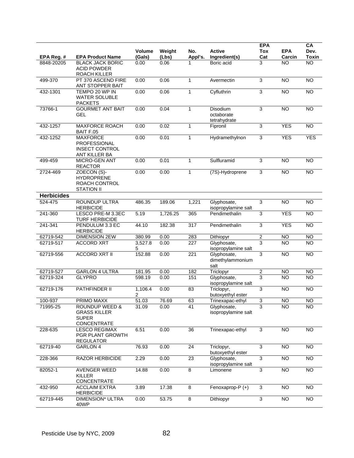| EPA Reg. #        | <b>EPA Product Name</b>                                                     | <b>Volume</b><br>(Gals)   | Weight<br>(Lbs) | No.<br>Appl's.   | <b>Active</b><br>Ingredient(s)          | <b>EPA</b><br><b>Tox</b><br>Cat | <b>EPA</b><br>Carcin | CA<br>Dev.<br>Toxin |
|-------------------|-----------------------------------------------------------------------------|---------------------------|-----------------|------------------|-----------------------------------------|---------------------------------|----------------------|---------------------|
| 8848-20205        | <b>BLACK JACK BORIC</b><br><b>ACID POWDER</b><br>ROACH KILLER               | 0.00                      | 0.06            | 1                | Boric acid                              | 3                               | <b>NO</b>            | $\overline{NO}$     |
| 499-370           | PT 370 ASCEND FIRE<br>ANT STOPPER BAIT                                      | 0.00                      | 0.06            | 1                | Avermectin                              | 3                               | <b>NO</b>            | <b>NO</b>           |
| 432-1301          | TEMPO 20 WP IN<br><b>WATER SOLUBLE</b><br><b>PACKETS</b>                    | 0.00                      | 0.06            | 1                | Cyfluthrin                              | $\overline{3}$                  | $\overline{NO}$      | $\overline{NO}$     |
| 73766-1           | <b>GOURMET ANT BAIT</b><br>GEL                                              | 0.00                      | 0.04            | $\mathbf{1}$     | Disodium<br>octaborate<br>tetrahydrate  | 3                               | <b>NO</b>            | <b>NO</b>           |
| 432-1257          | <b>MAXFORCE ROACH</b><br>BAIT F.05                                          | 0.00                      | 0.02            | 1                | Fipronil                                | 3                               | <b>YES</b>           | $\overline{NO}$     |
| 432-1252          | <b>MAXFORCE</b><br>PROFESSIONAL<br><b>INSECT CONTROL</b><br>ANT KILLER BA   | 0.00                      | 0.01            | 1                | Hydramethylnon                          | $\overline{3}$                  | <b>YES</b>           | <b>YES</b>          |
| 499-459           | MICRO-GEN ANT<br><b>REACTOR</b>                                             | 0.00                      | 0.01            | 1                | Sulfluramid                             | 3                               | <b>NO</b>            | <b>NO</b>           |
| 2724-469          | ZOECON (S)-<br><b>HYDROPRENE</b><br>ROACH CONTROL<br><b>STATION II</b>      | 0.00                      | 0.00            | $\mathbf{1}$     | (7S)-Hydroprene                         | 3                               | <b>NO</b>            | <b>NO</b>           |
| <b>Herbicides</b> |                                                                             |                           |                 |                  |                                         |                                 |                      |                     |
| 524-475           | ROUNDUP ULTRA<br><b>HERBICIDE</b>                                           | 486.35                    | 189.06          | 1,221            | Glyphosate,<br>isopropylamine salt      | 3                               | <b>NO</b>            | $\overline{NO}$     |
| 241-360           | LESCO PRE-M 3.3EC<br><b>TURF HERBICIDE</b>                                  | 5.19                      | 1,726.25        | 365              | Pendimethalin                           | $\overline{3}$                  | <b>YES</b>           | <b>NO</b>           |
| 241-341           | PENDULUM 3.3 EC<br><b>HERBICIDE</b>                                         | 44.10                     | 182.38          | $\overline{317}$ | Pendimethalin                           | 3                               | <b>YES</b>           | N <sub>O</sub>      |
| 62719-542         | <b>DIMENSION 2EW</b>                                                        | 380.99                    | 0.00            | 283              | Dithiopyr                               | $\overline{\mathbf{c}}$         | <b>NO</b>            | NO                  |
| 62719-517         | <b>ACCORD XRT</b>                                                           | 3,527.8<br>5              | 0.00            | 227              | Glyphosate,<br>isopropylamine salt      | 3                               | <b>NO</b>            | $\overline{N}$      |
| 62719-556         | <b>ACCORD XRT II</b>                                                        | 152.88                    | 0.00            | 221              | Glyphosate,<br>dimethylammonium<br>salt | 3                               | <b>NO</b>            | <b>NO</b>           |
| 62719-527         | <b>GARLON 4 ULTRA</b>                                                       | 181.95                    | 0.00            | 182              | Triclopyr                               | $\boldsymbol{2}$                | <b>NO</b>            | <b>NO</b>           |
| 62719-324         | <b>GLYPRO</b>                                                               | 598.19                    | 0.00            | 151              | Glyphosate,<br>isopropylamine salt      | $\overline{3}$                  | <b>NO</b>            | $\overline{10}$     |
| 62719-176         | PATHFINDER II                                                               | $1,106.\overline{4}$<br>2 | 0.00            | 83               | Triclopyr,<br>butoxyethyl ester         | 3                               | <b>NO</b>            | <b>NO</b>           |
| 100-937           | PRIMO MAXX                                                                  | 51.03                     | 76.69           | 63               | Trinexapac-ethyl                        | 3                               | <b>NO</b>            | NO                  |
| 71995-25          | ROUNDUP WEED &<br><b>GRASS KILLER</b><br><b>SUPER</b><br><b>CONCENTRATE</b> | 31.09                     | 0.00            | 41               | Glyphosate,<br>isopropylamine salt      |                                 | <b>NO</b>            | NO.                 |
| 228-635           | <b>LESCO REGIMAX</b><br>PGR PLANT GROWTH<br><b>REGULATOR</b>                | 6.51                      | 0.00            | $\overline{36}$  | Trinexapac-ethyl                        | 3                               | $\overline{NO}$      | NO                  |
| 62719-40          | <b>GARLON 4</b>                                                             | 76.93                     | 0.00            | 24               | Triclopyr,<br>butoxyethyl ester         | $\overline{3}$                  | <b>NO</b>            | $\overline{NO}$     |
| 228-366           | <b>RAZOR HERBICIDE</b>                                                      | 2.29                      | 0.00            | 23               | Glyphosate,<br>isopropylamine salt      | 3                               | <b>NO</b>            | NO                  |
| 82052-1           | <b>AVENGER WEED</b><br>KILLER<br>CONCENTRATE                                | 14.88                     | 0.00            | $\overline{8}$   | Limonene                                | $\overline{3}$                  | $\overline{NO}$      | $\overline{10}$     |
| 432-950           | <b>ACCLAIM EXTRA</b><br><b>HERBICIDE</b>                                    | 3.89                      | 17.38           | 8                | Fenoxaprop-P (+)                        | 3                               | NO                   | <b>NO</b>           |
| 62719-445         | DIMENSION* ULTRA<br>40WP                                                    | 0.00                      | 53.75           | 8                | Dithiopyr                               | $\overline{3}$                  | <b>NO</b>            | <b>NO</b>           |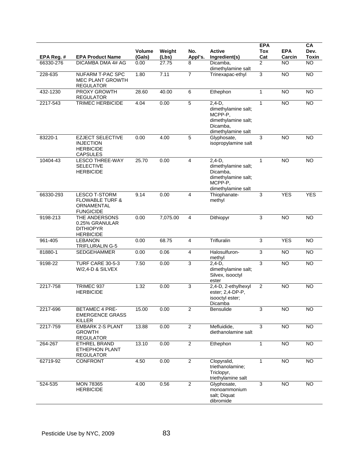| EPA Reg. # | <b>EPA Product Name</b>                                                              | <b>Volume</b><br>(Gals) | Weight<br>(Lbs) | No.<br>Appl's.          | <b>Active</b><br>Ingredient(s)                                                                      | <b>EPA</b><br>Tox<br>Cat | <b>EPA</b><br>Carcin | CA<br>Dev.<br>Toxin |
|------------|--------------------------------------------------------------------------------------|-------------------------|-----------------|-------------------------|-----------------------------------------------------------------------------------------------------|--------------------------|----------------------|---------------------|
| 66330-276  | DICAMBA DMA 4# AG                                                                    | 0.00                    | 27.75           | 8                       | Dicamba,<br>dimethylamine salt                                                                      | 2                        | NO                   | <b>NO</b>           |
| 228-635    | <b>NUFARM T-PAC SPC</b><br><b>MEC PLANT GROWTH</b><br><b>REGULATOR</b>               | 1.80                    | 7.11            | $\overline{7}$          | Trinexapac-ethyl                                                                                    | $\overline{3}$           | <b>NO</b>            | <b>NO</b>           |
| 432-1230   | PROXY GROWTH<br><b>REGULATOR</b>                                                     | 28.60                   | 40.00           | $\overline{6}$          | Ethephon                                                                                            | $\mathbf{1}$             | $\overline{NO}$      | $\overline{NO}$     |
| 2217-543   | <b>TRIMEC HERBICIDE</b>                                                              | 4.04                    | 0.00            | $\overline{5}$          | $2,4-D,$<br>dimethylamine salt;<br>MCPP-P,<br>dimethylamine salt;<br>Dicamba.<br>dimethylamine salt | $\mathbf{1}$             | <b>NO</b>            | <b>NO</b>           |
| 83220-1    | <b>EZJECT SELECTIVE</b><br><b>INJECTION</b><br><b>HERBICIDE</b><br><b>CAPSULES</b>   | 0.00                    | 4.00            | 5                       | Glyphosate,<br>isopropylamine salt                                                                  | 3                        | <b>NO</b>            | <b>NO</b>           |
| 10404-43   | <b>LESCO THREE-WAY</b><br><b>SELECTIVE</b><br><b>HERBICIDE</b>                       | 25.70                   | 0.00            | $\overline{4}$          | $2,4-D,$<br>dimethylamine salt;<br>Dicamba,<br>dimethylamine salt;<br>MCPP-P,<br>dimethylamine salt | $\mathbf{1}$             | <b>NO</b>            | <b>NO</b>           |
| 66330-293  | <b>LESCO T-STORM</b><br><b>FLOWABLE TURF &amp;</b><br>ORNAMENTAL<br><b>FUNGICIDE</b> | 9.14                    | 0.00            | 4                       | Thiophanate-<br>methyl                                                                              | 3                        | <b>YES</b>           | <b>YES</b>          |
| 9198-213   | THE ANDERSONS<br>0.25% GRANULAR<br><b>DITHIOPYR</b><br><b>HERBICIDE</b>              | 0.00                    | 7,075.00        | $\overline{4}$          | Dithiopyr                                                                                           | 3                        | <b>NO</b>            | <b>NO</b>           |
| 961-405    | <b>LEBANON</b><br>TRIFLURALIN G-5                                                    | 0.00                    | 68.75           | $\overline{4}$          | Trifluralin                                                                                         | $\overline{3}$           | <b>YES</b>           | $\overline{NO}$     |
| 81880-1    | SEDGEHAMMER                                                                          | 0.00                    | 0.06            | $\overline{\mathbf{4}}$ | Halosulfuron-<br>methyl                                                                             | 3                        | N <sub>O</sub>       | <b>NO</b>           |
| 9198-22    | TURF CARE 30-5-3<br>$W/2$ , 4-D & SILVEX                                             | 7.50                    | 0.00            | 3                       | $2,4-D,$<br>dimethylamine salt;<br>Silvex, isooctyl<br>ester                                        | 3                        | <b>NO</b>            | <b>NO</b>           |
| 2217-758   | TRIMEC 937<br><b>HERBICIDE</b>                                                       | 1.32                    | 0.00            | $\overline{3}$          | 2,4-D, 2-ethylhexyl<br>ester; 2,4-DP-P,<br>isooctyl ester;<br>Dicamba                               | $\overline{2}$           | <b>NO</b>            | <b>NO</b>           |
| 2217-696   | <b>BETAMEC 4 PRE-</b><br><b>EMERGENCE GRASS</b><br><b>KILLER</b>                     | 15.00                   | 0.00            | $\overline{2}$          | Bensulide                                                                                           | 3                        | <b>NO</b>            | <b>NO</b>           |
| 2217-759   | <b>EMBARK 2-S PLANT</b><br><b>GROWTH</b><br><b>REGULATOR</b>                         | 13.88                   | 0.00            | $\overline{2}$          | Mefluidide,<br>diethanolamine salt                                                                  | 3                        | <b>NO</b>            | <b>NO</b>           |
| 264-267    | <b>ETHREL BRAND</b><br>ETHEPHON PLANT<br><b>REGULATOR</b>                            | 13.10                   | 0.00            | $\overline{2}$          | Ethephon                                                                                            | $\mathbf{1}$             | <b>NO</b>            | <b>NO</b>           |
| 62719-92   | <b>CONFRONT</b>                                                                      | 4.50                    | 0.00            | $\overline{2}$          | Clopyralid,<br>triethanolamine;<br>Triclopyr,<br>triethylamine salt                                 | 1                        | $\overline{10}$      | $\overline{N}$      |
| 524-535    | <b>MON 78365</b><br><b>HERBICIDE</b>                                                 | 4.00                    | 0.56            | $\overline{2}$          | Glyphosate,<br>monoammonium<br>salt; Diquat<br>dibromide                                            | 3                        | $\overline{NO}$      | <b>NO</b>           |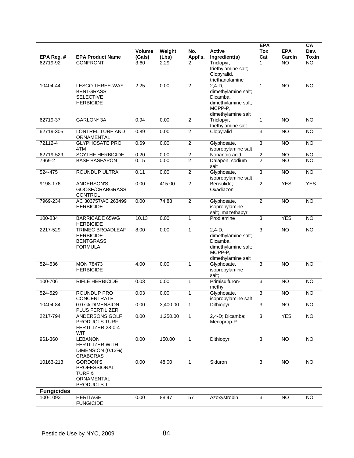| EPA Reg. #        | <b>EPA Product Name</b>                                                            | <b>Volume</b><br>(Gals) | Weight<br>(Lbs) | No.<br>Appl's. | <b>Active</b><br>Ingredient(s)                                                                      | <b>EPA</b><br>Tox<br>Cat | <b>EPA</b><br>Carcin | CA<br>Dev.<br><b>Toxin</b> |
|-------------------|------------------------------------------------------------------------------------|-------------------------|-----------------|----------------|-----------------------------------------------------------------------------------------------------|--------------------------|----------------------|----------------------------|
| 62719-92          | <b>CONFRONT</b>                                                                    | 3.60                    | 2.29            | 2              | Triclopyr,<br>triethylamine salt;<br>Clopyralid,<br>triethanolamine                                 | 1                        | <b>NO</b>            | <b>NO</b>                  |
| 10404-44          | <b>LESCO THREE-WAY</b><br><b>BENTGRASS</b><br><b>SELECTIVE</b><br><b>HERBICIDE</b> | 2.25                    | 0.00            | $\overline{2}$ | $2,4-D,$<br>dimethylamine salt;<br>Dicamba,<br>dimethylamine salt;<br>MCPP-P,<br>dimethylamine salt | $\mathbf{1}$             | $\overline{NO}$      | $\overline{NO}$            |
| 62719-37          | GARLON* 3A                                                                         | 0.94                    | 0.00            | $\overline{2}$ | Triclopyr,<br>triethylamine salt                                                                    | 1                        | <b>NO</b>            | <b>NO</b>                  |
| 62719-305         | LONTREL TURF AND<br>ORNAMENTAL                                                     | 0.89                    | 0.00            | $\overline{2}$ | Clopyralid                                                                                          | $\overline{3}$           | <b>NO</b>            | $\overline{NO}$            |
| 72112-4           | <b>GLYPHOSATE PRO</b><br>4TM                                                       | 0.69                    | 0.00            | $\overline{2}$ | Glyphosate,<br>isopropylamine salt                                                                  | $\overline{3}$           | <b>NO</b>            | <b>NO</b>                  |
| 62719-529         | <b>SCYTHE HERBICIDE</b>                                                            | 0.20                    | 0.00            | $\overline{2}$ | Nonanoic acid                                                                                       | $\overline{2}$           | <b>NO</b>            | <b>NO</b>                  |
| 7969-2            | <b>BASF BASFAPON</b>                                                               | 0.15                    | 0.00            | $\overline{2}$ | Dalapon, sodium<br>salt                                                                             | $\overline{2}$           | <b>NO</b>            | <b>NO</b>                  |
| 524-475           | <b>ROUNDUP ULTRA</b>                                                               | 0.11                    | 0.00            | $\overline{2}$ | Glyphosate,<br>isopropylamine salt                                                                  | 3                        | $\overline{NO}$      | $\overline{NO}$            |
| 9198-176          | ANDERSON'S<br>GOOSE/CRABGRASS<br><b>CONTROL</b>                                    | 0.00                    | 415.00          | $\sqrt{2}$     | Bensulide:<br>Oxadiazon                                                                             | $\overline{c}$           | <b>YES</b>           | <b>YES</b>                 |
| 7969-234          | AC 303757/AC 263499<br><b>HERBICIDE</b>                                            | 0.00                    | 74.88           | $\overline{2}$ | Glyphosate,<br>isopropylamine<br>salt; Imazethapyr                                                  | $\overline{2}$           | <b>NO</b>            | <b>NO</b>                  |
| 100-834           | <b>BARRICADE 65WG</b><br><b>HERBICIDE</b>                                          | 10.13                   | 0.00            | 1              | Prodiamine                                                                                          | 3                        | <b>YES</b>           | <b>NO</b>                  |
| 2217-529          | TRIMEC BROADLEAF<br><b>HERBICIDE</b><br><b>BENTGRASS</b><br><b>FORMULA</b>         | 8.00                    | 0.00            | $\mathbf{1}$   | $2,4-D,$<br>dimethylamine salt;<br>Dicamba,<br>dimethylamine salt;<br>MCPP-P.<br>dimethylamine salt | 3                        | <b>NO</b>            | <b>NO</b>                  |
| 524-536           | <b>MON 78473</b><br><b>HERBICIDE</b>                                               | 4.00                    | 0.00            | $\mathbf{1}$   | Glyphosate,<br>isopropylamine<br>salt:                                                              | 3                        | <b>NO</b>            | <b>NO</b>                  |
| $100 - 706$       | <b>RIFLE HERBICIDE</b>                                                             | 0.03                    | 0.00            | $\mathbf{1}$   | Primisulfuron-<br>methyl                                                                            | 3                        | <b>NO</b>            | <b>NO</b>                  |
| 524-529           | <b>ROUNDUP PRO</b><br>CONCENTRATE                                                  | 0.03                    | 0.00            | $\mathbf{1}$   | Glyphosate,<br>isopropylamine salt                                                                  | 3                        | N <sub>O</sub>       | <b>NO</b>                  |
| 10404-84          | 0.07% DIMENSION<br>PLUS FERTILIZER                                                 | 0.00                    | 3,400.00        | 1              | Dithiopyr                                                                                           | 3                        | <b>NO</b>            | <b>NO</b>                  |
| 2217-794          | ANDERSONS GOLF<br>PRODUCTS TURF<br>FERTILIZER 28-0-4<br><b>WIT</b>                 | 0.00                    | 1,250.00        | $\mathbf{1}$   | 2,4-D; Dicamba;<br>Mecoprop-P                                                                       | 3                        | <b>YES</b>           | <b>NO</b>                  |
| 961-360           | <b>LEBANON</b><br><b>FERTILIZER WITH</b><br>DIMENSION (0.13%)<br><b>CRABGRAS</b>   | 0.00                    | 150.00          | $\mathbf{1}$   | Dithiopyr                                                                                           | 3                        | $\overline{NO}$      | <b>NO</b>                  |
| 10163-213         | <b>GORDON'S</b><br>PROFESSIONAL<br>TURF &<br>ORNAMENTAL<br>PRODUCTS T              | 0.00                    | 48.00           | 1              | Siduron                                                                                             | 3                        | $\overline{NO}$      | $\overline{NO}$            |
| <b>Fungicides</b> |                                                                                    |                         |                 |                |                                                                                                     |                          |                      |                            |
| 100-1093          | <b>HERITAGE</b><br><b>FUNGICIDE</b>                                                | 0.00                    | 88.47           | 57             | Azoxystrobin                                                                                        | $\mathsf 3$              | <b>NO</b>            | <b>NO</b>                  |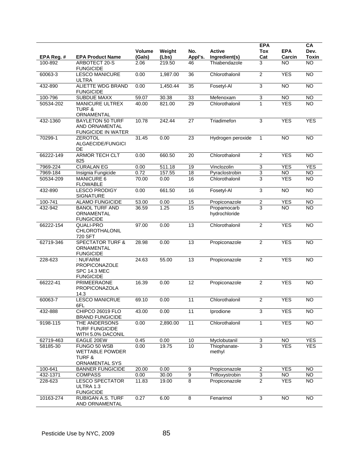|            |                                                                               | <b>Volume</b> | Weight   | No.             | <b>Active</b>                | <b>EPA</b><br><b>Tox</b>  | <b>EPA</b>      | CA<br>Dev.      |
|------------|-------------------------------------------------------------------------------|---------------|----------|-----------------|------------------------------|---------------------------|-----------------|-----------------|
| EPA Reg. # | <b>EPA Product Name</b>                                                       | (Gals)        | (Lbs)    | Appl's.         | Ingredient(s)                | Cat                       | Carcin          | Toxin           |
| 100-892    | ARBOTECT 20-S<br><b>FUNGICIDE</b>                                             | 2.06          | 219.50   | 46              | Thiabendazole                | 3                         | <b>NO</b>       | $\overline{NO}$ |
| 60063-3    | <b>LESCO MANICURE</b><br><b>ULTRA</b>                                         | 0.00          | 1,987.00 | $\overline{36}$ | Chlorothalonil               | $\overline{2}$            | <b>YES</b>      | <b>NO</b>       |
| 432-890    | <b>ALIETTE WDG BRAND</b><br><b>FUNGICIDE</b>                                  | 0.00          | 1,450.44 | 35              | Fosetyl-Al                   | 3                         | $\overline{NO}$ | NO              |
| 100-796    | <b>SUBDUE MAXX</b>                                                            | 59.07         | 30.38    | 33              | Mefenoxam                    | 3                         | <b>NO</b>       | NO              |
| 50534-202  | <b>MANICURE ULTREX</b><br><b>TURF &amp;</b><br>ORNAMENTAL                     | 40.00         | 821.00   | $\overline{29}$ | Chlorothalonil               | $\mathbf{1}$              | <b>YES</b>      | $\overline{NO}$ |
| 432-1360   | <b>BAYLETON 50 TURF</b><br>AND ORNAMENTAL<br><b>FUNGICIDE IN WATER</b>        | 10.78         | 242.44   | $\overline{27}$ | Triadimefon                  | 3                         | <b>YES</b>      | <b>YES</b>      |
| 70299-1    | <b>ZEROTOL</b><br>ALGAECIDE/FUNGICI<br>DE                                     | 31.45         | 0.00     | 23              | Hydrogen peroxide            | $\mathbf{1}$              | <b>NO</b>       | $\overline{NO}$ |
| 66222-149  | <b>ARMOR TECH CLT</b><br>825                                                  | 0.00          | 660.50   | 20              | Chlorothalonil               | $\overline{2}$            | <b>YES</b>      | <b>NO</b>       |
| 7969-224   | <b>CURALAN EG</b>                                                             | 0.00          | 511.18   | 19              | Vinclozolin                  | $\ensuremath{\mathsf{3}}$ | <b>YES</b>      | <b>YES</b>      |
| 7969-184   | Insignia Fungicide                                                            | 0.72          | 157.55   | $\overline{18}$ | Pyraclostrobin               | 3                         | <b>NO</b>       | N <sub>O</sub>  |
| 50534-209  | <b>MANICURE 6</b><br><b>FLOWABLE</b>                                          | 70.00         | 0.00     | 16              | Chlorothalonil               | 3                         | <b>YES</b>      | <b>NO</b>       |
| 432-890    | <b>LESCO PRODIGY</b><br><b>SIGNATURE</b>                                      | 0.00          | 661.50   | 16              | Fosetyl-Al                   | 3                         | $\overline{NO}$ | NO              |
| 100-741    | <b>ALAMO FUNGICIDE</b>                                                        | 53.00         | 0.00     | 15              | Propiconazole                | $\overline{2}$            | <b>YES</b>      | NO              |
| 432-942    | <b>BANOL TURF AND</b><br>ORNAMENTAL<br><b>FUNGICIDE</b>                       | 36.59         | 1.25     | $\overline{15}$ | Propamocarb<br>hydrochloride | $\overline{3}$            | <b>NO</b>       | $\overline{NO}$ |
| 66222-154  | QUALI-PRO<br>CHLOROTHALONIL<br>720 SFT                                        | 97.00         | 0.00     | $\overline{13}$ | Chlorothalonil               | $\overline{2}$            | <b>YES</b>      | <b>NO</b>       |
| 62719-346  | <b>SPECTATOR TURF &amp;</b><br>ORNAMENTAL<br><b>FUNGICIDE</b>                 | 28.98         | 0.00     | 13              | Propiconazole                | $\overline{2}$            | <b>YES</b>      | $\overline{NO}$ |
| 228-623    | : NUFARM<br>PROPICONAZOLE<br><b>SPC 14.3 MEC</b><br><b>FUNGICIDE</b>          | 24.63         | 55.00    | 13              | Propiconazole                | $\overline{2}$            | <b>YES</b>      | <b>NO</b>       |
| 66222-41   | PRIMEERAONE<br>PROPICONAZOLA<br>14.3                                          | 16.39         | 0.00     | 12              | Propiconazole                | $\overline{2}$            | <b>YES</b>      | NO              |
| 60063-7    | <b>LESCO MANICRUE</b><br>6FL                                                  | 69.10         | 0.00     | 11              | Chlorothalonil               | $\overline{2}$            | <b>YES</b>      | <b>NO</b>       |
| 432-888    | CHIPCO 26019 FLO<br><b>BRAND FUNGICIDE</b>                                    | 43.00         | 0.00     | $\overline{11}$ | Iprodione                    | 3                         | <b>YES</b>      | N <sub>O</sub>  |
| 9198-115   | THE ANDERSONS<br><b>TURF FUNGICIDE</b><br>WITH 5.0% DACONIL                   | 0.00          | 2,890.00 | $\overline{11}$ | Chlorothalonil               | $\mathbf{1}$              | <b>YES</b>      | N <sub>O</sub>  |
| 62719-463  | EAGLE 20EW                                                                    | 0.45          | 0.00     | 10              | Myclobutanil                 | $\overline{3}$            | <b>NO</b>       | <b>YES</b>      |
| 58185-30   | FUNGO 50 WSB<br><b>WETTABLE POWDER</b><br><b>TURF &amp;</b><br>ORNAMENTAL SYS | 0.00          | 19.75    | 10              | Thiophanate-<br>methyl       | $\overline{3}$            | <b>YES</b>      | <b>YES</b>      |
| 100-641    | <b>BANNER FUNGICIDE</b>                                                       | 20.00         | 0.00     | 9               | Propiconazole                | $\sqrt{2}$                | <b>YES</b>      | <b>NO</b>       |
| 432-1371   | <b>COMPASS</b>                                                                | 0.00          | 30.00    | $\overline{9}$  | Trifloxystrobin              | $\mathbf{c}$              | $\overline{N}$  | NO              |
| 228-623    | <b>LESCO SPECTATOR</b><br>ULTRA 1.3<br><b>FUNGICIDE</b>                       | 11.83         | 19.00    | 8               | Propiconazole                | $\overline{2}$            | <b>YES</b>      | <b>NO</b>       |
| 10163-274  | RUBIGAN A.S. TURF<br>AND ORNAMENTAL                                           | 0.27          | 6.00     | 8               | Fenarimol                    | 3                         | NO              | N <sub>O</sub>  |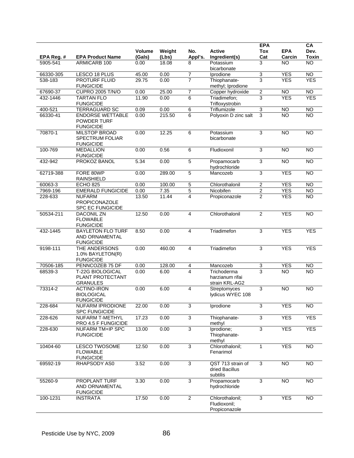| EPA Reg. # | <b>EPA Product Name</b>                                            | <b>Volume</b><br>(Gals) | Weight<br>(Lbs) | No.<br>Appl's.          | <b>Active</b><br>Ingredient(s)                   | <b>EPA</b><br><b>Tox</b><br>Cat | <b>EPA</b><br>Carcin | CA<br>Dev.<br>Toxin |
|------------|--------------------------------------------------------------------|-------------------------|-----------------|-------------------------|--------------------------------------------------|---------------------------------|----------------------|---------------------|
| 5905-541   | ARMICARB 100                                                       | 0.00                    | 18.08           | 8                       | Potassium<br>bicarbonate                         | 3                               | <b>NO</b>            | <b>NO</b>           |
| 66330-305  | LESCO 18 PLUS                                                      | 45.00                   | 0.00            | 7                       | Iprodione                                        | 3                               | <b>YES</b>           | <b>NO</b>           |
| 538-183    | PROTURF FLUID<br><b>FUNGICIDE</b>                                  | 29.75                   | 0.00            | $\overline{7}$          | Thiophanate-<br>methyl; Iprodione                | 3                               | <b>YES</b>           | <b>YES</b>          |
| 67690-37   | <b>CUPRO 2005 T/N/O</b>                                            | 0.00                    | 25.00           | $\overline{7}$          | Copper hydroxide                                 | $\overline{2}$                  | <b>NO</b>            | <b>NO</b>           |
| 432-1446   | <b>TARTAN FLO</b><br><b>FUNGICIDE</b>                              | 11.90                   | 0.00            | 6                       | Triadimefon;<br>Trifloxystrobin                  | $\overline{3}$                  | <b>YES</b>           | <b>YES</b>          |
| 400-521    | <b>TERRAGUARD SC</b>                                               | 0.09                    | 0.00            | 6                       | Triflumizole                                     | 3                               | <b>NO</b>            | $\overline{N}$      |
| 66330-41   | <b>ENDORSE WETTABLE</b><br>POWDER TURF<br><b>FUNGICIDE</b>         | 0.00                    | 215.50          | 6                       | Polyoxin D zinc salt                             | 3                               | <b>NO</b>            | <b>NO</b>           |
| 70870-1    | <b>MILSTOP BROAD</b><br><b>SPECTRUM FOLIAR</b><br><b>FUNGICIDE</b> | 0.00                    | 12.25           | $\overline{6}$          | Potassium<br>bicarbonate                         | 3                               | N <sub>O</sub>       | $\overline{NO}$     |
| 100-769    | <b>MEDALLION</b><br><b>FUNGICIDE</b>                               | 0.00                    | 0.56            | 6                       | Fludioxonil                                      | 3                               | <b>NO</b>            | $\overline{NO}$     |
| 432-942    | PROKOZ BANOL                                                       | 5.34                    | 0.00            | $\overline{5}$          | Propamocarb<br>hydrochloride                     | 3                               | <b>NO</b>            | N <sub>O</sub>      |
| 62719-388  | FORE 80WP<br><b>RAINSHIELD</b>                                     | 0.00                    | 289.00          | $\overline{5}$          | Mancozeb                                         | $\overline{3}$                  | <b>YES</b>           | <b>NO</b>           |
| 60063-3    | <b>ECHO 825</b>                                                    | 0.00                    | 100.00          | 5                       | Chlorothalonil                                   | $\sqrt{2}$                      | <b>YES</b>           | <b>NO</b>           |
| 7969-196   | <b>EMERALD FUNGICIDE</b>                                           | 0.00                    | 7.35            | 5                       | Nicobifen                                        | 2                               | <b>YES</b>           | NO                  |
| 228-633    | <b>NUFARM</b><br>PROPICONAZOLE<br><b>SPC EC FUNGICIDE</b>          | 13.50                   | 11.44           | $\overline{4}$          | Propiconazole                                    | $\overline{2}$                  | <b>YES</b>           | <b>NO</b>           |
| 50534-211  | <b>DACONIL ZN</b><br><b>FLOWABLE</b><br><b>FUNGICIDE</b>           | 12.50                   | 0.00            | $\overline{4}$          | Chlorothalonil                                   | $\overline{2}$                  | <b>YES</b>           | <b>NO</b>           |
| 432-1445   | <b>BAYLETON FLO TURF</b><br>AND ORNAMENTAL<br><b>FUNGICIDE</b>     | 8.50                    | 0.00            | $\overline{4}$          | Triadimefon                                      | 3                               | <b>YES</b>           | <b>YES</b>          |
| 9198-111   | THE ANDERSONS<br>1.0% BAYLETON(R)<br><b>FUNGICIDE</b>              | 0.00                    | 460.00          | $\overline{4}$          | Triadimefon                                      | 3                               | <b>YES</b>           | <b>YES</b>          |
| 70506-185  | PENNCOZEB 75 DF                                                    | 0.00                    | 128.00          | $\overline{\mathbf{4}}$ | Mancozeb                                         | $\ensuremath{\mathsf{3}}$       | <b>YES</b>           | <b>NO</b>           |
| 68539-3    | T-22G BIOLOGICAL<br>PLANT PROTECTANT<br><b>GRANULES</b>            | 0.00                    | 6.00            | 4                       | Trichoderma<br>harzianum rifai<br>strain KRL-AG2 | 3                               | <b>NO</b>            | <b>NO</b>           |
| 73314-2    | <b>ACTINO-IRON</b><br><b>BIOLOGICAL</b><br><b>FUNGICIDE</b>        | 0.00                    | 6.00            | $\overline{\mathbf{4}}$ | Streptomyces<br>lydicus WYEC 108                 | 3                               | <b>NO</b>            | <b>NO</b>           |
| 228-684    | NUFARM IPRODIONE<br><b>SPC FUNGICIDE</b>                           | 22.00                   | 0.00            | 3                       | Iprodione                                        | $\mathsf 3$                     | <b>YES</b>           | $\overline{10}$     |
| 228-626    | NUFARM T-METHYL<br>PRO 4.5 F FUNGICIDE                             | 17.23                   | 0.00            | $\overline{3}$          | Thiophanate-<br>methyl                           | $\overline{3}$                  | <b>YES</b>           | <b>YES</b>          |
| 228-630    | <b>NUFARM TM+IP SPC</b><br><b>FUNGICIDE</b>                        | 13.00                   | 0.00            | $\overline{3}$          | Iprodione;<br>Thiophanate-<br>methyl             | $\overline{3}$                  | <b>YES</b>           | <b>YES</b>          |
| 10404-60   | <b>LESCO TWOSOME</b><br><b>FLOWABLE</b><br><b>FUNGICIDE</b>        | 12.50                   | 0.00            | $\overline{3}$          | Chlorothalonil;<br>Fenarimol                     | $\mathbf{1}$                    | <b>YES</b>           | $\overline{NO}$     |
| 69592-19   | RHAPSODY AS0                                                       | 3.52                    | 0.00            | $\overline{3}$          | QST 713 strain of<br>dried Bacillus<br>subtilis  | 3                               | $\overline{N}$       | <b>NO</b>           |
| 55260-9    | PROPLANT TURF<br>AND ORNAMENTAL<br><b>FUNGICIDE</b>                | 3.30                    | 0.00            | $\overline{3}$          | Propamocarb<br>hydrochloride                     | $\overline{3}$                  | $\overline{NO}$      | $\overline{NO}$     |
| 100-1231   | <b>INSTRATA</b>                                                    | 17.50                   | 0.00            | $\overline{2}$          | Chlorothalonil;<br>Fludioxonil:<br>Propiconazole | 3                               | <b>YES</b>           | N <sub>O</sub>      |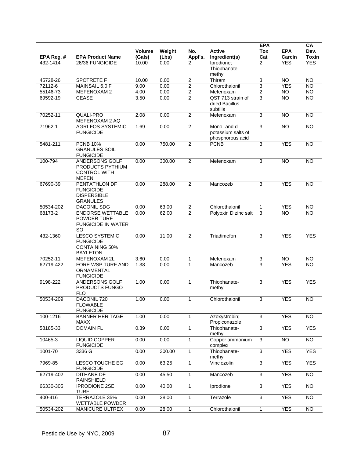|            |                                                                                  | <b>Volume</b> | Weight | No.            | <b>Active</b>                                           | <b>EPA</b><br>Tox | <b>EPA</b>      | CA<br>Dev.      |
|------------|----------------------------------------------------------------------------------|---------------|--------|----------------|---------------------------------------------------------|-------------------|-----------------|-----------------|
| EPA Reg. # | <b>EPA Product Name</b>                                                          | (Gals)        | (Lbs)  | Appl's.        | Ingredient(s)                                           | Cat               | Carcin          | <b>Toxin</b>    |
| 432-1414   | 26/36 FUNGICIDE                                                                  | 10.00         | 0.00   | 2              | Iprodione:<br>Thiophanate-<br>methyl                    | $\overline{2}$    | <b>YES</b>      | <b>YES</b>      |
| 45728-26   | <b>SPOTRETE F</b>                                                                | 10.00         | 0.00   | $\overline{2}$ | Thiram                                                  | 3                 | <b>NO</b>       | <b>NO</b>       |
| 72112-6    | MAINSAIL 6.0 F                                                                   | 9.00          | 0.00   | $\overline{2}$ | Chlorothalonil                                          | $\overline{3}$    | <b>YES</b>      | $\overline{NO}$ |
| 55146-73   | MEFENOXAM 2                                                                      | 4.00          | 0.00   | $\overline{2}$ | Mefenoxam                                               | $\overline{2}$    | $\overline{10}$ | <b>NO</b>       |
| 69592-19   | <b>CEASE</b>                                                                     | 3.50          | 0.00   | $\overline{2}$ | QST 713 strain of<br>dried Bacillus<br>subtilis         | 3                 | <b>NO</b>       | <b>NO</b>       |
| 70252-11   | QUALI-PRO<br>MEFENOXAM 2 AQ                                                      | 2.08          | 0.00   | $\overline{2}$ | Mefenoxam                                               | $\mathbf{3}$      | <b>NO</b>       | <b>NO</b>       |
| 71962-1    | <b>AGRI-FOS SYSTEMIC</b><br><b>FUNGICIDE</b>                                     | 1.69          | 0.00   | $\overline{2}$ | Mono- and di-<br>potassium salts of<br>phosphorous acid | 3                 | $\overline{NO}$ | N <sub>O</sub>  |
| 5481-211   | <b>PCNB 10%</b><br><b>GRANULES SOIL</b><br><b>FUNGICIDE</b>                      | 0.00          | 750.00 | $\overline{2}$ | <b>PCNB</b>                                             | 3                 | <b>YES</b>      | <b>NO</b>       |
| 100-794    | ANDERSONS GOLF<br>PRODUCTS PYTHIUM<br><b>CONTROL WITH</b><br><b>MEFEN</b>        | 0.00          | 300.00 | $\overline{2}$ | Mefenoxam                                               | 3                 | $\overline{NO}$ | $\overline{NO}$ |
| 67690-39   | PENTATHLON DF<br><b>FUNGICIDE</b><br><b>DISPERSIBLE</b><br><b>GRANULES</b>       | 0.00          | 288.00 | $\overline{2}$ | Mancozeb                                                | 3                 | <b>YES</b>      | <b>NO</b>       |
| 50534-202  | DACONIL SDG                                                                      | 0.00          | 63.00  | $\sqrt{2}$     | Chlorothalonil                                          | $\mathbf 1$       | <b>YES</b>      | <b>NO</b>       |
| 68173-2    | <b>ENDORSE WETTABLE</b><br>POWDER TURF<br><b>FUNGICIDE IN WATER</b><br><b>SO</b> | 0.00          | 62.00  | $\overline{2}$ | Polyoxin D zinc salt                                    | 3                 | <b>NO</b>       | <b>NO</b>       |
| 432-1360   | <b>LESCO SYSTEMIC</b><br><b>FUNGICIDE</b><br>CONTAINING 50%<br><b>BAYLETON</b>   | 0.00          | 11.00  | $\overline{2}$ | Triadimefon                                             | $\mathsf 3$       | <b>YES</b>      | <b>YES</b>      |
| 70252-11   | MEFENOXAM 2L                                                                     | 3.60          | 0.00   | 1              | Mefenoxam                                               | 3                 | <b>NO</b>       | $\overline{N}$  |
| 62719-422  | FORE WSP TURF AND<br>ORNAMENTAL<br><b>FUNGICIDE</b>                              | 1.38          | 0.00   | $\mathbf{1}$   | Mancozeb                                                | 3                 | <b>YES</b>      | <b>NO</b>       |
| 9198-222   | ANDERSONS GOLF<br>PRODUCTS FUNGO<br><b>FLO</b>                                   | 1.00          | 0.00   | $\mathbf{1}$   | Thiophanate-<br>methyl                                  | $\overline{3}$    | <b>YES</b>      | <b>YES</b>      |
| 50534-209  | DACONIL 720<br><b>FLOWABLE</b><br><b>FUNGICIDE</b>                               | 1.00          | 0.00   | 1              | Chlorothalonil                                          | 3                 | <b>YES</b>      | <b>NO</b>       |
| 100-1216   | <b>BANNER HERITAGE</b><br><b>MAXX</b>                                            | 1.00          | 0.00   | $\mathbf{1}$   | Azoxystrobin;<br>Propiconazole                          | 3                 | <b>YES</b>      | NO              |
| 58185-33   | <b>DOMAIN FL</b>                                                                 | 0.39          | 0.00   | $\mathbf{1}$   | Thiophanate-<br>methyl                                  | $\overline{3}$    | <b>YES</b>      | <b>YES</b>      |
| 10465-3    | <b>LIQUID COPPER</b><br><b>FUNGICIDE</b>                                         | 0.00          | 0.00   | $\mathbf{1}$   | Copper ammonium<br>complex                              | 3                 | <b>NO</b>       | NO <sub>1</sub> |
| 1001-70    | 3336 G                                                                           | 0.00          | 300.00 | $\mathbf{1}$   | Thiophanate-<br>methyl                                  | $\overline{3}$    | <b>YES</b>      | <b>YES</b>      |
| 7969-85    | <b>LESCO TOUCHE EG</b><br><b>FUNGICIDE</b>                                       | 0.00          | 63.25  | 1              | Vinclozolin                                             | $\overline{3}$    | <b>YES</b>      | <b>YES</b>      |
| 62719-402  | <b>DITHANE DF</b><br><b>RAINSHIELD</b>                                           | 0.00          | 45.50  | 1              | Mancozeb                                                | $\overline{3}$    | <b>YES</b>      | $\overline{10}$ |
| 66330-305  | <b>IPRODIONE 2SE</b><br><b>TURF</b>                                              | 0.00          | 40.00  | $\mathbf{1}$   | Iprodione                                               | $\overline{3}$    | <b>YES</b>      | <b>NO</b>       |
| 400-416    | TERRAZOLE 35%<br><b>WETTABLE POWDER</b>                                          | 0.00          | 28.00  | $\mathbf{1}$   | Terrazole                                               | 3                 | <b>YES</b>      | $\overline{NO}$ |
| 50534-202  | MANICURE ULTREX                                                                  | 0.00          | 28.00  | 1              | Chlorothalonil                                          | 1                 | <b>YES</b>      | $\overline{NO}$ |